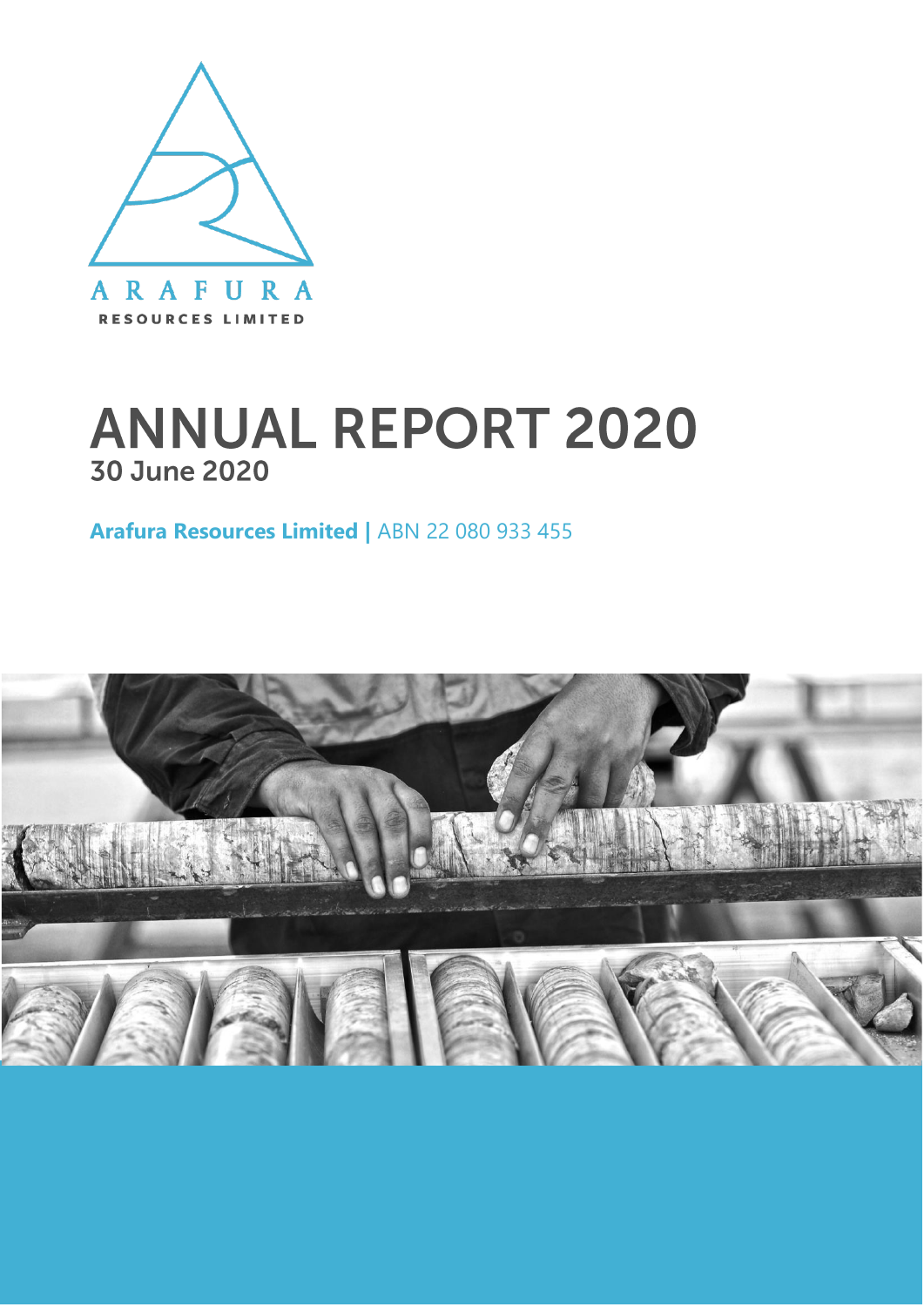

## **ANNUAL REPORT 2020 30 June 2020**

**Arafura Resources Limited |** ABN 22 080 933 455

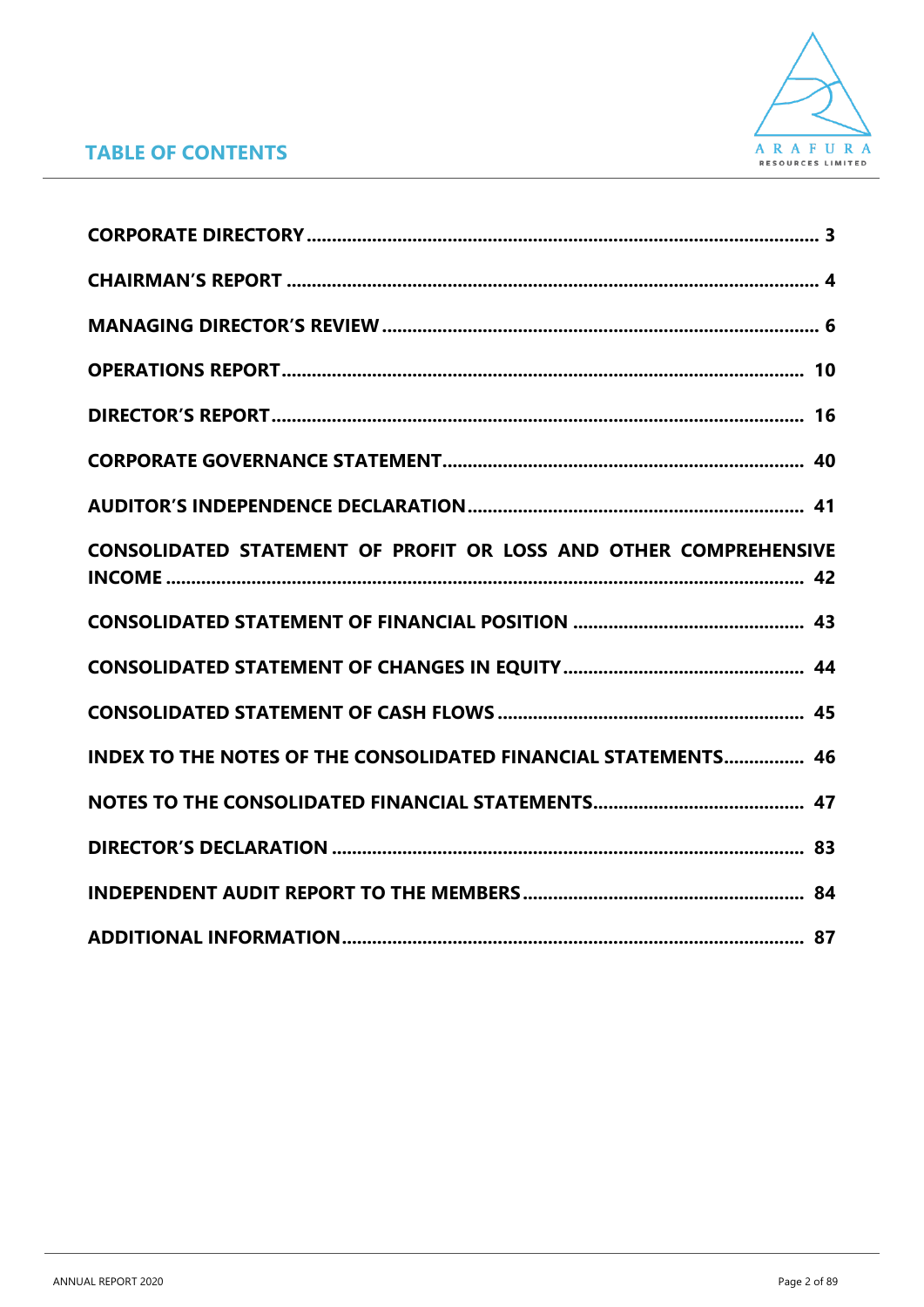

### **TABLE OF CONTENTS**

| CONSOLIDATED STATEMENT OF PROFIT OR LOSS AND OTHER COMPREHENSIVE      |
|-----------------------------------------------------------------------|
|                                                                       |
|                                                                       |
|                                                                       |
| <b>INDEX TO THE NOTES OF THE CONSOLIDATED FINANCIAL STATEMENTS 46</b> |
|                                                                       |
|                                                                       |
|                                                                       |
|                                                                       |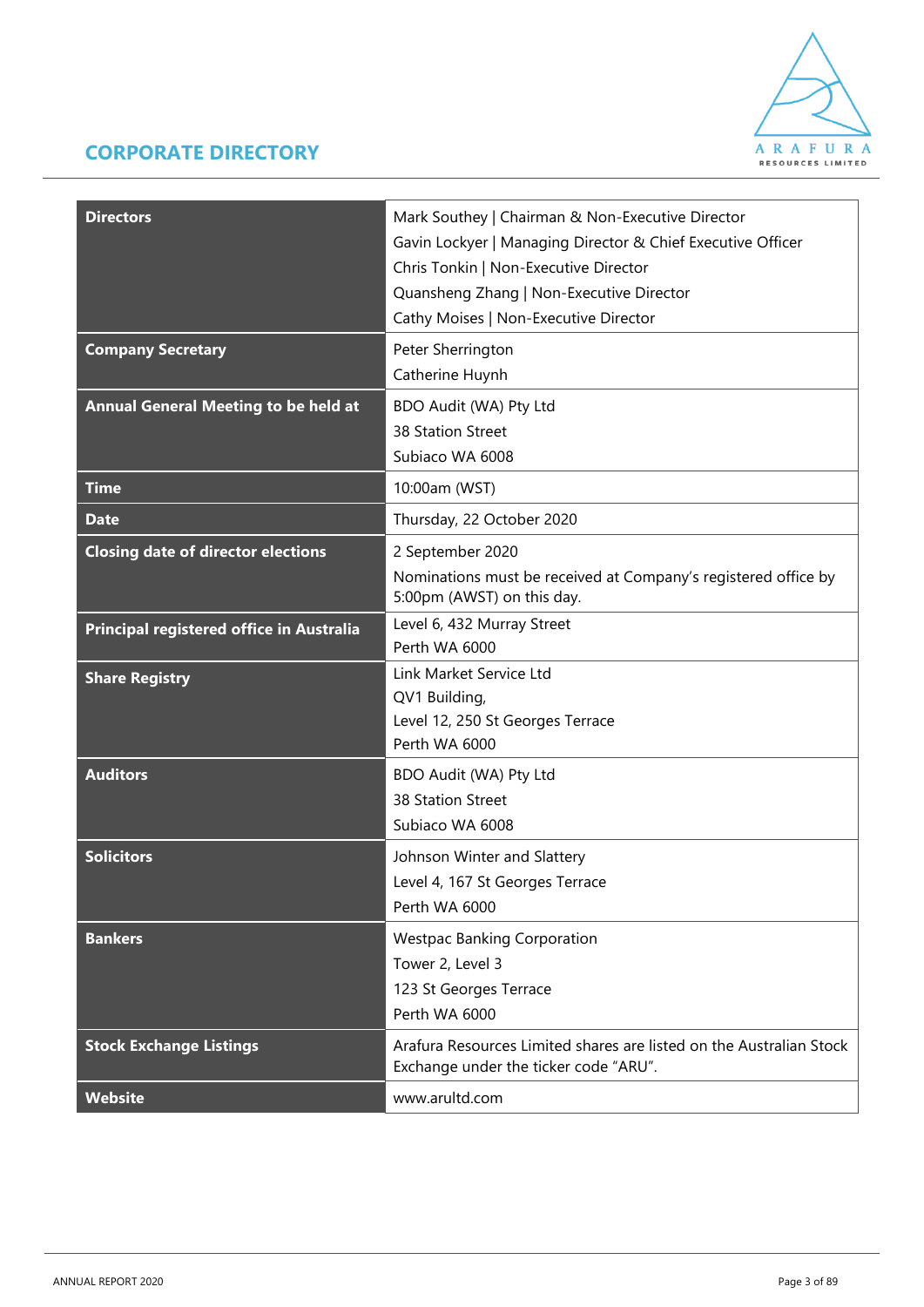### **CORPORATE DIRECTORY**



| <b>Directors</b><br><b>Company Secretary</b> | Mark Southey   Chairman & Non-Executive Director<br>Gavin Lockyer   Managing Director & Chief Executive Officer<br>Chris Tonkin   Non-Executive Director<br>Quansheng Zhang   Non-Executive Director<br>Cathy Moises   Non-Executive Director<br>Peter Sherrington<br>Catherine Huynh |
|----------------------------------------------|---------------------------------------------------------------------------------------------------------------------------------------------------------------------------------------------------------------------------------------------------------------------------------------|
| <b>Annual General Meeting to be held at</b>  | BDO Audit (WA) Pty Ltd<br>38 Station Street<br>Subiaco WA 6008                                                                                                                                                                                                                        |
| <b>Time</b>                                  | 10:00am (WST)                                                                                                                                                                                                                                                                         |
| <b>Date</b>                                  | Thursday, 22 October 2020                                                                                                                                                                                                                                                             |
| <b>Closing date of director elections</b>    | 2 September 2020<br>Nominations must be received at Company's registered office by<br>5:00pm (AWST) on this day.                                                                                                                                                                      |
| Principal registered office in Australia     | Level 6, 432 Murray Street<br>Perth WA 6000                                                                                                                                                                                                                                           |
| <b>Share Registry</b>                        | Link Market Service Ltd<br>QV1 Building,<br>Level 12, 250 St Georges Terrace<br>Perth WA 6000                                                                                                                                                                                         |
| <b>Auditors</b>                              | BDO Audit (WA) Pty Ltd<br>38 Station Street<br>Subiaco WA 6008                                                                                                                                                                                                                        |
| <b>Solicitors</b>                            | Johnson Winter and Slattery<br>Level 4, 167 St Georges Terrace<br>Perth WA 6000                                                                                                                                                                                                       |
| <b>Bankers</b>                               | <b>Westpac Banking Corporation</b><br>Tower 2, Level 3<br>123 St Georges Terrace<br>Perth WA 6000                                                                                                                                                                                     |
| <b>Stock Exchange Listings</b>               | Arafura Resources Limited shares are listed on the Australian Stock<br>Exchange under the ticker code "ARU".                                                                                                                                                                          |
| <b>Website</b>                               | www.arultd.com                                                                                                                                                                                                                                                                        |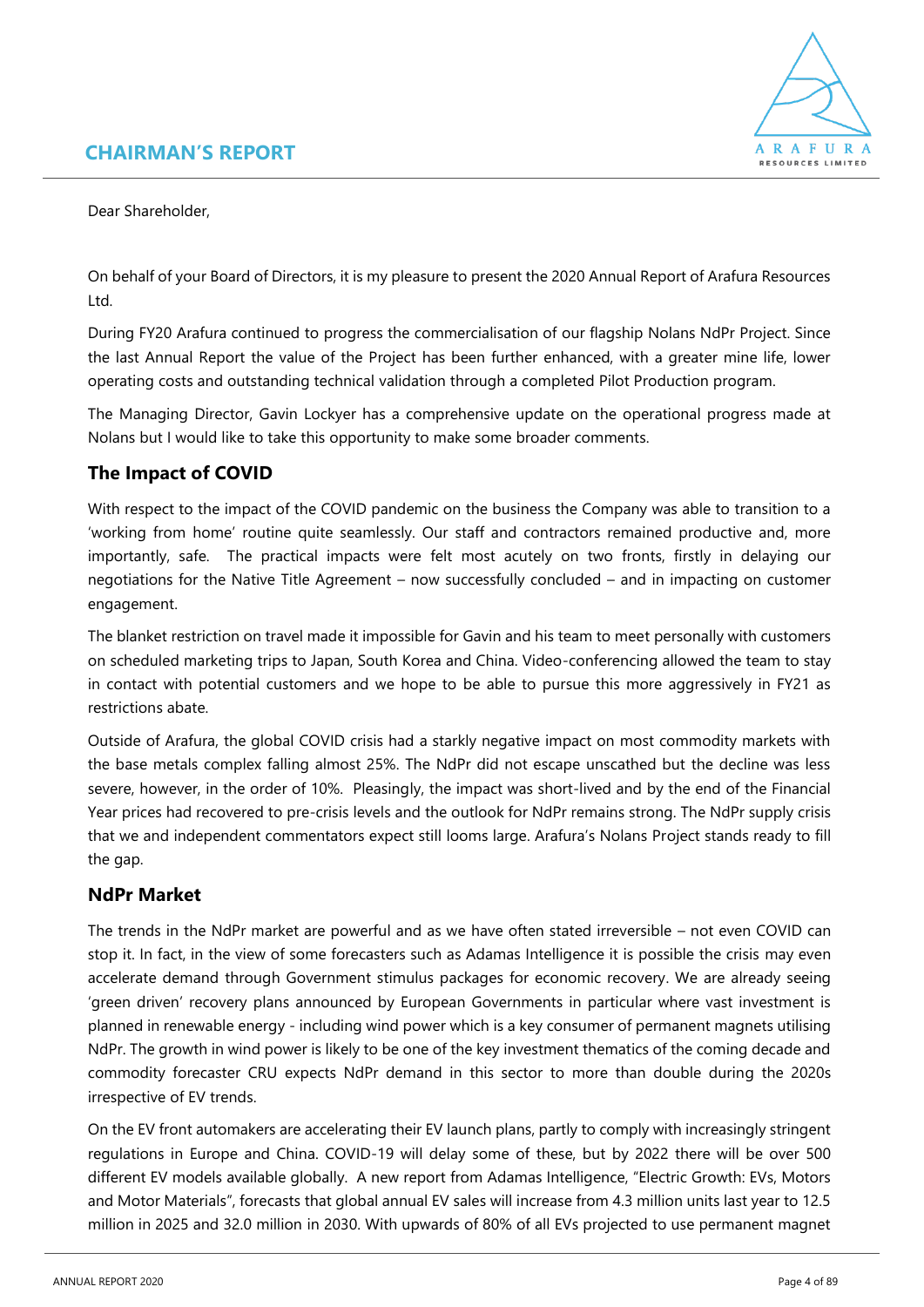### **CHAIRMAN'S REPORT**



Dear Shareholder,

On behalf of your Board of Directors, it is my pleasure to present the 2020 Annual Report of Arafura Resources Ltd.

During FY20 Arafura continued to progress the commercialisation of our flagship Nolans NdPr Project. Since the last Annual Report the value of the Project has been further enhanced, with a greater mine life, lower operating costs and outstanding technical validation through a completed Pilot Production program.

The Managing Director, Gavin Lockyer has a comprehensive update on the operational progress made at Nolans but I would like to take this opportunity to make some broader comments.

### **The Impact of COVID**

With respect to the impact of the COVID pandemic on the business the Company was able to transition to a 'working from home' routine quite seamlessly. Our staff and contractors remained productive and, more importantly, safe. The practical impacts were felt most acutely on two fronts, firstly in delaying our negotiations for the Native Title Agreement – now successfully concluded – and in impacting on customer engagement.

The blanket restriction on travel made it impossible for Gavin and his team to meet personally with customers on scheduled marketing trips to Japan, South Korea and China. Video-conferencing allowed the team to stay in contact with potential customers and we hope to be able to pursue this more aggressively in FY21 as restrictions abate.

Outside of Arafura, the global COVID crisis had a starkly negative impact on most commodity markets with the base metals complex falling almost 25%. The NdPr did not escape unscathed but the decline was less severe, however, in the order of 10%. Pleasingly, the impact was short-lived and by the end of the Financial Year prices had recovered to pre-crisis levels and the outlook for NdPr remains strong. The NdPr supply crisis that we and independent commentators expect still looms large. Arafura's Nolans Project stands ready to fill the gap.

### **NdPr Market**

The trends in the NdPr market are powerful and as we have often stated irreversible – not even COVID can stop it. In fact, in the view of some forecasters such as Adamas Intelligence it is possible the crisis may even accelerate demand through Government stimulus packages for economic recovery. We are already seeing 'green driven' recovery plans announced by European Governments in particular where vast investment is planned in renewable energy - including wind power which is a key consumer of permanent magnets utilising NdPr. The growth in wind power is likely to be one of the key investment thematics of the coming decade and commodity forecaster CRU expects NdPr demand in this sector to more than double during the 2020s irrespective of EV trends.

On the EV front automakers are accelerating their EV launch plans, partly to comply with increasingly stringent regulations in Europe and China. COVID-19 will delay some of these, but by 2022 there will be over 500 different EV models available globally. A new report from Adamas Intelligence, "Electric Growth: EVs, Motors and Motor Materials", forecasts that global annual EV sales will increase from 4.3 million units last year to 12.5 million in 2025 and 32.0 million in 2030. With upwards of 80% of all EVs projected to use permanent magnet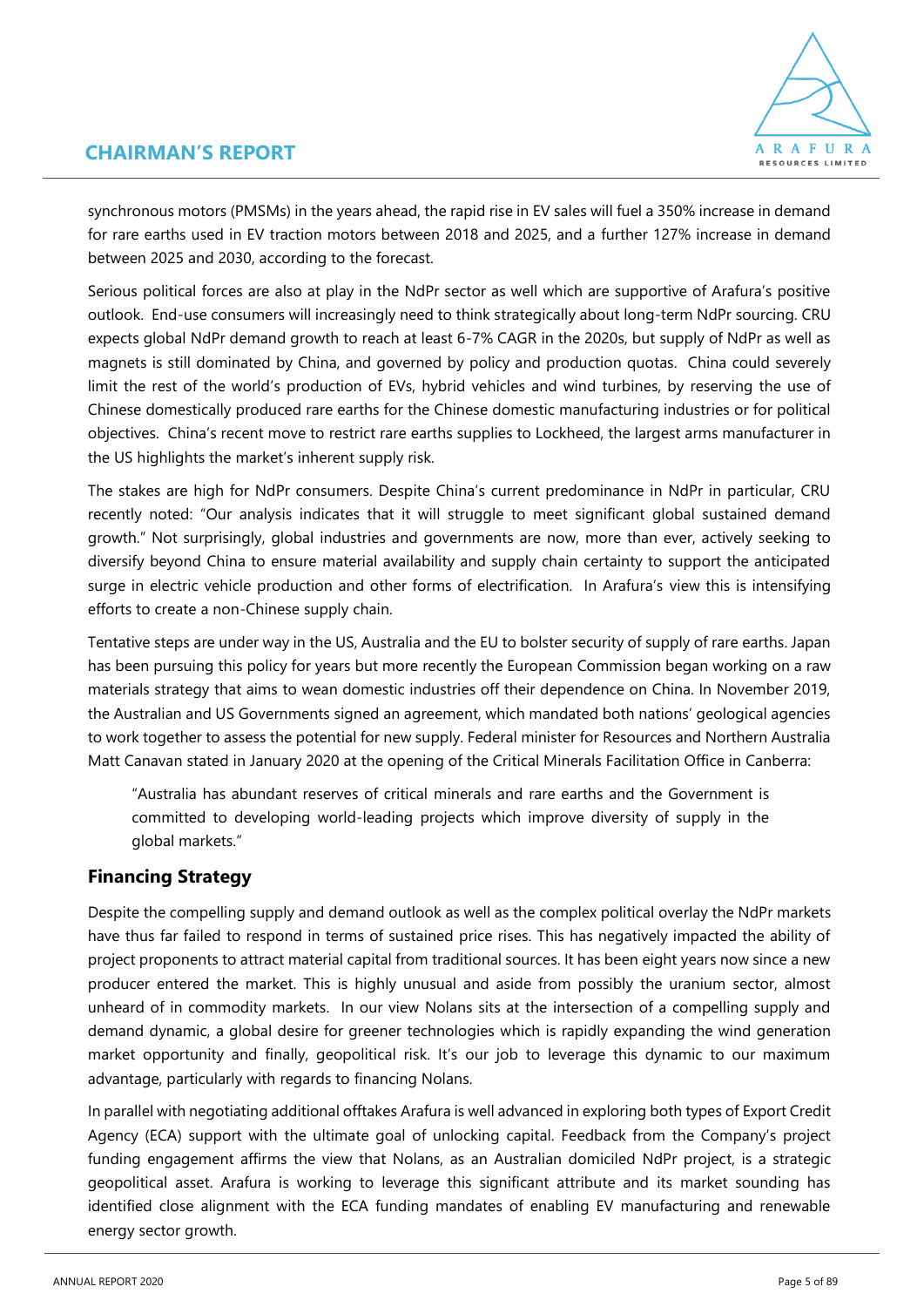### **CHAIRMAN'S REPORT**



synchronous motors (PMSMs) in the years ahead, the rapid rise in EV sales will fuel a 350% increase in demand for rare earths used in EV traction motors between 2018 and 2025, and a further 127% increase in demand between 2025 and 2030, according to the forecast.

Serious political forces are also at play in the NdPr sector as well which are supportive of Arafura's positive outlook. End-use consumers will increasingly need to think strategically about long-term NdPr sourcing. CRU expects global NdPr demand growth to reach at least 6-7% CAGR in the 2020s, but supply of NdPr as well as magnets is still dominated by China, and governed by policy and production quotas. China could severely limit the rest of the world's production of EVs, hybrid vehicles and wind turbines, by reserving the use of Chinese domestically produced rare earths for the Chinese domestic manufacturing industries or for political objectives. China's recent move to restrict rare earths supplies to Lockheed, the largest arms manufacturer in the US highlights the market's inherent supply risk.

The stakes are high for NdPr consumers. Despite China's current predominance in NdPr in particular, CRU recently noted: "Our analysis indicates that it will struggle to meet significant global sustained demand growth." Not surprisingly, global industries and governments are now, more than ever, actively seeking to diversify beyond China to ensure material availability and supply chain certainty to support the anticipated surge in electric vehicle production and other forms of electrification. In Arafura's view this is intensifying efforts to create a non-Chinese supply chain.

Tentative steps are under way in the US, Australia and the EU to bolster security of supply of rare earths. Japan has been pursuing this policy for years but more recently the European Commission began working on a raw materials strategy that aims to wean domestic industries off their dependence on China. In November 2019, the Australian and US Governments signed an agreement, which mandated both nations' geological agencies to work together to assess the potential for new supply. Federal minister for Resources and Northern Australia Matt Canavan stated in January 2020 at the opening of the Critical Minerals Facilitation Office in Canberra:

"Australia has abundant reserves of critical minerals and rare earths and the Government is committed to developing world-leading projects which improve diversity of supply in the global markets."

### **Financing Strategy**

Despite the compelling supply and demand outlook as well as the complex political overlay the NdPr markets have thus far failed to respond in terms of sustained price rises. This has negatively impacted the ability of project proponents to attract material capital from traditional sources. It has been eight years now since a new producer entered the market. This is highly unusual and aside from possibly the uranium sector, almost unheard of in commodity markets. In our view Nolans sits at the intersection of a compelling supply and demand dynamic, a global desire for greener technologies which is rapidly expanding the wind generation market opportunity and finally, geopolitical risk. It's our job to leverage this dynamic to our maximum advantage, particularly with regards to financing Nolans.

In parallel with negotiating additional offtakes Arafura is well advanced in exploring both types of Export Credit Agency (ECA) support with the ultimate goal of unlocking capital. Feedback from the Company's project funding engagement affirms the view that Nolans, as an Australian domiciled NdPr project, is a strategic geopolitical asset. Arafura is working to leverage this significant attribute and its market sounding has identified close alignment with the ECA funding mandates of enabling EV manufacturing and renewable energy sector growth.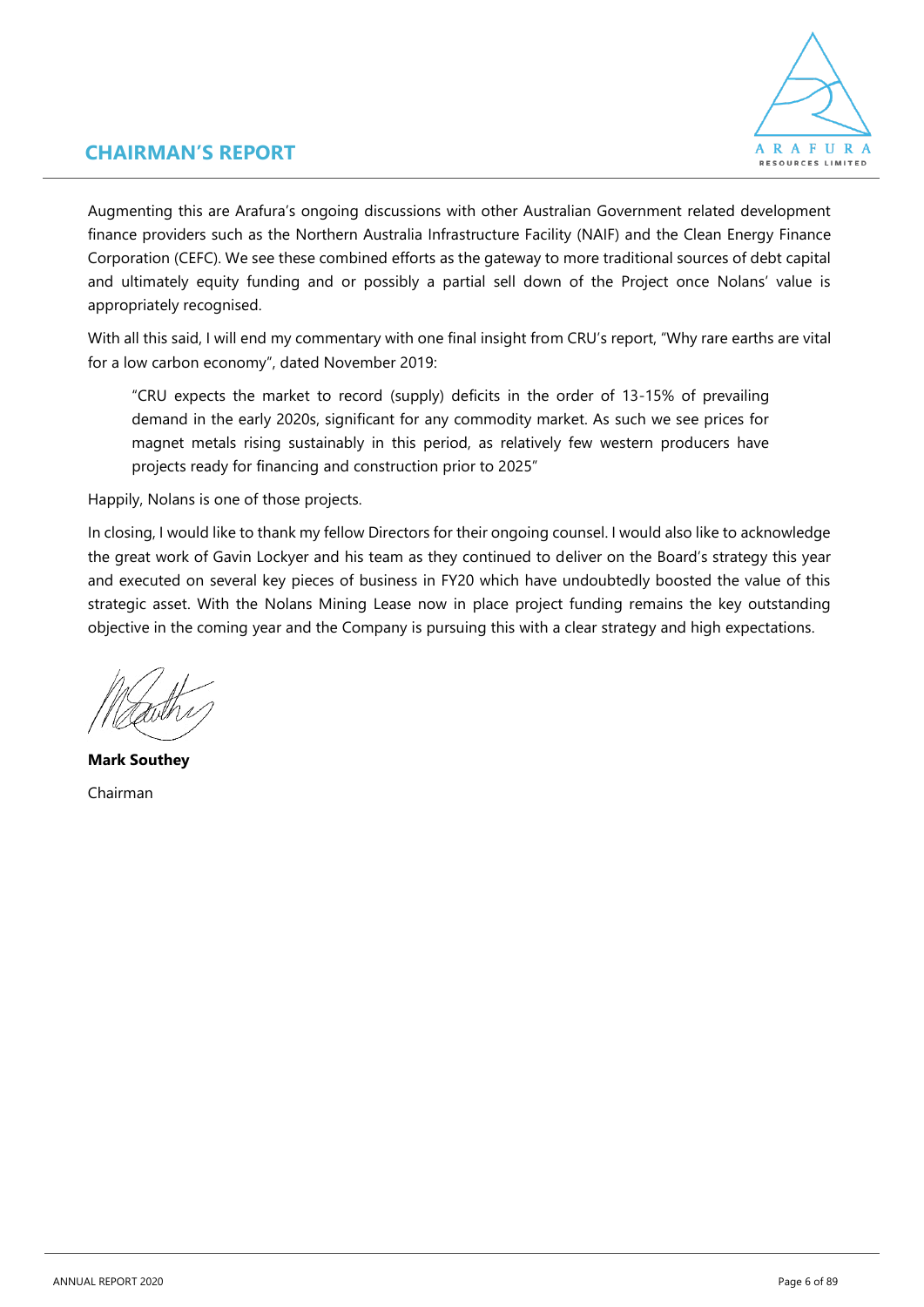

### **CHAIRMAN'S REPORT**

Augmenting this are Arafura's ongoing discussions with other Australian Government related development finance providers such as the Northern Australia Infrastructure Facility (NAIF) and the Clean Energy Finance Corporation (CEFC). We see these combined efforts as the gateway to more traditional sources of debt capital and ultimately equity funding and or possibly a partial sell down of the Project once Nolans' value is appropriately recognised.

With all this said, I will end my commentary with one final insight from CRU's report, "Why rare earths are vital for a low carbon economy", dated November 2019:

"CRU expects the market to record (supply) deficits in the order of 13-15% of prevailing demand in the early 2020s, significant for any commodity market. As such we see prices for magnet metals rising sustainably in this period, as relatively few western producers have projects ready for financing and construction prior to 2025"

Happily, Nolans is one of those projects.

In closing, I would like to thank my fellow Directors for their ongoing counsel. I would also like to acknowledge the great work of Gavin Lockyer and his team as they continued to deliver on the Board's strategy this year and executed on several key pieces of business in FY20 which have undoubtedly boosted the value of this strategic asset. With the Nolans Mining Lease now in place project funding remains the key outstanding objective in the coming year and the Company is pursuing this with a clear strategy and high expectations.

**Mark Southey**  Chairman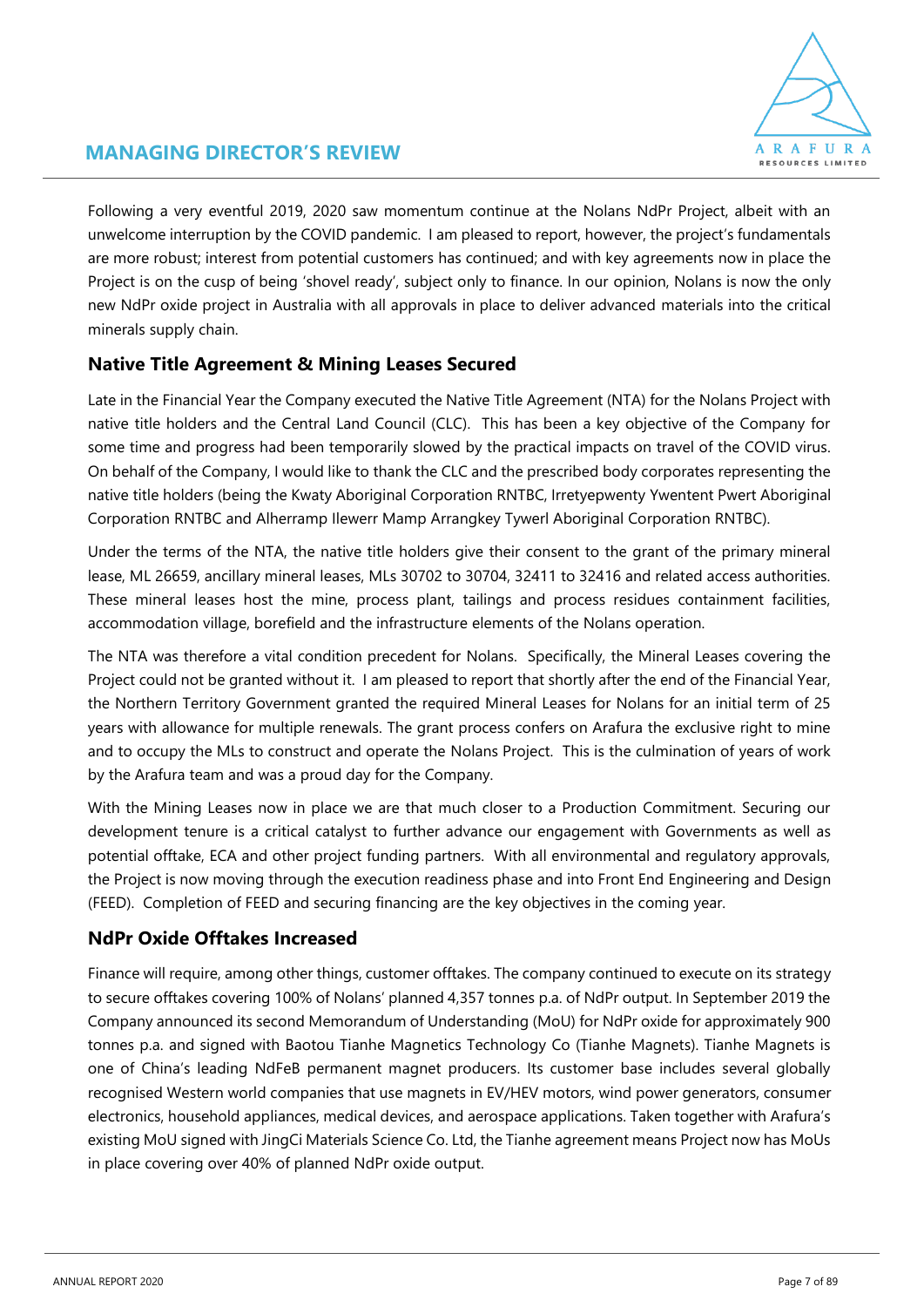

### **MANAGING DIRECTOR'S REVIEW**

Following a very eventful 2019, 2020 saw momentum continue at the Nolans NdPr Project, albeit with an unwelcome interruption by the COVID pandemic. I am pleased to report, however, the project's fundamentals are more robust; interest from potential customers has continued; and with key agreements now in place the Project is on the cusp of being 'shovel ready', subject only to finance. In our opinion, Nolans is now the only new NdPr oxide project in Australia with all approvals in place to deliver advanced materials into the critical minerals supply chain.

### **Native Title Agreement & Mining Leases Secured**

Late in the Financial Year the Company executed the Native Title Agreement (NTA) for the Nolans Project with native title holders and the Central Land Council (CLC). This has been a key objective of the Company for some time and progress had been temporarily slowed by the practical impacts on travel of the COVID virus. On behalf of the Company, I would like to thank the CLC and the prescribed body corporates representing the native title holders (being the Kwaty Aboriginal Corporation RNTBC, Irretyepwenty Ywentent Pwert Aboriginal Corporation RNTBC and Alherramp Ilewerr Mamp Arrangkey Tywerl Aboriginal Corporation RNTBC).

Under the terms of the NTA, the native title holders give their consent to the grant of the primary mineral lease, ML 26659, ancillary mineral leases, MLs 30702 to 30704, 32411 to 32416 and related access authorities. These mineral leases host the mine, process plant, tailings and process residues containment facilities, accommodation village, borefield and the infrastructure elements of the Nolans operation.

The NTA was therefore a vital condition precedent for Nolans. Specifically, the Mineral Leases covering the Project could not be granted without it. I am pleased to report that shortly after the end of the Financial Year, the Northern Territory Government granted the required Mineral Leases for Nolans for an initial term of 25 years with allowance for multiple renewals. The grant process confers on Arafura the exclusive right to mine and to occupy the MLs to construct and operate the Nolans Project. This is the culmination of years of work by the Arafura team and was a proud day for the Company.

With the Mining Leases now in place we are that much closer to a Production Commitment. Securing our development tenure is a critical catalyst to further advance our engagement with Governments as well as potential offtake, ECA and other project funding partners. With all environmental and regulatory approvals, the Project is now moving through the execution readiness phase and into Front End Engineering and Design (FEED). Completion of FEED and securing financing are the key objectives in the coming year.

### **NdPr Oxide Offtakes Increased**

Finance will require, among other things, customer offtakes. The company continued to execute on its strategy to secure offtakes covering 100% of Nolans' planned 4,357 tonnes p.a. of NdPr output. In September 2019 the Company announced its second Memorandum of Understanding (MoU) for NdPr oxide for approximately 900 tonnes p.a. and signed with Baotou Tianhe Magnetics Technology Co (Tianhe Magnets). Tianhe Magnets is one of China's leading NdFeB permanent magnet producers. Its customer base includes several globally recognised Western world companies that use magnets in EV/HEV motors, wind power generators, consumer electronics, household appliances, medical devices, and aerospace applications. Taken together with Arafura's existing MoU signed with JingCi Materials Science Co. Ltd, the Tianhe agreement means Project now has MoUs in place covering over 40% of planned NdPr oxide output.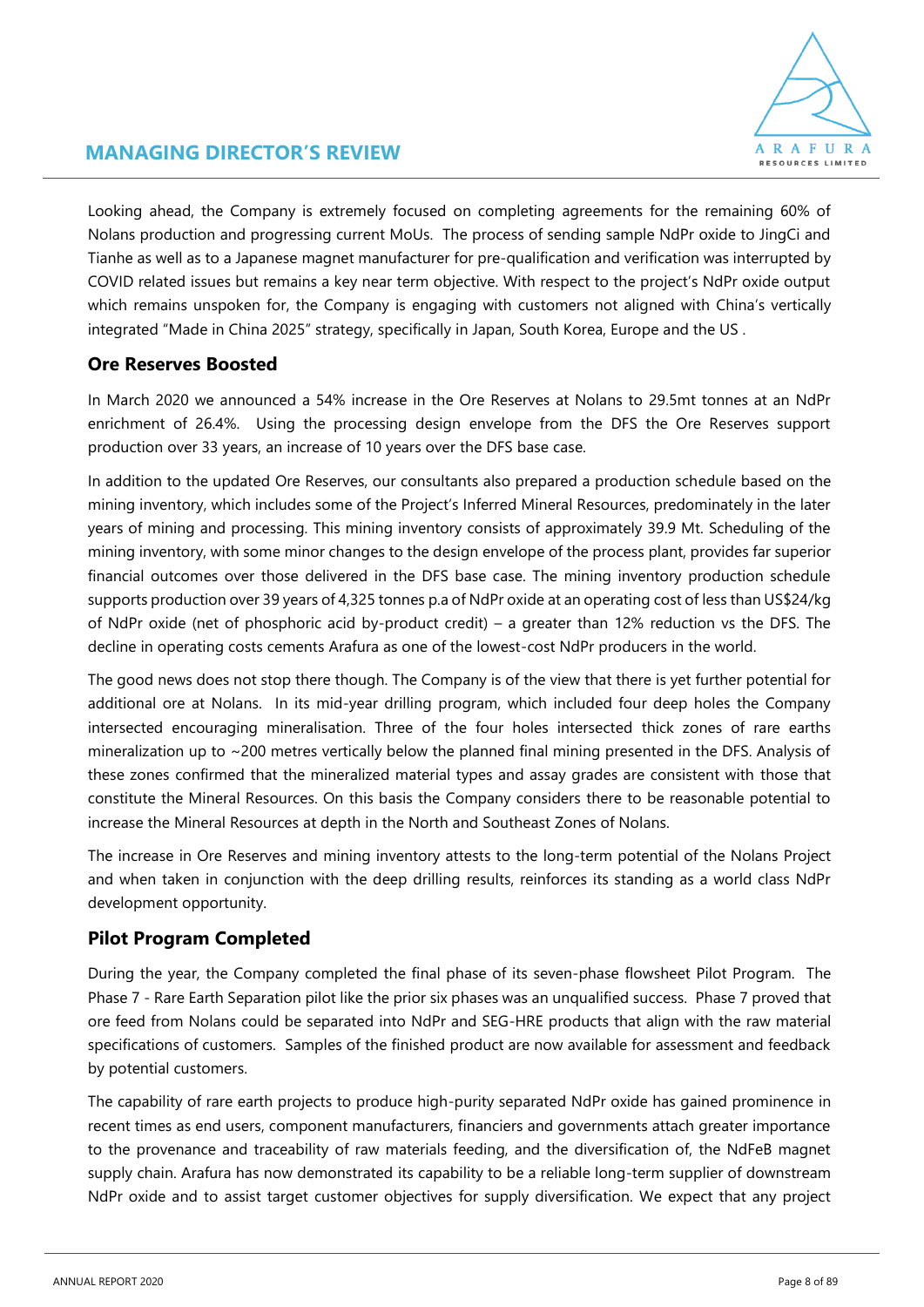

### **MANAGING DIRECTOR'S REVIEW**

Looking ahead, the Company is extremely focused on completing agreements for the remaining 60% of Nolans production and progressing current MoUs. The process of sending sample NdPr oxide to JingCi and Tianhe as well as to a Japanese magnet manufacturer for pre-qualification and verification was interrupted by COVID related issues but remains a key near term objective. With respect to the project's NdPr oxide output which remains unspoken for, the Company is engaging with customers not aligned with China's vertically integrated "Made in China 2025" strategy, specifically in Japan, South Korea, Europe and the US .

### **Ore Reserves Boosted**

In March 2020 we announced a 54% increase in the Ore Reserves at Nolans to 29.5mt tonnes at an NdPr enrichment of 26.4%. Using the processing design envelope from the DFS the Ore Reserves support production over 33 years, an increase of 10 years over the DFS base case.

In addition to the updated Ore Reserves, our consultants also prepared a production schedule based on the mining inventory, which includes some of the Project's Inferred Mineral Resources, predominately in the later years of mining and processing. This mining inventory consists of approximately 39.9 Mt. Scheduling of the mining inventory, with some minor changes to the design envelope of the process plant, provides far superior financial outcomes over those delivered in the DFS base case. The mining inventory production schedule supports production over 39 years of 4,325 tonnes p.a of NdPr oxide at an operating cost of less than US\$24/kg of NdPr oxide (net of phosphoric acid by-product credit) – a greater than 12% reduction vs the DFS. The decline in operating costs cements Arafura as one of the lowest-cost NdPr producers in the world.

The good news does not stop there though. The Company is of the view that there is yet further potential for additional ore at Nolans. In its mid-year drilling program, which included four deep holes the Company intersected encouraging mineralisation. Three of the four holes intersected thick zones of rare earths mineralization up to ~200 metres vertically below the planned final mining presented in the DFS. Analysis of these zones confirmed that the mineralized material types and assay grades are consistent with those that constitute the Mineral Resources. On this basis the Company considers there to be reasonable potential to increase the Mineral Resources at depth in the North and Southeast Zones of Nolans.

The increase in Ore Reserves and mining inventory attests to the long-term potential of the Nolans Project and when taken in conjunction with the deep drilling results, reinforces its standing as a world class NdPr development opportunity.

### **Pilot Program Completed**

During the year, the Company completed the final phase of its seven-phase flowsheet Pilot Program. The Phase 7 - Rare Earth Separation pilot like the prior six phases was an unqualified success. Phase 7 proved that ore feed from Nolans could be separated into NdPr and SEG-HRE products that align with the raw material specifications of customers. Samples of the finished product are now available for assessment and feedback by potential customers.

The capability of rare earth projects to produce high-purity separated NdPr oxide has gained prominence in recent times as end users, component manufacturers, financiers and governments attach greater importance to the provenance and traceability of raw materials feeding, and the diversification of, the NdFeB magnet supply chain. Arafura has now demonstrated its capability to be a reliable long-term supplier of downstream NdPr oxide and to assist target customer objectives for supply diversification. We expect that any project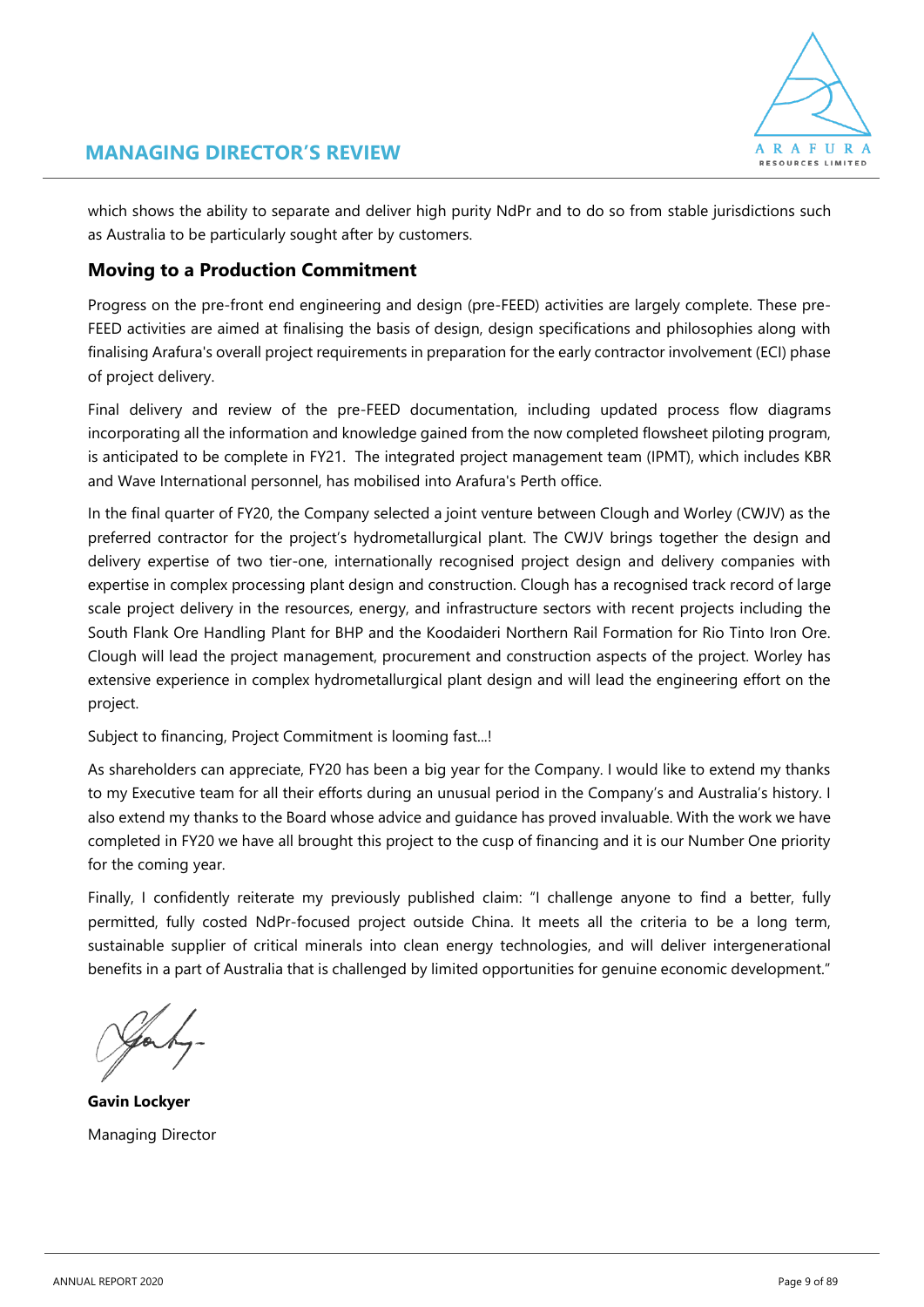

which shows the ability to separate and deliver high purity NdPr and to do so from stable jurisdictions such as Australia to be particularly sought after by customers.

### **Moving to a Production Commitment**

Progress on the pre-front end engineering and design (pre-FEED) activities are largely complete. These pre-FEED activities are aimed at finalising the basis of design, design specifications and philosophies along with finalising Arafura's overall project requirements in preparation for the early contractor involvement (ECI) phase of project delivery.

Final delivery and review of the pre-FEED documentation, including updated process flow diagrams incorporating all the information and knowledge gained from the now completed flowsheet piloting program, is anticipated to be complete in FY21. The integrated project management team (IPMT), which includes KBR and Wave International personnel, has mobilised into Arafura's Perth office.

In the final quarter of FY20, the Company selected a joint venture between Clough and Worley (CWJV) as the preferred contractor for the project's hydrometallurgical plant. The CWJV brings together the design and delivery expertise of two tier-one, internationally recognised project design and delivery companies with expertise in complex processing plant design and construction. Clough has a recognised track record of large scale project delivery in the resources, energy, and infrastructure sectors with recent projects including the South Flank Ore Handling Plant for BHP and the Koodaideri Northern Rail Formation for Rio Tinto Iron Ore. Clough will lead the project management, procurement and construction aspects of the project. Worley has extensive experience in complex hydrometallurgical plant design and will lead the engineering effort on the project.

Subject to financing, Project Commitment is looming fast...!

As shareholders can appreciate, FY20 has been a big year for the Company. I would like to extend my thanks to my Executive team for all their efforts during an unusual period in the Company's and Australia's history. I also extend my thanks to the Board whose advice and guidance has proved invaluable. With the work we have completed in FY20 we have all brought this project to the cusp of financing and it is our Number One priority for the coming year.

Finally, I confidently reiterate my previously published claim: "I challenge anyone to find a better, fully permitted, fully costed NdPr-focused project outside China. It meets all the criteria to be a long term, sustainable supplier of critical minerals into clean energy technologies, and will deliver intergenerational benefits in a part of Australia that is challenged by limited opportunities for genuine economic development."

**Gavin Lockyer** Managing Director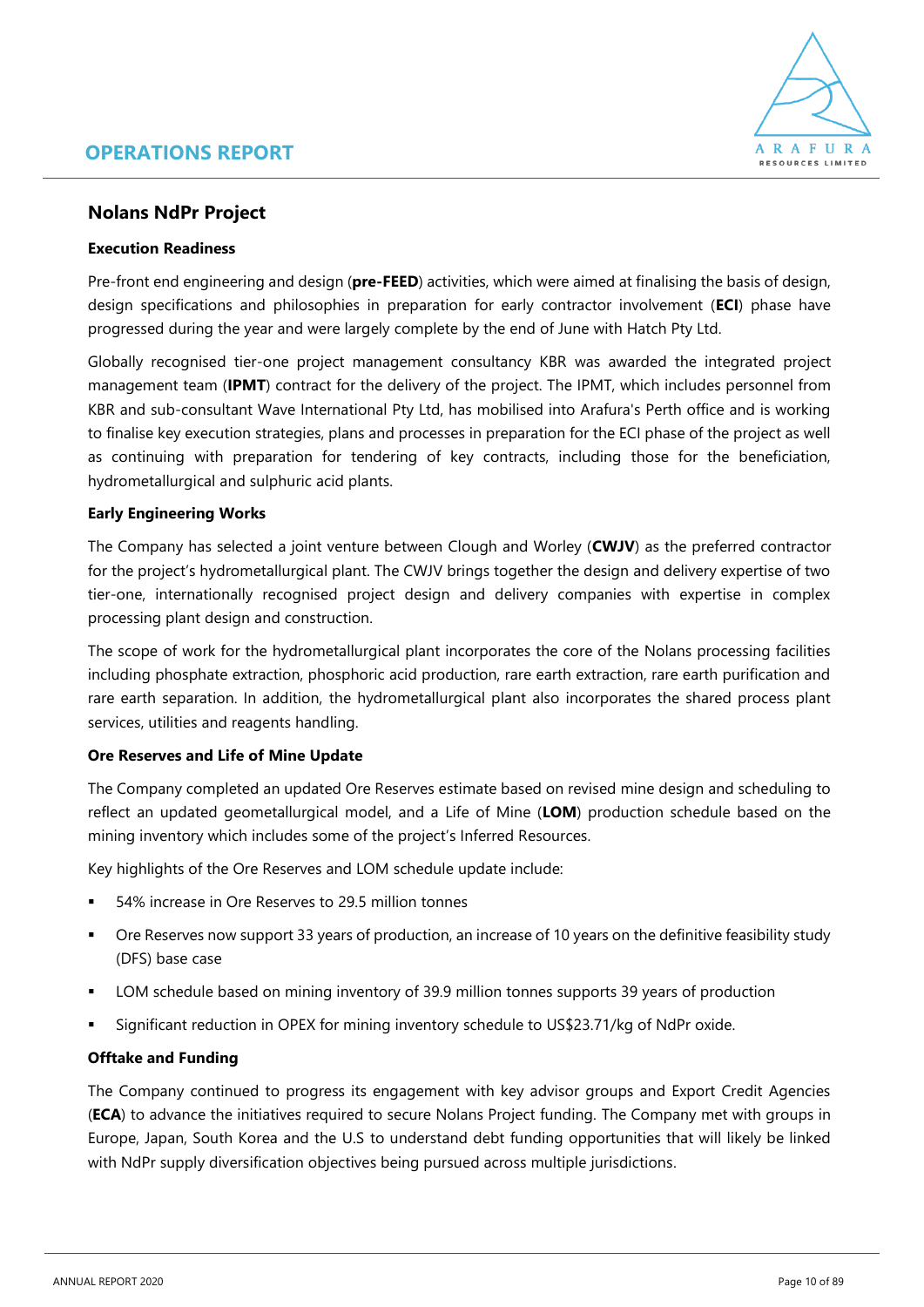

### **Nolans NdPr Project**

### **Execution Readiness**

Pre-front end engineering and design (**pre-FEED**) activities, which were aimed at finalising the basis of design, design specifications and philosophies in preparation for early contractor involvement (**ECI**) phase have progressed during the year and were largely complete by the end of June with Hatch Pty Ltd.

Globally recognised tier-one project management consultancy KBR was awarded the integrated project management team (**IPMT**) contract for the delivery of the project. The IPMT, which includes personnel from KBR and sub-consultant Wave International Pty Ltd, has mobilised into Arafura's Perth office and is working to finalise key execution strategies, plans and processes in preparation for the ECI phase of the project as well as continuing with preparation for tendering of key contracts, including those for the beneficiation, hydrometallurgical and sulphuric acid plants.

### **Early Engineering Works**

The Company has selected a joint venture between Clough and Worley (**CWJV**) as the preferred contractor for the project's hydrometallurgical plant. The CWJV brings together the design and delivery expertise of two tier-one, internationally recognised project design and delivery companies with expertise in complex processing plant design and construction.

The scope of work for the hydrometallurgical plant incorporates the core of the Nolans processing facilities including phosphate extraction, phosphoric acid production, rare earth extraction, rare earth purification and rare earth separation. In addition, the hydrometallurgical plant also incorporates the shared process plant services, utilities and reagents handling.

### **Ore Reserves and Life of Mine Update**

The Company completed an updated Ore Reserves estimate based on revised mine design and scheduling to reflect an updated geometallurgical model, and a Life of Mine (**LOM**) production schedule based on the mining inventory which includes some of the project's Inferred Resources.

Key highlights of the Ore Reserves and LOM schedule update include:

- 54% increase in Ore Reserves to 29.5 million tonnes
- Ore Reserves now support 33 years of production, an increase of 10 years on the definitive feasibility study (DFS) base case
- LOM schedule based on mining inventory of 39.9 million tonnes supports 39 years of production
- Significant reduction in OPEX for mining inventory schedule to US\$23.71/kg of NdPr oxide.

### **Offtake and Funding**

The Company continued to progress its engagement with key advisor groups and Export Credit Agencies (**ECA**) to advance the initiatives required to secure Nolans Project funding. The Company met with groups in Europe, Japan, South Korea and the U.S to understand debt funding opportunities that will likely be linked with NdPr supply diversification objectives being pursued across multiple jurisdictions.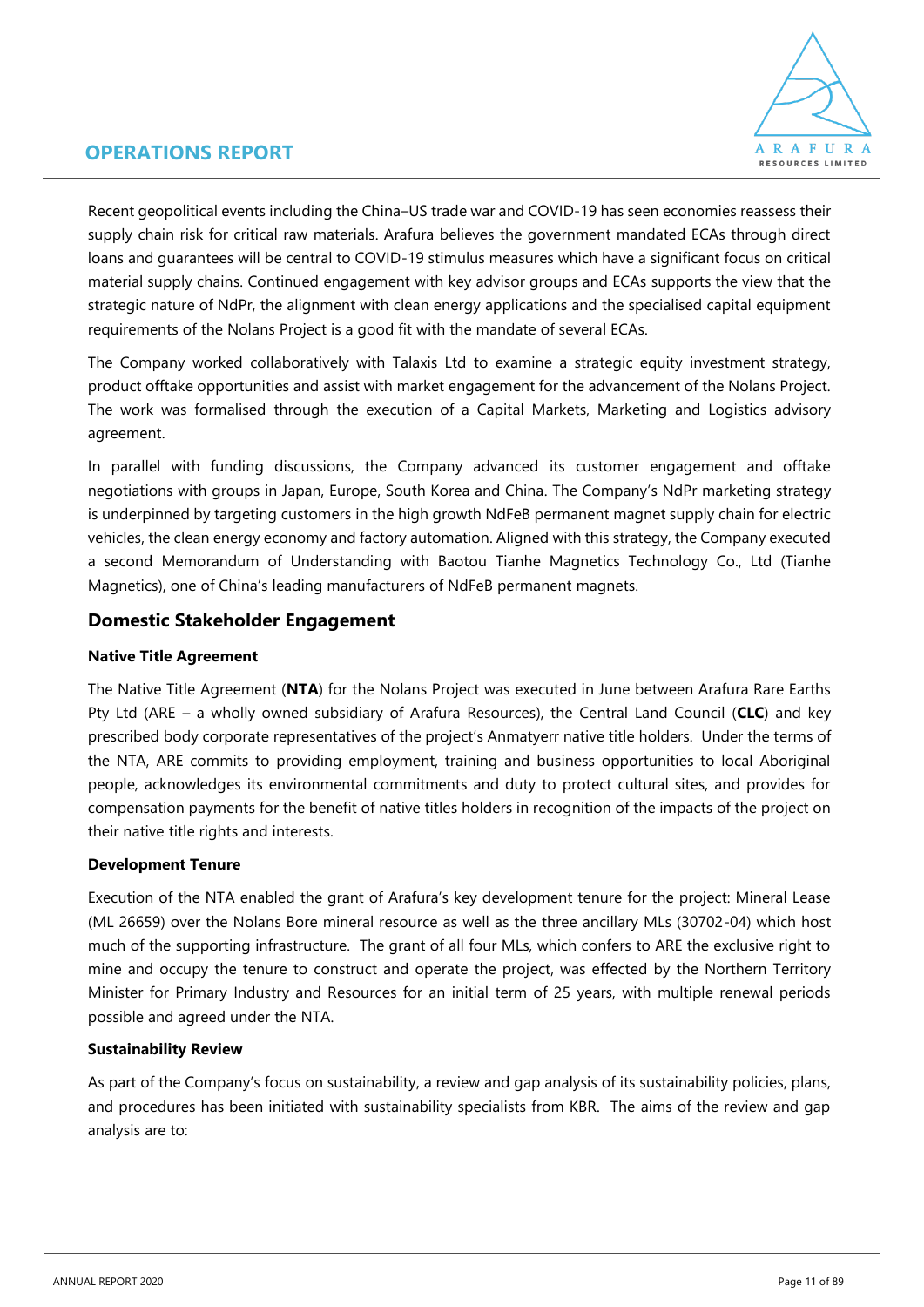

Recent geopolitical events including the China–US trade war and COVID-19 has seen economies reassess their supply chain risk for critical raw materials. Arafura believes the government mandated ECAs through direct loans and guarantees will be central to COVID-19 stimulus measures which have a significant focus on critical material supply chains. Continued engagement with key advisor groups and ECAs supports the view that the strategic nature of NdPr, the alignment with clean energy applications and the specialised capital equipment requirements of the Nolans Project is a good fit with the mandate of several ECAs.

The Company worked collaboratively with Talaxis Ltd to examine a strategic equity investment strategy, product offtake opportunities and assist with market engagement for the advancement of the Nolans Project. The work was formalised through the execution of a Capital Markets, Marketing and Logistics advisory agreement.

In parallel with funding discussions, the Company advanced its customer engagement and offtake negotiations with groups in Japan, Europe, South Korea and China. The Company's NdPr marketing strategy is underpinned by targeting customers in the high growth NdFeB permanent magnet supply chain for electric vehicles, the clean energy economy and factory automation. Aligned with this strategy, the Company executed a second Memorandum of Understanding with Baotou Tianhe Magnetics Technology Co., Ltd (Tianhe Magnetics), one of China's leading manufacturers of NdFeB permanent magnets.

### **Domestic Stakeholder Engagement**

### **Native Title Agreement**

The Native Title Agreement (**NTA**) for the Nolans Project was executed in June between Arafura Rare Earths Pty Ltd (ARE – a wholly owned subsidiary of Arafura Resources), the Central Land Council (**CLC**) and key prescribed body corporate representatives of the project's Anmatyerr native title holders. Under the terms of the NTA, ARE commits to providing employment, training and business opportunities to local Aboriginal people, acknowledges its environmental commitments and duty to protect cultural sites, and provides for compensation payments for the benefit of native titles holders in recognition of the impacts of the project on their native title rights and interests.

### **Development Tenure**

Execution of the NTA enabled the grant of Arafura's key development tenure for the project: Mineral Lease (ML 26659) over the Nolans Bore mineral resource as well as the three ancillary MLs (30702-04) which host much of the supporting infrastructure. The grant of all four MLs, which confers to ARE the exclusive right to mine and occupy the tenure to construct and operate the project, was effected by the Northern Territory Minister for Primary Industry and Resources for an initial term of 25 years, with multiple renewal periods possible and agreed under the NTA.

### **Sustainability Review**

As part of the Company's focus on sustainability, a review and gap analysis of its sustainability policies, plans, and procedures has been initiated with sustainability specialists from KBR. The aims of the review and gap analysis are to: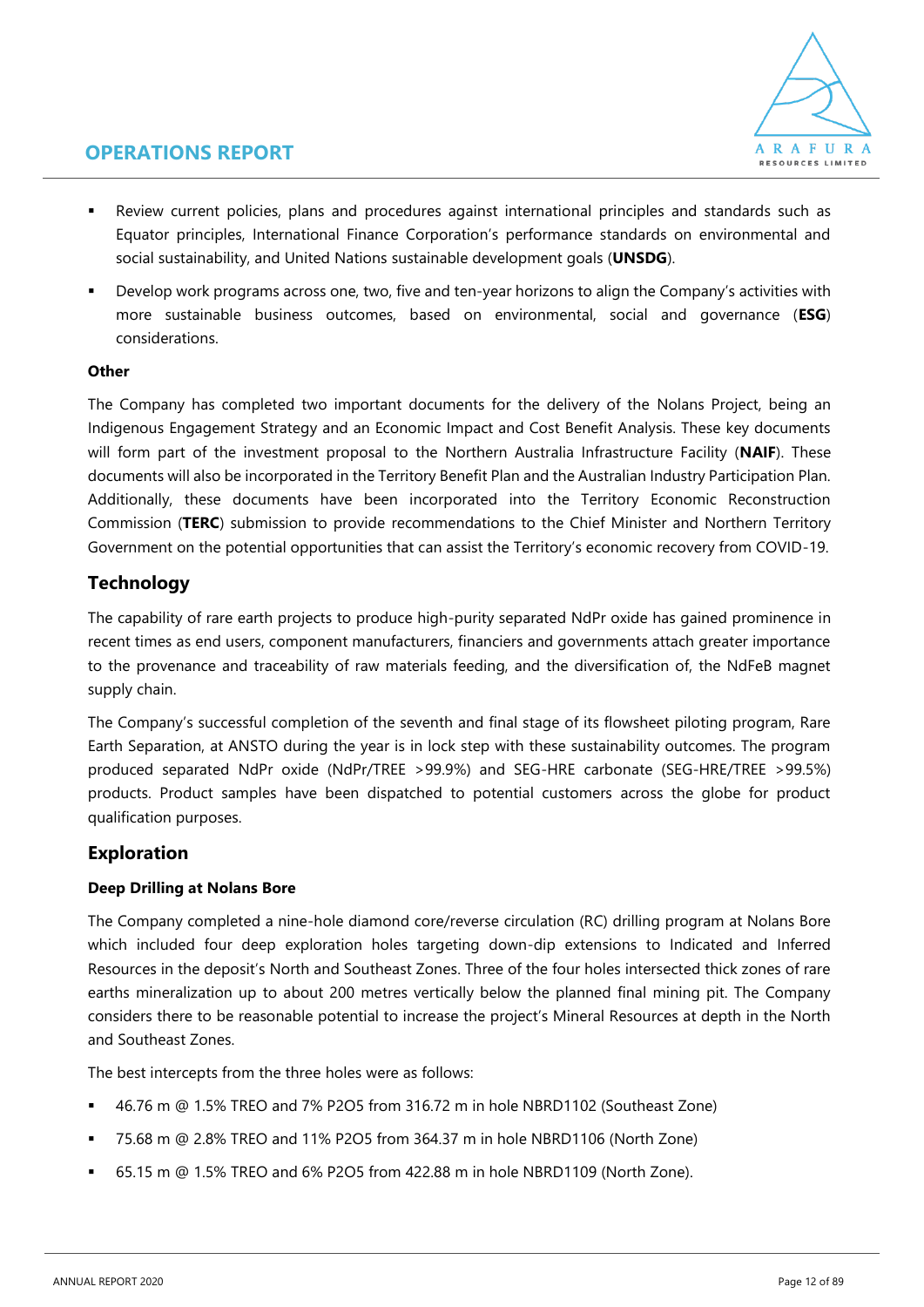

- Review current policies, plans and procedures against international principles and standards such as Equator principles, International Finance Corporation's performance standards on environmental and social sustainability, and United Nations sustainable development goals (**UNSDG**).
- Develop work programs across one, two, five and ten-year horizons to align the Company's activities with more sustainable business outcomes, based on environmental, social and governance (**ESG**) considerations.

### **Other**

The Company has completed two important documents for the delivery of the Nolans Project, being an Indigenous Engagement Strategy and an Economic Impact and Cost Benefit Analysis. These key documents will form part of the investment proposal to the Northern Australia Infrastructure Facility (**NAIF**). These documents will also be incorporated in the Territory Benefit Plan and the Australian Industry Participation Plan. Additionally, these documents have been incorporated into the Territory Economic Reconstruction Commission (**TERC**) submission to provide recommendations to the Chief Minister and Northern Territory Government on the potential opportunities that can assist the Territory's economic recovery from COVID-19.

### **Technology**

The capability of rare earth projects to produce high-purity separated NdPr oxide has gained prominence in recent times as end users, component manufacturers, financiers and governments attach greater importance to the provenance and traceability of raw materials feeding, and the diversification of, the NdFeB magnet supply chain.

The Company's successful completion of the seventh and final stage of its flowsheet piloting program, Rare Earth Separation, at ANSTO during the year is in lock step with these sustainability outcomes. The program produced separated NdPr oxide (NdPr/TREE >99.9%) and SEG-HRE carbonate (SEG-HRE/TREE >99.5%) products. Product samples have been dispatched to potential customers across the globe for product qualification purposes.

### **Exploration**

### **Deep Drilling at Nolans Bore**

The Company completed a nine-hole diamond core/reverse circulation (RC) drilling program at Nolans Bore which included four deep exploration holes targeting down-dip extensions to Indicated and Inferred Resources in the deposit's North and Southeast Zones. Three of the four holes intersected thick zones of rare earths mineralization up to about 200 metres vertically below the planned final mining pit. The Company considers there to be reasonable potential to increase the project's Mineral Resources at depth in the North and Southeast Zones.

The best intercepts from the three holes were as follows:

- 46.76 m @ 1.5% TREO and 7% P2O5 from 316.72 m in hole NBRD1102 (Southeast Zone)
- 75.68 m @ 2.8% TREO and 11% P2O5 from 364.37 m in hole NBRD1106 (North Zone)
- 65.15 m @ 1.5% TREO and 6% P2O5 from 422.88 m in hole NBRD1109 (North Zone).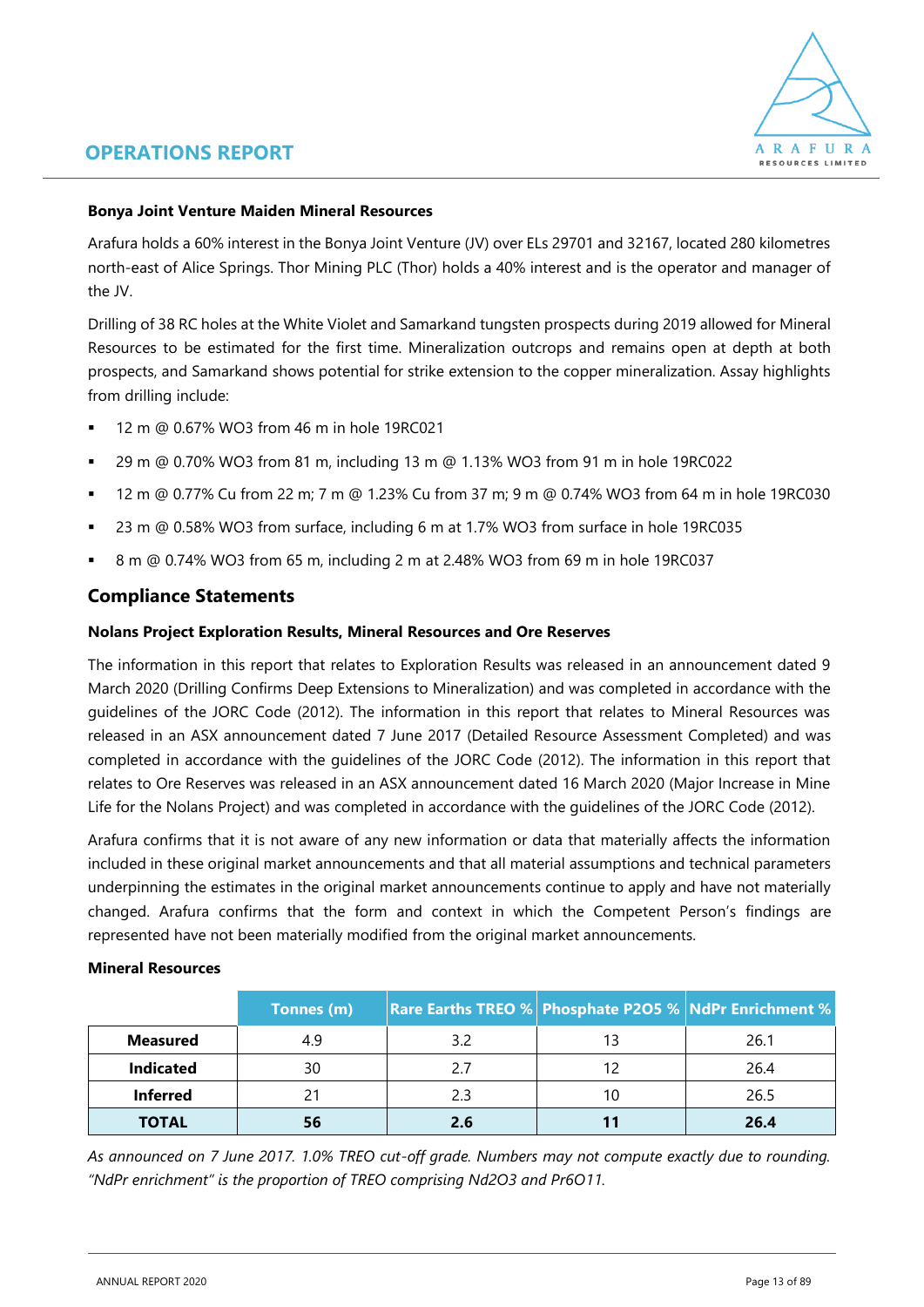

### **Bonya Joint Venture Maiden Mineral Resources**

Arafura holds a 60% interest in the Bonya Joint Venture (JV) over ELs 29701 and 32167, located 280 kilometres north-east of Alice Springs. Thor Mining PLC (Thor) holds a 40% interest and is the operator and manager of the JV.

Drilling of 38 RC holes at the White Violet and Samarkand tungsten prospects during 2019 allowed for Mineral Resources to be estimated for the first time. Mineralization outcrops and remains open at depth at both prospects, and Samarkand shows potential for strike extension to the copper mineralization. Assay highlights from drilling include:

- 12 m @ 0.67% WO3 from 46 m in hole 19RC021
- 29 m @ 0.70% WO3 from 81 m, including 13 m @ 1.13% WO3 from 91 m in hole 19RC022
- 12 m @ 0.77% Cu from 22 m; 7 m @ 1.23% Cu from 37 m; 9 m @ 0.74% WO3 from 64 m in hole 19RC030
- 23 m @ 0.58% WO3 from surface, including 6 m at 1.7% WO3 from surface in hole 19RC035
- 8 m @ 0.74% WO3 from 65 m, including 2 m at 2.48% WO3 from 69 m in hole 19RC037

### **Compliance Statements**

#### **Nolans Project Exploration Results, Mineral Resources and Ore Reserves**

The information in this report that relates to Exploration Results was released in an announcement dated 9 March 2020 (Drilling Confirms Deep Extensions to Mineralization) and was completed in accordance with the guidelines of the JORC Code (2012). The information in this report that relates to Mineral Resources was released in an ASX announcement dated 7 June 2017 (Detailed Resource Assessment Completed) and was completed in accordance with the guidelines of the JORC Code (2012). The information in this report that relates to Ore Reserves was released in an ASX announcement dated 16 March 2020 (Major Increase in Mine Life for the Nolans Project) and was completed in accordance with the guidelines of the JORC Code (2012).

Arafura confirms that it is not aware of any new information or data that materially affects the information included in these original market announcements and that all material assumptions and technical parameters underpinning the estimates in the original market announcements continue to apply and have not materially changed. Arafura confirms that the form and context in which the Competent Person's findings are represented have not been materially modified from the original market announcements.

#### **Mineral Resources**

|                  | Tonnes (m) | <b>Rare Earths TREO % Phosphate P2O5 % NdPr Enrichment %</b> |    |      |
|------------------|------------|--------------------------------------------------------------|----|------|
| <b>Measured</b>  | 4.9        | 32                                                           | 13 | 26.1 |
| <b>Indicated</b> | 30         |                                                              | 12 | 26.4 |
| <b>Inferred</b>  |            |                                                              | 10 | 26.5 |
| <b>TOTAL</b>     | 56         | 2.6                                                          |    | 26.4 |

*As announced on 7 June 2017. 1.0% TREO cut-off grade. Numbers may not compute exactly due to rounding. "NdPr enrichment" is the proportion of TREO comprising Nd2O3 and Pr6O11.*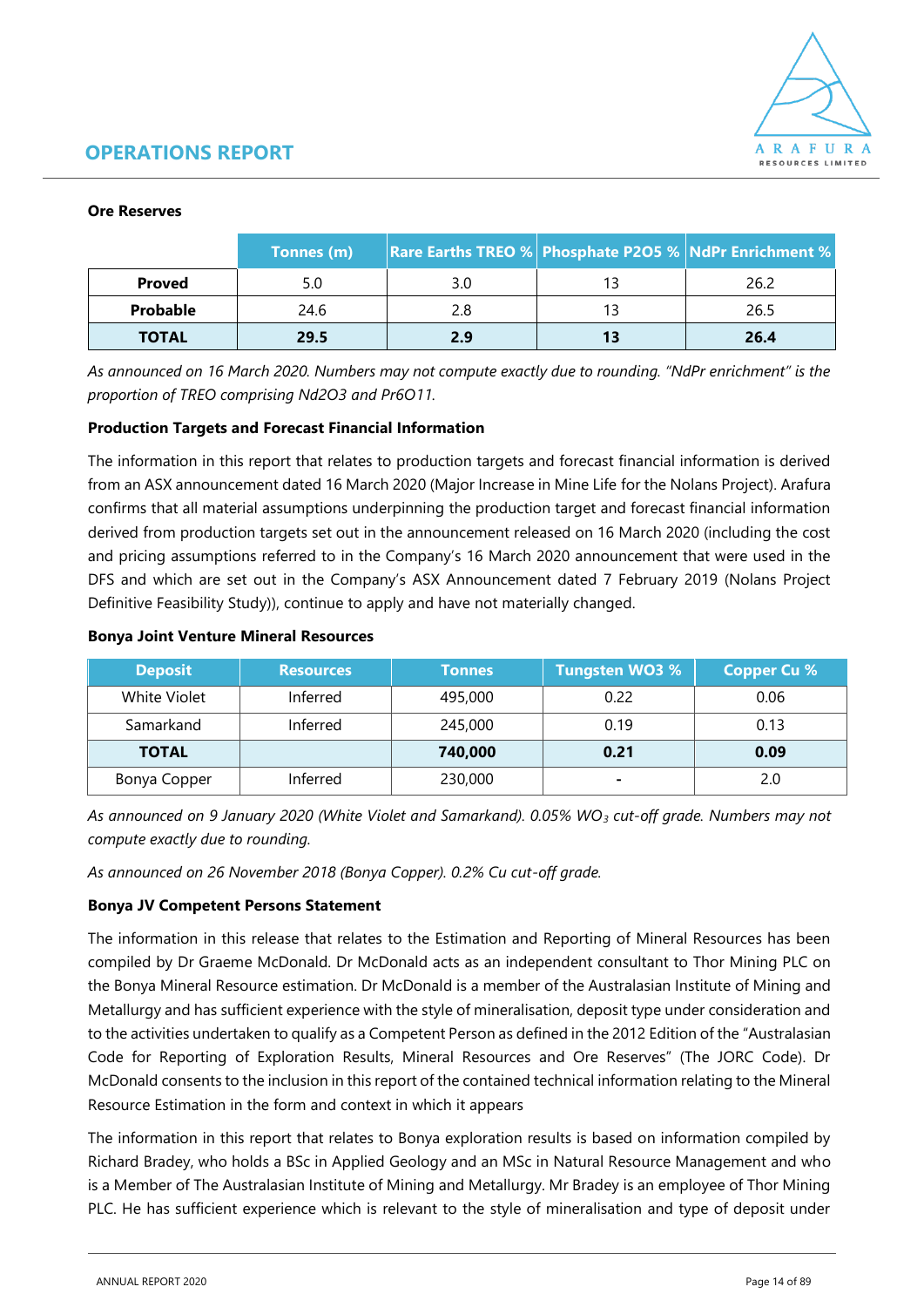

#### **Ore Reserves**

|               | Tonnes (m) | <b>Rare Earths TREO % Phosphate P2O5 % NdPr Enrichment %</b> |    |      |
|---------------|------------|--------------------------------------------------------------|----|------|
| <b>Proved</b> | 5.0        | 3.0                                                          | 13 | 26.2 |
| Probable      | 24.6       |                                                              | 13 | 26.5 |
| <b>TOTAL</b>  | 29.5       | 2.9                                                          | 13 | 26.4 |

*As announced on 16 March 2020. Numbers may not compute exactly due to rounding. "NdPr enrichment" is the proportion of TREO comprising Nd2O3 and Pr6O11.*

### **Production Targets and Forecast Financial Information**

The information in this report that relates to production targets and forecast financial information is derived from an ASX announcement dated 16 March 2020 (Major Increase in Mine Life for the Nolans Project). Arafura confirms that all material assumptions underpinning the production target and forecast financial information derived from production targets set out in the announcement released on 16 March 2020 (including the cost and pricing assumptions referred to in the Company's 16 March 2020 announcement that were used in the DFS and which are set out in the Company's ASX Announcement dated 7 February 2019 (Nolans Project Definitive Feasibility Study)), continue to apply and have not materially changed.

#### **Bonya Joint Venture Mineral Resources**

| <b>Deposit</b>      | <b>Resources</b> | <b>Tonnes</b> | <b>Tungsten WO3 %</b> | <b>Copper Cu %</b> |
|---------------------|------------------|---------------|-----------------------|--------------------|
| <b>White Violet</b> | Inferred         | 495,000       | 0.22                  | 0.06               |
| Samarkand           | Inferred         | 245,000       | 0.19                  | 0.13               |
| <b>TOTAL</b>        |                  | 740,000       | 0.21                  | 0.09               |
| Bonya Copper        | Inferred         | 230,000       | ٠                     | 2.0                |

*As announced on 9 January 2020 (White Violet and Samarkand). 0.05% WO<sup>3</sup> cut-off grade. Numbers may not compute exactly due to rounding.*

*As announced on 26 November 2018 (Bonya Copper). 0.2% Cu cut-off grade.*

### **Bonya JV Competent Persons Statement**

The information in this release that relates to the Estimation and Reporting of Mineral Resources has been compiled by Dr Graeme McDonald. Dr McDonald acts as an independent consultant to Thor Mining PLC on the Bonya Mineral Resource estimation. Dr McDonald is a member of the Australasian Institute of Mining and Metallurgy and has sufficient experience with the style of mineralisation, deposit type under consideration and to the activities undertaken to qualify as a Competent Person as defined in the 2012 Edition of the "Australasian Code for Reporting of Exploration Results, Mineral Resources and Ore Reserves" (The JORC Code). Dr McDonald consents to the inclusion in this report of the contained technical information relating to the Mineral Resource Estimation in the form and context in which it appears

The information in this report that relates to Bonya exploration results is based on information compiled by Richard Bradey, who holds a BSc in Applied Geology and an MSc in Natural Resource Management and who is a Member of The Australasian Institute of Mining and Metallurgy. Mr Bradey is an employee of Thor Mining PLC. He has sufficient experience which is relevant to the style of mineralisation and type of deposit under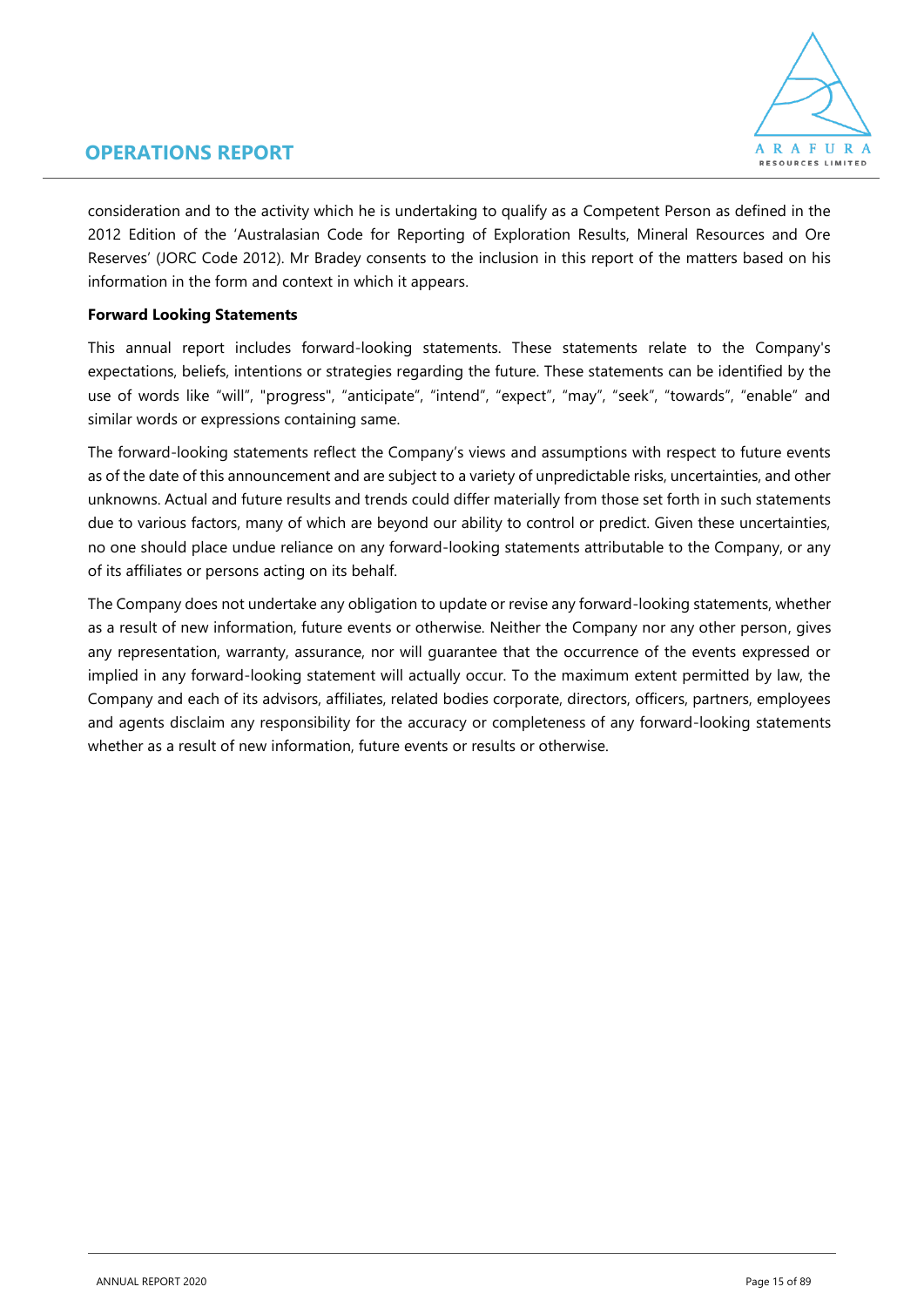

consideration and to the activity which he is undertaking to qualify as a Competent Person as defined in the 2012 Edition of the 'Australasian Code for Reporting of Exploration Results, Mineral Resources and Ore Reserves' (JORC Code 2012). Mr Bradey consents to the inclusion in this report of the matters based on his information in the form and context in which it appears.

### **Forward Looking Statements**

This annual report includes forward-looking statements. These statements relate to the Company's expectations, beliefs, intentions or strategies regarding the future. These statements can be identified by the use of words like "will", "progress", "anticipate", "intend", "expect", "may", "seek", "towards", "enable" and similar words or expressions containing same.

The forward-looking statements reflect the Company's views and assumptions with respect to future events as of the date of this announcement and are subject to a variety of unpredictable risks, uncertainties, and other unknowns. Actual and future results and trends could differ materially from those set forth in such statements due to various factors, many of which are beyond our ability to control or predict. Given these uncertainties, no one should place undue reliance on any forward-looking statements attributable to the Company, or any of its affiliates or persons acting on its behalf.

The Company does not undertake any obligation to update or revise any forward-looking statements, whether as a result of new information, future events or otherwise. Neither the Company nor any other person, gives any representation, warranty, assurance, nor will guarantee that the occurrence of the events expressed or implied in any forward-looking statement will actually occur. To the maximum extent permitted by law, the Company and each of its advisors, affiliates, related bodies corporate, directors, officers, partners, employees and agents disclaim any responsibility for the accuracy or completeness of any forward-looking statements whether as a result of new information, future events or results or otherwise.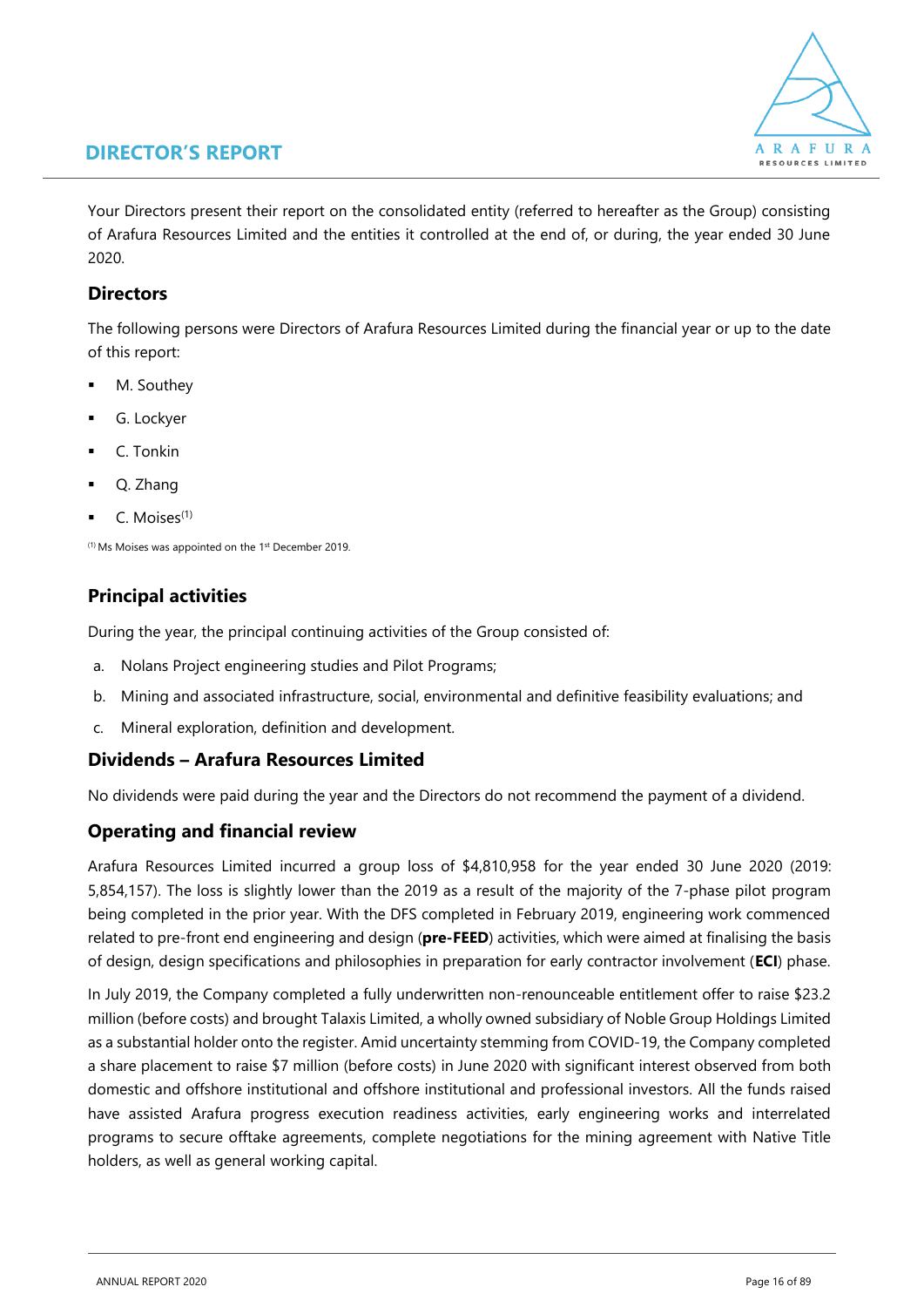

Your Directors present their report on the consolidated entity (referred to hereafter as the Group) consisting of Arafura Resources Limited and the entities it controlled at the end of, or during, the year ended 30 June 2020.

### **Directors**

The following persons were Directors of Arafura Resources Limited during the financial year or up to the date of this report:

- M. Southey
- G. Lockyer
- C. Tonkin
- Q. Zhang
- C. Moises<sup>(1)</sup>

 $<sup>(1)</sup>$  Ms Moises was appointed on the 1<sup>st</sup> December 2019.</sup>

### **Principal activities**

During the year, the principal continuing activities of the Group consisted of:

- a. Nolans Project engineering studies and Pilot Programs;
- b. Mining and associated infrastructure, social, environmental and definitive feasibility evaluations; and
- c. Mineral exploration, definition and development.

### **Dividends – Arafura Resources Limited**

No dividends were paid during the year and the Directors do not recommend the payment of a dividend.

### **Operating and financial review**

Arafura Resources Limited incurred a group loss of \$4,810,958 for the year ended 30 June 2020 (2019: 5,854,157). The loss is slightly lower than the 2019 as a result of the majority of the 7-phase pilot program being completed in the prior year. With the DFS completed in February 2019, engineering work commenced related to pre-front end engineering and design (**pre-FEED**) activities, which were aimed at finalising the basis of design, design specifications and philosophies in preparation for early contractor involvement (**ECI**) phase.

In July 2019, the Company completed a fully underwritten non-renounceable entitlement offer to raise \$23.2 million (before costs) and brought Talaxis Limited, a wholly owned subsidiary of Noble Group Holdings Limited as a substantial holder onto the register. Amid uncertainty stemming from COVID-19, the Company completed a share placement to raise \$7 million (before costs) in June 2020 with significant interest observed from both domestic and offshore institutional and offshore institutional and professional investors. All the funds raised have assisted Arafura progress execution readiness activities, early engineering works and interrelated programs to secure offtake agreements, complete negotiations for the mining agreement with Native Title holders, as well as general working capital.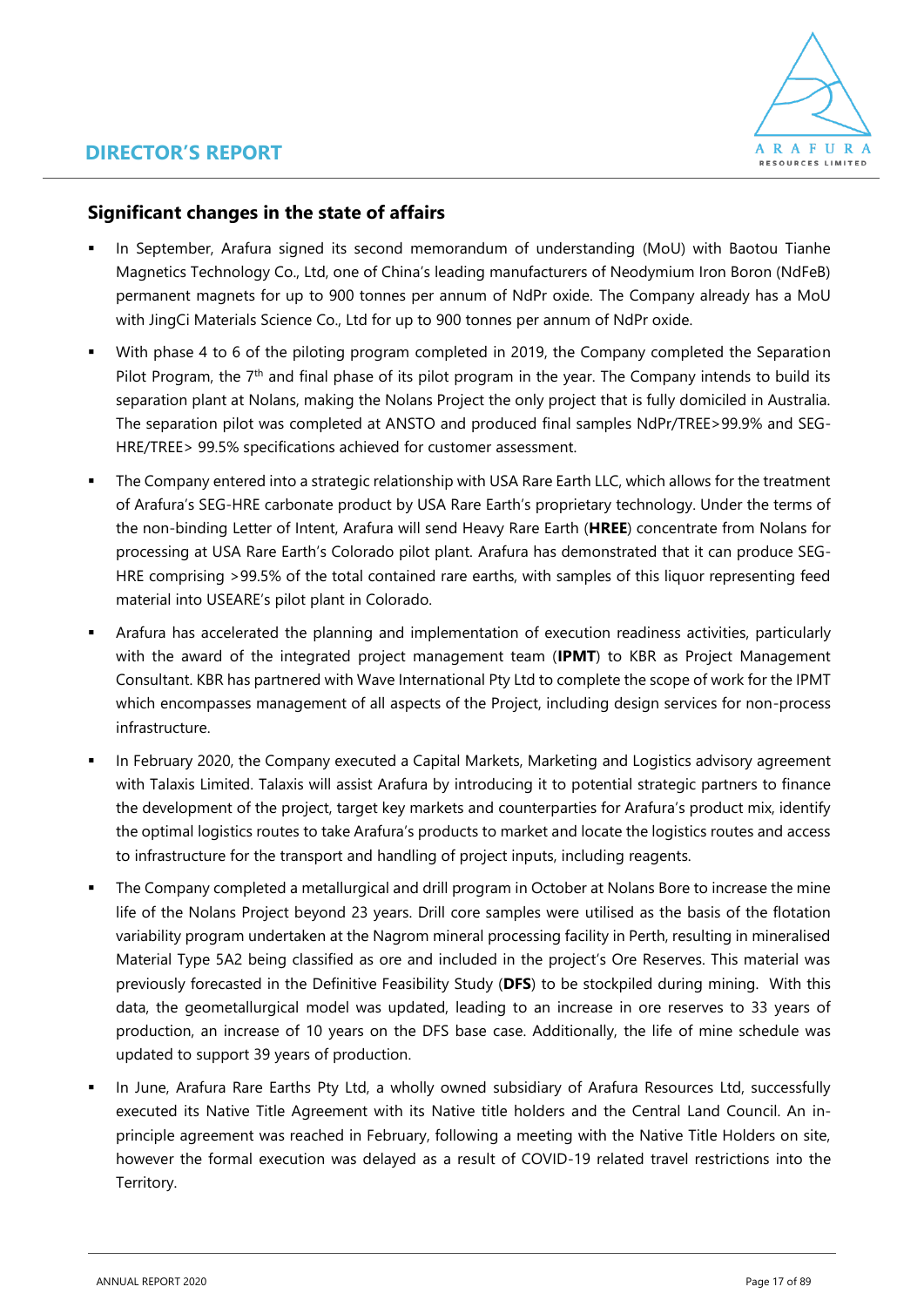

### **Significant changes in the state of affairs**

- In September, Arafura signed its second memorandum of understanding (MoU) with Baotou Tianhe Magnetics Technology Co., Ltd, one of China's leading manufacturers of Neodymium Iron Boron (NdFeB) permanent magnets for up to 900 tonnes per annum of NdPr oxide. The Company already has a MoU with JingCi Materials Science Co., Ltd for up to 900 tonnes per annum of NdPr oxide.
- With phase 4 to 6 of the piloting program completed in 2019, the Company completed the Separation Pilot Program, the 7<sup>th</sup> and final phase of its pilot program in the year. The Company intends to build its separation plant at Nolans, making the Nolans Project the only project that is fully domiciled in Australia. The separation pilot was completed at ANSTO and produced final samples NdPr/TREE>99.9% and SEG-HRE/TREE> 99.5% specifications achieved for customer assessment.
- **•** The Company entered into a strategic relationship with USA Rare Earth LLC, which allows for the treatment of Arafura's SEG-HRE carbonate product by USA Rare Earth's proprietary technology. Under the terms of the non-binding Letter of Intent, Arafura will send Heavy Rare Earth (**HREE**) concentrate from Nolans for processing at USA Rare Earth's Colorado pilot plant. Arafura has demonstrated that it can produce SEG-HRE comprising >99.5% of the total contained rare earths, with samples of this liquor representing feed material into USEARE's pilot plant in Colorado.
- Arafura has accelerated the planning and implementation of execution readiness activities, particularly with the award of the integrated project management team (**IPMT**) to KBR as Project Management Consultant. KBR has partnered with Wave International Pty Ltd to complete the scope of work for the IPMT which encompasses management of all aspects of the Project, including design services for non-process infrastructure.
- **In February 2020, the Company executed a Capital Markets, Marketing and Logistics advisory agreement** with Talaxis Limited. Talaxis will assist Arafura by introducing it to potential strategic partners to finance the development of the project, target key markets and counterparties for Arafura's product mix, identify the optimal logistics routes to take Arafura's products to market and locate the logistics routes and access to infrastructure for the transport and handling of project inputs, including reagents.
- The Company completed a metallurgical and drill program in October at Nolans Bore to increase the mine life of the Nolans Project beyond 23 years. Drill core samples were utilised as the basis of the flotation variability program undertaken at the Nagrom mineral processing facility in Perth, resulting in mineralised Material Type 5A2 being classified as ore and included in the project's Ore Reserves. This material was previously forecasted in the Definitive Feasibility Study (**DFS**) to be stockpiled during mining. With this data, the geometallurgical model was updated, leading to an increase in ore reserves to 33 years of production, an increase of 10 years on the DFS base case. Additionally, the life of mine schedule was updated to support 39 years of production.
- In June, Arafura Rare Earths Pty Ltd, a wholly owned subsidiary of Arafura Resources Ltd, successfully executed its Native Title Agreement with its Native title holders and the Central Land Council. An inprinciple agreement was reached in February, following a meeting with the Native Title Holders on site, however the formal execution was delayed as a result of COVID-19 related travel restrictions into the Territory.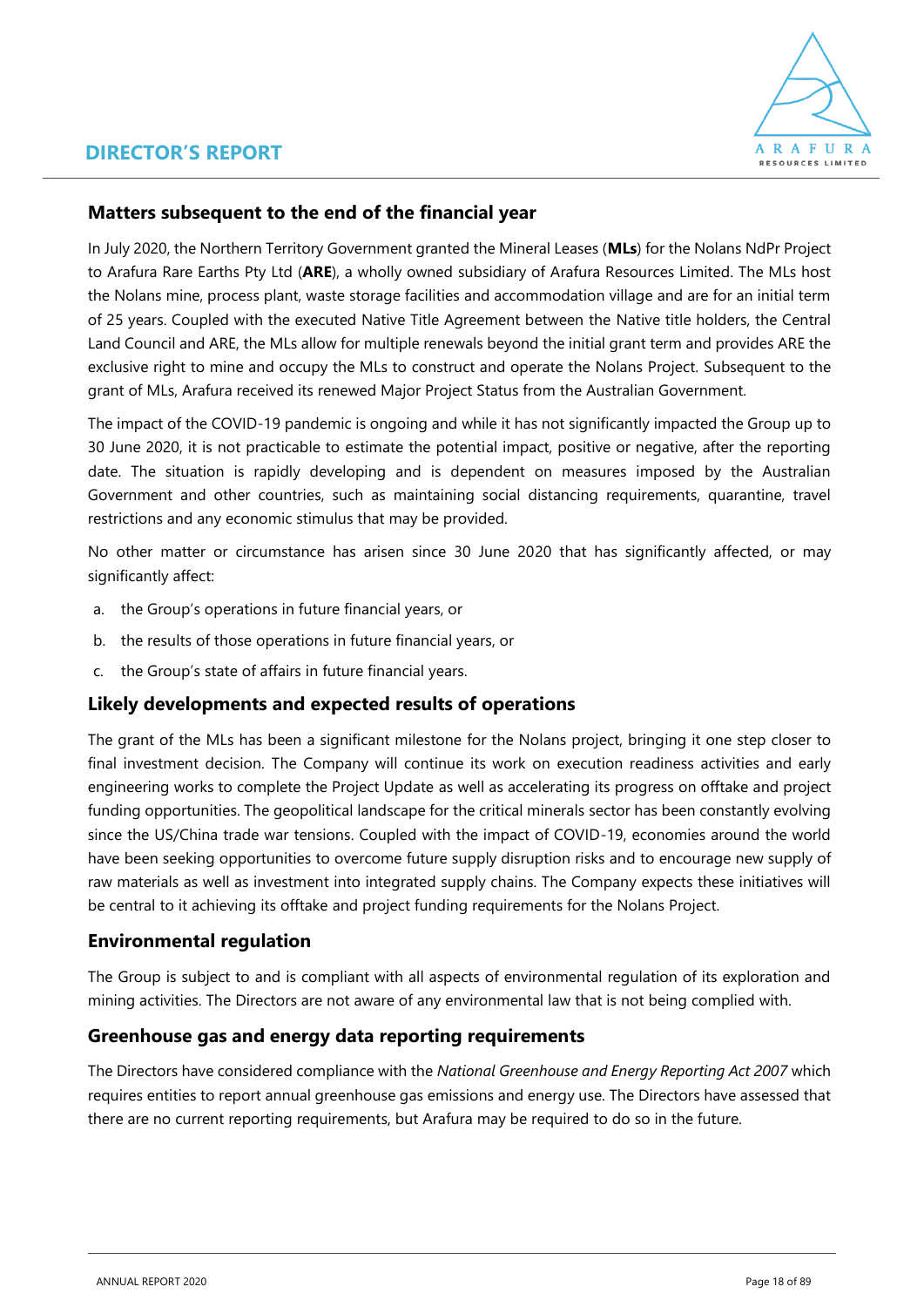

### **Matters subsequent to the end of the financial year**

In July 2020, the Northern Territory Government granted the Mineral Leases (**MLs**) for the Nolans NdPr Project to Arafura Rare Earths Pty Ltd (**ARE**), a wholly owned subsidiary of Arafura Resources Limited. The MLs host the Nolans mine, process plant, waste storage facilities and accommodation village and are for an initial term of 25 years. Coupled with the executed Native Title Agreement between the Native title holders, the Central Land Council and ARE, the MLs allow for multiple renewals beyond the initial grant term and provides ARE the exclusive right to mine and occupy the MLs to construct and operate the Nolans Project. Subsequent to the grant of MLs, Arafura received its renewed Major Project Status from the Australian Government.

The impact of the COVID-19 pandemic is ongoing and while it has not significantly impacted the Group up to 30 June 2020, it is not practicable to estimate the potential impact, positive or negative, after the reporting date. The situation is rapidly developing and is dependent on measures imposed by the Australian Government and other countries, such as maintaining social distancing requirements, quarantine, travel restrictions and any economic stimulus that may be provided.

No other matter or circumstance has arisen since 30 June 2020 that has significantly affected, or may significantly affect:

- a. the Group's operations in future financial years, or
- b. the results of those operations in future financial years, or
- c. the Group's state of affairs in future financial years.

### **Likely developments and expected results of operations**

The grant of the MLs has been a significant milestone for the Nolans project, bringing it one step closer to final investment decision. The Company will continue its work on execution readiness activities and early engineering works to complete the Project Update as well as accelerating its progress on offtake and project funding opportunities. The geopolitical landscape for the critical minerals sector has been constantly evolving since the US/China trade war tensions. Coupled with the impact of COVID-19, economies around the world have been seeking opportunities to overcome future supply disruption risks and to encourage new supply of raw materials as well as investment into integrated supply chains. The Company expects these initiatives will be central to it achieving its offtake and project funding requirements for the Nolans Project.

### **Environmental regulation**

The Group is subject to and is compliant with all aspects of environmental regulation of its exploration and mining activities. The Directors are not aware of any environmental law that is not being complied with.

### **Greenhouse gas and energy data reporting requirements**

The Directors have considered compliance with the *National Greenhouse and Energy Reporting Act 2007* which requires entities to report annual greenhouse gas emissions and energy use. The Directors have assessed that there are no current reporting requirements, but Arafura may be required to do so in the future.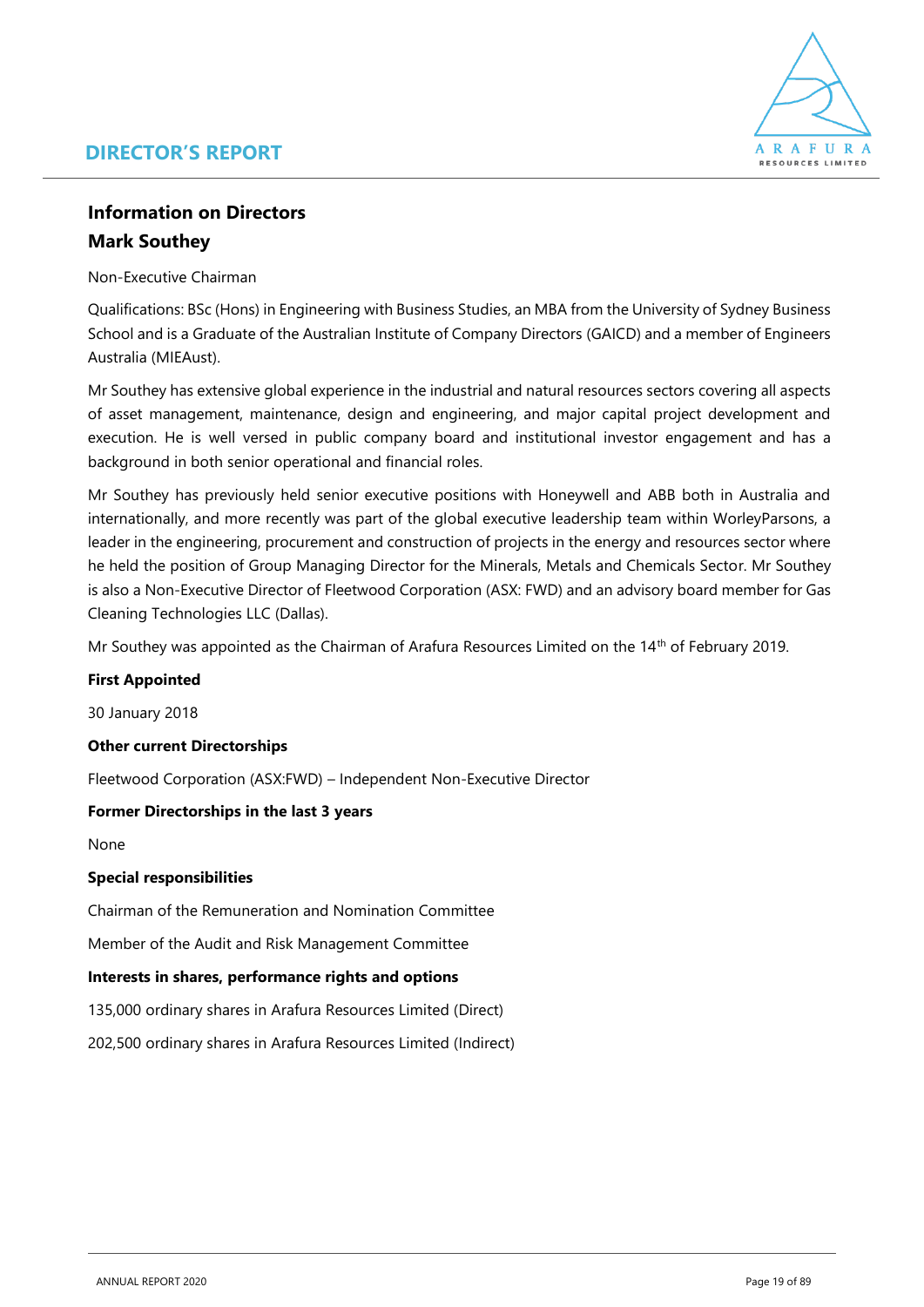

### **Information on Directors Mark Southey**

Non-Executive Chairman

Qualifications: BSc (Hons) in Engineering with Business Studies, an MBA from the University of Sydney Business School and is a Graduate of the Australian Institute of Company Directors (GAICD) and a member of Engineers Australia (MIEAust).

Mr Southey has extensive global experience in the industrial and natural resources sectors covering all aspects of asset management, maintenance, design and engineering, and major capital project development and execution. He is well versed in public company board and institutional investor engagement and has a background in both senior operational and financial roles.

Mr Southey has previously held senior executive positions with Honeywell and ABB both in Australia and internationally, and more recently was part of the global executive leadership team within WorleyParsons, a leader in the engineering, procurement and construction of projects in the energy and resources sector where he held the position of Group Managing Director for the Minerals, Metals and Chemicals Sector. Mr Southey is also a Non-Executive Director of Fleetwood Corporation (ASX: FWD) and an advisory board member for Gas Cleaning Technologies LLC (Dallas).

Mr Southey was appointed as the Chairman of Arafura Resources Limited on the 14th of February 2019.

### **First Appointed**

30 January 2018

### **Other current Directorships**

Fleetwood Corporation (ASX:FWD) – Independent Non-Executive Director

### **Former Directorships in the last 3 years**

None

### **Special responsibilities**

Chairman of the Remuneration and Nomination Committee

Member of the Audit and Risk Management Committee

### **Interests in shares, performance rights and options**

135,000 ordinary shares in Arafura Resources Limited (Direct)

202,500 ordinary shares in Arafura Resources Limited (Indirect)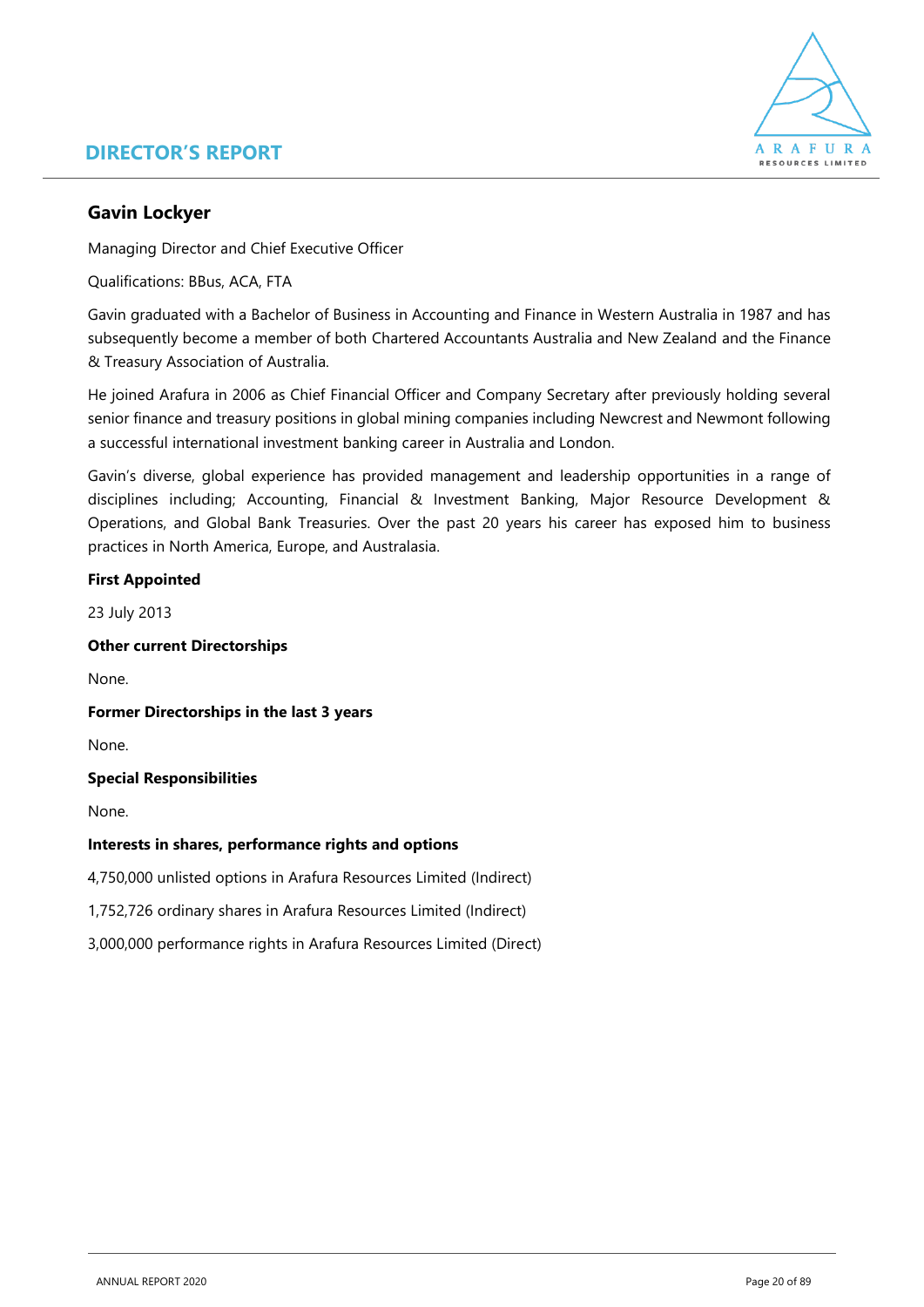

### **Gavin Lockyer**

Managing Director and Chief Executive Officer

Qualifications: BBus, ACA, FTA

Gavin graduated with a Bachelor of Business in Accounting and Finance in Western Australia in 1987 and has subsequently become a member of both Chartered Accountants Australia and New Zealand and the Finance & Treasury Association of Australia.

He joined Arafura in 2006 as Chief Financial Officer and Company Secretary after previously holding several senior finance and treasury positions in global mining companies including Newcrest and Newmont following a successful international investment banking career in Australia and London.

Gavin's diverse, global experience has provided management and leadership opportunities in a range of disciplines including; Accounting, Financial & Investment Banking, Major Resource Development & Operations, and Global Bank Treasuries. Over the past 20 years his career has exposed him to business practices in North America, Europe, and Australasia.

### **First Appointed**

23 July 2013

### **Other current Directorships**

None.

### **Former Directorships in the last 3 years**

None.

### **Special Responsibilities**

None.

### **Interests in shares, performance rights and options**

4,750,000 unlisted options in Arafura Resources Limited (Indirect)

1,752,726 ordinary shares in Arafura Resources Limited (Indirect)

3,000,000 performance rights in Arafura Resources Limited (Direct)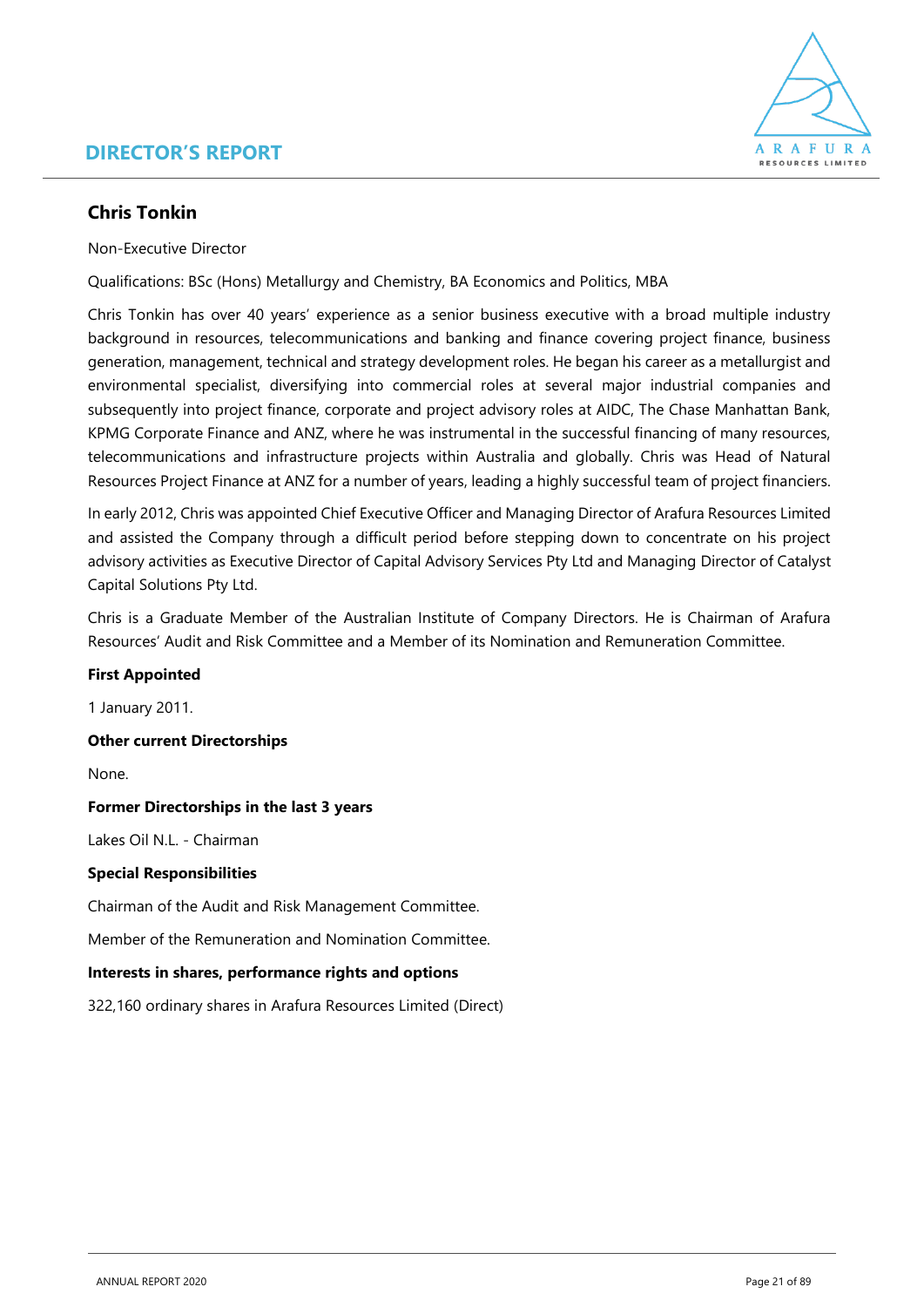

### **Chris Tonkin**

Non-Executive Director

Qualifications: BSc (Hons) Metallurgy and Chemistry, BA Economics and Politics, MBA

Chris Tonkin has over 40 years' experience as a senior business executive with a broad multiple industry background in resources, telecommunications and banking and finance covering project finance, business generation, management, technical and strategy development roles. He began his career as a metallurgist and environmental specialist, diversifying into commercial roles at several major industrial companies and subsequently into project finance, corporate and project advisory roles at AIDC, The Chase Manhattan Bank, KPMG Corporate Finance and ANZ, where he was instrumental in the successful financing of many resources, telecommunications and infrastructure projects within Australia and globally. Chris was Head of Natural Resources Project Finance at ANZ for a number of years, leading a highly successful team of project financiers.

In early 2012, Chris was appointed Chief Executive Officer and Managing Director of Arafura Resources Limited and assisted the Company through a difficult period before stepping down to concentrate on his project advisory activities as Executive Director of Capital Advisory Services Pty Ltd and Managing Director of Catalyst Capital Solutions Pty Ltd.

Chris is a Graduate Member of the Australian Institute of Company Directors. He is Chairman of Arafura Resources' Audit and Risk Committee and a Member of its Nomination and Remuneration Committee.

### **First Appointed**

1 January 2011.

**Other current Directorships** 

None.

#### **Former Directorships in the last 3 years**

Lakes Oil N.L. - Chairman

### **Special Responsibilities**

Chairman of the Audit and Risk Management Committee.

Member of the Remuneration and Nomination Committee.

### **Interests in shares, performance rights and options**

322,160 ordinary shares in Arafura Resources Limited (Direct)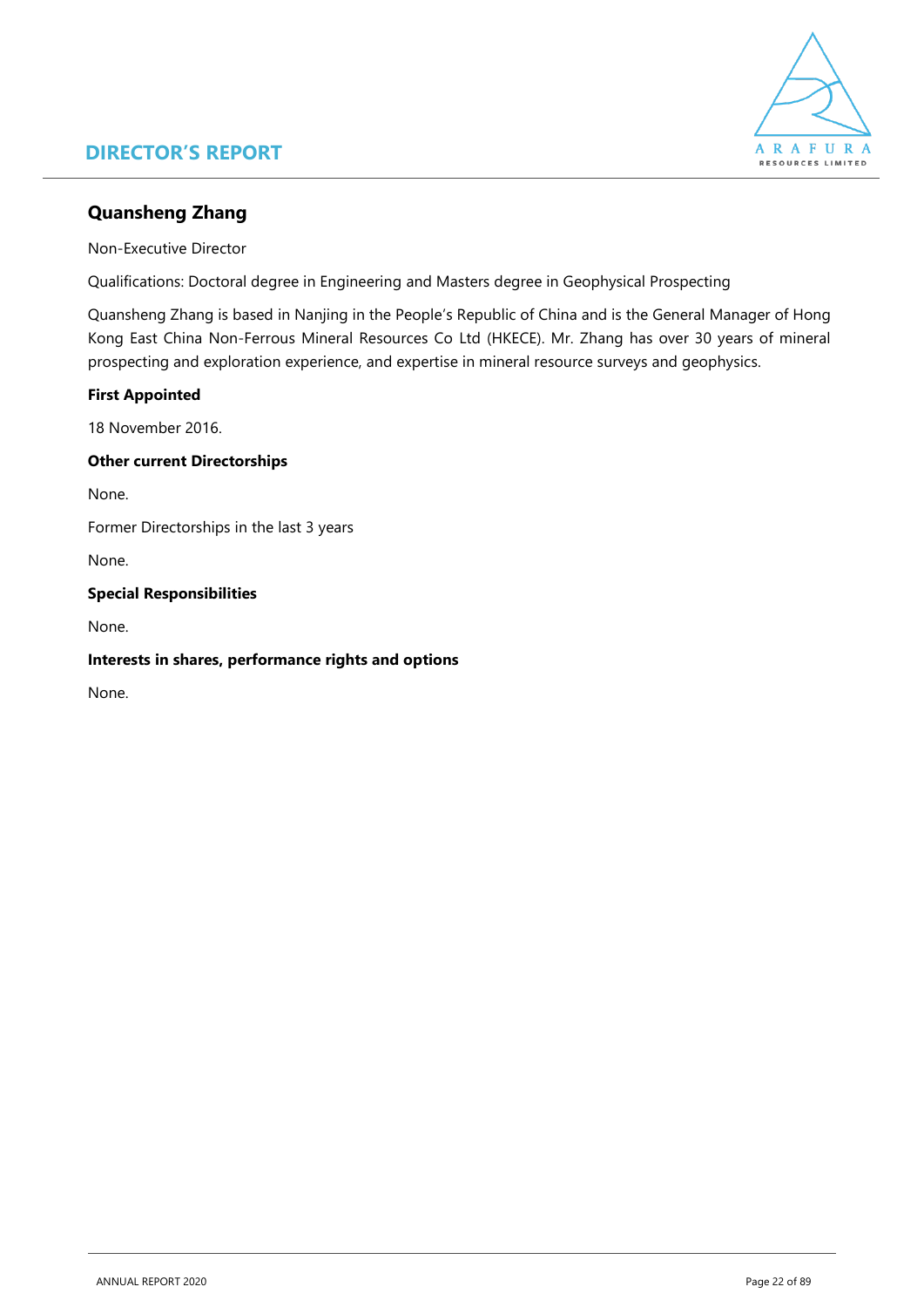

### **Quansheng Zhang**

Non-Executive Director

Qualifications: Doctoral degree in Engineering and Masters degree in Geophysical Prospecting

Quansheng Zhang is based in Nanjing in the People's Republic of China and is the General Manager of Hong Kong East China Non-Ferrous Mineral Resources Co Ltd (HKECE). Mr. Zhang has over 30 years of mineral prospecting and exploration experience, and expertise in mineral resource surveys and geophysics.

### **First Appointed**

18 November 2016.

### **Other current Directorships**

None.

Former Directorships in the last 3 years

None.

### **Special Responsibilities**

None.

### **Interests in shares, performance rights and options**

None.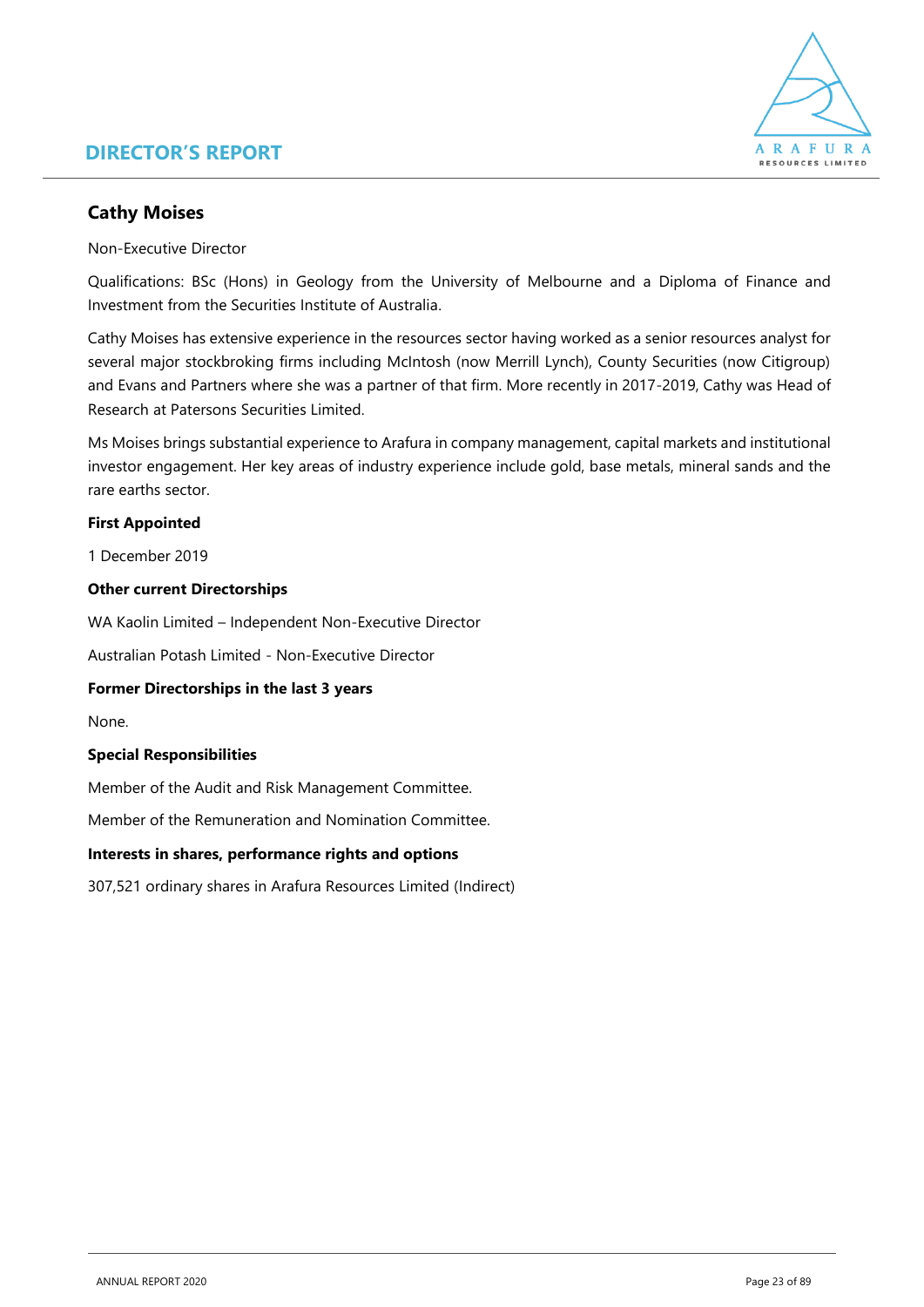

### **Cathy Moises**

Non-Executive Director

Qualifications: BSc (Hons) in Geology from the University of Melbourne and a Diploma of Finance and Investment from the Securities Institute of Australia.

Cathy Moises has extensive experience in the resources sector having worked as a senior resources analyst for several major stockbroking firms including McIntosh (now Merrill Lynch), County Securities (now Citigroup) and Evans and Partners where she was a partner of that firm. More recently in 2017-2019, Cathy was Head of Research at Patersons Securities Limited.

Ms Moises brings substantial experience to Arafura in company management, capital markets and institutional investor engagement. Her key areas of industry experience include gold, base metals, mineral sands and the rare earths sector.

### **First Appointed**

1 December 2019

#### **Other current Directorships**

WA Kaolin Limited – Independent Non-Executive Director

Australian Potash Limited - Non-Executive Director

#### **Former Directorships in the last 3 years**

None.

### **Special Responsibilities**

Member of the Audit and Risk Management Committee.

Member of the Remuneration and Nomination Committee.

#### **Interests in shares, performance rights and options**

307,521 ordinary shares in Arafura Resources Limited (Indirect)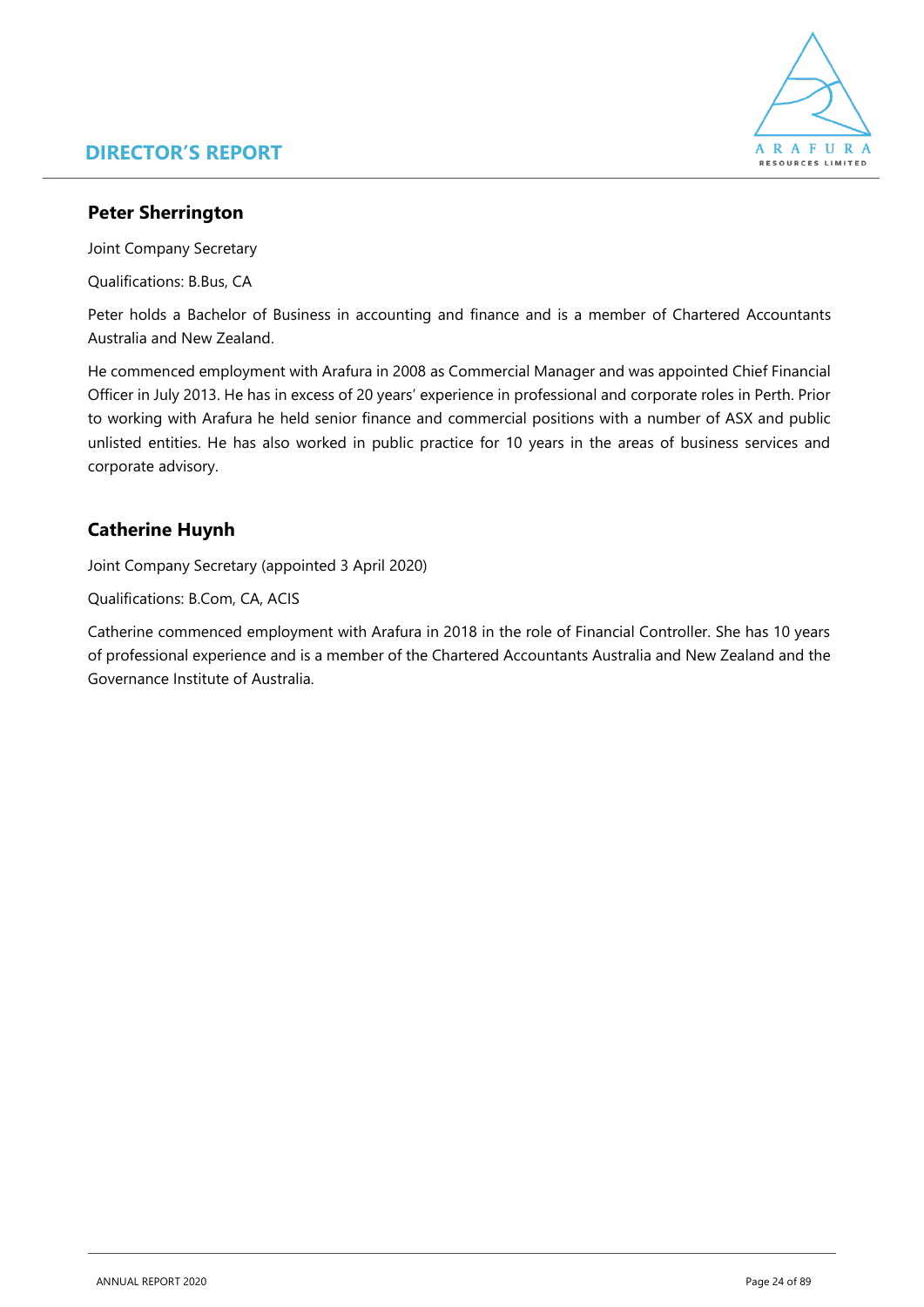

### **Peter Sherrington**

Joint Company Secretary

Qualifications: B.Bus, CA

Peter holds a Bachelor of Business in accounting and finance and is a member of Chartered Accountants Australia and New Zealand.

He commenced employment with Arafura in 2008 as Commercial Manager and was appointed Chief Financial Officer in July 2013. He has in excess of 20 years' experience in professional and corporate roles in Perth. Prior to working with Arafura he held senior finance and commercial positions with a number of ASX and public unlisted entities. He has also worked in public practice for 10 years in the areas of business services and corporate advisory.

### **Catherine Huynh**

Joint Company Secretary (appointed 3 April 2020)

Qualifications: B.Com, CA, ACIS

Catherine commenced employment with Arafura in 2018 in the role of Financial Controller. She has 10 years of professional experience and is a member of the Chartered Accountants Australia and New Zealand and the Governance Institute of Australia.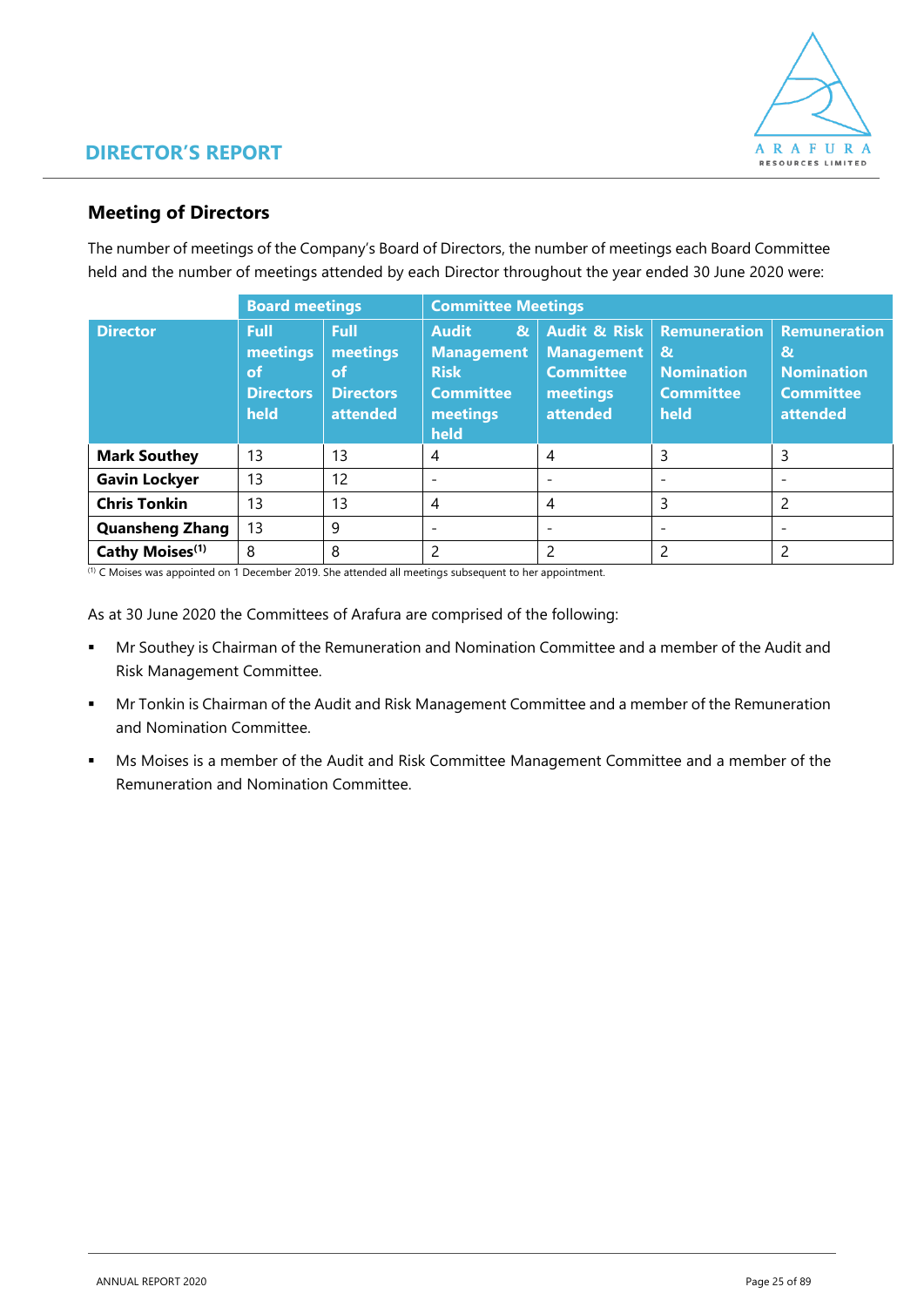

### **Meeting of Directors**

The number of meetings of the Company's Board of Directors, the number of meetings each Board Committee held and the number of meetings attended by each Director throughout the year ended 30 June 2020 were:

|                             | <b>Board meetings</b>                              |                                                        |                                                                                                          | <b>Committee Meetings</b>                                                                |                                                                                      |                                                                                          |  |  |  |
|-----------------------------|----------------------------------------------------|--------------------------------------------------------|----------------------------------------------------------------------------------------------------------|------------------------------------------------------------------------------------------|--------------------------------------------------------------------------------------|------------------------------------------------------------------------------------------|--|--|--|
| <b>Director</b>             | Full<br>meetings<br>of<br><b>Directors</b><br>held | Full<br>meetings<br>of<br><b>Directors</b><br>attended | <b>Audit</b><br>$\mathbf{g}$<br><b>Management</b><br><b>Risk</b><br><b>Committee</b><br>meetings<br>held | <b>Audit &amp; Risk</b><br><b>Management</b><br><b>Committee</b><br>meetings<br>attended | <b>Remuneration</b><br>$\mathbf{g}$<br><b>Nomination</b><br><b>Committee</b><br>held | <b>Remuneration</b><br>$\mathbf{g}$<br><b>Nomination</b><br><b>Committee</b><br>attended |  |  |  |
| <b>Mark Southey</b>         | 13                                                 | 13                                                     | 4                                                                                                        | -4                                                                                       | 3                                                                                    | 3                                                                                        |  |  |  |
| <b>Gavin Lockyer</b>        | 13                                                 | 12                                                     | ۰                                                                                                        | $\overline{\phantom{0}}$                                                                 | $\overline{\phantom{0}}$                                                             | $\overline{\phantom{0}}$                                                                 |  |  |  |
| <b>Chris Tonkin</b>         | 13                                                 | 13                                                     | 4                                                                                                        | 4                                                                                        | 3                                                                                    | $\mathcal{P}$                                                                            |  |  |  |
| <b>Quansheng Zhang</b>      | 13                                                 | 9                                                      | $\overline{\phantom{0}}$                                                                                 | $\overline{\phantom{0}}$                                                                 | $\overline{\phantom{a}}$                                                             | $\overline{\phantom{0}}$                                                                 |  |  |  |
| Cathy Moises <sup>(1)</sup> | 8                                                  | 8                                                      | 2                                                                                                        |                                                                                          | 2                                                                                    |                                                                                          |  |  |  |

(1) C Moises was appointed on 1 December 2019. She attended all meetings subsequent to her appointment.

As at 30 June 2020 the Committees of Arafura are comprised of the following:

- **■** Mr Southey is Chairman of the Remuneration and Nomination Committee and a member of the Audit and Risk Management Committee.
- **■** Mr Tonkin is Chairman of the Audit and Risk Management Committee and a member of the Remuneration and Nomination Committee.
- Ms Moises is a member of the Audit and Risk Committee Management Committee and a member of the Remuneration and Nomination Committee.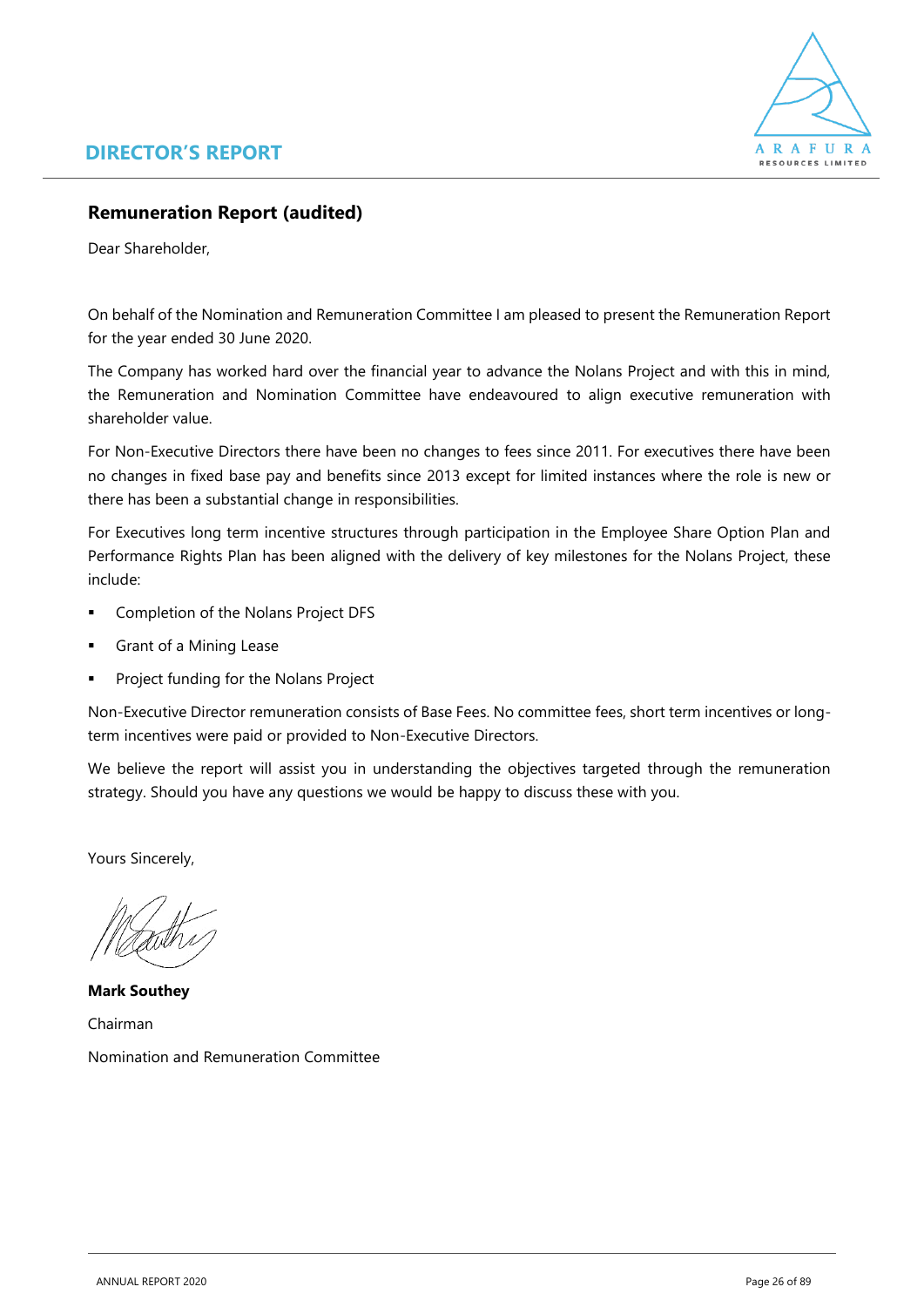

### **Remuneration Report (audited)**

Dear Shareholder,

On behalf of the Nomination and Remuneration Committee I am pleased to present the Remuneration Report for the year ended 30 June 2020.

The Company has worked hard over the financial year to advance the Nolans Project and with this in mind, the Remuneration and Nomination Committee have endeavoured to align executive remuneration with shareholder value.

For Non-Executive Directors there have been no changes to fees since 2011. For executives there have been no changes in fixed base pay and benefits since 2013 except for limited instances where the role is new or there has been a substantial change in responsibilities.

For Executives long term incentive structures through participation in the Employee Share Option Plan and Performance Rights Plan has been aligned with the delivery of key milestones for the Nolans Project, these include:

- Completion of the Nolans Project DFS
- Grant of a Mining Lease
- Project funding for the Nolans Project

Non-Executive Director remuneration consists of Base Fees. No committee fees, short term incentives or longterm incentives were paid or provided to Non-Executive Directors.

We believe the report will assist you in understanding the objectives targeted through the remuneration strategy. Should you have any questions we would be happy to discuss these with you.

Yours Sincerely,

**Mark Southey** Chairman Nomination and Remuneration Committee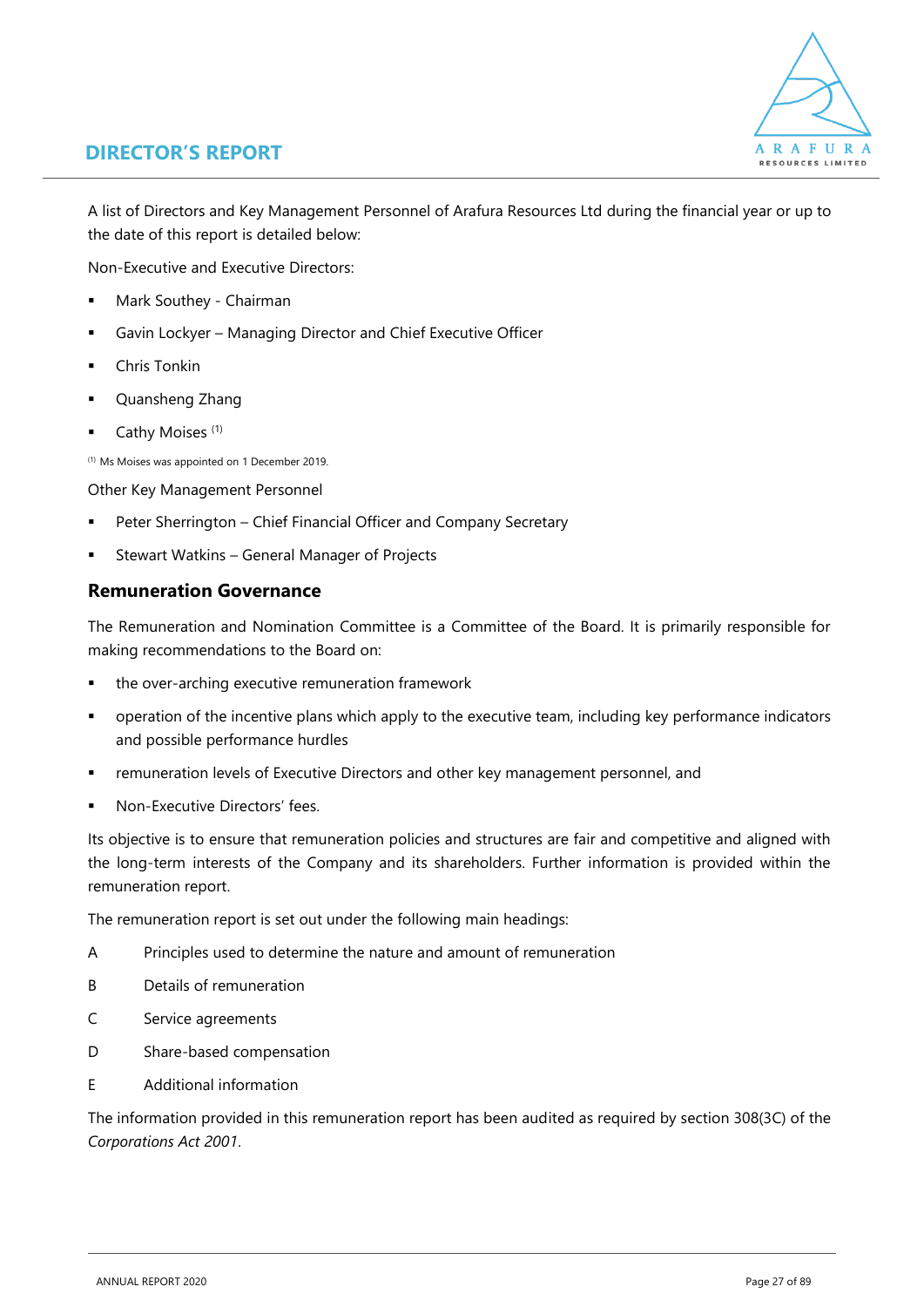

A list of Directors and Key Management Personnel of Arafura Resources Ltd during the financial year or up to the date of this report is detailed below:

Non-Executive and Executive Directors:

- Mark Southey Chairman
- Gavin Lockyer Managing Director and Chief Executive Officer
- **Chris Tonkin**
- Quansheng Zhang
- Cathy Moises<sup>(1)</sup>

(1) Ms Moises was appointed on 1 December 2019.

Other Key Management Personnel

- Peter Sherrington Chief Financial Officer and Company Secretary
- Stewart Watkins General Manager of Projects

### **Remuneration Governance**

The Remuneration and Nomination Committee is a Committee of the Board. It is primarily responsible for making recommendations to the Board on:

- the over-arching executive remuneration framework
- **•** operation of the incentive plans which apply to the executive team, including key performance indicators and possible performance hurdles
- remuneration levels of Executive Directors and other key management personnel, and
- Non-Executive Directors' fees.

Its objective is to ensure that remuneration policies and structures are fair and competitive and aligned with the long-term interests of the Company and its shareholders. Further information is provided within the remuneration report.

The remuneration report is set out under the following main headings:

- A Principles used to determine the nature and amount of remuneration
- B Details of remuneration
- C Service agreements
- D Share-based compensation
- E Additional information

The information provided in this remuneration report has been audited as required by section 308(3C) of the *Corporations Act 2001*.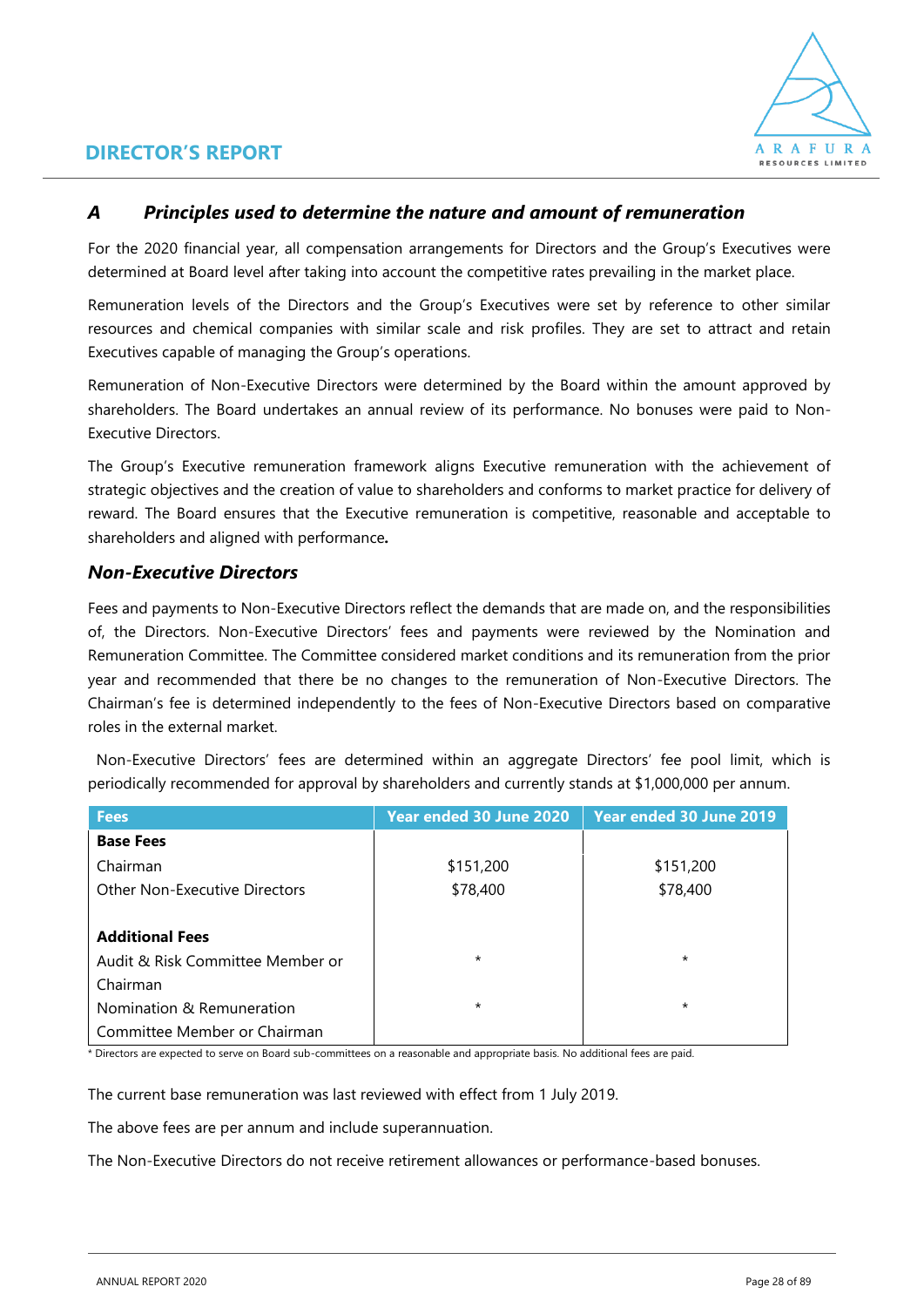

### *A Principles used to determine the nature and amount of remuneration*

For the 2020 financial year, all compensation arrangements for Directors and the Group's Executives were determined at Board level after taking into account the competitive rates prevailing in the market place.

Remuneration levels of the Directors and the Group's Executives were set by reference to other similar resources and chemical companies with similar scale and risk profiles. They are set to attract and retain Executives capable of managing the Group's operations.

Remuneration of Non-Executive Directors were determined by the Board within the amount approved by shareholders. The Board undertakes an annual review of its performance. No bonuses were paid to Non-Executive Directors.

The Group's Executive remuneration framework aligns Executive remuneration with the achievement of strategic objectives and the creation of value to shareholders and conforms to market practice for delivery of reward. The Board ensures that the Executive remuneration is competitive, reasonable and acceptable to shareholders and aligned with performance*.*

### *Non-Executive Directors*

Fees and payments to Non-Executive Directors reflect the demands that are made on, and the responsibilities of, the Directors. Non-Executive Directors' fees and payments were reviewed by the Nomination and Remuneration Committee. The Committee considered market conditions and its remuneration from the prior year and recommended that there be no changes to the remuneration of Non-Executive Directors. The Chairman's fee is determined independently to the fees of Non-Executive Directors based on comparative roles in the external market.

 Non-Executive Directors' fees are determined within an aggregate Directors' fee pool limit, which is periodically recommended for approval by shareholders and currently stands at \$1,000,000 per annum.

| <b>Fees</b>                          | Year ended 30 June 2020 | Year ended 30 June 2019 |
|--------------------------------------|-------------------------|-------------------------|
| <b>Base Fees</b>                     |                         |                         |
| Chairman                             | \$151,200               | \$151,200               |
| <b>Other Non-Executive Directors</b> | \$78,400                | \$78,400                |
|                                      |                         |                         |
| <b>Additional Fees</b>               |                         |                         |
| Audit & Risk Committee Member or     | $\star$                 | $\star$                 |
| Chairman                             |                         |                         |
| Nomination & Remuneration            | $\star$                 | $\star$                 |
| Committee Member or Chairman         |                         |                         |

\* Directors are expected to serve on Board sub-committees on a reasonable and appropriate basis. No additional fees are paid.

The current base remuneration was last reviewed with effect from 1 July 2019.

The above fees are per annum and include superannuation.

The Non-Executive Directors do not receive retirement allowances or performance-based bonuses.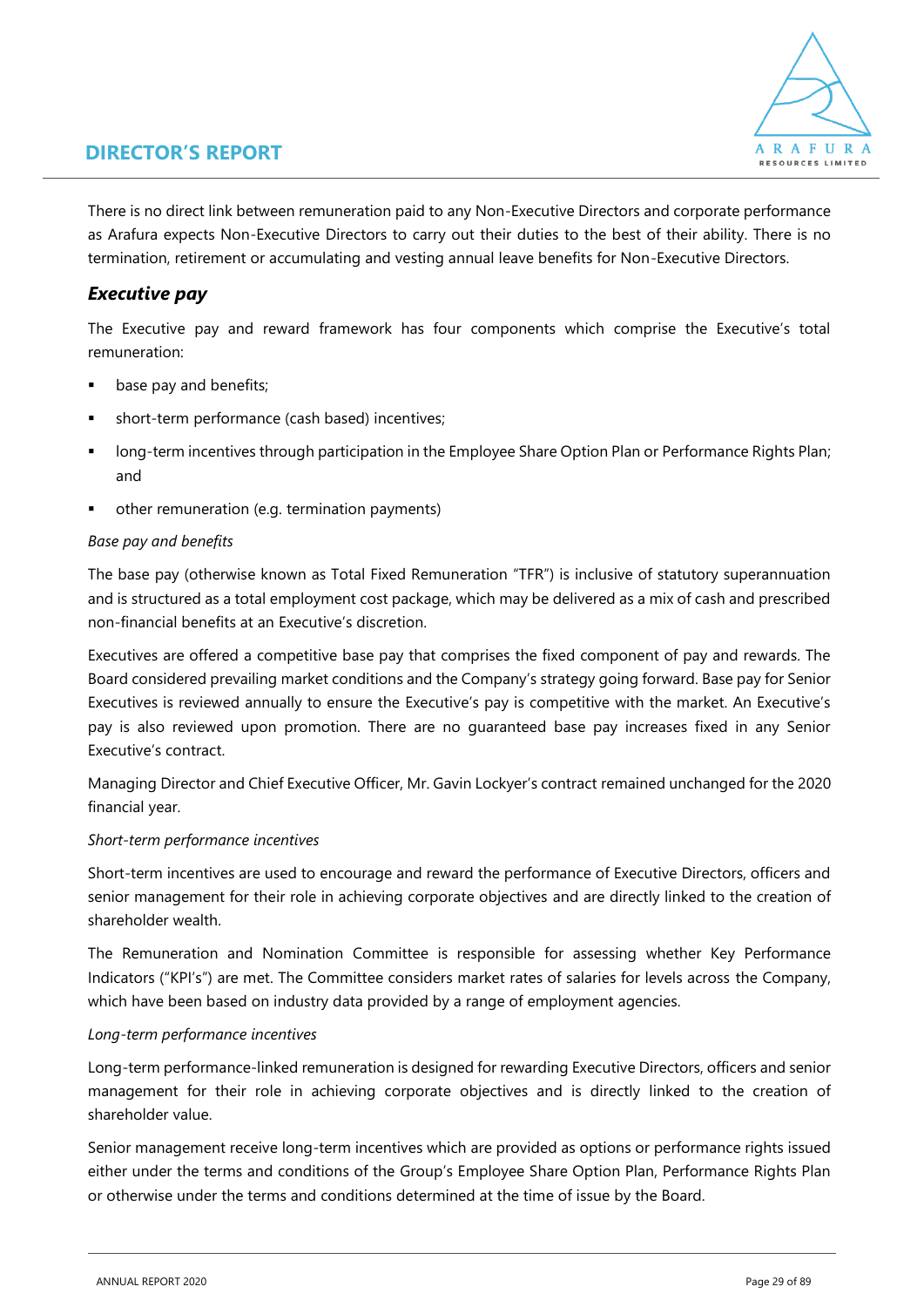

There is no direct link between remuneration paid to any Non-Executive Directors and corporate performance as Arafura expects Non-Executive Directors to carry out their duties to the best of their ability. There is no termination, retirement or accumulating and vesting annual leave benefits for Non-Executive Directors.

### *Executive pay*

The Executive pay and reward framework has four components which comprise the Executive's total remuneration:

- base pay and benefits;
- short-term performance (cash based) incentives;
- **■** long-term incentives through participation in the Employee Share Option Plan or Performance Rights Plan; and
- other remuneration (e.g. termination payments)

### *Base pay and benefits*

The base pay (otherwise known as Total Fixed Remuneration "TFR") is inclusive of statutory superannuation and is structured as a total employment cost package, which may be delivered as a mix of cash and prescribed non-financial benefits at an Executive's discretion.

Executives are offered a competitive base pay that comprises the fixed component of pay and rewards. The Board considered prevailing market conditions and the Company's strategy going forward. Base pay for Senior Executives is reviewed annually to ensure the Executive's pay is competitive with the market. An Executive's pay is also reviewed upon promotion. There are no guaranteed base pay increases fixed in any Senior Executive's contract.

Managing Director and Chief Executive Officer, Mr. Gavin Lockyer's contract remained unchanged for the 2020 financial year.

### *Short-term performance incentives*

Short-term incentives are used to encourage and reward the performance of Executive Directors, officers and senior management for their role in achieving corporate objectives and are directly linked to the creation of shareholder wealth.

The Remuneration and Nomination Committee is responsible for assessing whether Key Performance Indicators ("KPI's") are met. The Committee considers market rates of salaries for levels across the Company, which have been based on industry data provided by a range of employment agencies.

### *Long-term performance incentives*

Long-term performance-linked remuneration is designed for rewarding Executive Directors, officers and senior management for their role in achieving corporate objectives and is directly linked to the creation of shareholder value.

Senior management receive long-term incentives which are provided as options or performance rights issued either under the terms and conditions of the Group's Employee Share Option Plan, Performance Rights Plan or otherwise under the terms and conditions determined at the time of issue by the Board.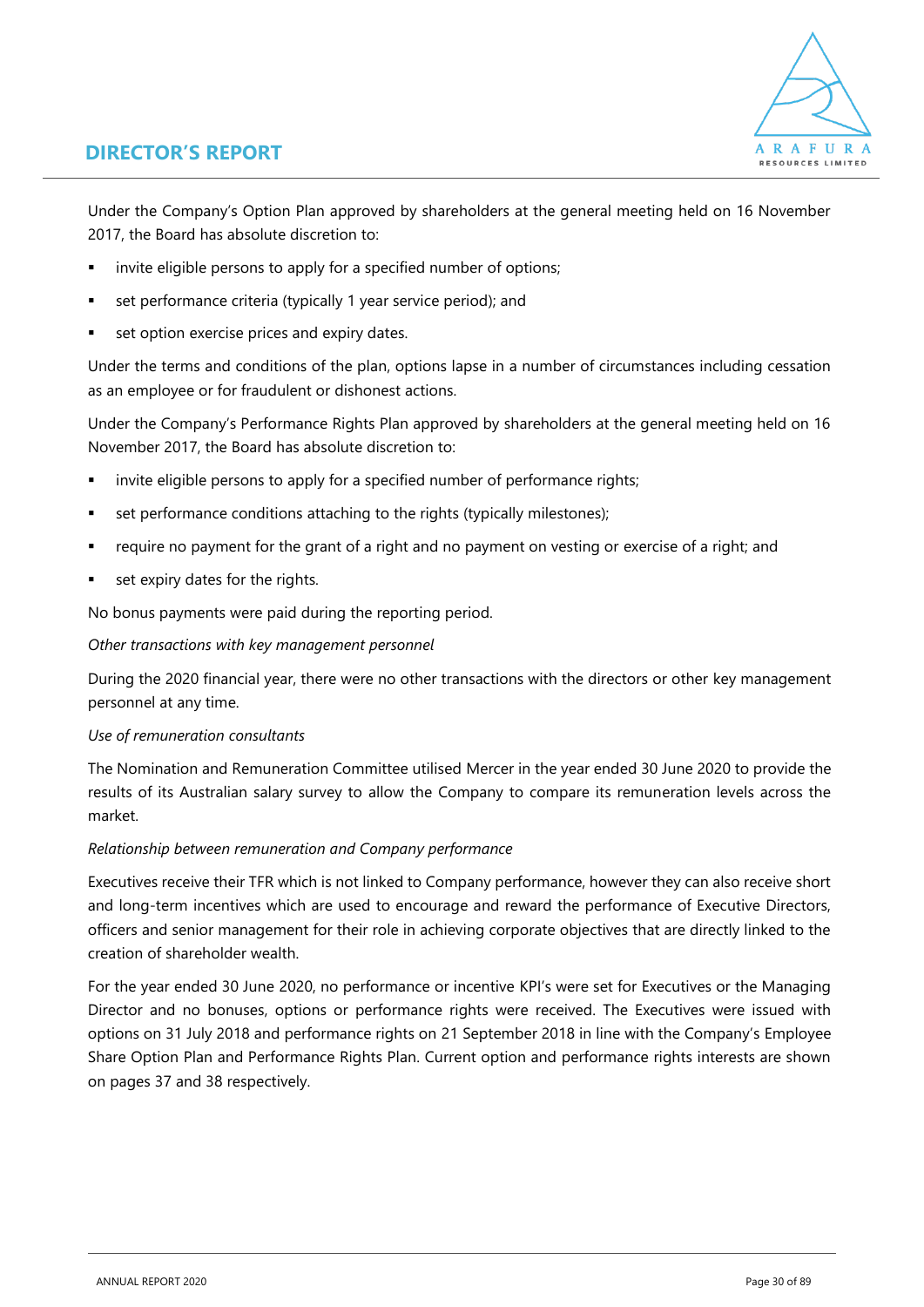

Under the Company's Option Plan approved by shareholders at the general meeting held on 16 November 2017, the Board has absolute discretion to:

- invite eligible persons to apply for a specified number of options;
- set performance criteria (typically 1 year service period); and
- set option exercise prices and expiry dates.

Under the terms and conditions of the plan, options lapse in a number of circumstances including cessation as an employee or for fraudulent or dishonest actions.

Under the Company's Performance Rights Plan approved by shareholders at the general meeting held on 16 November 2017, the Board has absolute discretion to:

- invite eligible persons to apply for a specified number of performance rights;
- set performance conditions attaching to the rights (typically milestones);
- require no payment for the grant of a right and no payment on vesting or exercise of a right; and
- set expiry dates for the rights.

No bonus payments were paid during the reporting period.

#### *Other transactions with key management personnel*

During the 2020 financial year, there were no other transactions with the directors or other key management personnel at any time.

### *Use of remuneration consultants*

The Nomination and Remuneration Committee utilised Mercer in the year ended 30 June 2020 to provide the results of its Australian salary survey to allow the Company to compare its remuneration levels across the market.

### *Relationship between remuneration and Company performance*

Executives receive their TFR which is not linked to Company performance, however they can also receive short and long-term incentives which are used to encourage and reward the performance of Executive Directors, officers and senior management for their role in achieving corporate objectives that are directly linked to the creation of shareholder wealth.

For the year ended 30 June 2020, no performance or incentive KPI's were set for Executives or the Managing Director and no bonuses, options or performance rights were received. The Executives were issued with options on 31 July 2018 and performance rights on 21 September 2018 in line with the Company's Employee Share Option Plan and Performance Rights Plan. Current option and performance rights interests are shown on pages 37 and 38 respectively.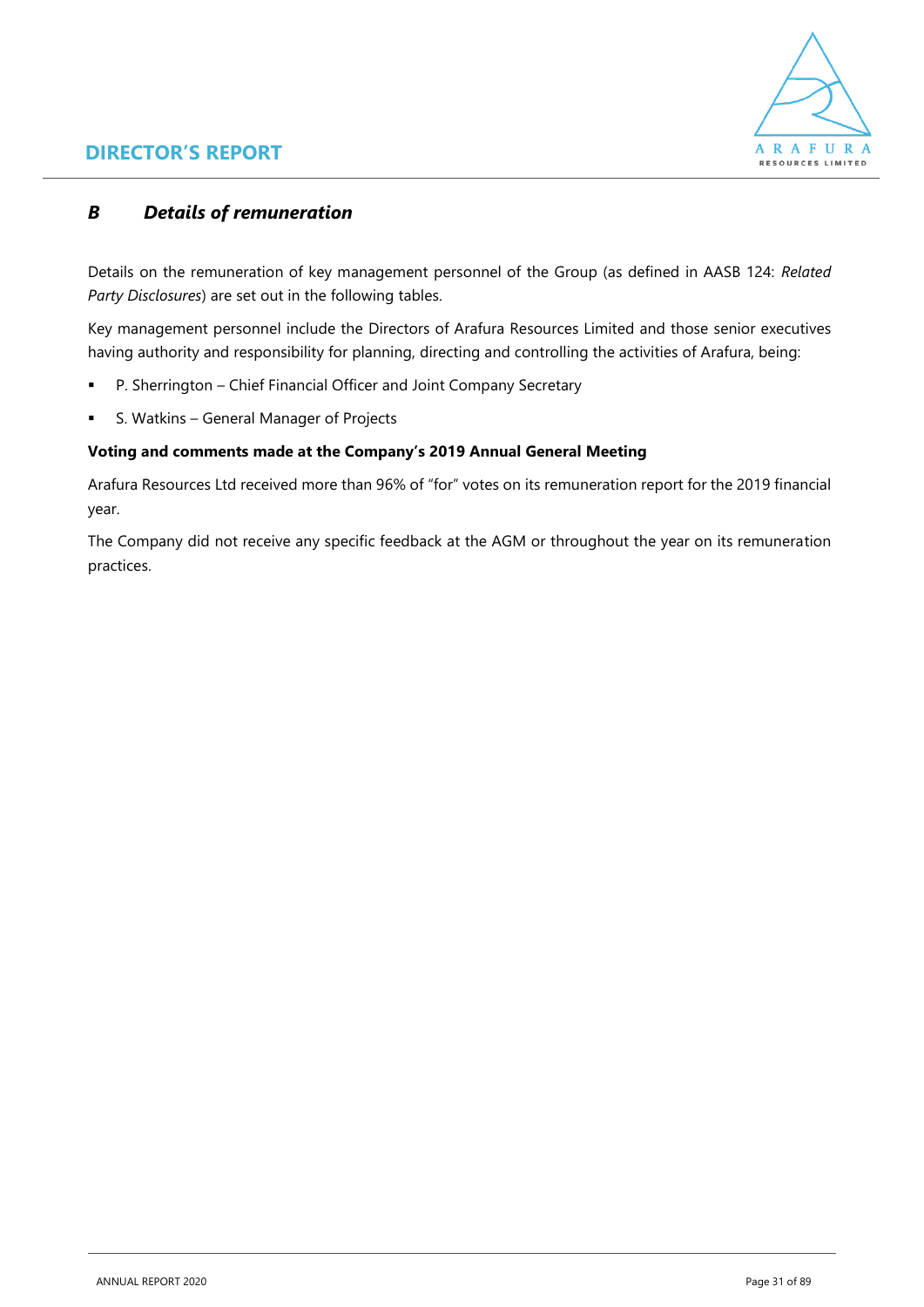

### *B Details of remuneration*

Details on the remuneration of key management personnel of the Group (as defined in AASB 124: *Related Party Disclosures*) are set out in the following tables.

Key management personnel include the Directors of Arafura Resources Limited and those senior executives having authority and responsibility for planning, directing and controlling the activities of Arafura, being:

- P. Sherrington Chief Financial Officer and Joint Company Secretary
- S. Watkins General Manager of Projects

### **Voting and comments made at the Company's 2019 Annual General Meeting**

Arafura Resources Ltd received more than 96% of "for" votes on its remuneration report for the 2019 financial year.

The Company did not receive any specific feedback at the AGM or throughout the year on its remuneration practices.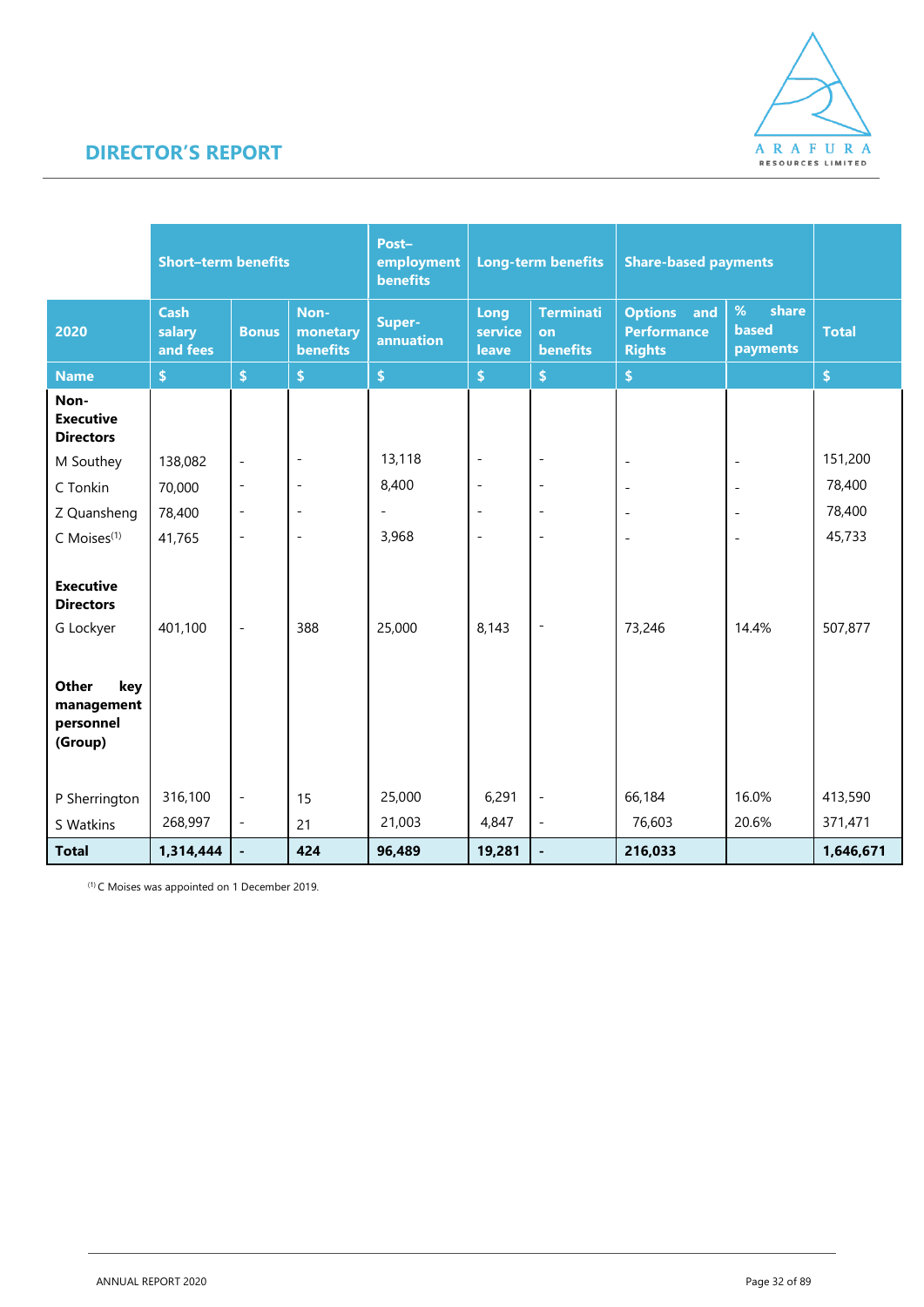

|                                                           | <b>Short-term benefits</b>        |                          | Post-<br>employment<br><b>benefits</b> | <b>Long-term benefits</b> |                          | <b>Share-based payments</b>               |                                                              |                                        |                    |
|-----------------------------------------------------------|-----------------------------------|--------------------------|----------------------------------------|---------------------------|--------------------------|-------------------------------------------|--------------------------------------------------------------|----------------------------------------|--------------------|
| 2020                                                      | <b>Cash</b><br>salary<br>and fees | <b>Bonus</b>             | Non-<br>monetary<br><b>benefits</b>    | Super-<br>annuation       | Long<br>service<br>leave | <b>Terminati</b><br>on<br><b>benefits</b> | <b>Options</b><br>and<br><b>Performance</b><br><b>Rights</b> | %<br>share<br><b>based</b><br>payments | <b>Total</b>       |
| <b>Name</b>                                               | \$                                | $\hat{\mathbf{s}}$       | $\pmb{\mathsf{S}}$                     | $\hat{\mathbf{S}}$        | $\pmb{\$}$               | \$                                        | $\hat{\mathbf{S}}$                                           |                                        | $\pmb{\mathsf{s}}$ |
| Non-<br><b>Executive</b><br><b>Directors</b>              |                                   |                          |                                        |                           |                          |                                           |                                                              |                                        |                    |
| M Southey                                                 | 138,082                           | $\overline{\phantom{a}}$ | $\qquad \qquad \blacksquare$           | 13,118                    | $\overline{\phantom{a}}$ | $\qquad \qquad \blacksquare$              | $\blacksquare$                                               | $\overline{\phantom{a}}$               | 151,200            |
| C Tonkin                                                  | 70,000                            | $\blacksquare$           | $\overline{\phantom{a}}$               | 8,400                     | $\overline{\phantom{a}}$ | $\overline{\phantom{m}}$                  | $\overline{\phantom{a}}$                                     | $\overline{\phantom{a}}$               | 78,400             |
| Z Quansheng                                               | 78,400                            | $\blacksquare$           | $\overline{a}$                         | $\overline{a}$            | $\overline{\phantom{a}}$ | $\overline{\phantom{m}}$                  | $\overline{\phantom{a}}$                                     | $\overline{a}$                         | 78,400             |
| C Moises <sup>(1)</sup>                                   | 41,765                            | $\sim$                   | $\qquad \qquad -$                      | 3,968                     | $\sim$                   | $\overline{\phantom{m}}$                  | $\overline{\phantom{a}}$                                     | $\blacksquare$                         | 45,733             |
| <b>Executive</b><br><b>Directors</b><br>G Lockyer         | 401,100                           | $\overline{\phantom{a}}$ | 388                                    | 25,000                    | 8,143                    | $\qquad \qquad \blacksquare$              | 73,246                                                       | 14.4%                                  | 507,877            |
| <b>Other</b><br>key<br>management<br>personnel<br>(Group) |                                   |                          |                                        |                           |                          |                                           |                                                              |                                        |                    |
| P Sherrington                                             | 316,100                           | $\overline{\phantom{a}}$ | 15                                     | 25,000                    | 6,291                    | $\overline{\phantom{a}}$                  | 66,184                                                       | 16.0%                                  | 413,590            |
| S Watkins                                                 | 268,997                           | $\mathbb{L}$             | 21                                     | 21,003                    | 4,847                    | $\overline{\phantom{a}}$                  | 76,603                                                       | 20.6%                                  | 371,471            |
| <b>Total</b>                                              | 1,314,444                         |                          | 424                                    | 96,489                    | 19,281                   | $\blacksquare$                            | 216,033                                                      |                                        | 1,646,671          |

(1) C Moises was appointed on 1 December 2019.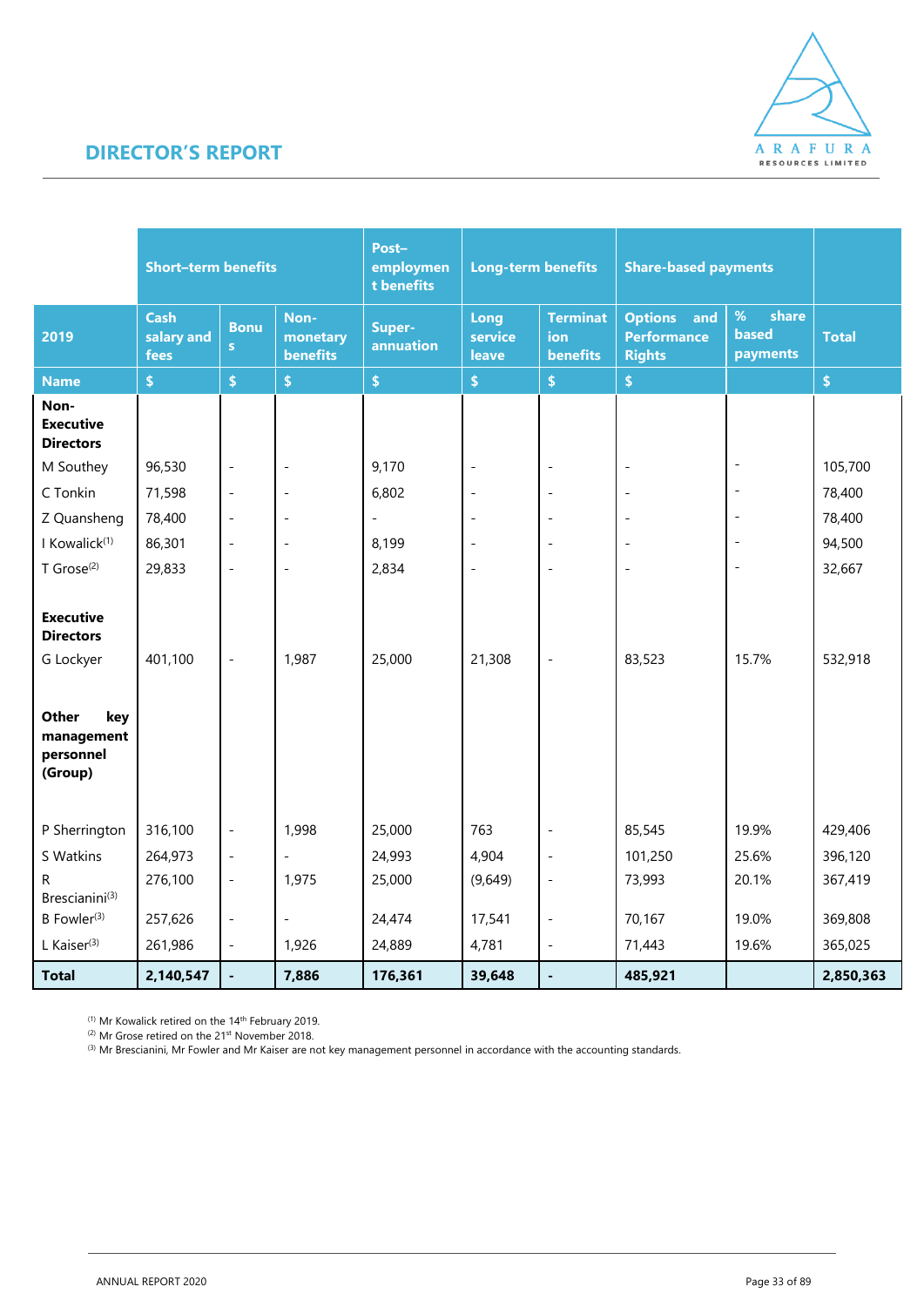

|                                                           | <b>Short-term benefits</b>        |                          |                                     | Post-<br>employmen<br>t benefits | <b>Long-term benefits</b> |                                                  | <b>Share-based payments</b>                               |                                           |              |
|-----------------------------------------------------------|-----------------------------------|--------------------------|-------------------------------------|----------------------------------|---------------------------|--------------------------------------------------|-----------------------------------------------------------|-------------------------------------------|--------------|
| 2019                                                      | <b>Cash</b><br>salary and<br>fees | <b>Bonu</b><br>s         | Non-<br>monetary<br><b>benefits</b> | Super-<br>annuation              | Long<br>service<br>leave  | <b>Terminat</b><br><b>ion</b><br><b>benefits</b> | <b>Options</b> and<br><b>Performance</b><br><b>Rights</b> | $\%$<br>share<br><b>based</b><br>payments | <b>Total</b> |
| <b>Name</b>                                               | $\bar{\mathbb{S}}$                | \$                       | \$                                  | $\pmb{\$}$                       | $\pmb{\$}$                | $\bar{\mathbb{S}}$                               | $\boldsymbol{\$}$                                         |                                           | \$           |
| Non-<br><b>Executive</b><br><b>Directors</b>              |                                   |                          |                                     |                                  |                           |                                                  |                                                           |                                           |              |
| M Southey                                                 | 96,530                            | $\overline{a}$           | $\overline{\phantom{a}}$            | 9,170                            | $\overline{\phantom{a}}$  | $\overline{a}$                                   | $\overline{\phantom{a}}$                                  |                                           | 105,700      |
| C Tonkin                                                  | 71,598                            | $\overline{a}$           | $\overline{\phantom{a}}$            | 6,802                            | $\overline{\phantom{a}}$  | $\overline{a}$                                   |                                                           |                                           | 78,400       |
| Z Quansheng                                               | 78,400                            | $\qquad \qquad -$        | $\overline{\phantom{a}}$            | $\overline{\phantom{a}}$         | $\overline{\phantom{a}}$  | $\overline{a}$                                   | $\overline{\phantom{a}}$                                  |                                           | 78,400       |
| I Kowalick <sup>(1)</sup>                                 | 86,301                            | $\overline{a}$           | $\overline{\phantom{a}}$            | 8,199                            | $\overline{\phantom{a}}$  | $\overline{\phantom{a}}$                         | $\overline{a}$                                            |                                           | 94,500       |
| $T$ Grose <sup>(2)</sup>                                  | 29,833                            | $\overline{a}$           | $\overline{\phantom{a}}$            | 2,834                            | $\overline{\phantom{a}}$  | $\overline{a}$                                   | $\overline{a}$                                            |                                           | 32,667       |
| <b>Executive</b><br><b>Directors</b><br>G Lockyer         | 401,100                           | $\overline{a}$           | 1,987                               | 25,000                           | 21,308                    | $\overline{a}$                                   | 83,523                                                    | 15.7%                                     | 532,918      |
| <b>Other</b><br>key<br>management<br>personnel<br>(Group) |                                   |                          |                                     |                                  |                           |                                                  |                                                           |                                           |              |
| P Sherrington                                             | 316,100                           | $\overline{\phantom{a}}$ | 1,998                               | 25,000                           | 763                       | $\overline{a}$                                   | 85,545                                                    | 19.9%                                     | 429,406      |
| S Watkins                                                 | 264,973                           | $\blacksquare$           | $\overline{a}$                      | 24,993                           | 4,904                     | $\overline{\phantom{a}}$                         | 101,250                                                   | 25.6%                                     | 396,120      |
| R.<br>Brescianini <sup>(3)</sup>                          | 276,100                           | $\frac{1}{2}$            | 1,975                               | 25,000                           | (9,649)                   | $\frac{1}{2}$                                    | 73,993                                                    | 20.1%                                     | 367,419      |
| B Fowler <sup>(3)</sup>                                   | 257,626                           | $\overline{a}$           | $\overline{\phantom{a}}$            | 24,474                           | 17,541                    | $\overline{a}$                                   | 70,167                                                    | 19.0%                                     | 369,808      |
| L Kaiser $(3)$                                            | 261,986                           | $\overline{\phantom{a}}$ | 1,926                               | 24,889                           | 4,781                     | $\overline{\phantom{m}}$                         | 71,443                                                    | 19.6%                                     | 365,025      |
| <b>Total</b>                                              | 2,140,547                         |                          | 7,886                               | 176,361                          | 39,648                    | ÷,                                               | 485,921                                                   |                                           | 2,850,363    |

<sup>(1)</sup> Mr Kowalick retired on the 14<sup>th</sup> February 2019.

<sup>(2)</sup> Mr Grose retired on the 21<sup>st</sup> November 2018.

(3) Mr Grose reured on the zim november zo to.<br>(3) Mr Brescianini, Mr Fowler and Mr Kaiser are not key management personnel in accordance with the accounting standards.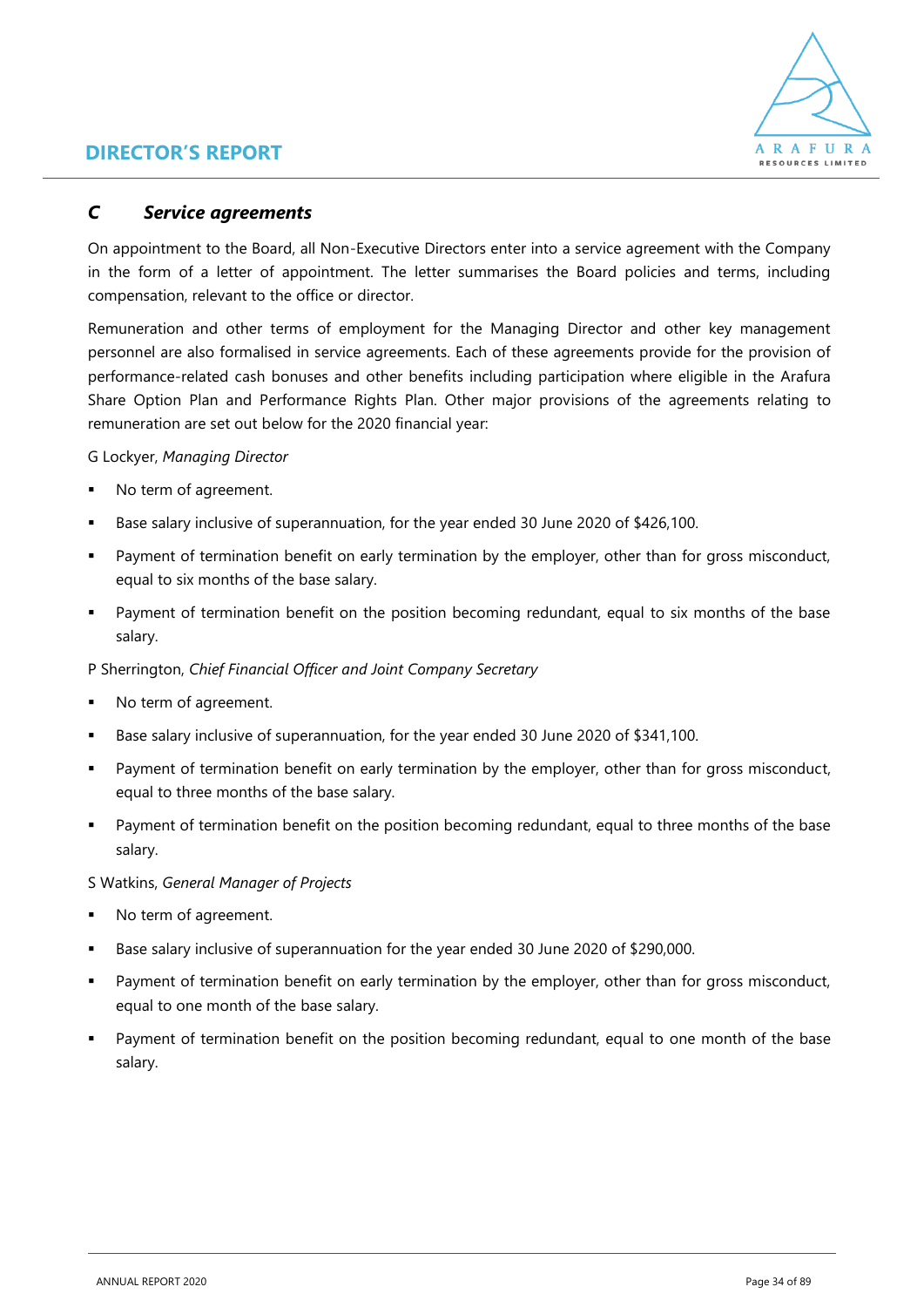

### *C Service agreements*

On appointment to the Board, all Non-Executive Directors enter into a service agreement with the Company in the form of a letter of appointment. The letter summarises the Board policies and terms, including compensation, relevant to the office or director.

Remuneration and other terms of employment for the Managing Director and other key management personnel are also formalised in service agreements. Each of these agreements provide for the provision of performance-related cash bonuses and other benefits including participation where eligible in the Arafura Share Option Plan and Performance Rights Plan. Other major provisions of the agreements relating to remuneration are set out below for the 2020 financial year:

### G Lockyer, *Managing Director*

- No term of agreement.
- Base salary inclusive of superannuation, for the year ended 30 June 2020 of \$426,100.
- **■** Payment of termination benefit on early termination by the employer, other than for gross misconduct, equal to six months of the base salary.
- Payment of termination benefit on the position becoming redundant, equal to six months of the base salary.

### P Sherrington, *Chief Financial Officer and Joint Company Secretary*

- No term of agreement.
- Base salary inclusive of superannuation, for the year ended 30 June 2020 of \$341,100.
- Payment of termination benefit on early termination by the employer, other than for gross misconduct, equal to three months of the base salary.
- Payment of termination benefit on the position becoming redundant, equal to three months of the base salary.

### S Watkins, *General Manager of Projects*

- No term of agreement.
- Base salary inclusive of superannuation for the year ended 30 June 2020 of \$290,000.
- Payment of termination benefit on early termination by the employer, other than for gross misconduct, equal to one month of the base salary.
- Payment of termination benefit on the position becoming redundant, equal to one month of the base salary.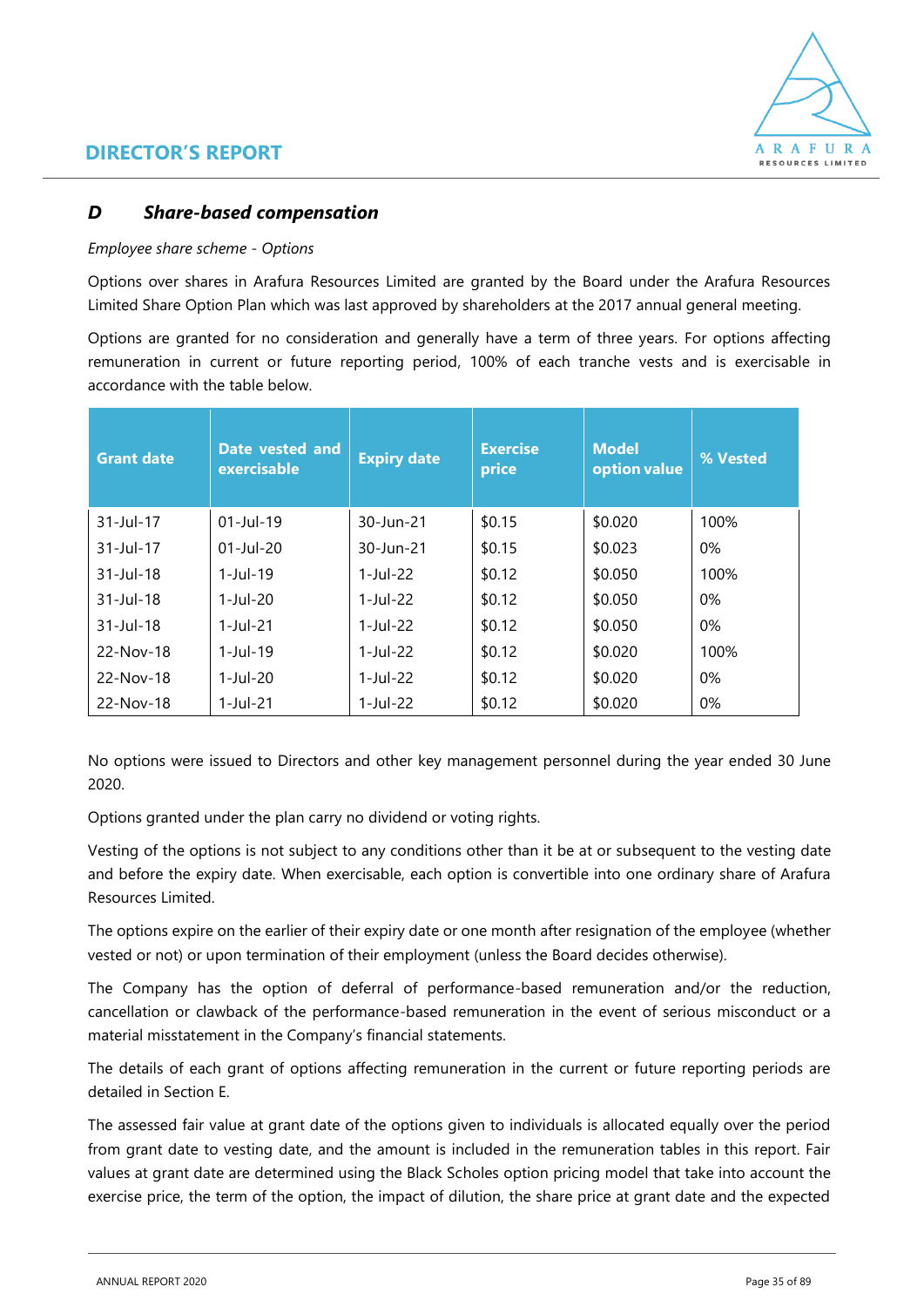

### *D Share-based compensation*

### *Employee share scheme - Options*

Options over shares in Arafura Resources Limited are granted by the Board under the Arafura Resources Limited Share Option Plan which was last approved by shareholders at the 2017 annual general meeting.

Options are granted for no consideration and generally have a term of three years. For options affecting remuneration in current or future reporting period, 100% of each tranche vests and is exercisable in accordance with the table below.

| <b>Grant date</b>        | Date vested and<br>exercisable | <b>Expiry date</b>     | <b>Exercise</b><br>price | <b>Model</b><br>option value | % Vested |
|--------------------------|--------------------------------|------------------------|--------------------------|------------------------------|----------|
| $31 -$ Jul-17            | $01$ -Jul-19                   | 30-Jun-21              | \$0.15                   | \$0.020                      | 100%     |
| $31 -$ Jul-17            | $01$ -Jul-20                   | 30-Jun-21              | \$0.15                   | \$0.023                      | $0\%$    |
| $31 - Iul - 18$          | $1 -$ Jul-19                   | $1 - \frac{1}{1} - 22$ | \$0.12                   | \$0.050                      | 100%     |
| $31 - Iul - 18$          | $1 - \frac{\ln 20}{20}$        | $1$ -Jul-22            | \$0.12                   | \$0.050                      | $0\%$    |
| $31 - \frac{1}{11} - 18$ | $1 -$ Jul $-21$                | $1$ -Jul-22            | \$0.12                   | \$0.050                      | $0\%$    |
| 22-Nov-18                | $1 -$ Jul $-19$                | 1-Jul-22               | \$0.12                   | \$0.020                      | 100%     |
| 22-Nov-18                | $1$ -Jul-20                    | 1-Jul-22               | \$0.12                   | \$0.020                      | $0\%$    |
| 22-Nov-18                | $1 -$ Jul $-21$                | 1-Jul-22               | \$0.12                   | \$0.020                      | $0\%$    |

No options were issued to Directors and other key management personnel during the year ended 30 June 2020.

Options granted under the plan carry no dividend or voting rights.

Vesting of the options is not subject to any conditions other than it be at or subsequent to the vesting date and before the expiry date. When exercisable, each option is convertible into one ordinary share of Arafura Resources Limited.

The options expire on the earlier of their expiry date or one month after resignation of the employee (whether vested or not) or upon termination of their employment (unless the Board decides otherwise).

The Company has the option of deferral of performance-based remuneration and/or the reduction, cancellation or clawback of the performance-based remuneration in the event of serious misconduct or a material misstatement in the Company's financial statements.

The details of each grant of options affecting remuneration in the current or future reporting periods are detailed in Section E.

The assessed fair value at grant date of the options given to individuals is allocated equally over the period from grant date to vesting date, and the amount is included in the remuneration tables in this report. Fair values at grant date are determined using the Black Scholes option pricing model that take into account the exercise price, the term of the option, the impact of dilution, the share price at grant date and the expected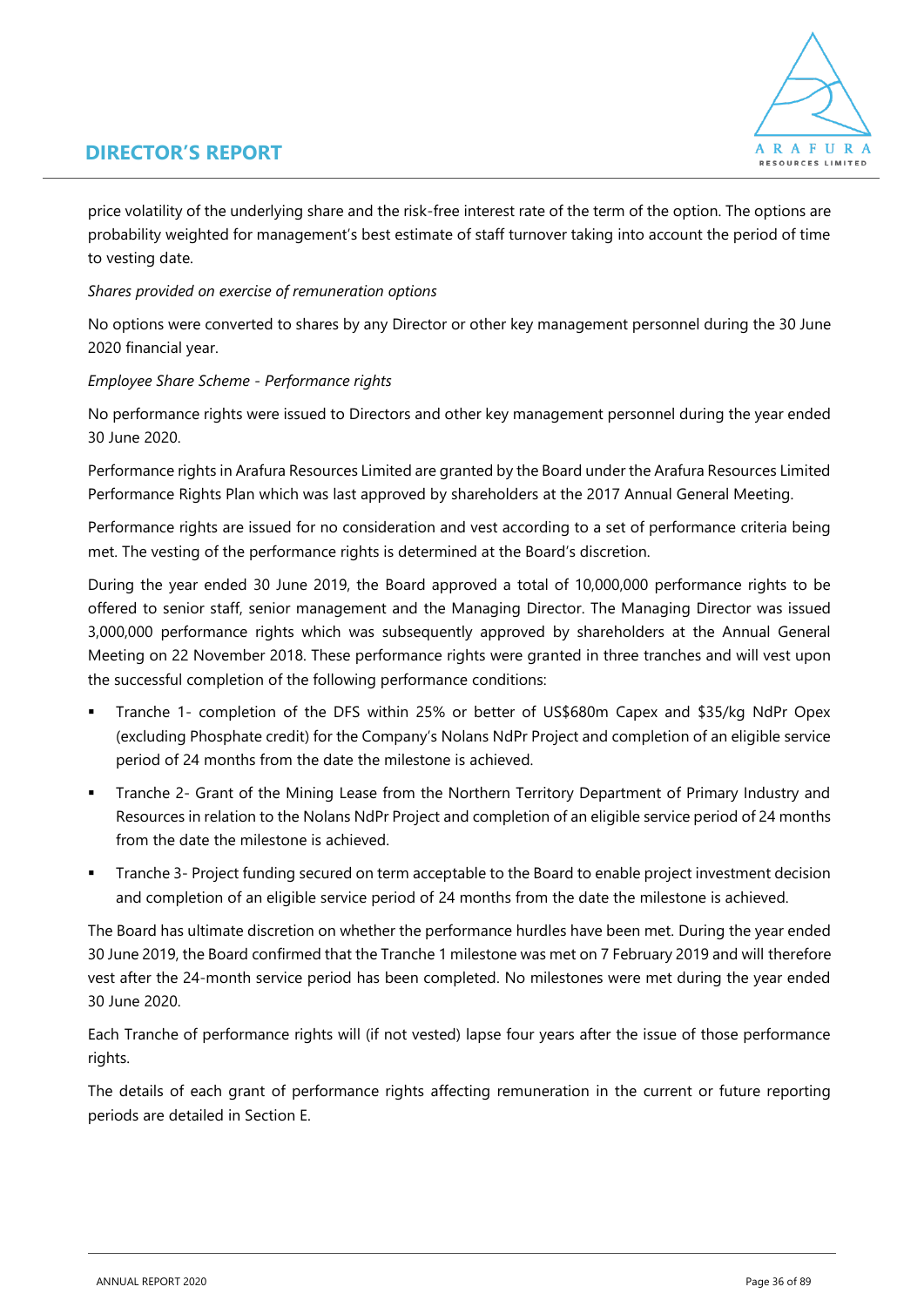# A R A F U R A RESOURCES LIMITED

### **DIRECTOR'S REPORT**

price volatility of the underlying share and the risk-free interest rate of the term of the option. The options are probability weighted for management's best estimate of staff turnover taking into account the period of time to vesting date.

### *Shares provided on exercise of remuneration options*

No options were converted to shares by any Director or other key management personnel during the 30 June 2020 financial year.

### *Employee Share Scheme - Performance rights*

No performance rights were issued to Directors and other key management personnel during the year ended 30 June 2020.

Performance rights in Arafura Resources Limited are granted by the Board under the Arafura Resources Limited Performance Rights Plan which was last approved by shareholders at the 2017 Annual General Meeting.

Performance rights are issued for no consideration and vest according to a set of performance criteria being met. The vesting of the performance rights is determined at the Board's discretion.

During the year ended 30 June 2019, the Board approved a total of 10,000,000 performance rights to be offered to senior staff, senior management and the Managing Director. The Managing Director was issued 3,000,000 performance rights which was subsequently approved by shareholders at the Annual General Meeting on 22 November 2018. These performance rights were granted in three tranches and will vest upon the successful completion of the following performance conditions:

- Tranche 1- completion of the DFS within 25% or better of US\$680m Capex and \$35/kg NdPr Opex (excluding Phosphate credit) for the Company's Nolans NdPr Project and completion of an eligible service period of 24 months from the date the milestone is achieved.
- Tranche 2- Grant of the Mining Lease from the Northern Territory Department of Primary Industry and Resources in relation to the Nolans NdPr Project and completion of an eligible service period of 24 months from the date the milestone is achieved.
- Tranche 3- Project funding secured on term acceptable to the Board to enable project investment decision and completion of an eligible service period of 24 months from the date the milestone is achieved.

The Board has ultimate discretion on whether the performance hurdles have been met. During the year ended 30 June 2019, the Board confirmed that the Tranche 1 milestone was met on 7 February 2019 and will therefore vest after the 24-month service period has been completed. No milestones were met during the year ended 30 June 2020.

Each Tranche of performance rights will (if not vested) lapse four years after the issue of those performance rights.

The details of each grant of performance rights affecting remuneration in the current or future reporting periods are detailed in Section E.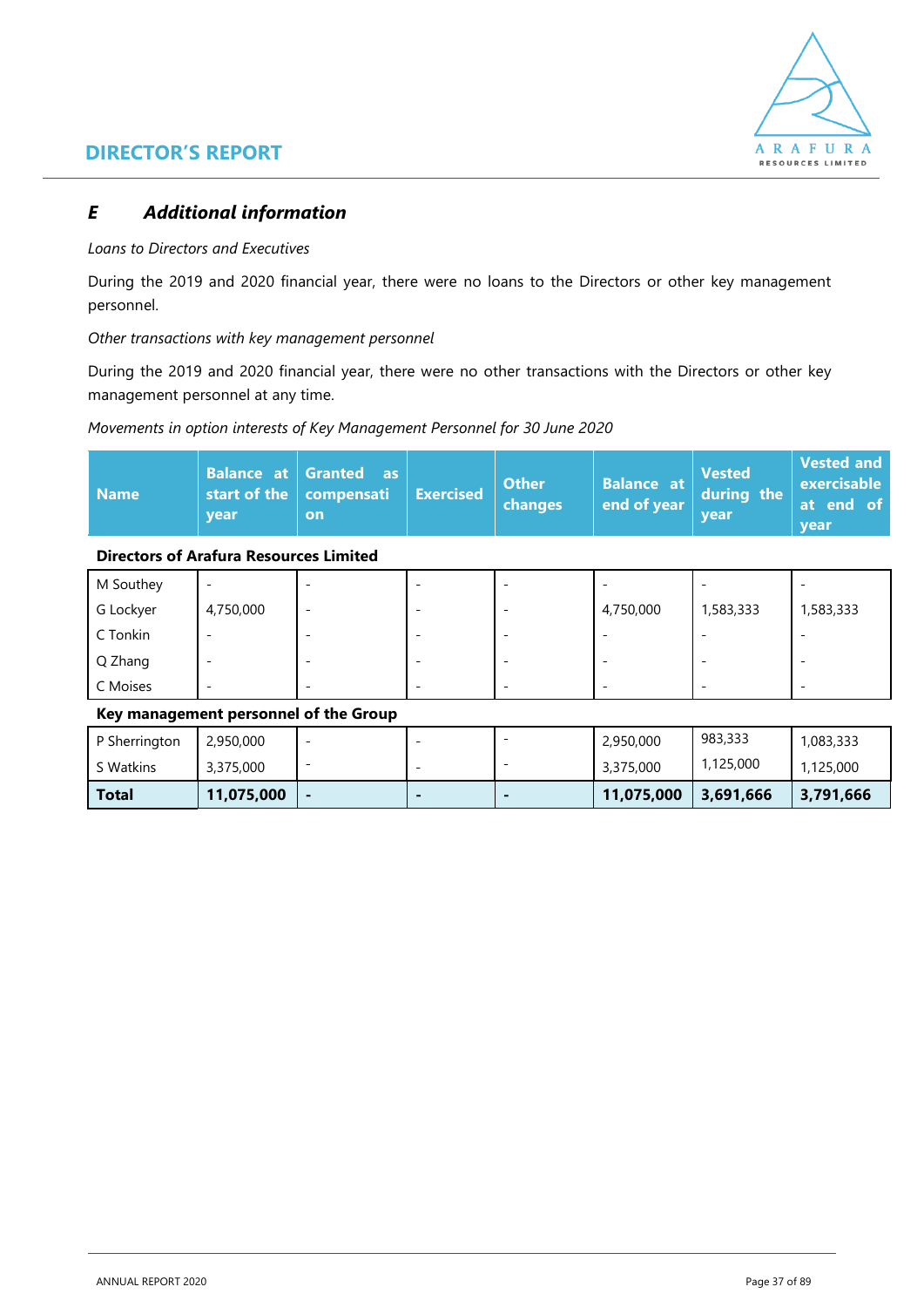

### **DIRECTOR'S REPORT**

### *E Additional information*

#### *Loans to Directors and Executives*

During the 2019 and 2020 financial year, there were no loans to the Directors or other key management personnel.

*Other transactions with key management personnel*

During the 2019 and 2020 financial year, there were no other transactions with the Directors or other key management personnel at any time.

#### *Movements in option interests of Key Management Personnel for 30 June 2020*

| <b>Name</b> | <b>vear</b> | $\mid$ Balance $\mid$ at $\mid$ Granted $\mid$ as $\mid$<br>start of the   compensati   Exercised  <br>on |  | <b>Other</b><br><b>changes</b> |  | Balance at Vested<br>end of year during the<br>vear | Vested and<br>$\vert$ exercisable<br>at end of<br>vear |
|-------------|-------------|-----------------------------------------------------------------------------------------------------------|--|--------------------------------|--|-----------------------------------------------------|--------------------------------------------------------|
|-------------|-------------|-----------------------------------------------------------------------------------------------------------|--|--------------------------------|--|-----------------------------------------------------|--------------------------------------------------------|

#### **Directors of Arafura Resources Limited**

| M Southey | $\overline{\phantom{0}}$ |                          |  |                          | $\overline{\phantom{0}}$ |           |
|-----------|--------------------------|--------------------------|--|--------------------------|--------------------------|-----------|
| G Lockyer | 4,750,000                | $\overline{\phantom{0}}$ |  | 4,750,000                | 1,583,333                | 1,583,333 |
| C Tonkin  | $\overline{\phantom{0}}$ |                          |  | $\overline{\phantom{0}}$ | $\overline{\phantom{0}}$ |           |
| Q Zhang   | -                        |                          |  |                          | $\overline{\phantom{0}}$ |           |
| C Moises  | -                        |                          |  | $\overline{\phantom{0}}$ | $\overline{\phantom{0}}$ |           |

#### **Key management personnel of the Group**

| P Sherrington | 2,950,000  |                          |  | 2,950,000  | 983,333   | 1,083,333 |
|---------------|------------|--------------------------|--|------------|-----------|-----------|
| S Watkins     | 3,375,000  | $\overline{\phantom{a}}$ |  | 3,375,000  | 1,125,000 | 1,125,000 |
| Total         | 11,075,000 | $\overline{\phantom{0}}$ |  | 11,075,000 | 3,691,666 | 3,791,666 |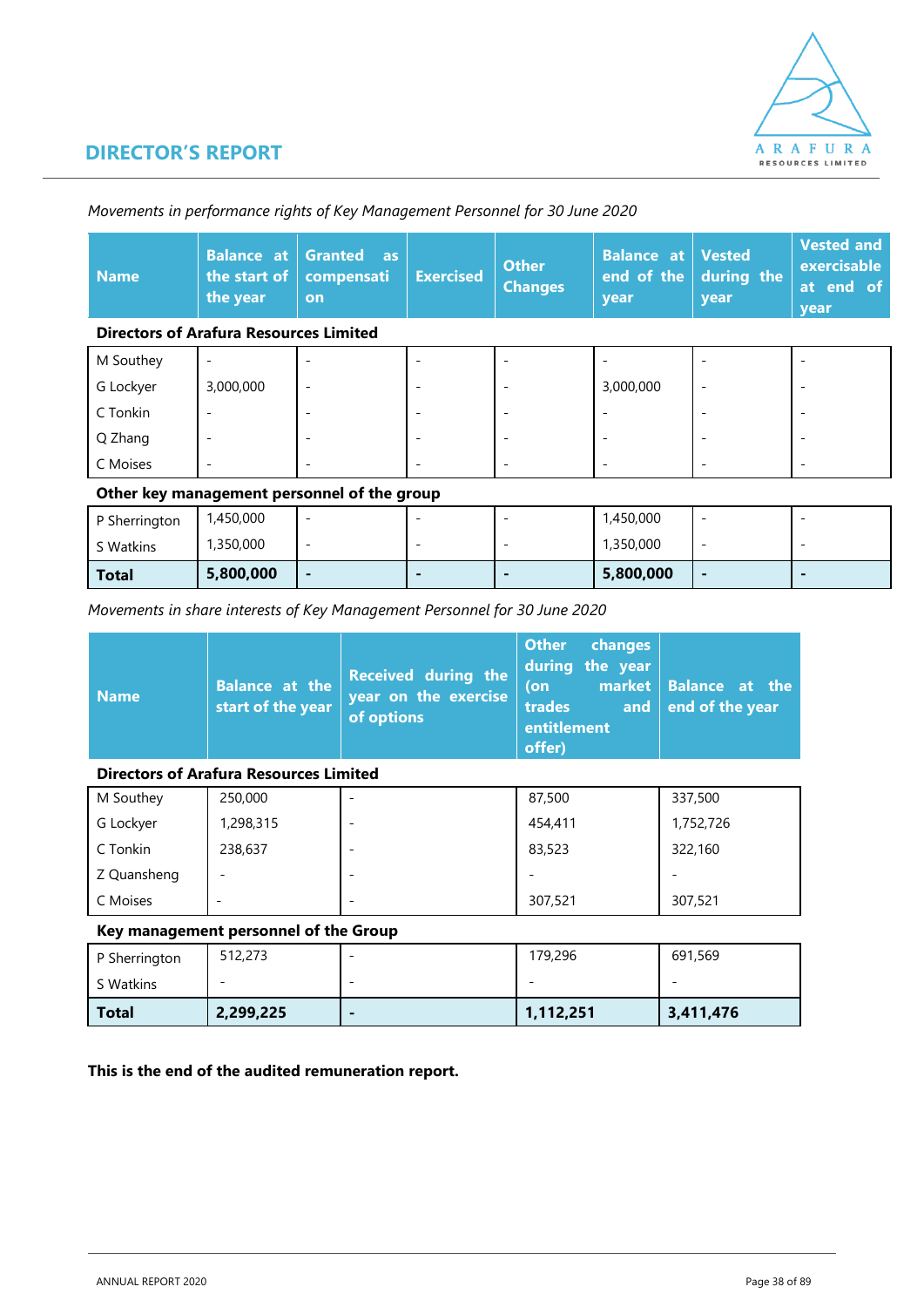

### **DIRECTOR'S REPORT**

| <b>Name</b>                                   | <b>Balance at</b><br>the start of<br>the year | <b>Granted</b><br>as<br>compensati<br><b>on</b> | <b>Exercised</b> | <b>Other</b><br><b>Changes</b> | <b>Balance at</b><br>end of the<br>year | <b>Vested</b><br>during the<br>year | <b>Vested and</b><br>exercisable<br>at end of<br>year |
|-----------------------------------------------|-----------------------------------------------|-------------------------------------------------|------------------|--------------------------------|-----------------------------------------|-------------------------------------|-------------------------------------------------------|
| <b>Directors of Arafura Resources Limited</b> |                                               |                                                 |                  |                                |                                         |                                     |                                                       |
| M Southey                                     |                                               |                                                 |                  |                                |                                         |                                     |                                                       |
| G Lockyer                                     | 3,000,000                                     |                                                 |                  |                                | 3,000,000                               | $\overline{a}$                      |                                                       |
| C Tonkin                                      | ۰                                             |                                                 |                  |                                |                                         |                                     |                                                       |
| Q Zhang                                       |                                               |                                                 | ۰                |                                |                                         |                                     |                                                       |
| C Moises                                      |                                               |                                                 | -                |                                |                                         |                                     |                                                       |
| Other key management personnel of the group   |                                               |                                                 |                  |                                |                                         |                                     |                                                       |

*Movements in performance rights of Key Management Personnel for 30 June 2020*

# P Sherrington 1,450,000 - | - | - | - | - | 1,450,000 | -

| ົ Watkins    | ,350,000  | - |  | ,350,000  | -   |  |
|--------------|-----------|---|--|-----------|-----|--|
| <b>Total</b> | 5,800,000 | - |  | 5,800,000 | . . |  |

*Movements in share interests of Key Management Personnel for 30 June 2020*

| <b>Name</b> | start of the year | $\begin{array}{ l l }\nBalandce at thestart of the yearof options\n\end{array}$ | <b>Other</b><br>(on<br>  trades<br>entitlement<br>offer) | changes<br>during the year | market Balance at the<br>and $ $ end of the year |
|-------------|-------------------|---------------------------------------------------------------------------------|----------------------------------------------------------|----------------------------|--------------------------------------------------|
|-------------|-------------------|---------------------------------------------------------------------------------|----------------------------------------------------------|----------------------------|--------------------------------------------------|

#### **Directors of Arafura Resources Limited**

| M Southey   | 250,000                      |   | 87,500  | 337,500   |
|-------------|------------------------------|---|---------|-----------|
| G Lockyer   | 1,298,315                    |   | 454,411 | 1,752,726 |
| C Tonkin    | 238,637                      |   | 83,523  | 322,160   |
| Z Quansheng | $\overline{\phantom{a}}$     |   |         |           |
| C Moises    | $\qquad \qquad \blacksquare$ | - | 307,521 | 307,521   |

#### **Key management personnel of the Group**

| P Sherrington | 512,273   | 179,296   | 691,569   |
|---------------|-----------|-----------|-----------|
| S Watkins     | -         | -         | -         |
| <b>Total</b>  | 2,299,225 | 1,112,251 | 3,411,476 |

**This is the end of the audited remuneration report.**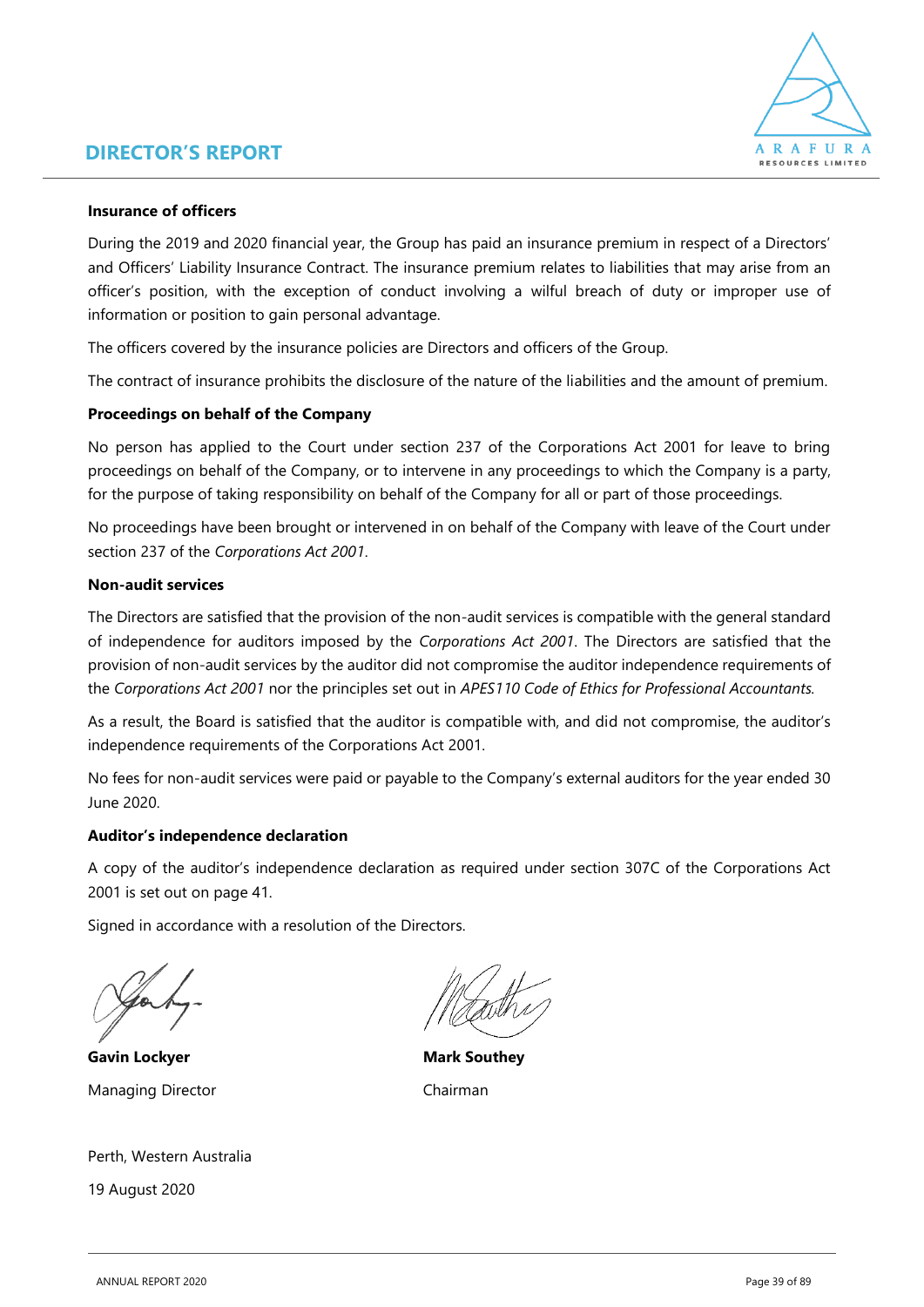### **DIRECTOR'S REPORT**



#### **Insurance of officers**

During the 2019 and 2020 financial year, the Group has paid an insurance premium in respect of a Directors' and Officers' Liability Insurance Contract. The insurance premium relates to liabilities that may arise from an officer's position, with the exception of conduct involving a wilful breach of duty or improper use of information or position to gain personal advantage.

The officers covered by the insurance policies are Directors and officers of the Group*.*

The contract of insurance prohibits the disclosure of the nature of the liabilities and the amount of premium.

#### **Proceedings on behalf of the Company**

No person has applied to the Court under section 237 of the Corporations Act 2001 for leave to bring proceedings on behalf of the Company, or to intervene in any proceedings to which the Company is a party, for the purpose of taking responsibility on behalf of the Company for all or part of those proceedings.

No proceedings have been brought or intervened in on behalf of the Company with leave of the Court under section 237 of the *Corporations Act 2001*.

#### **Non-audit services**

The Directors are satisfied that the provision of the non-audit services is compatible with the general standard of independence for auditors imposed by the *Corporations Act 2001*. The Directors are satisfied that the provision of non-audit services by the auditor did not compromise the auditor independence requirements of the *Corporations Act 2001* nor the principles set out in *APES110 Code of Ethics for Professional Accountants.*

As a result, the Board is satisfied that the auditor is compatible with, and did not compromise, the auditor's independence requirements of the Corporations Act 2001.

No fees for non-audit services were paid or payable to the Company's external auditors for the year ended 30 June 2020.

#### **Auditor's independence declaration**

A copy of the auditor's independence declaration as required under section 307C of the Corporations Act 2001 is set out on page 41.

Signed in accordance with a resolution of the Directors.

**Gavin Lockyer Mark Southey** Managing Director **Chairman** 

Perth, Western Australia 19 August 2020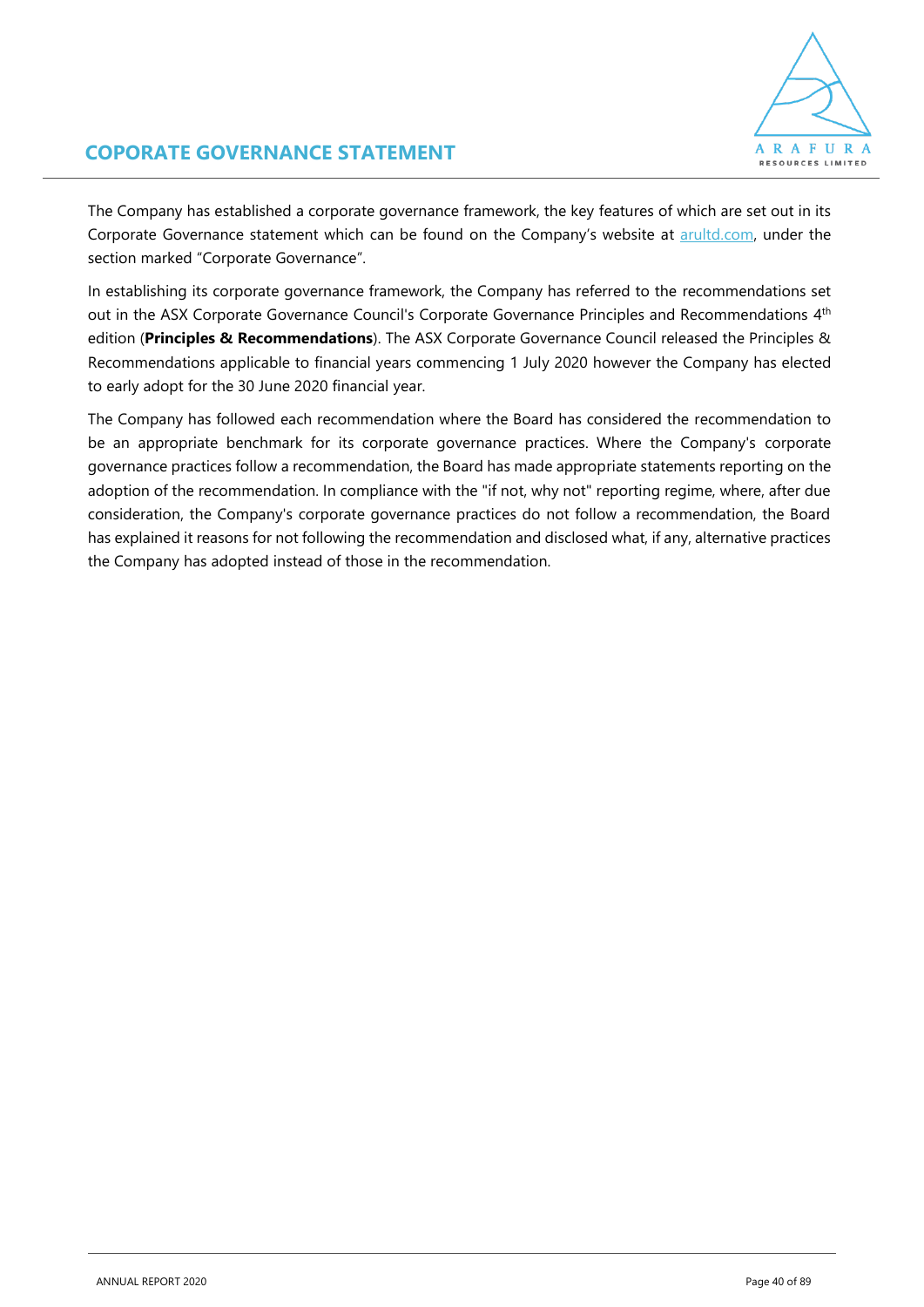

### **COPORATE GOVERNANCE STATEMENT**

The Company has established a corporate governance framework, the key features of which are set out in its Corporate Governance statement which can be found on the Company's website at [arultd.com,](https://www.arultd.com/) under the section marked "Corporate Governance".

In establishing its corporate governance framework, the Company has referred to the recommendations set out in the ASX Corporate Governance Council's Corporate Governance Principles and Recommendations  $4<sup>th</sup>$ edition (**Principles & Recommendations**). The ASX Corporate Governance Council released the Principles & Recommendations applicable to financial years commencing 1 July 2020 however the Company has elected to early adopt for the 30 June 2020 financial year.

The Company has followed each recommendation where the Board has considered the recommendation to be an appropriate benchmark for its corporate governance practices. Where the Company's corporate governance practices follow a recommendation, the Board has made appropriate statements reporting on the adoption of the recommendation. In compliance with the "if not, why not" reporting regime, where, after due consideration, the Company's corporate governance practices do not follow a recommendation, the Board has explained it reasons for not following the recommendation and disclosed what, if any, alternative practices the Company has adopted instead of those in the recommendation.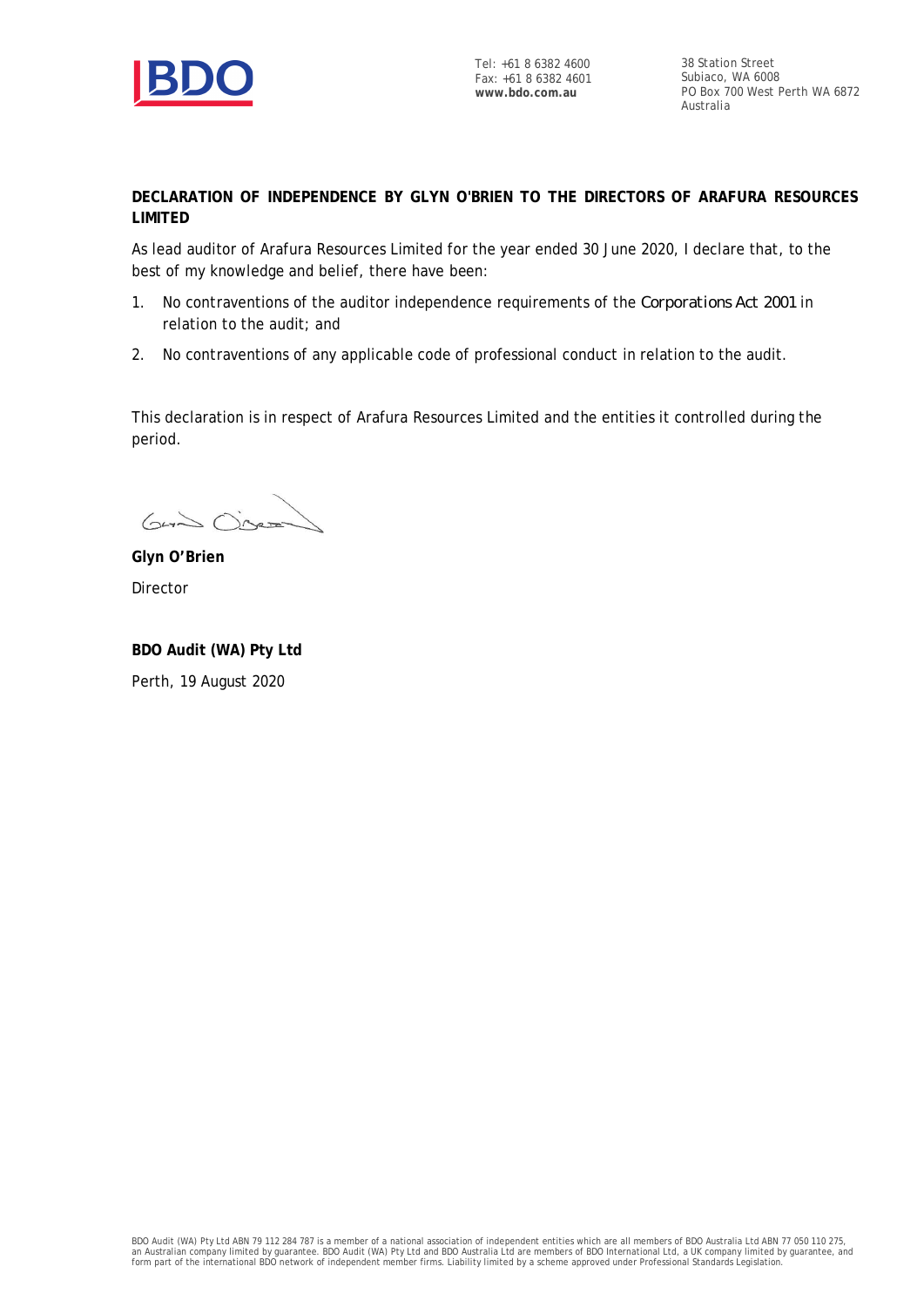

38 Station Street Subiaco, WA 6008 PO Box 700 West Perth WA 6872 Australia

**DECLARATION OF INDEPENDENCE BY GLYN O'BRIEN TO THE DIRECTORS OF ARAFURA RESOURCES LIMITED**

As lead auditor of Arafura Resources Limited for the year ended 30 June 2020, I declare that, to the best of my knowledge and belief, there have been:

- 1. No contraventions of the auditor independence requirements of the *Corporations Act 2001* in relation to the audit; and
- 2. No contraventions of any applicable code of professional conduct in relation to the audit.

This declaration is in respect of Arafura Resources Limited and the entities it controlled during the period.

Guin Oisean

**Glyn O'Brien** Director

**BDO Audit (WA) Pty Ltd** Perth, 19 August 2020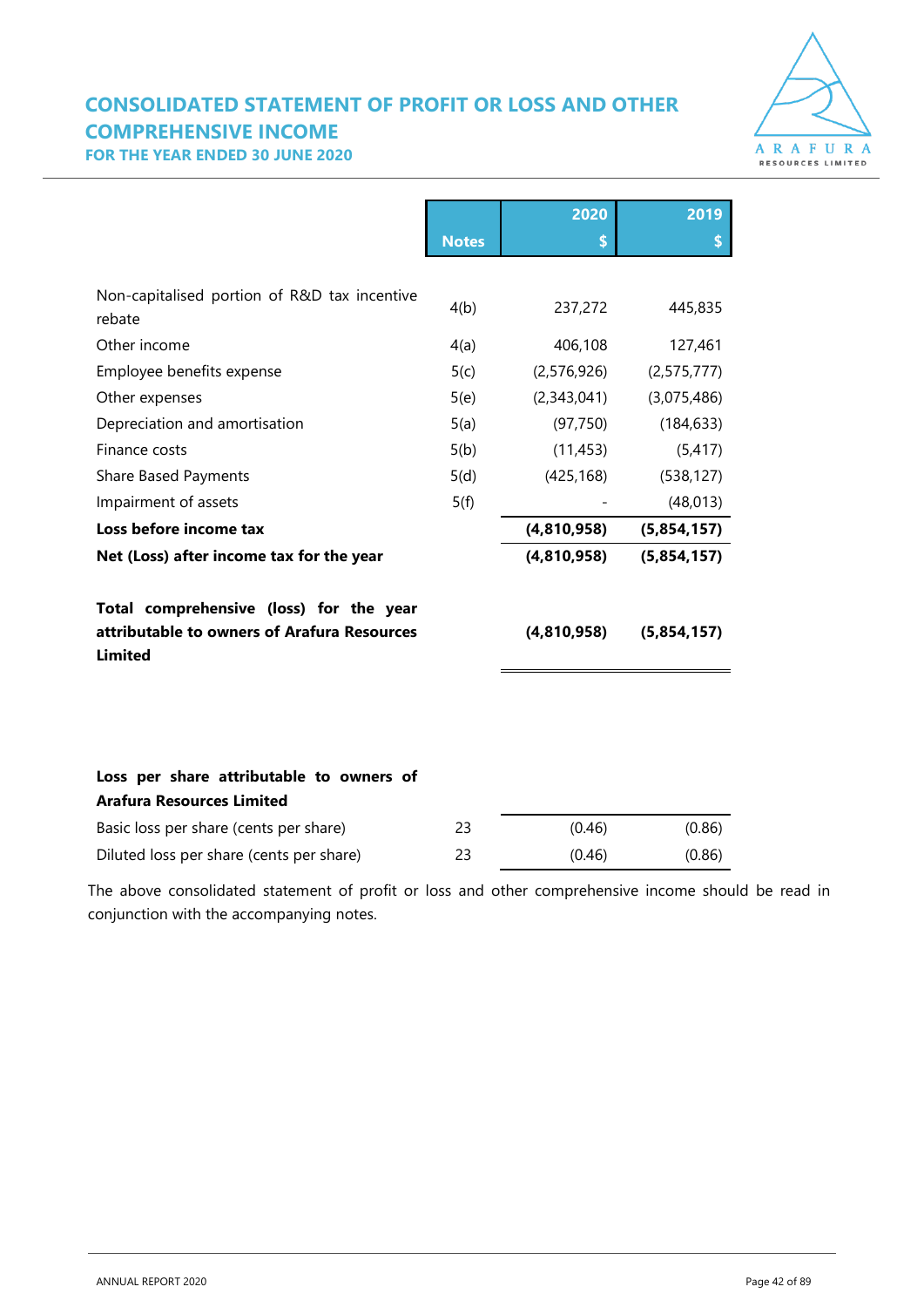## **CONSOLIDATED STATEMENT OF PROFIT OR LOSS AND OTHER COMPREHENSIVE INCOME**



**FOR THE YEAR ENDED 30 JUNE 2020**

|                                                               |              | 2020          | 2019          |
|---------------------------------------------------------------|--------------|---------------|---------------|
|                                                               | <b>Notes</b> | \$            | \$            |
|                                                               |              |               |               |
| Non-capitalised portion of R&D tax incentive<br>rebate        | 4(b)         | 237,272       | 445,835       |
| Other income                                                  | 4(a)         | 406,108       | 127,461       |
| Employee benefits expense                                     | 5(c)         | (2, 576, 926) | (2, 575, 777) |
| Other expenses                                                | 5(e)         | (2,343,041)   | (3,075,486)   |
| Depreciation and amortisation                                 | 5(a)         | (97, 750)     | (184, 633)    |
| Finance costs                                                 | 5(b)         | (11, 453)     | (5, 417)      |
| <b>Share Based Payments</b>                                   | 5(d)         | (425, 168)    | (538, 127)    |
| Impairment of assets                                          | 5(f)         |               | (48, 013)     |
| Loss before income tax                                        |              | (4,810,958)   | (5,854,157)   |
| Net (Loss) after income tax for the year                      |              | (4,810,958)   | (5,854,157)   |
| Total comprehensive (loss) for the year                       |              |               |               |
| attributable to owners of Arafura Resources<br><b>Limited</b> |              | (4,810,958)   | (5,854,157)   |
|                                                               |              |               |               |
|                                                               |              |               |               |
| Loss per share attributable to owners of                      |              |               |               |
| <b>Arafura Resources Limited</b>                              |              |               |               |
| Basic loss per share (cents per share)                        | 23           | (0.46)        | (0.86)        |
| Diluted loss per share (cents per share)                      | 23           | (0.46)        | (0.86)        |

The above consolidated statement of profit or loss and other comprehensive income should be read in conjunction with the accompanying notes.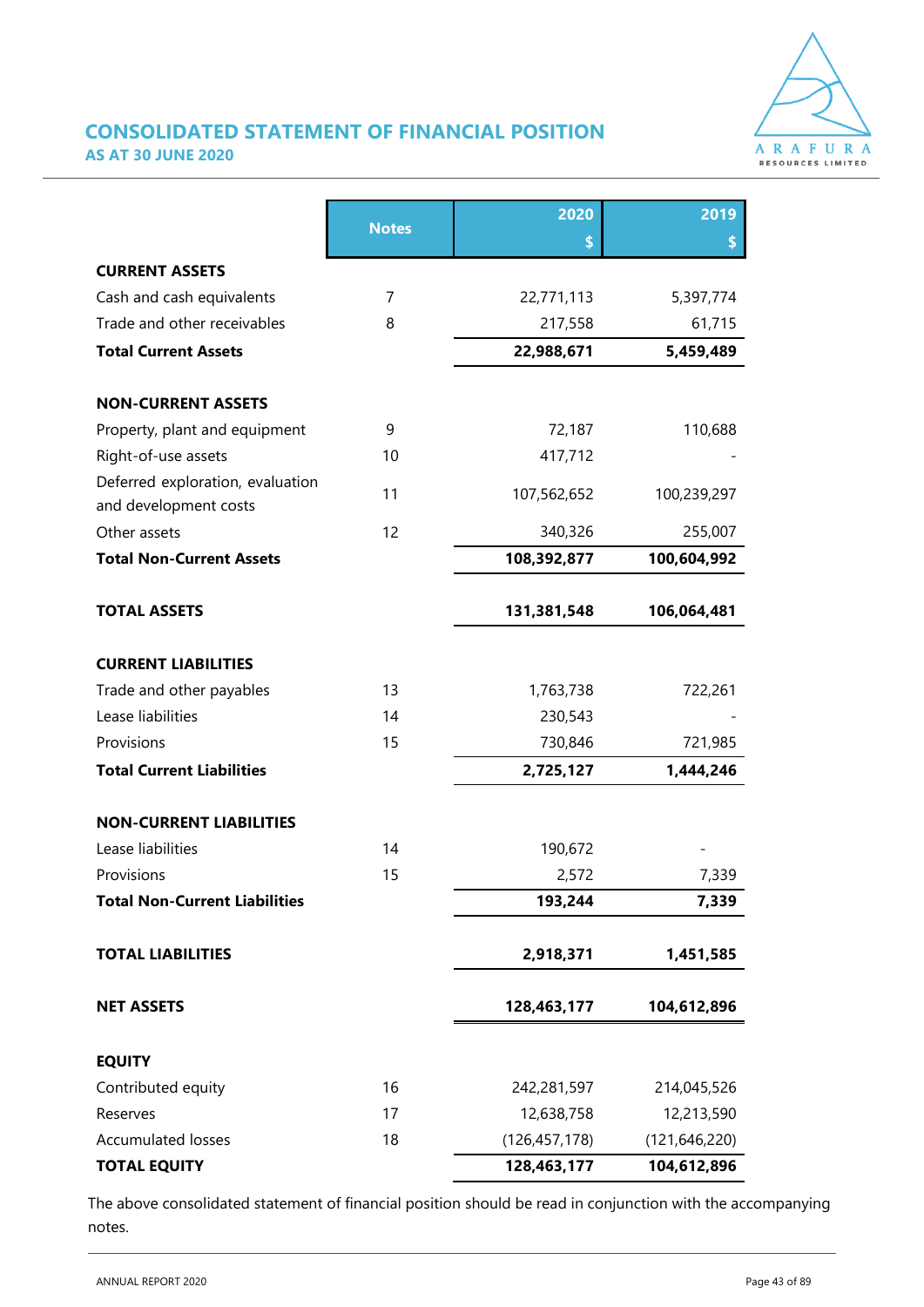

### **CONSOLIDATED STATEMENT OF FINANCIAL POSITION AS AT 30 JUNE 2020**

|                                                           |              | 2020            | 2019            |  |
|-----------------------------------------------------------|--------------|-----------------|-----------------|--|
|                                                           | <b>Notes</b> | \$              | \$              |  |
| <b>CURRENT ASSETS</b>                                     |              |                 |                 |  |
| Cash and cash equivalents                                 | 7            | 22,771,113      | 5,397,774       |  |
| Trade and other receivables                               | 8            | 217,558         | 61,715          |  |
| <b>Total Current Assets</b>                               |              | 22,988,671      | 5,459,489       |  |
| <b>NON-CURRENT ASSETS</b>                                 |              |                 |                 |  |
| Property, plant and equipment                             | 9            | 72,187          | 110,688         |  |
| Right-of-use assets                                       | 10           | 417,712         |                 |  |
| Deferred exploration, evaluation<br>and development costs | 11           | 107,562,652     | 100,239,297     |  |
| Other assets                                              | 12           | 340,326         | 255,007         |  |
| <b>Total Non-Current Assets</b>                           |              | 108,392,877     | 100,604,992     |  |
| <b>TOTAL ASSETS</b>                                       |              | 131,381,548     | 106,064,481     |  |
| <b>CURRENT LIABILITIES</b>                                |              |                 |                 |  |
| Trade and other payables                                  | 13           | 1,763,738       | 722,261         |  |
| Lease liabilities                                         | 14           | 230,543         |                 |  |
| Provisions                                                | 15           | 730,846         | 721,985         |  |
| <b>Total Current Liabilities</b>                          |              | 2,725,127       | 1,444,246       |  |
| <b>NON-CURRENT LIABILITIES</b>                            |              |                 |                 |  |
| Lease liabilities                                         | 14           | 190,672         |                 |  |
| Provisions                                                | 15           | 2,572           | 7,339           |  |
| <b>Total Non-Current Liabilities</b>                      |              | 193,244         | 7,339           |  |
| <b>TOTAL LIABILITIES</b>                                  |              | 2,918,371       | 1,451,585       |  |
| <b>NET ASSETS</b>                                         |              | 128,463,177     | 104,612,896     |  |
| <b>EQUITY</b>                                             |              |                 |                 |  |
| Contributed equity                                        | 16           | 242,281,597     | 214,045,526     |  |
| Reserves                                                  | 17           | 12,638,758      | 12,213,590      |  |
| <b>Accumulated losses</b>                                 | 18           | (126, 457, 178) | (121, 646, 220) |  |
| <b>TOTAL EQUITY</b>                                       |              | 128,463,177     | 104,612,896     |  |

The above consolidated statement of financial position should be read in conjunction with the accompanying notes.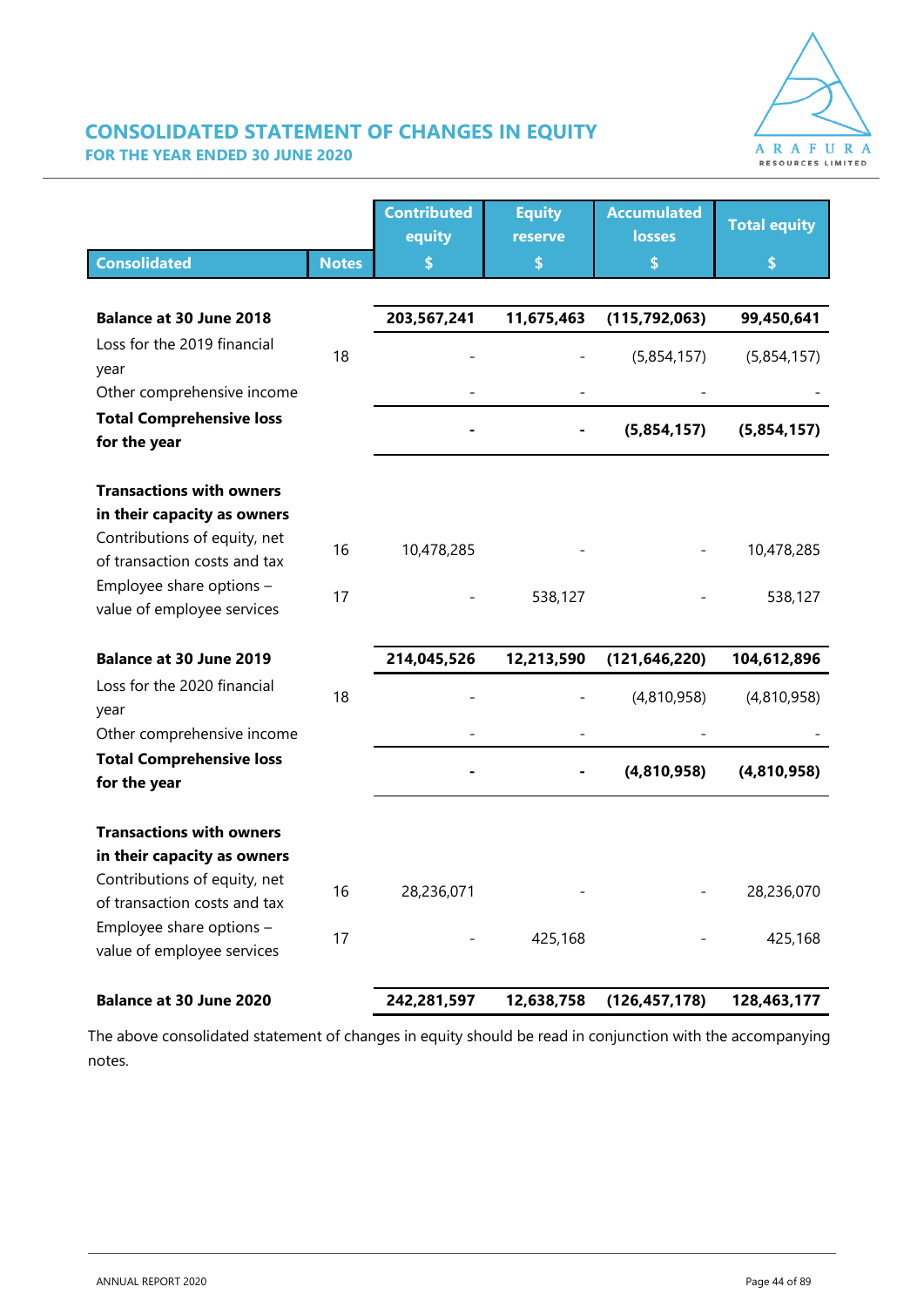

### **CONSOLIDATED STATEMENT OF CHANGES IN EQUITY FOR THE YEAR ENDED 30 JUNE 2020**

|                                                              |              | <b>Contributed</b><br>equity | <b>Equity</b><br>reserve | <b>Accumulated</b><br><b>losses</b> | <b>Total equity</b> |
|--------------------------------------------------------------|--------------|------------------------------|--------------------------|-------------------------------------|---------------------|
| <b>Consolidated</b>                                          | <b>Notes</b> | \$                           | \$                       | \$                                  | \$                  |
|                                                              |              |                              |                          |                                     |                     |
| <b>Balance at 30 June 2018</b>                               |              | 203,567,241                  | 11,675,463               | (115, 792, 063)                     | 99,450,641          |
| Loss for the 2019 financial<br>year                          | 18           |                              |                          | (5,854,157)                         | (5,854,157)         |
| Other comprehensive income                                   |              |                              |                          |                                     |                     |
| <b>Total Comprehensive loss</b><br>for the year              |              |                              |                          | (5,854,157)                         | (5,854,157)         |
| <b>Transactions with owners</b>                              |              |                              |                          |                                     |                     |
| in their capacity as owners                                  |              |                              |                          |                                     |                     |
| Contributions of equity, net<br>of transaction costs and tax | 16           | 10,478,285                   |                          |                                     | 10,478,285          |
| Employee share options -<br>value of employee services       | 17           |                              | 538,127                  |                                     | 538,127             |
| <b>Balance at 30 June 2019</b>                               |              | 214,045,526                  | 12,213,590               | (121, 646, 220)                     | 104,612,896         |
| Loss for the 2020 financial<br>year                          | 18           |                              |                          | (4,810,958)                         | (4,810,958)         |
| Other comprehensive income                                   |              |                              |                          |                                     |                     |
| <b>Total Comprehensive loss</b><br>for the year              |              |                              |                          | (4,810,958)                         | (4,810,958)         |
| <b>Transactions with owners</b>                              |              |                              |                          |                                     |                     |
| in their capacity as owners                                  |              |                              |                          |                                     |                     |
| Contributions of equity, net<br>of transaction costs and tax | 16           | 28,236,071                   |                          |                                     | 28,236,070          |
| Employee share options -<br>value of employee services       | 17           |                              | 425,168                  |                                     | 425,168             |
| <b>Balance at 30 June 2020</b>                               |              | 242,281,597                  | 12,638,758               | (126, 457, 178)                     | 128,463,177         |

The above consolidated statement of changes in equity should be read in conjunction with the accompanying notes.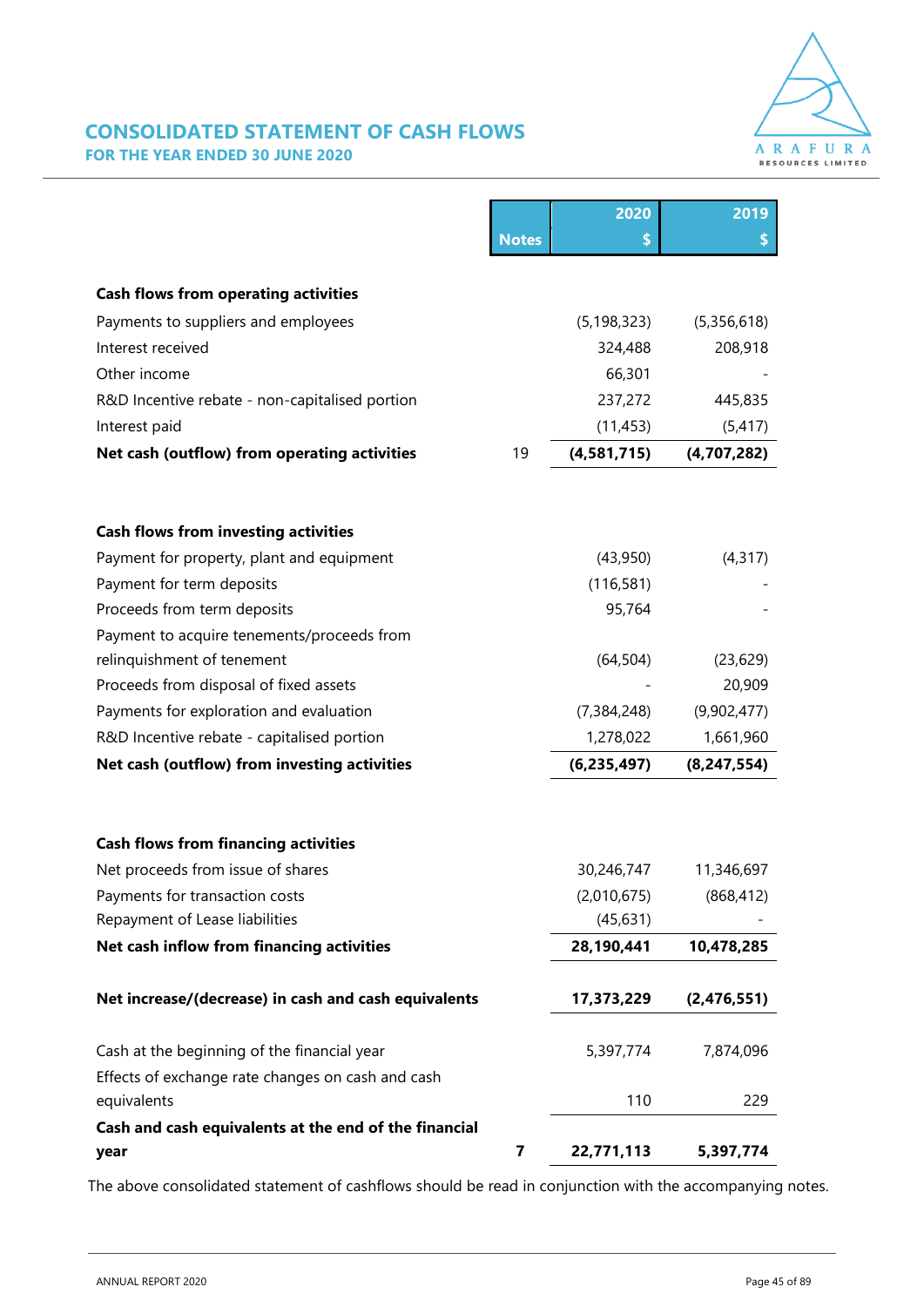

### **CONSOLIDATED STATEMENT OF CASH FLOWS FOR THE YEAR ENDED 30 JUNE 2020**

|                                                       |              | 2020          | 2019          |
|-------------------------------------------------------|--------------|---------------|---------------|
|                                                       | <b>Notes</b> | \$            |               |
|                                                       |              |               |               |
| <b>Cash flows from operating activities</b>           |              |               |               |
| Payments to suppliers and employees                   |              | (5, 198, 323) | (5,356,618)   |
| Interest received                                     |              | 324,488       | 208,918       |
| Other income                                          |              | 66,301        |               |
| R&D Incentive rebate - non-capitalised portion        |              | 237,272       | 445,835       |
| Interest paid                                         |              | (11, 453)     | (5, 417)      |
| Net cash (outflow) from operating activities          | 19           | (4, 581, 715) | (4,707,282)   |
|                                                       |              |               |               |
| <b>Cash flows from investing activities</b>           |              |               |               |
| Payment for property, plant and equipment             |              | (43,950)      | (4, 317)      |
| Payment for term deposits                             |              | (116, 581)    |               |
| Proceeds from term deposits                           |              | 95,764        |               |
| Payment to acquire tenements/proceeds from            |              |               |               |
| relinquishment of tenement                            |              | (64, 504)     | (23, 629)     |
| Proceeds from disposal of fixed assets                |              |               | 20,909        |
| Payments for exploration and evaluation               |              | (7, 384, 248) | (9,902,477)   |
| R&D Incentive rebate - capitalised portion            |              | 1,278,022     | 1,661,960     |
| Net cash (outflow) from investing activities          |              | (6, 235, 497) | (8, 247, 554) |
| <b>Cash flows from financing activities</b>           |              |               |               |
| Net proceeds from issue of shares                     |              | 30,246,747    | 11,346,697    |
| Payments for transaction costs                        |              | (2,010,675)   | (868, 412)    |
| Repayment of Lease liabilities                        |              | (45, 631)     |               |
| Net cash inflow from financing activities             |              | 28,190,441    | 10,478,285    |
| Net increase/(decrease) in cash and cash equivalents  |              | 17,373,229    | (2,476,551)   |
| Cash at the beginning of the financial year           |              | 5,397,774     | 7,874,096     |
| Effects of exchange rate changes on cash and cash     |              |               |               |
| equivalents                                           |              | 110           | 229           |
| Cash and cash equivalents at the end of the financial |              |               |               |
| year                                                  | 7            | 22,771,113    | 5,397,774     |

The above consolidated statement of cashflows should be read in conjunction with the accompanying notes.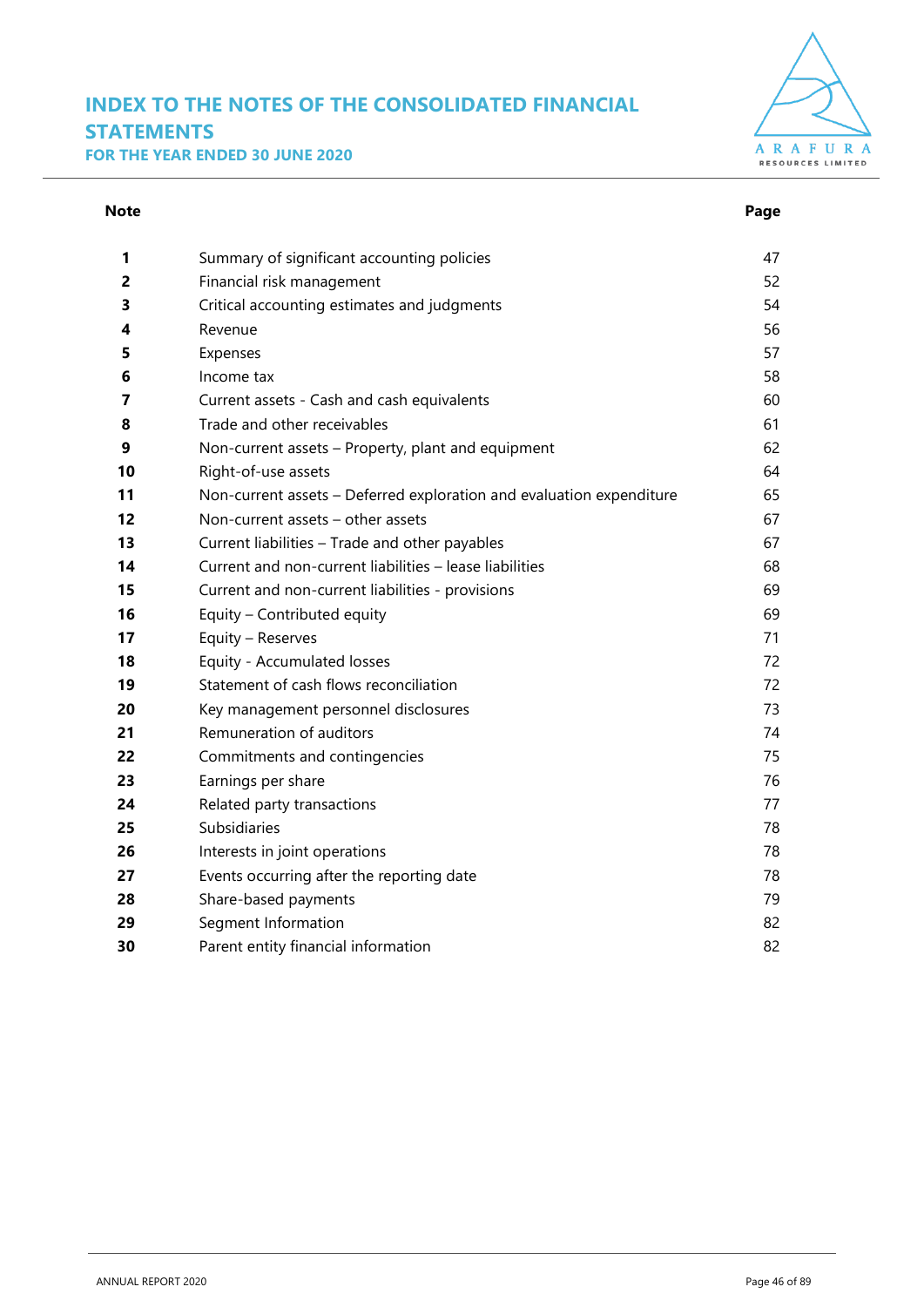### **INDEX TO THE NOTES OF THE CONSOLIDATED FINANCIAL STATEMENTS FOR THE YEAR ENDED 30 JUNE 2020**



#### **Note** Page **Page**

| 1  | Summary of significant accounting policies                           | 47 |
|----|----------------------------------------------------------------------|----|
| 2  | Financial risk management                                            | 52 |
| 3  | Critical accounting estimates and judgments                          | 54 |
| 4  | Revenue                                                              | 56 |
| 5  | Expenses                                                             | 57 |
| 6  | Income tax                                                           | 58 |
| 7  | Current assets - Cash and cash equivalents                           | 60 |
| 8  | Trade and other receivables                                          | 61 |
| 9  | Non-current assets - Property, plant and equipment                   | 62 |
| 10 | Right-of-use assets                                                  | 64 |
| 11 | Non-current assets - Deferred exploration and evaluation expenditure | 65 |
| 12 | Non-current assets - other assets                                    | 67 |
| 13 | Current liabilities - Trade and other payables                       | 67 |
| 14 | Current and non-current liabilities - lease liabilities              | 68 |
| 15 | Current and non-current liabilities - provisions                     | 69 |
| 16 | Equity - Contributed equity                                          | 69 |
| 17 | Equity - Reserves                                                    | 71 |
| 18 | Equity - Accumulated losses                                          | 72 |
| 19 | Statement of cash flows reconciliation                               | 72 |
| 20 | Key management personnel disclosures                                 | 73 |
| 21 | Remuneration of auditors                                             | 74 |
| 22 | Commitments and contingencies                                        | 75 |
| 23 | Earnings per share                                                   | 76 |
| 24 | Related party transactions                                           | 77 |
| 25 | Subsidiaries                                                         | 78 |
| 26 | Interests in joint operations                                        | 78 |
| 27 | Events occurring after the reporting date                            | 78 |
| 28 | Share-based payments                                                 | 79 |
| 29 | Segment Information                                                  | 82 |
| 30 | Parent entity financial information                                  | 82 |
|    |                                                                      |    |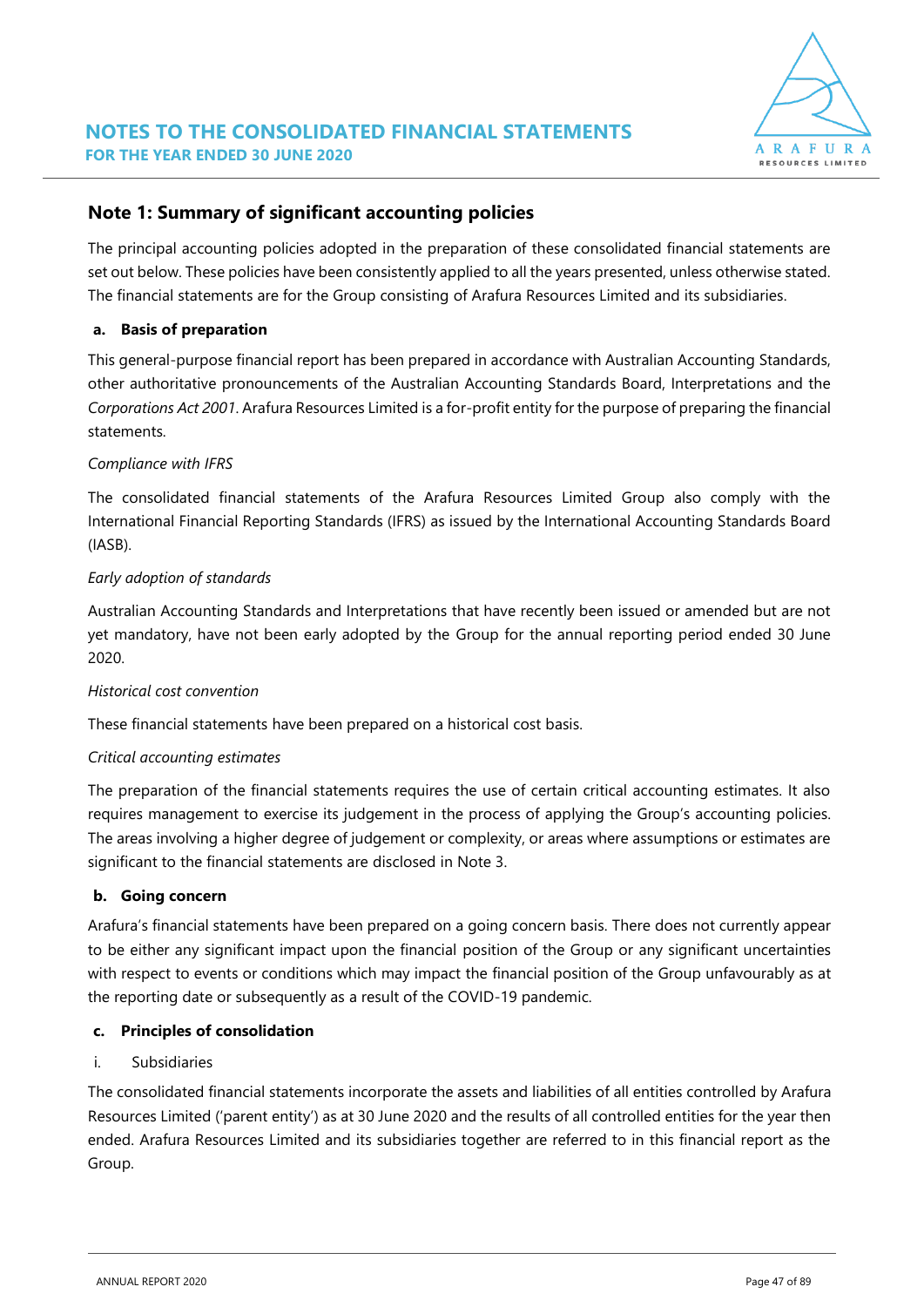

### **Note 1: Summary of significant accounting policies**

The principal accounting policies adopted in the preparation of these consolidated financial statements are set out below. These policies have been consistently applied to all the years presented, unless otherwise stated. The financial statements are for the Group consisting of Arafura Resources Limited and its subsidiaries.

#### **a. Basis of preparation**

This general-purpose financial report has been prepared in accordance with Australian Accounting Standards, other authoritative pronouncements of the Australian Accounting Standards Board, Interpretations and the *Corporations Act 2001*. Arafura Resources Limited is a for-profit entity for the purpose of preparing the financial statements.

#### *Compliance with IFRS*

The consolidated financial statements of the Arafura Resources Limited Group also comply with the International Financial Reporting Standards (IFRS) as issued by the International Accounting Standards Board (IASB).

#### *Early adoption of standards*

Australian Accounting Standards and Interpretations that have recently been issued or amended but are not yet mandatory, have not been early adopted by the Group for the annual reporting period ended 30 June 2020.

#### *Historical cost convention*

These financial statements have been prepared on a historical cost basis.

#### *Critical accounting estimates*

The preparation of the financial statements requires the use of certain critical accounting estimates. It also requires management to exercise its judgement in the process of applying the Group's accounting policies. The areas involving a higher degree of judgement or complexity, or areas where assumptions or estimates are significant to the financial statements are disclosed in Note 3.

#### **b. Going concern**

Arafura's financial statements have been prepared on a going concern basis. There does not currently appear to be either any significant impact upon the financial position of the Group or any significant uncertainties with respect to events or conditions which may impact the financial position of the Group unfavourably as at the reporting date or subsequently as a result of the COVID-19 pandemic.

#### **c. Principles of consolidation**

#### i. Subsidiaries

The consolidated financial statements incorporate the assets and liabilities of all entities controlled by Arafura Resources Limited ('parent entity') as at 30 June 2020 and the results of all controlled entities for the year then ended. Arafura Resources Limited and its subsidiaries together are referred to in this financial report as the Group.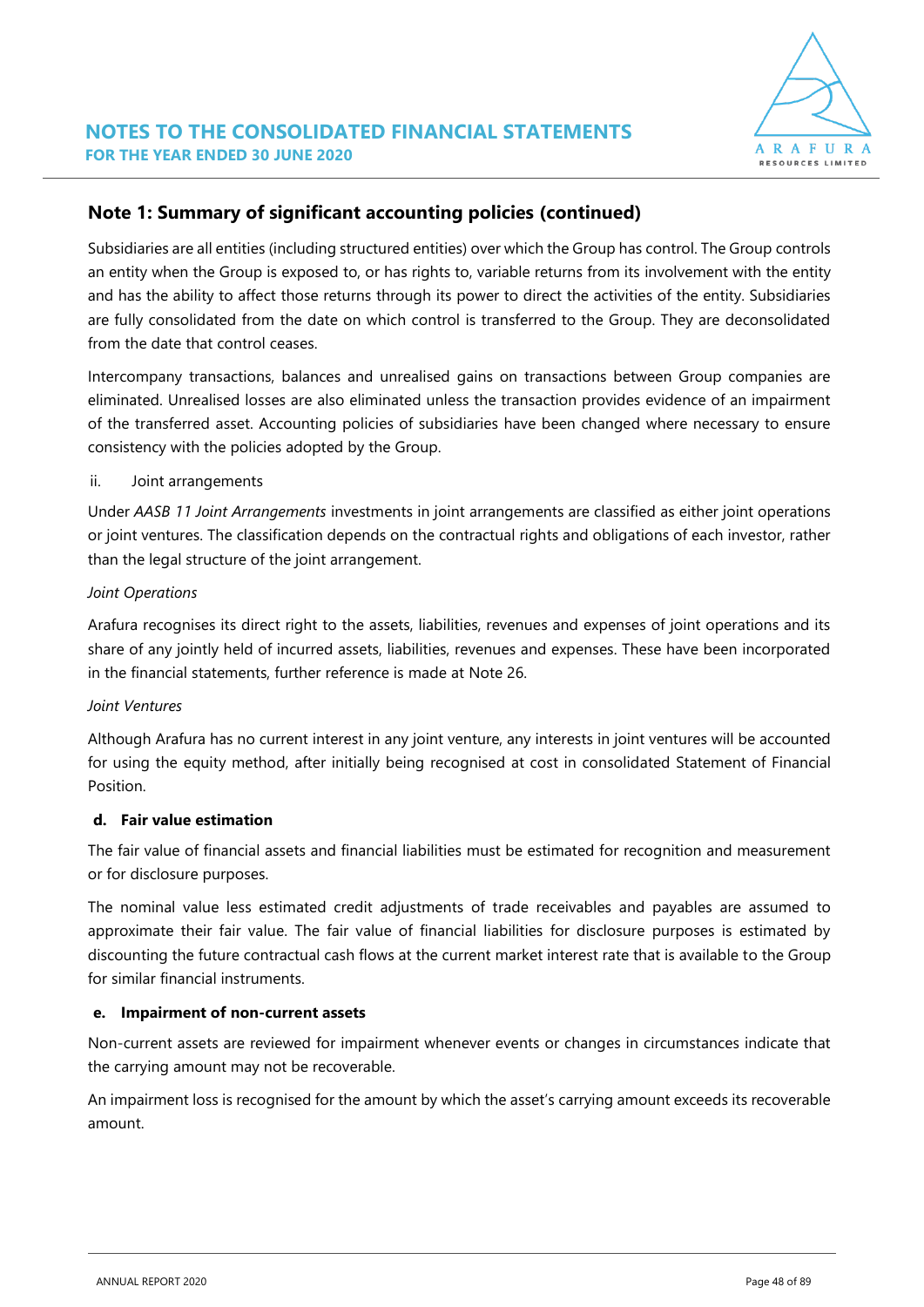

Subsidiaries are all entities (including structured entities) over which the Group has control. The Group controls an entity when the Group is exposed to, or has rights to, variable returns from its involvement with the entity and has the ability to affect those returns through its power to direct the activities of the entity. Subsidiaries are fully consolidated from the date on which control is transferred to the Group. They are deconsolidated from the date that control ceases.

Intercompany transactions, balances and unrealised gains on transactions between Group companies are eliminated. Unrealised losses are also eliminated unless the transaction provides evidence of an impairment of the transferred asset. Accounting policies of subsidiaries have been changed where necessary to ensure consistency with the policies adopted by the Group.

#### ii. Joint arrangements

Under *AASB 11 Joint Arrangements* investments in joint arrangements are classified as either joint operations or joint ventures. The classification depends on the contractual rights and obligations of each investor, rather than the legal structure of the joint arrangement.

#### *Joint Operations*

Arafura recognises its direct right to the assets, liabilities, revenues and expenses of joint operations and its share of any jointly held of incurred assets, liabilities, revenues and expenses. These have been incorporated in the financial statements, further reference is made at Note 26.

#### *Joint Ventures*

Although Arafura has no current interest in any joint venture, any interests in joint ventures will be accounted for using the equity method, after initially being recognised at cost in consolidated Statement of Financial Position.

#### **d. Fair value estimation**

The fair value of financial assets and financial liabilities must be estimated for recognition and measurement or for disclosure purposes.

The nominal value less estimated credit adjustments of trade receivables and payables are assumed to approximate their fair value. The fair value of financial liabilities for disclosure purposes is estimated by discounting the future contractual cash flows at the current market interest rate that is available to the Group for similar financial instruments.

#### **e. Impairment of non-current assets**

Non-current assets are reviewed for impairment whenever events or changes in circumstances indicate that the carrying amount may not be recoverable.

An impairment loss is recognised for the amount by which the asset's carrying amount exceeds its recoverable amount.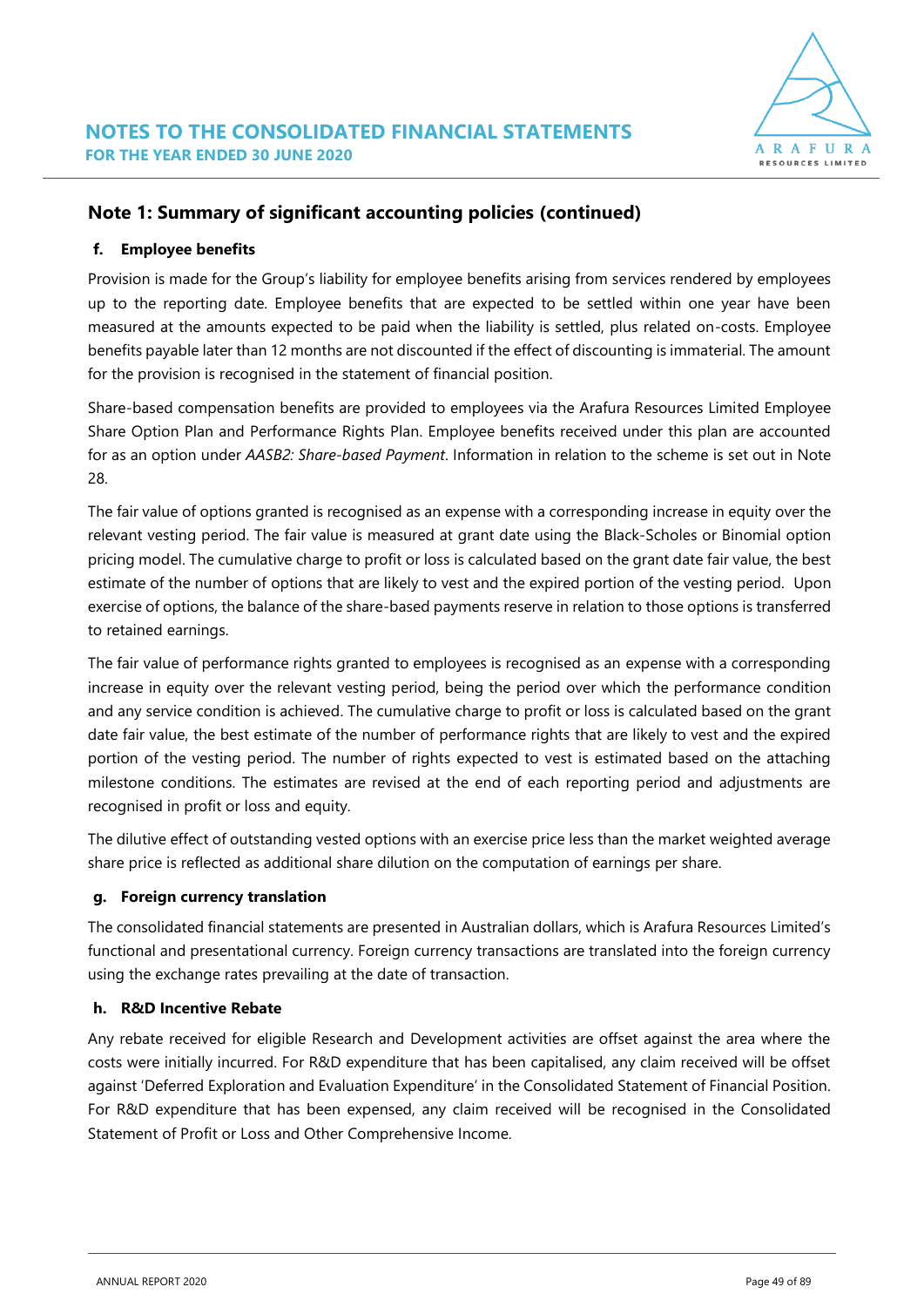

#### **f. Employee benefits**

Provision is made for the Group's liability for employee benefits arising from services rendered by employees up to the reporting date. Employee benefits that are expected to be settled within one year have been measured at the amounts expected to be paid when the liability is settled, plus related on-costs. Employee benefits payable later than 12 months are not discounted if the effect of discounting is immaterial. The amount for the provision is recognised in the statement of financial position.

Share-based compensation benefits are provided to employees via the Arafura Resources Limited Employee Share Option Plan and Performance Rights Plan. Employee benefits received under this plan are accounted for as an option under *AASB2: Share-based Payment*. Information in relation to the scheme is set out in Note 28.

The fair value of options granted is recognised as an expense with a corresponding increase in equity over the relevant vesting period. The fair value is measured at grant date using the Black-Scholes or Binomial option pricing model. The cumulative charge to profit or loss is calculated based on the grant date fair value, the best estimate of the number of options that are likely to vest and the expired portion of the vesting period. Upon exercise of options, the balance of the share-based payments reserve in relation to those options is transferred to retained earnings.

The fair value of performance rights granted to employees is recognised as an expense with a corresponding increase in equity over the relevant vesting period, being the period over which the performance condition and any service condition is achieved. The cumulative charge to profit or loss is calculated based on the grant date fair value, the best estimate of the number of performance rights that are likely to vest and the expired portion of the vesting period. The number of rights expected to vest is estimated based on the attaching milestone conditions. The estimates are revised at the end of each reporting period and adjustments are recognised in profit or loss and equity.

The dilutive effect of outstanding vested options with an exercise price less than the market weighted average share price is reflected as additional share dilution on the computation of earnings per share.

#### **g. Foreign currency translation**

The consolidated financial statements are presented in Australian dollars, which is Arafura Resources Limited's functional and presentational currency. Foreign currency transactions are translated into the foreign currency using the exchange rates prevailing at the date of transaction.

#### **h. R&D Incentive Rebate**

Any rebate received for eligible Research and Development activities are offset against the area where the costs were initially incurred. For R&D expenditure that has been capitalised, any claim received will be offset against 'Deferred Exploration and Evaluation Expenditure' in the Consolidated Statement of Financial Position. For R&D expenditure that has been expensed, any claim received will be recognised in the Consolidated Statement of Profit or Loss and Other Comprehensive Income.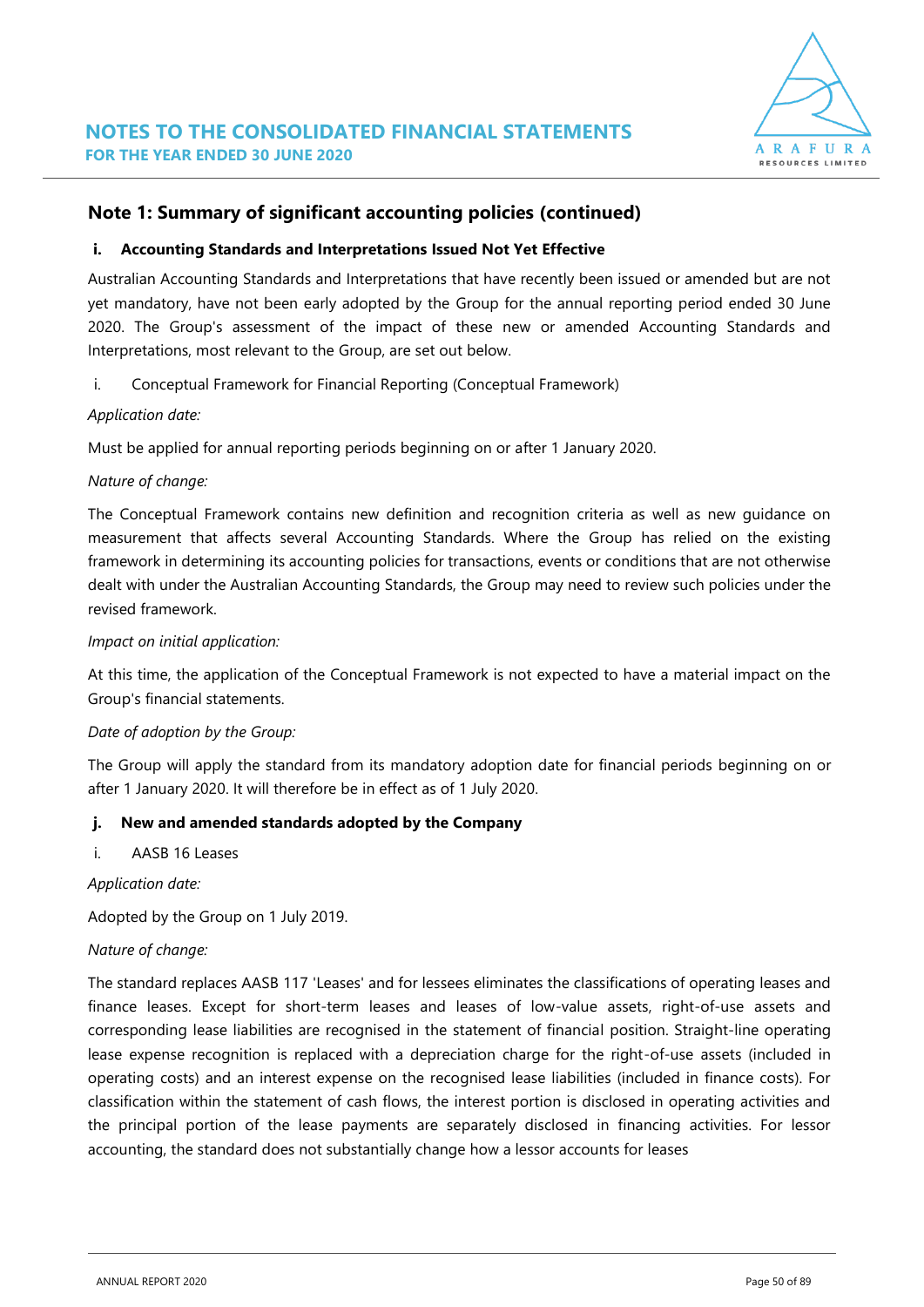

#### **i. Accounting Standards and Interpretations Issued Not Yet Effective**

Australian Accounting Standards and Interpretations that have recently been issued or amended but are not yet mandatory, have not been early adopted by the Group for the annual reporting period ended 30 June 2020. The Group's assessment of the impact of these new or amended Accounting Standards and Interpretations, most relevant to the Group, are set out below.

i. Conceptual Framework for Financial Reporting (Conceptual Framework)

#### *Application date:*

Must be applied for annual reporting periods beginning on or after 1 January 2020.

#### *Nature of change:*

The Conceptual Framework contains new definition and recognition criteria as well as new guidance on measurement that affects several Accounting Standards. Where the Group has relied on the existing framework in determining its accounting policies for transactions, events or conditions that are not otherwise dealt with under the Australian Accounting Standards, the Group may need to review such policies under the revised framework.

#### *Impact on initial application:*

At this time, the application of the Conceptual Framework is not expected to have a material impact on the Group's financial statements.

#### *Date of adoption by the Group:*

The Group will apply the standard from its mandatory adoption date for financial periods beginning on or after 1 January 2020. It will therefore be in effect as of 1 July 2020.

#### **j. New and amended standards adopted by the Company**

#### i. AASB 16 Leases

#### *Application date:*

Adopted by the Group on 1 July 2019.

#### *Nature of change:*

The standard replaces AASB 117 'Leases' and for lessees eliminates the classifications of operating leases and finance leases. Except for short-term leases and leases of low-value assets, right-of-use assets and corresponding lease liabilities are recognised in the statement of financial position. Straight-line operating lease expense recognition is replaced with a depreciation charge for the right-of-use assets (included in operating costs) and an interest expense on the recognised lease liabilities (included in finance costs). For classification within the statement of cash flows, the interest portion is disclosed in operating activities and the principal portion of the lease payments are separately disclosed in financing activities. For lessor accounting, the standard does not substantially change how a lessor accounts for leases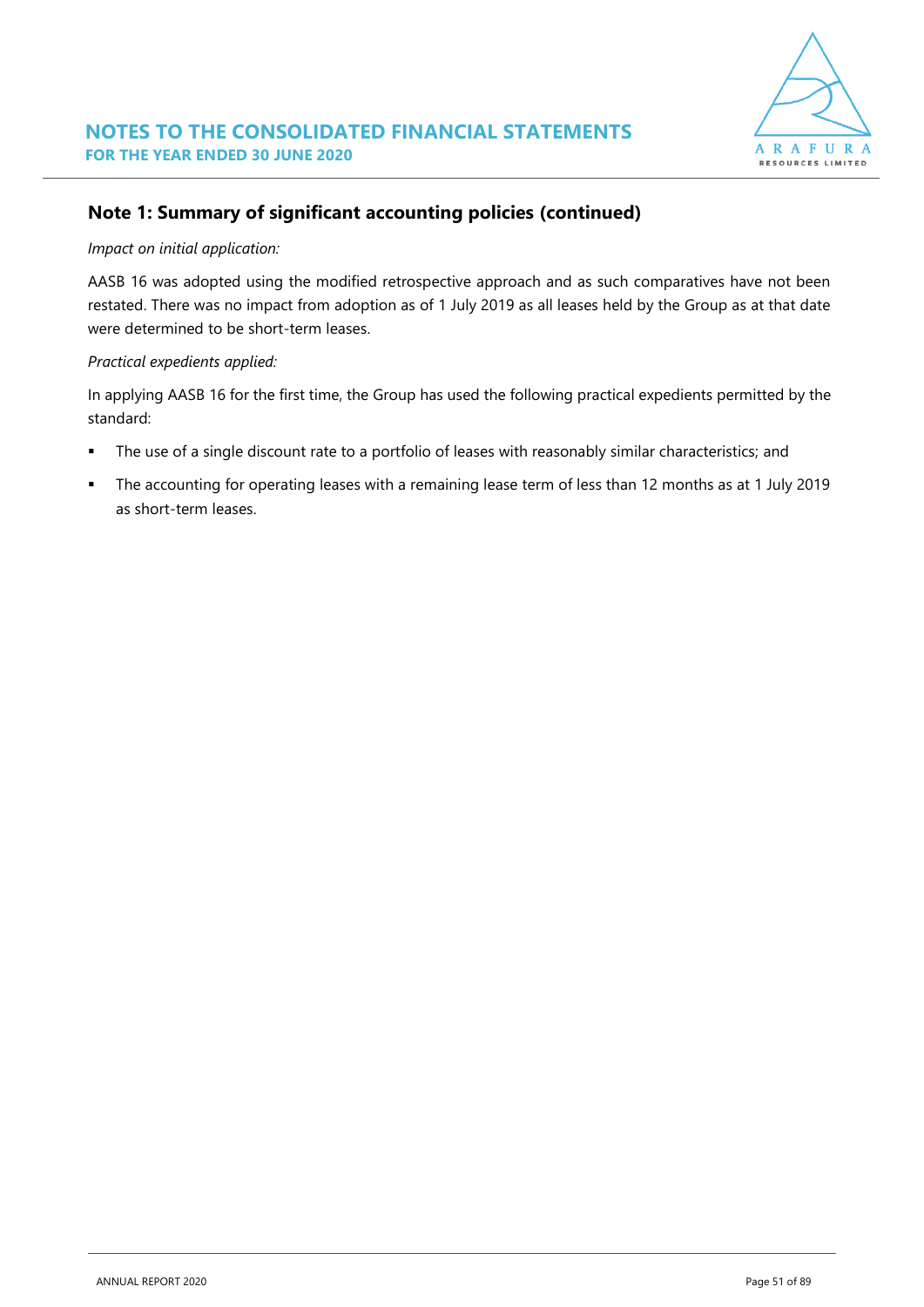

#### *Impact on initial application:*

AASB 16 was adopted using the modified retrospective approach and as such comparatives have not been restated. There was no impact from adoption as of 1 July 2019 as all leases held by the Group as at that date were determined to be short-term leases.

#### *Practical expedients applied:*

In applying AASB 16 for the first time, the Group has used the following practical expedients permitted by the standard:

- The use of a single discount rate to a portfolio of leases with reasonably similar characteristics; and
- The accounting for operating leases with a remaining lease term of less than 12 months as at 1 July 2019 as short-term leases.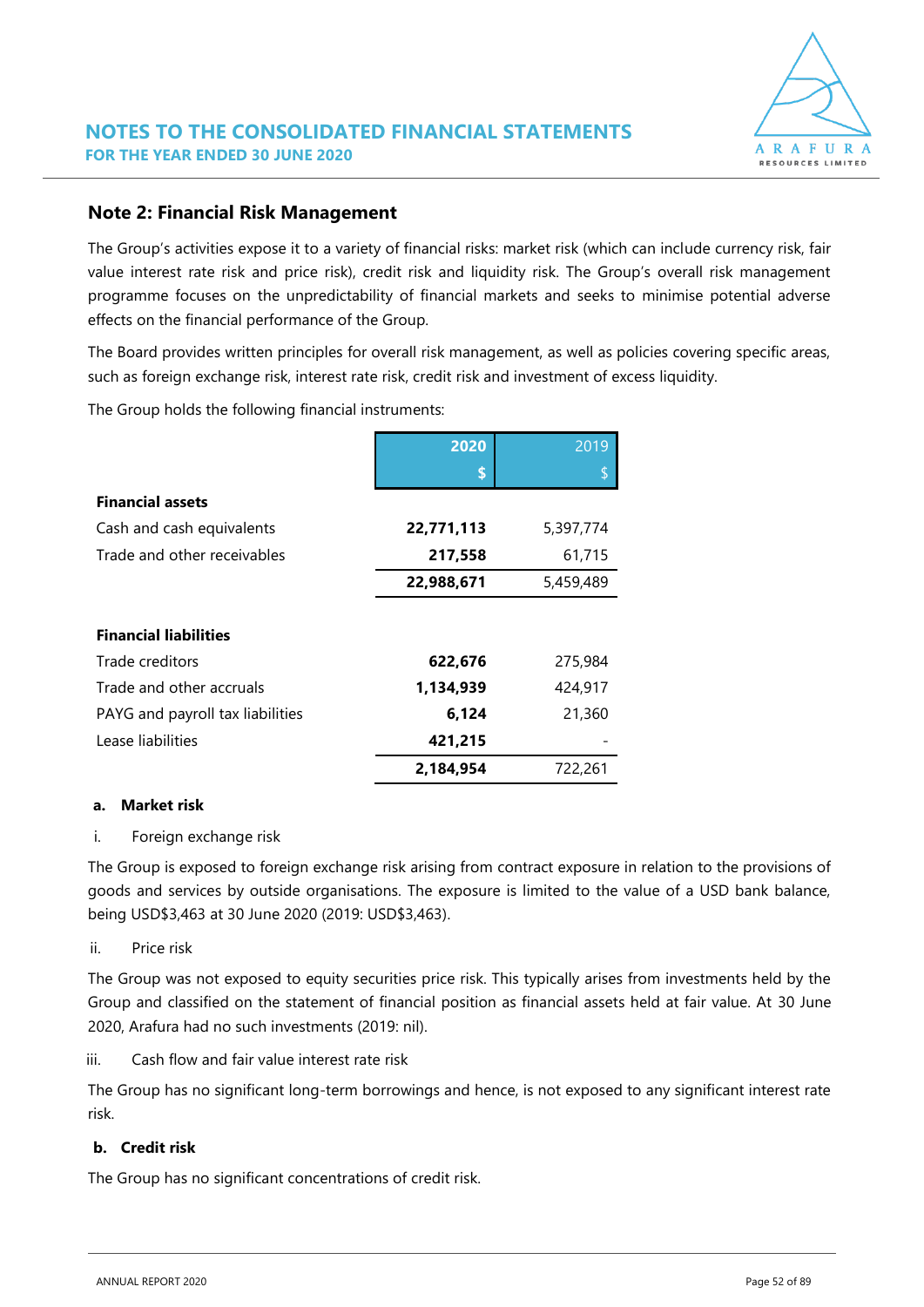

### **Note 2: Financial Risk Management**

The Group's activities expose it to a variety of financial risks: market risk (which can include currency risk, fair value interest rate risk and price risk), credit risk and liquidity risk. The Group's overall risk management programme focuses on the unpredictability of financial markets and seeks to minimise potential adverse effects on the financial performance of the Group.

The Board provides written principles for overall risk management, as well as policies covering specific areas, such as foreign exchange risk, interest rate risk, credit risk and investment of excess liquidity.

The Group holds the following financial instruments:

|                                  | 2020       | 2019      |
|----------------------------------|------------|-----------|
|                                  | \$         |           |
| <b>Financial assets</b>          |            |           |
| Cash and cash equivalents        | 22,771,113 | 5,397,774 |
| Trade and other receivables      | 217,558    | 61,715    |
|                                  | 22,988,671 | 5,459,489 |
|                                  |            |           |
| <b>Financial liabilities</b>     |            |           |
| Trade creditors                  | 622,676    | 275,984   |
| Trade and other accruals         | 1,134,939  | 424,917   |
| PAYG and payroll tax liabilities | 6,124      | 21,360    |
| Lease liabilities                | 421,215    |           |
|                                  | 2,184,954  | 722,261   |

#### **a. Market risk**

i. Foreign exchange risk

The Group is exposed to foreign exchange risk arising from contract exposure in relation to the provisions of goods and services by outside organisations. The exposure is limited to the value of a USD bank balance, being USD\$3,463 at 30 June 2020 (2019: USD\$3,463).

ii. Price risk

The Group was not exposed to equity securities price risk. This typically arises from investments held by the Group and classified on the statement of financial position as financial assets held at fair value. At 30 June 2020, Arafura had no such investments (2019: nil).

iii. Cash flow and fair value interest rate risk

The Group has no significant long-term borrowings and hence, is not exposed to any significant interest rate risk.

#### **b. Credit risk**

The Group has no significant concentrations of credit risk.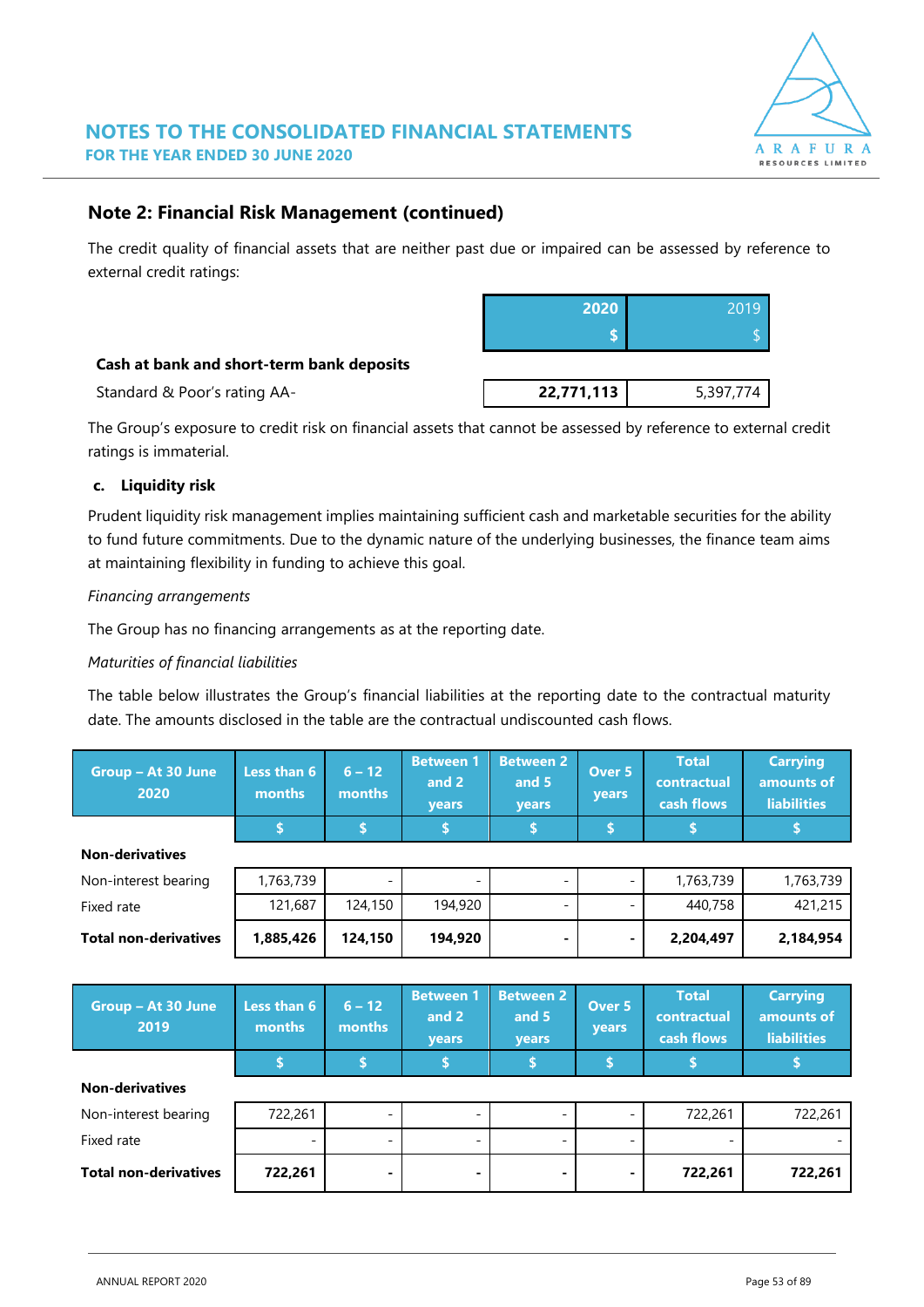

### **Note 2: Financial Risk Management (continued)**

The credit quality of financial assets that are neither past due or impaired can be assessed by reference to external credit ratings:

|                                           | 2020 | 2019 |
|-------------------------------------------|------|------|
|                                           |      |      |
| Cash at bank and short-term bank deposits |      |      |

**Standard & Poor's rating AA- 1988 12771,113** 5,397,774

The Group's exposure to credit risk on financial assets that cannot be assessed by reference to external credit ratings is immaterial.

#### **c. Liquidity risk**

Prudent liquidity risk management implies maintaining sufficient cash and marketable securities for the ability to fund future commitments. Due to the dynamic nature of the underlying businesses, the finance team aims at maintaining flexibility in funding to achieve this goal.

#### *Financing arrangements*

The Group has no financing arrangements as at the reporting date.

#### *Maturities of financial liabilities*

The table below illustrates the Group's financial liabilities at the reporting date to the contractual maturity date. The amounts disclosed in the table are the contractual undiscounted cash flows.

| Group - At 30 June<br>2020   | Less than 6<br>months | $6 - 12$<br>months       | <b>Between 1</b><br>and 2<br>years | <b>Between 2</b><br>and 5<br>years | Over 5<br>years    | <b>Total</b><br>contractual<br>cash flows | <b>Carrying</b><br>amounts of<br><b>liabilities</b> |
|------------------------------|-----------------------|--------------------------|------------------------------------|------------------------------------|--------------------|-------------------------------------------|-----------------------------------------------------|
|                              | \$                    | \$                       | Ŝ.                                 | \$                                 | $\hat{\mathbf{s}}$ | \$                                        | \$                                                  |
| <b>Non-derivatives</b>       |                       |                          |                                    |                                    |                    |                                           |                                                     |
| Non-interest bearing         | 1,763,739             |                          |                                    |                                    |                    | 1,763,739                                 | 1,763,739                                           |
| Fixed rate                   | 121,687               | 124,150                  | 194,920                            | $\overline{\phantom{0}}$           |                    | 440,758                                   | 421,215                                             |
| <b>Total non-derivatives</b> | 1,885,426             | 124,150                  | 194,920                            |                                    |                    | 2,204,497                                 | 2,184,954                                           |
|                              |                       |                          |                                    |                                    |                    |                                           |                                                     |
|                              |                       |                          |                                    |                                    |                    |                                           |                                                     |
| Group - At 30 June<br>2019   | Less than 6<br>months | $6 - 12$<br>months       | <b>Between 1</b><br>and 2<br>years | <b>Between 2</b><br>and 5<br>years | Over 5<br>years    | <b>Total</b><br>contractual<br>cash flows | <b>Carrying</b><br>amounts of<br><b>liabilities</b> |
|                              | \$                    | \$                       | \$                                 | \$                                 | \$                 | \$                                        | \$                                                  |
| <b>Non-derivatives</b>       |                       |                          |                                    |                                    |                    |                                           |                                                     |
| Non-interest bearing         | 722,261               | $\overline{a}$           |                                    |                                    |                    | 722,261                                   | 722,261                                             |
| Fixed rate                   |                       | $\overline{\phantom{0}}$ |                                    |                                    |                    |                                           |                                                     |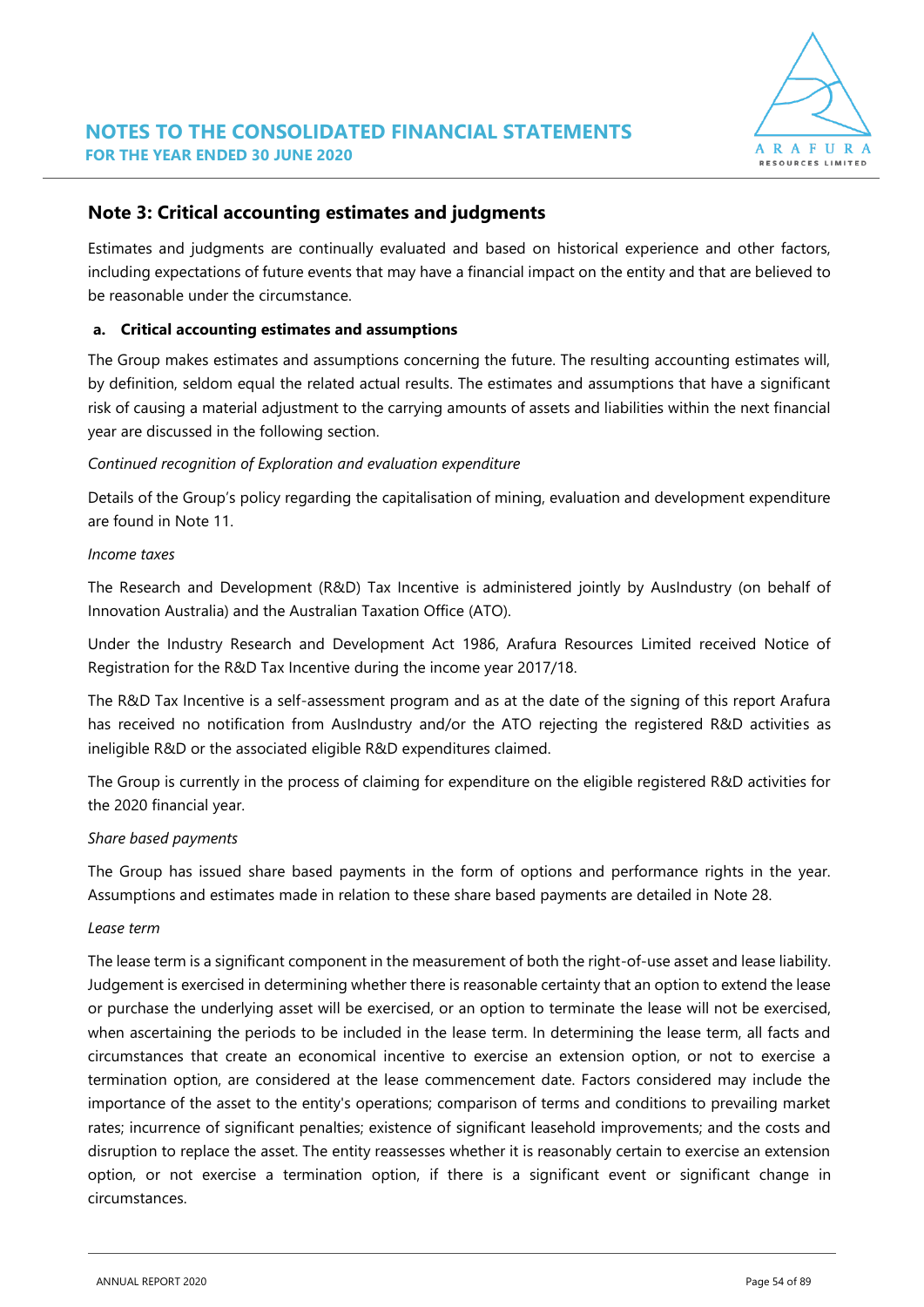

### **Note 3: Critical accounting estimates and judgments**

Estimates and judgments are continually evaluated and based on historical experience and other factors, including expectations of future events that may have a financial impact on the entity and that are believed to be reasonable under the circumstance.

#### **a. Critical accounting estimates and assumptions**

The Group makes estimates and assumptions concerning the future. The resulting accounting estimates will, by definition, seldom equal the related actual results. The estimates and assumptions that have a significant risk of causing a material adjustment to the carrying amounts of assets and liabilities within the next financial year are discussed in the following section.

#### *Continued recognition of Exploration and evaluation expenditure*

Details of the Group's policy regarding the capitalisation of mining, evaluation and development expenditure are found in Note 11.

#### *Income taxes*

The Research and Development (R&D) Tax Incentive is administered jointly by AusIndustry (on behalf of Innovation Australia) and the Australian Taxation Office (ATO).

Under the Industry Research and Development Act 1986, Arafura Resources Limited received Notice of Registration for the R&D Tax Incentive during the income year 2017/18.

The R&D Tax Incentive is a self-assessment program and as at the date of the signing of this report Arafura has received no notification from AusIndustry and/or the ATO rejecting the registered R&D activities as ineligible R&D or the associated eligible R&D expenditures claimed.

The Group is currently in the process of claiming for expenditure on the eligible registered R&D activities for the 2020 financial year.

#### *Share based payments*

The Group has issued share based payments in the form of options and performance rights in the year. Assumptions and estimates made in relation to these share based payments are detailed in Note 28.

#### *Lease term*

The lease term is a significant component in the measurement of both the right-of-use asset and lease liability. Judgement is exercised in determining whether there is reasonable certainty that an option to extend the lease or purchase the underlying asset will be exercised, or an option to terminate the lease will not be exercised, when ascertaining the periods to be included in the lease term. In determining the lease term, all facts and circumstances that create an economical incentive to exercise an extension option, or not to exercise a termination option, are considered at the lease commencement date. Factors considered may include the importance of the asset to the entity's operations; comparison of terms and conditions to prevailing market rates; incurrence of significant penalties; existence of significant leasehold improvements; and the costs and disruption to replace the asset. The entity reassesses whether it is reasonably certain to exercise an extension option, or not exercise a termination option, if there is a significant event or significant change in circumstances.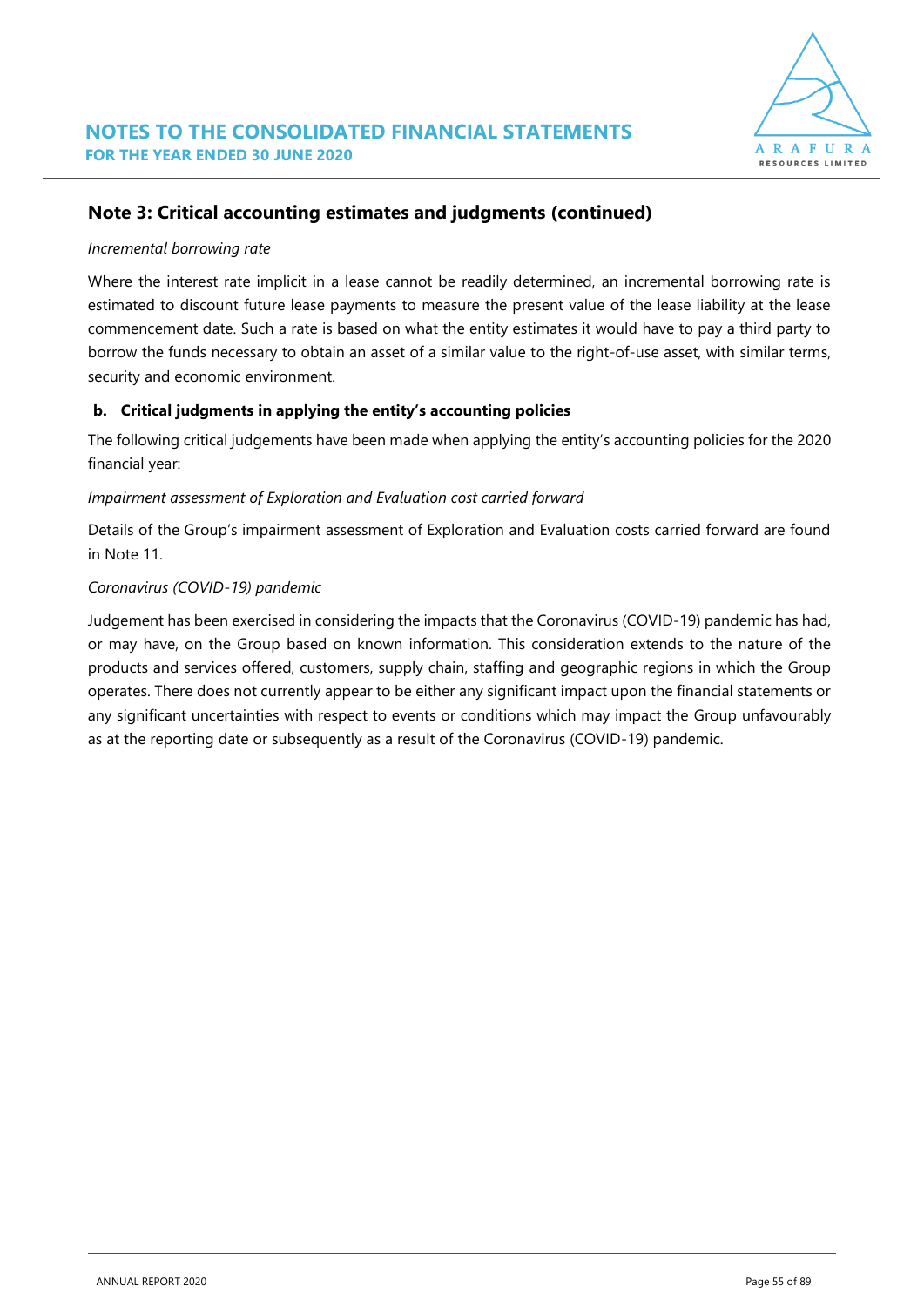

### **Note 3: Critical accounting estimates and judgments (continued)**

#### *Incremental borrowing rate*

Where the interest rate implicit in a lease cannot be readily determined, an incremental borrowing rate is estimated to discount future lease payments to measure the present value of the lease liability at the lease commencement date. Such a rate is based on what the entity estimates it would have to pay a third party to borrow the funds necessary to obtain an asset of a similar value to the right-of-use asset, with similar terms, security and economic environment.

#### **b. Critical judgments in applying the entity's accounting policies**

The following critical judgements have been made when applying the entity's accounting policies for the 2020 financial year:

#### *Impairment assessment of Exploration and Evaluation cost carried forward*

Details of the Group's impairment assessment of Exploration and Evaluation costs carried forward are found in Note 11.

#### *Coronavirus (COVID-19) pandemic*

Judgement has been exercised in considering the impacts that the Coronavirus (COVID-19) pandemic has had, or may have, on the Group based on known information. This consideration extends to the nature of the products and services offered, customers, supply chain, staffing and geographic regions in which the Group operates. There does not currently appear to be either any significant impact upon the financial statements or any significant uncertainties with respect to events or conditions which may impact the Group unfavourably as at the reporting date or subsequently as a result of the Coronavirus (COVID-19) pandemic.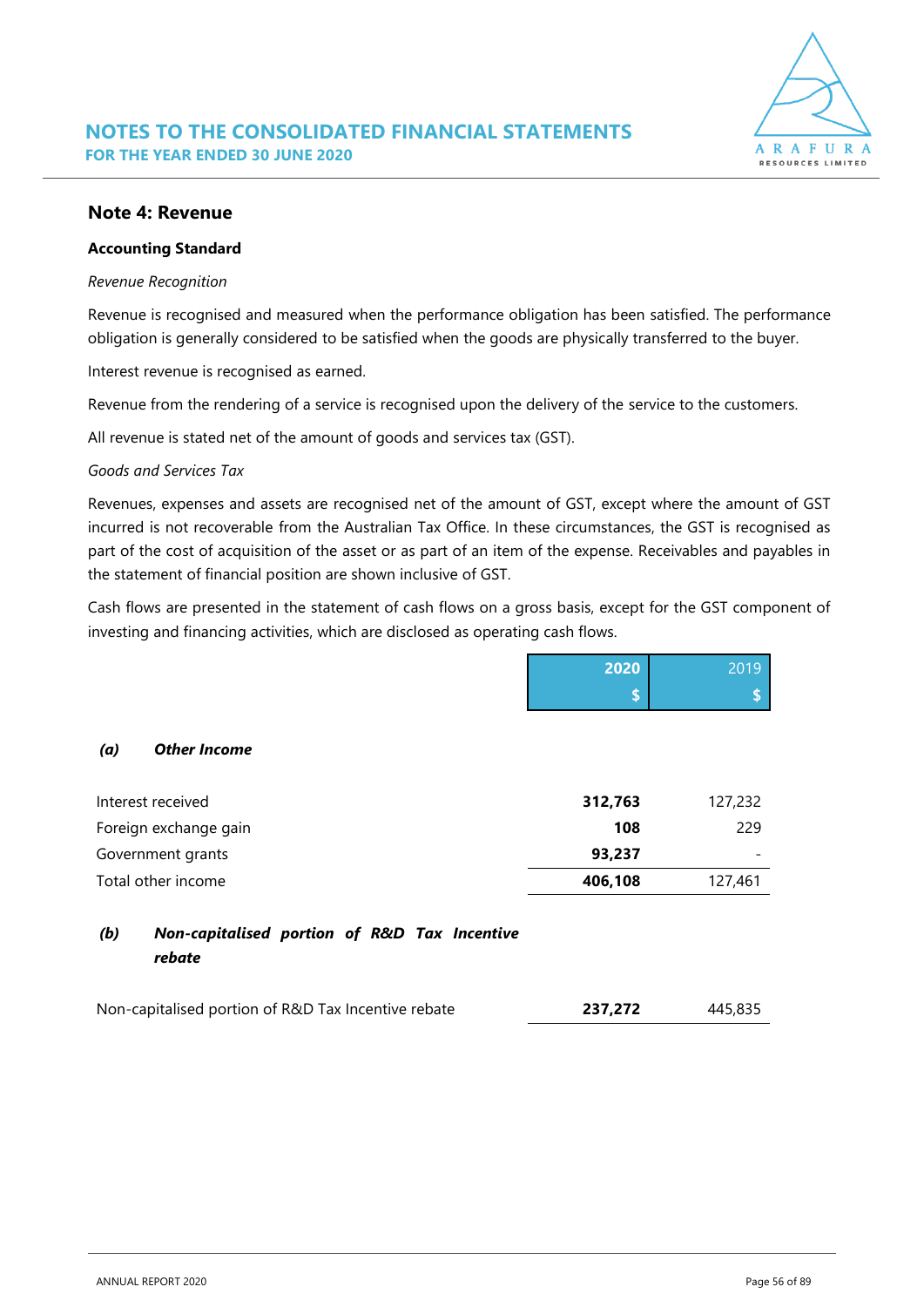

#### **Note 4: Revenue**

#### **Accounting Standard**

#### *Revenue Recognition*

Revenue is recognised and measured when the performance obligation has been satisfied. The performance obligation is generally considered to be satisfied when the goods are physically transferred to the buyer.

Interest revenue is recognised as earned.

Revenue from the rendering of a service is recognised upon the delivery of the service to the customers.

All revenue is stated net of the amount of goods and services tax (GST).

#### *Goods and Services Tax*

Revenues, expenses and assets are recognised net of the amount of GST, except where the amount of GST incurred is not recoverable from the Australian Tax Office. In these circumstances, the GST is recognised as part of the cost of acquisition of the asset or as part of an item of the expense. Receivables and payables in the statement of financial position are shown inclusive of GST.

Cash flows are presented in the statement of cash flows on a gross basis, except for the GST component of investing and financing activities, which are disclosed as operating cash flows.

|                                                               | 2020    | 2019    |
|---------------------------------------------------------------|---------|---------|
|                                                               | \$      |         |
| <b>Other Income</b><br>(a)                                    |         |         |
| Interest received                                             | 312,763 | 127,232 |
| Foreign exchange gain                                         | 108     | 229     |
| Government grants                                             | 93,237  |         |
| Total other income                                            | 406,108 | 127,461 |
| (b)<br>Non-capitalised portion of R&D Tax Incentive<br>rebate |         |         |

| Non-capitalised portion of R&D Tax Incentive rebate | 237,272 | 445,835 |
|-----------------------------------------------------|---------|---------|
|                                                     |         |         |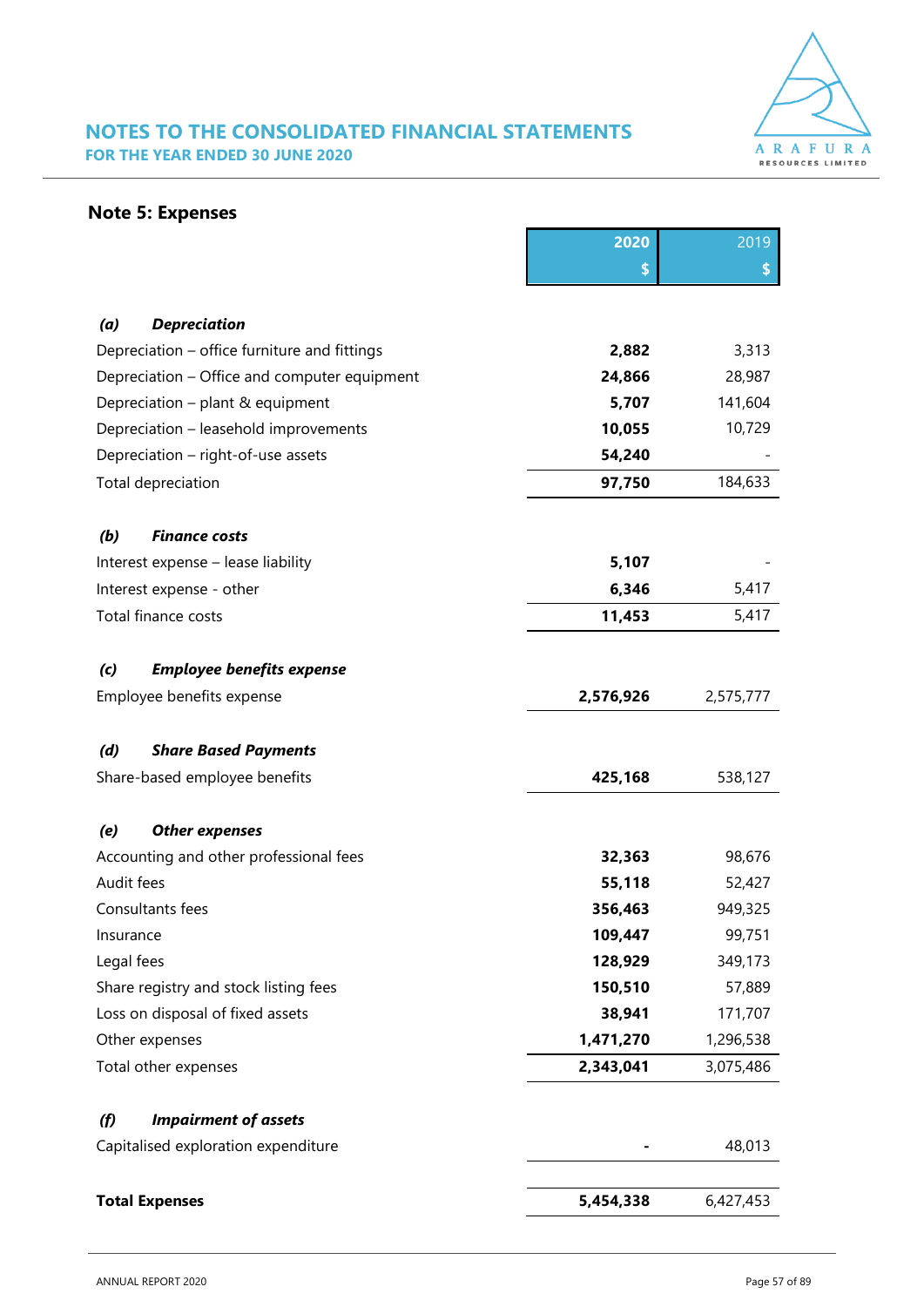

### **NOTES TO THE CONSOLIDATED FINANCIAL STATEMENTS FOR THE YEAR ENDED 30 JUNE 2020**

### **Note 5: Expenses**

|                                              | 2020      | 2019      |
|----------------------------------------------|-----------|-----------|
|                                              | \$        | \$        |
|                                              |           |           |
| (a)<br><b>Depreciation</b>                   |           |           |
| Depreciation - office furniture and fittings | 2,882     | 3,313     |
| Depreciation - Office and computer equipment | 24,866    | 28,987    |
| Depreciation – plant & equipment             | 5,707     | 141,604   |
| Depreciation - leasehold improvements        | 10,055    | 10,729    |
| Depreciation - right-of-use assets           | 54,240    |           |
| Total depreciation                           | 97,750    | 184,633   |
| (b)<br><b>Finance costs</b>                  |           |           |
| Interest expense - lease liability           | 5,107     |           |
| Interest expense - other                     | 6,346     | 5,417     |
| Total finance costs                          | 11,453    | 5,417     |
| (c)<br><b>Employee benefits expense</b>      |           |           |
| Employee benefits expense                    | 2,576,926 | 2,575,777 |
|                                              |           |           |
| (d)<br><b>Share Based Payments</b>           |           |           |
| Share-based employee benefits                | 425,168   | 538,127   |
| (e)<br><b>Other expenses</b>                 |           |           |
| Accounting and other professional fees       | 32,363    | 98,676    |
| Audit fees                                   | 55,118    | 52,427    |
| Consultants fees                             | 356,463   | 949,325   |
| Insurance                                    | 109,447   | 99,751    |
| Legal fees                                   | 128,929   | 349,173   |
| Share registry and stock listing fees        | 150,510   | 57,889    |
| Loss on disposal of fixed assets             | 38,941    | 171,707   |
| Other expenses                               | 1,471,270 | 1,296,538 |
| Total other expenses                         | 2,343,041 | 3,075,486 |
| <b>Impairment of assets</b><br>(f)           |           |           |
| Capitalised exploration expenditure          |           | 48,013    |
|                                              |           |           |
| <b>Total Expenses</b>                        | 5,454,338 | 6,427,453 |
|                                              |           |           |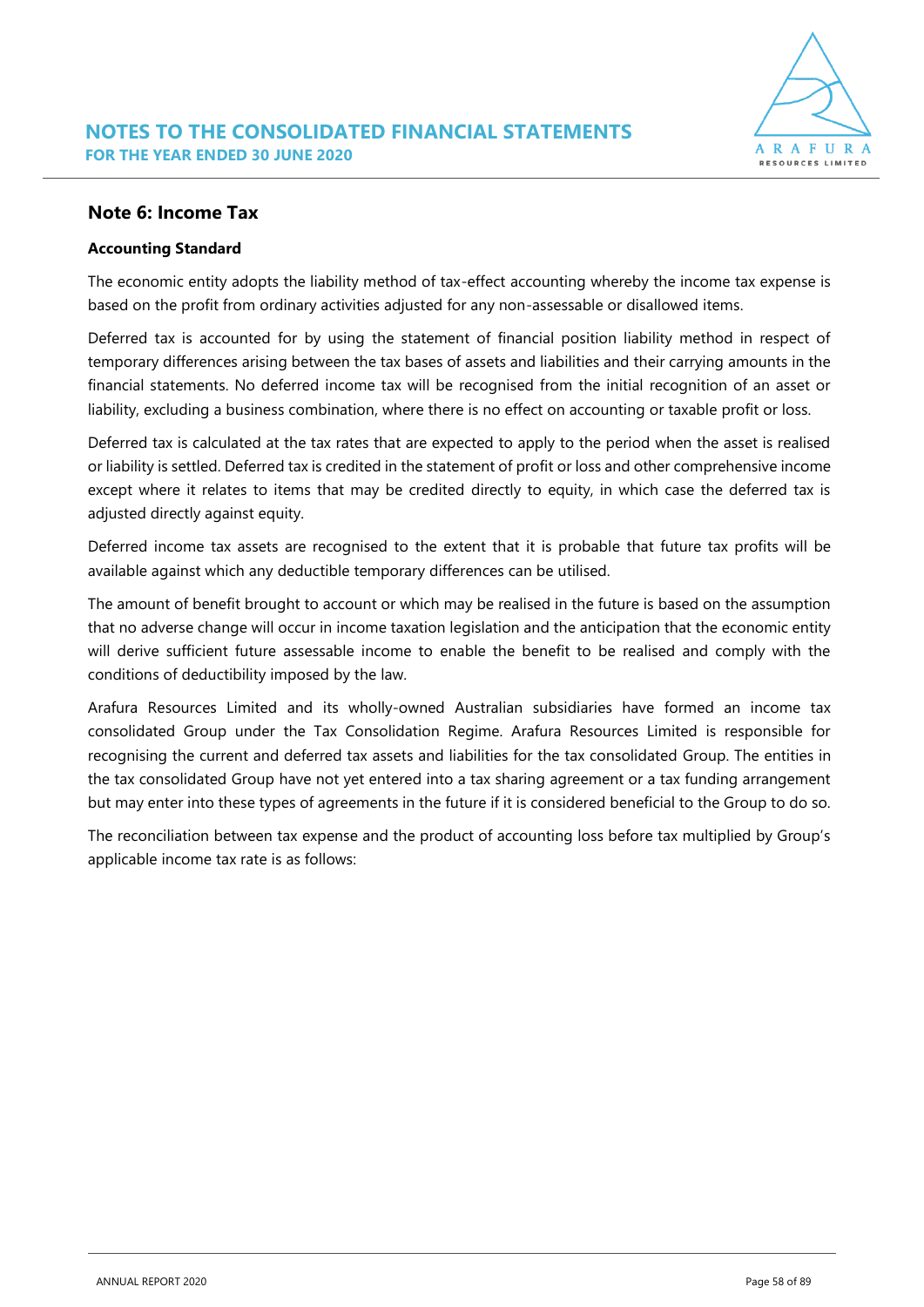#### **Note 6: Income Tax**

#### **Accounting Standard**

The economic entity adopts the liability method of tax-effect accounting whereby the income tax expense is based on the profit from ordinary activities adjusted for any non-assessable or disallowed items.

Deferred tax is accounted for by using the statement of financial position liability method in respect of temporary differences arising between the tax bases of assets and liabilities and their carrying amounts in the financial statements. No deferred income tax will be recognised from the initial recognition of an asset or liability, excluding a business combination, where there is no effect on accounting or taxable profit or loss.

Deferred tax is calculated at the tax rates that are expected to apply to the period when the asset is realised or liability is settled. Deferred tax is credited in the statement of profit or loss and other comprehensive income except where it relates to items that may be credited directly to equity, in which case the deferred tax is adjusted directly against equity.

Deferred income tax assets are recognised to the extent that it is probable that future tax profits will be available against which any deductible temporary differences can be utilised.

The amount of benefit brought to account or which may be realised in the future is based on the assumption that no adverse change will occur in income taxation legislation and the anticipation that the economic entity will derive sufficient future assessable income to enable the benefit to be realised and comply with the conditions of deductibility imposed by the law.

Arafura Resources Limited and its wholly-owned Australian subsidiaries have formed an income tax consolidated Group under the Tax Consolidation Regime. Arafura Resources Limited is responsible for recognising the current and deferred tax assets and liabilities for the tax consolidated Group. The entities in the tax consolidated Group have not yet entered into a tax sharing agreement or a tax funding arrangement but may enter into these types of agreements in the future if it is considered beneficial to the Group to do so.

The reconciliation between tax expense and the product of accounting loss before tax multiplied by Group's applicable income tax rate is as follows: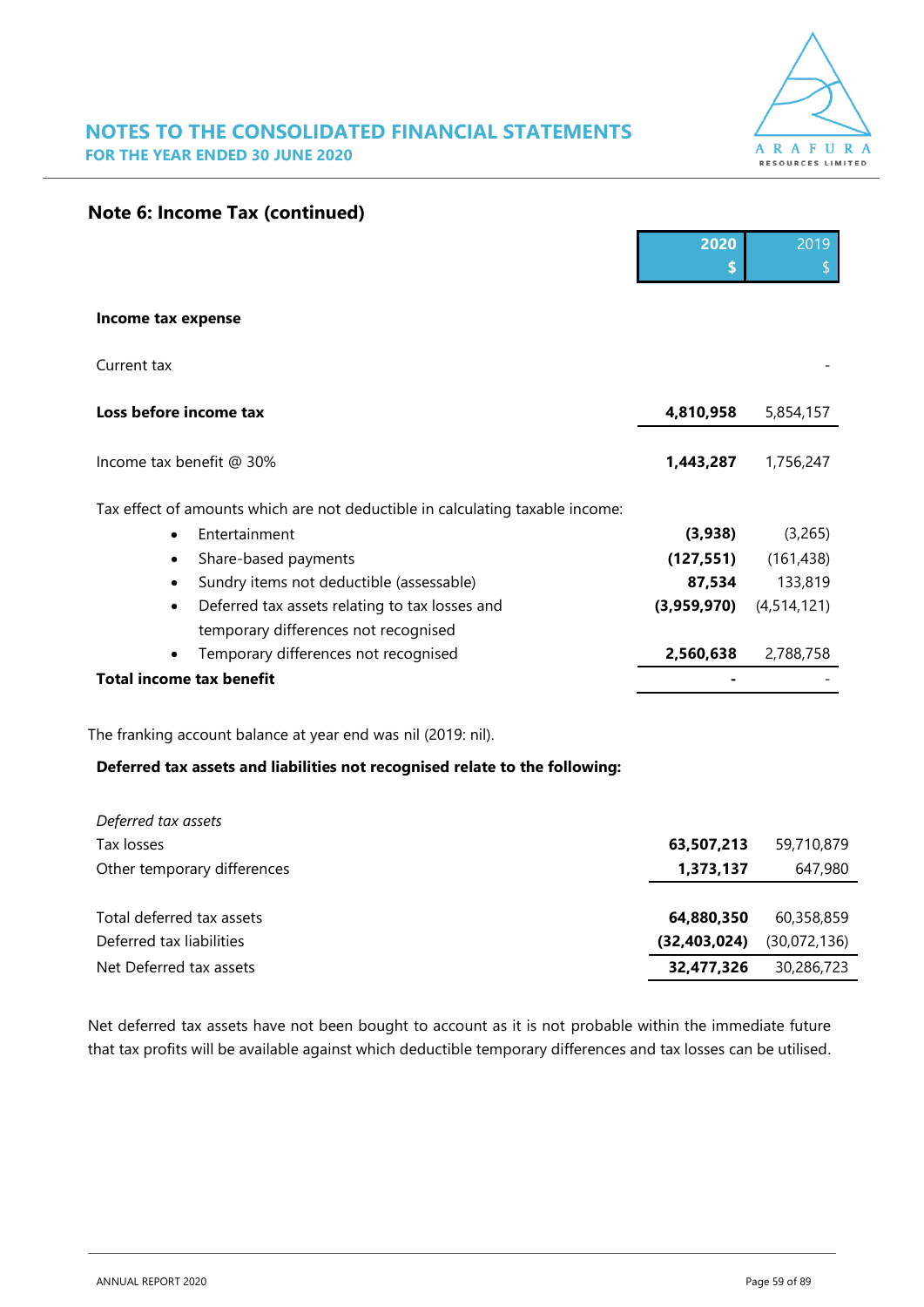

**2020** 2019

|  |  |  |  | <b>Note 6: Income Tax (continued)</b> |
|--|--|--|--|---------------------------------------|
|--|--|--|--|---------------------------------------|

|                                                                               | - - -       | <u>LV 15</u>  |
|-------------------------------------------------------------------------------|-------------|---------------|
|                                                                               |             |               |
| Income tax expense                                                            |             |               |
| Current tax                                                                   |             |               |
| Loss before income tax                                                        | 4,810,958   | 5,854,157     |
| Income tax benefit @ 30%                                                      | 1,443,287   | 1,756,247     |
| Tax effect of amounts which are not deductible in calculating taxable income: |             |               |
| Entertainment<br>$\bullet$                                                    | (3,938)     | (3,265)       |
| Share-based payments<br>$\bullet$                                             | (127, 551)  | (161, 438)    |
| Sundry items not deductible (assessable)<br>$\bullet$                         | 87,534      | 133,819       |
| Deferred tax assets relating to tax losses and<br>$\bullet$                   | (3,959,970) | (4, 514, 121) |
| temporary differences not recognised                                          |             |               |
| Temporary differences not recognised                                          | 2,560,638   | 2,788,758     |
| <b>Total income tax benefit</b>                                               |             |               |
|                                                                               |             |               |

The franking account balance at year end was nil (2019: nil).

#### **Deferred tax assets and liabilities not recognised relate to the following:**

| Deferred tax assets         |                |              |
|-----------------------------|----------------|--------------|
| Tax losses                  | 63,507,213     | 59,710,879   |
| Other temporary differences | 1,373,137      | 647,980      |
|                             |                |              |
| Total deferred tax assets   | 64,880,350     | 60.358.859   |
| Deferred tax liabilities    | (32, 403, 024) | (30,072,136) |
| Net Deferred tax assets     | 32,477,326     | 30,286,723   |

Net deferred tax assets have not been bought to account as it is not probable within the immediate future that tax profits will be available against which deductible temporary differences and tax losses can be utilised.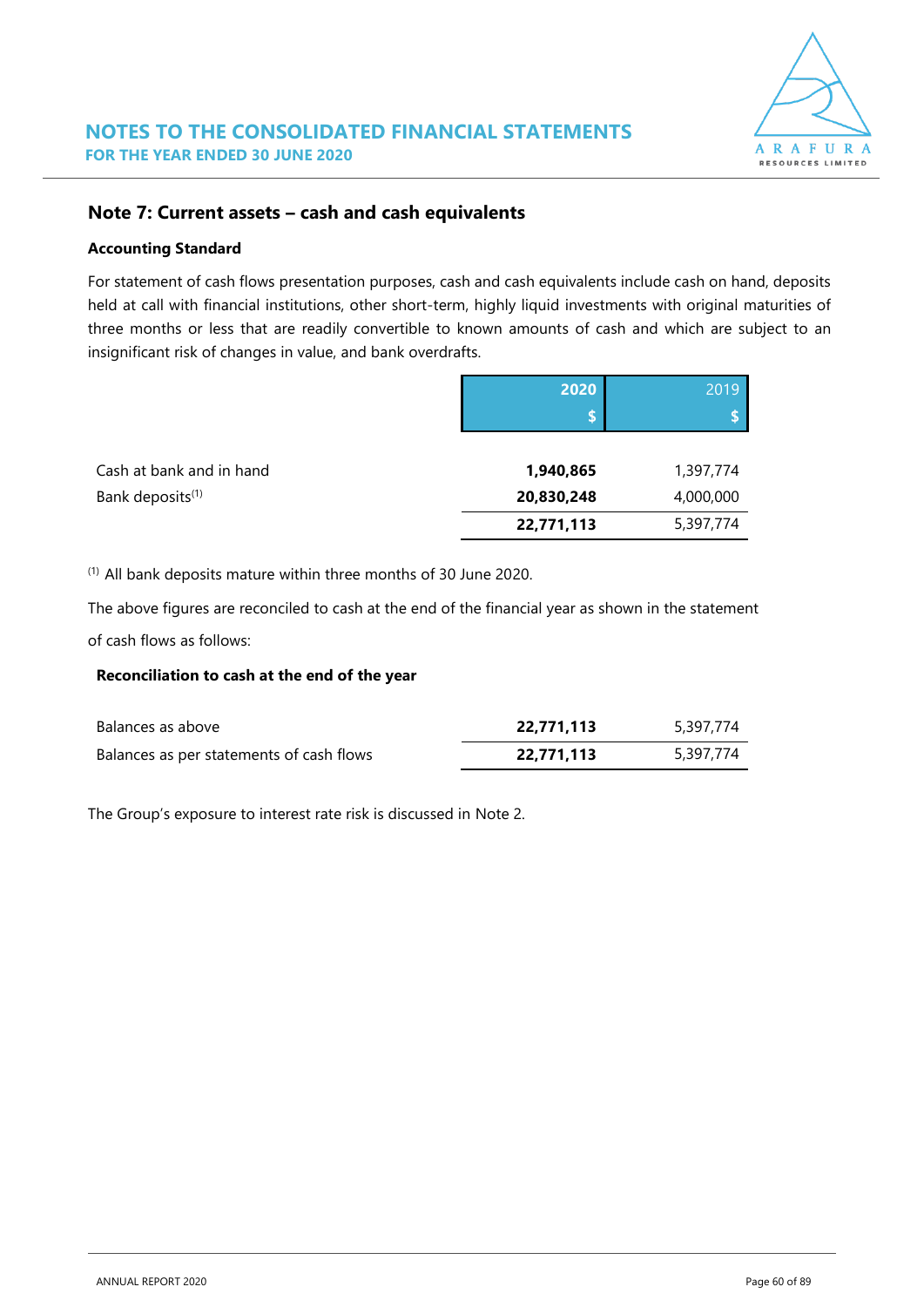

#### **Note 7: Current assets – cash and cash equivalents**

#### **Accounting Standard**

For statement of cash flows presentation purposes, cash and cash equivalents include cash on hand, deposits held at call with financial institutions, other short-term, highly liquid investments with original maturities of three months or less that are readily convertible to known amounts of cash and which are subject to an insignificant risk of changes in value, and bank overdrafts.

|                              | 2020       | 2019      |
|------------------------------|------------|-----------|
|                              |            |           |
|                              |            |           |
| Cash at bank and in hand     | 1,940,865  | 1,397,774 |
| Bank deposits <sup>(1)</sup> | 20,830,248 | 4,000,000 |
|                              | 22,771,113 | 5,397,774 |

(1) All bank deposits mature within three months of 30 June 2020.

The above figures are reconciled to cash at the end of the financial year as shown in the statement of cash flows as follows:

#### **Reconciliation to cash at the end of the year**

| Balances as above                        | 22,771,113 | 5,397,774 |
|------------------------------------------|------------|-----------|
| Balances as per statements of cash flows | 22,771,113 | 5,397,774 |

The Group's exposure to interest rate risk is discussed in Note 2.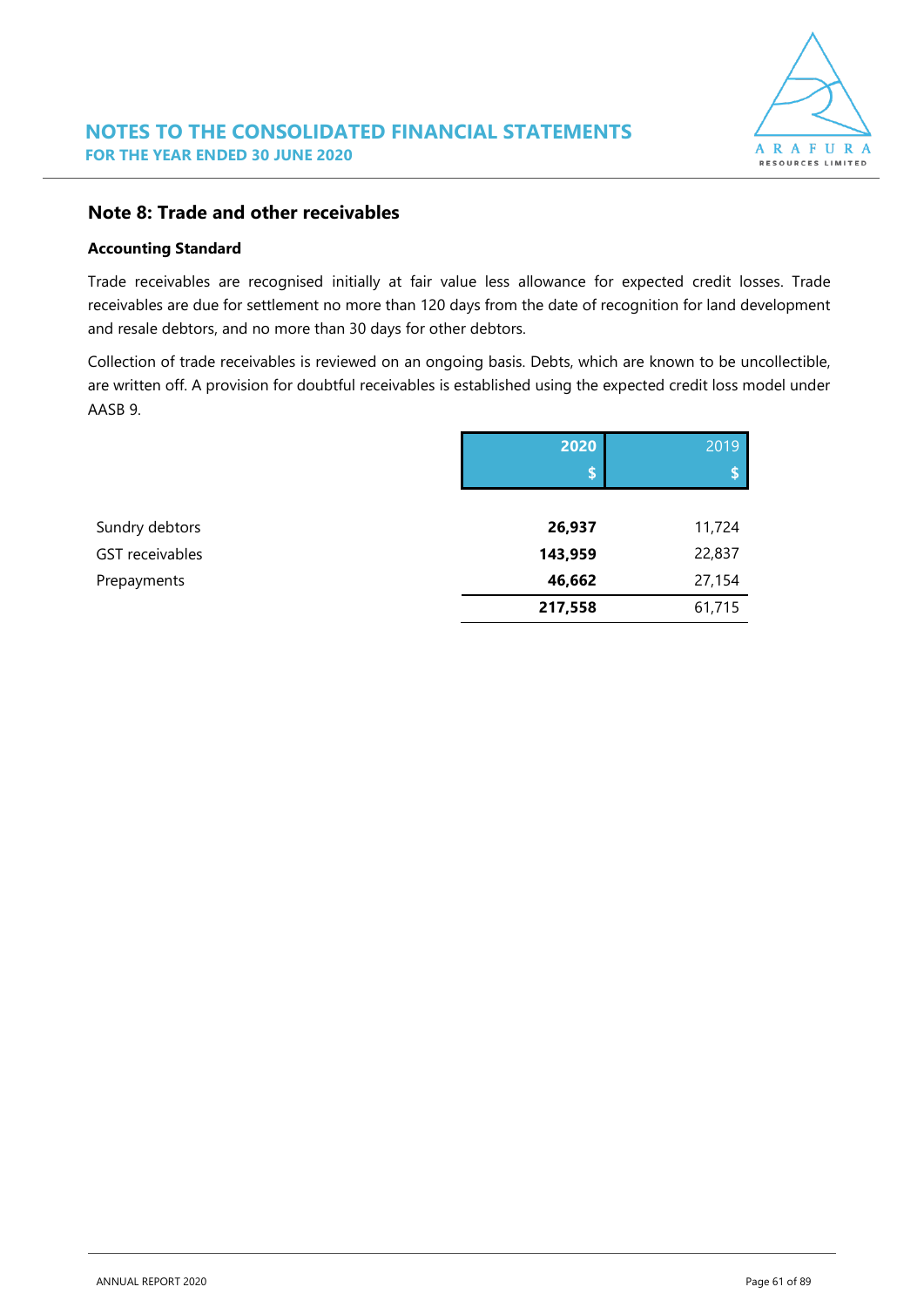

#### **Note 8: Trade and other receivables**

#### **Accounting Standard**

Trade receivables are recognised initially at fair value less allowance for expected credit losses. Trade receivables are due for settlement no more than 120 days from the date of recognition for land development and resale debtors, and no more than 30 days for other debtors.

Collection of trade receivables is reviewed on an ongoing basis. Debts, which are known to be uncollectible, are written off. A provision for doubtful receivables is established using the expected credit loss model under AASB 9.

|                 | 2020    | 2019   |
|-----------------|---------|--------|
|                 | \$      |        |
|                 |         |        |
| Sundry debtors  | 26,937  | 11,724 |
| GST receivables | 143,959 | 22,837 |
| Prepayments     | 46,662  | 27,154 |
|                 | 217,558 | 61,715 |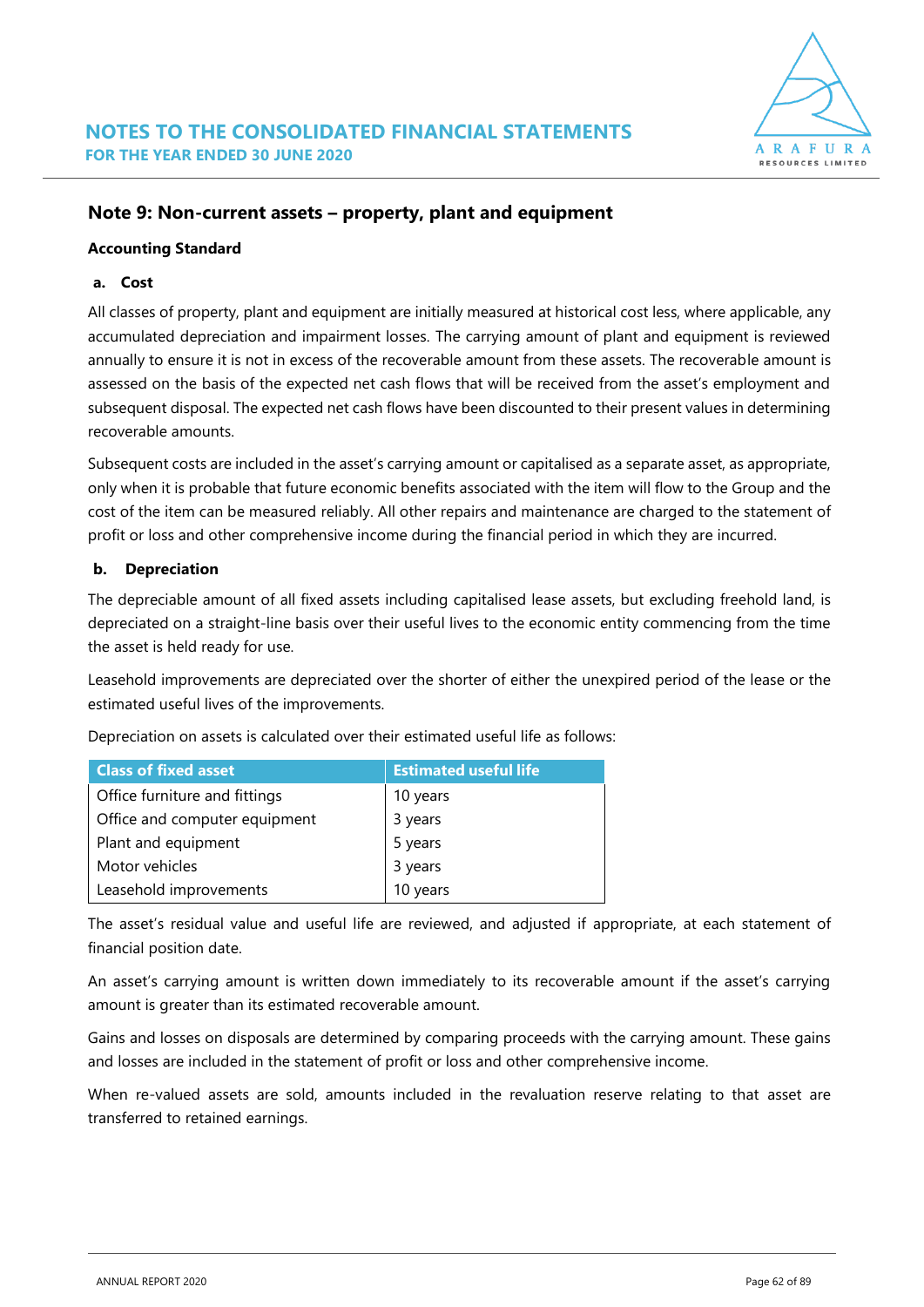

#### **Note 9: Non-current assets – property, plant and equipment**

#### **Accounting Standard**

#### **a. Cost**

All classes of property, plant and equipment are initially measured at historical cost less, where applicable, any accumulated depreciation and impairment losses. The carrying amount of plant and equipment is reviewed annually to ensure it is not in excess of the recoverable amount from these assets. The recoverable amount is assessed on the basis of the expected net cash flows that will be received from the asset's employment and subsequent disposal. The expected net cash flows have been discounted to their present values in determining recoverable amounts.

Subsequent costs are included in the asset's carrying amount or capitalised as a separate asset, as appropriate, only when it is probable that future economic benefits associated with the item will flow to the Group and the cost of the item can be measured reliably. All other repairs and maintenance are charged to the statement of profit or loss and other comprehensive income during the financial period in which they are incurred.

#### **b. Depreciation**

The depreciable amount of all fixed assets including capitalised lease assets, but excluding freehold land, is depreciated on a straight-line basis over their useful lives to the economic entity commencing from the time the asset is held ready for use.

Leasehold improvements are depreciated over the shorter of either the unexpired period of the lease or the estimated useful lives of the improvements.

| <b>Class of fixed asset</b>   | <b>Estimated useful life</b> |
|-------------------------------|------------------------------|
| Office furniture and fittings | 10 years                     |
| Office and computer equipment | 3 years                      |
| Plant and equipment           | 5 years<br>3 years           |
| Motor vehicles                |                              |
| Leasehold improvements        | 10 years                     |

Depreciation on assets is calculated over their estimated useful life as follows:

The asset's residual value and useful life are reviewed, and adjusted if appropriate, at each statement of financial position date.

An asset's carrying amount is written down immediately to its recoverable amount if the asset's carrying amount is greater than its estimated recoverable amount.

Gains and losses on disposals are determined by comparing proceeds with the carrying amount. These gains and losses are included in the statement of profit or loss and other comprehensive income.

When re-valued assets are sold, amounts included in the revaluation reserve relating to that asset are transferred to retained earnings.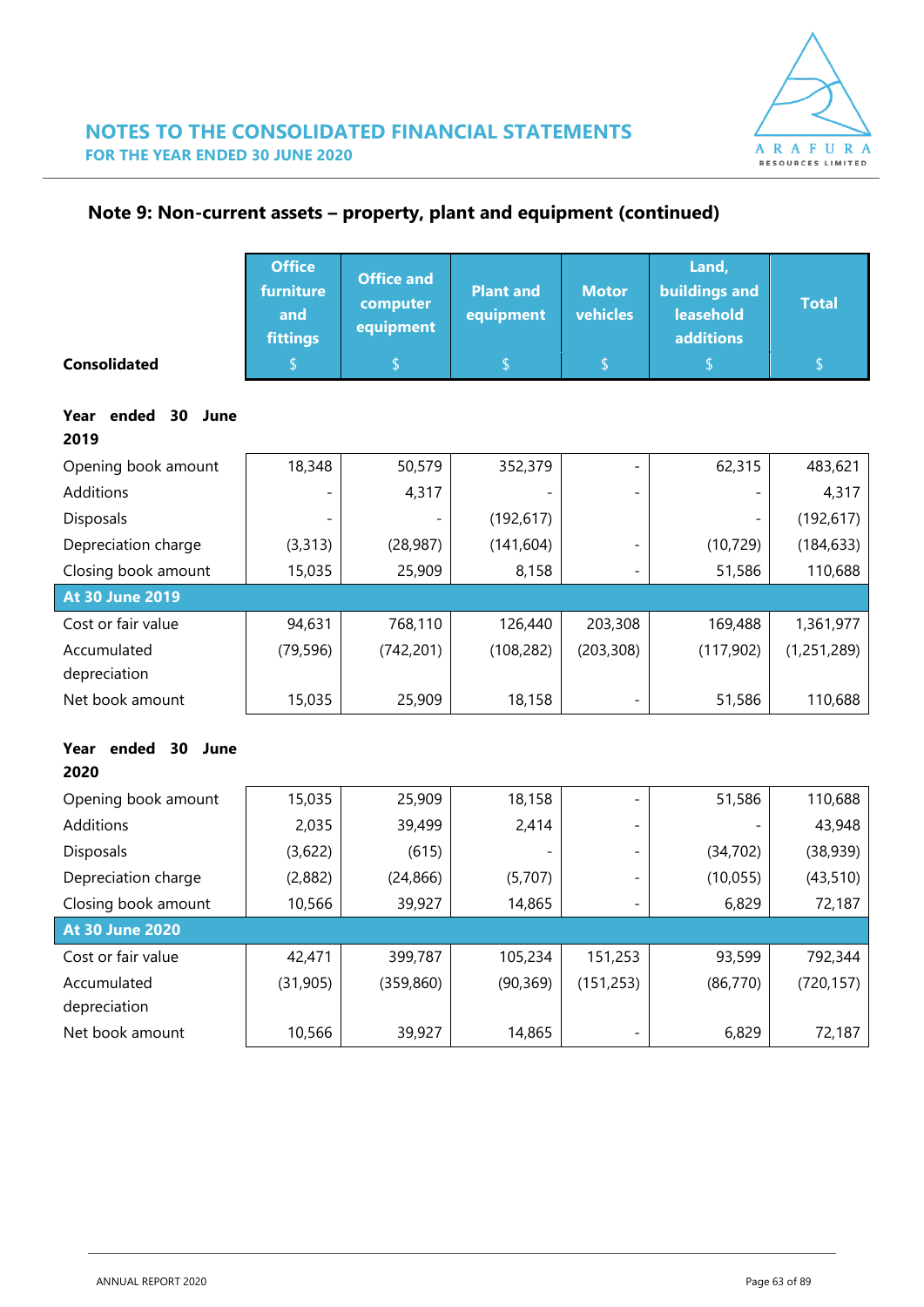

**Note 9: Non-current assets – property, plant and equipment (continued)**

|                                     | <b>Office</b><br>furniture<br>and<br><b>fittings</b> | <b>Office and</b><br>computer<br>equipment | <b>Plant and</b><br>equipment | <b>Motor</b><br>vehicles | Land,<br><b>buildings and</b><br>leasehold<br><b>additions</b> | <b>Total</b> |
|-------------------------------------|------------------------------------------------------|--------------------------------------------|-------------------------------|--------------------------|----------------------------------------------------------------|--------------|
| <b>Consolidated</b>                 |                                                      | S                                          | S                             | \$                       | \$                                                             | \$           |
| ended<br>Year<br>30<br>June<br>2019 |                                                      |                                            |                               |                          |                                                                |              |
| Opening book amount                 | 18,348                                               | 50,579                                     | 352,379                       |                          | 62,315                                                         | 483,621      |
| <b>Additions</b>                    |                                                      | 4,317                                      |                               |                          |                                                                | 4,317        |
| Disposals                           |                                                      |                                            | (192, 617)                    |                          |                                                                | (192, 617)   |
| Depreciation charge                 | (3, 313)                                             | (28, 987)                                  | (141, 604)                    |                          | (10, 729)                                                      | (184, 633)   |
| Closing book amount                 | 15,035                                               | 25,909                                     | 8,158                         |                          | 51,586                                                         | 110,688      |
| <b>At 30 June 2019</b>              |                                                      |                                            |                               |                          |                                                                |              |
| Cost or fair value                  | 94,631                                               | 768,110                                    | 126,440                       | 203,308                  | 169,488                                                        | 1,361,977    |
| Accumulated<br>depreciation         | (79, 596)                                            | (742, 201)                                 | (108, 282)                    | (203, 308)               | (117,902)                                                      | (1,251,289)  |
| Net book amount                     | 15,035                                               | 25,909                                     | 18,158                        |                          | 51,586                                                         | 110,688      |

### **Year ended 30 June**

| 2020                   |           |            |                 |                          |           |            |
|------------------------|-----------|------------|-----------------|--------------------------|-----------|------------|
| Opening book amount    | 15,035    | 25,909     | 18,158          |                          | 51,586    | 110,688    |
| Additions              | 2,035     | 39,499     | 2,414           | $\overline{\phantom{0}}$ |           | 43,948     |
| <b>Disposals</b>       | (3,622)   | (615)      | $\qquad \qquad$ | $\overline{\phantom{0}}$ | (34, 702) | (38, 939)  |
| Depreciation charge    | (2,882)   | (24, 866)  | (5,707)         | $\overline{\phantom{0}}$ | (10,055)  | (43, 510)  |
| Closing book amount    | 10,566    | 39,927     | 14,865          | $\overline{\phantom{0}}$ | 6,829     | 72,187     |
| <b>At 30 June 2020</b> |           |            |                 |                          |           |            |
| Cost or fair value     | 42,471    | 399,787    | 105,234         | 151,253                  | 93,599    | 792,344    |
| Accumulated            | (31, 905) | (359, 860) | (90, 369)       | (151, 253)               | (86, 770) | (720, 157) |
| depreciation           |           |            |                 |                          |           |            |
| Net book amount        | 10,566    | 39,927     | 14,865          |                          | 6,829     | 72,187     |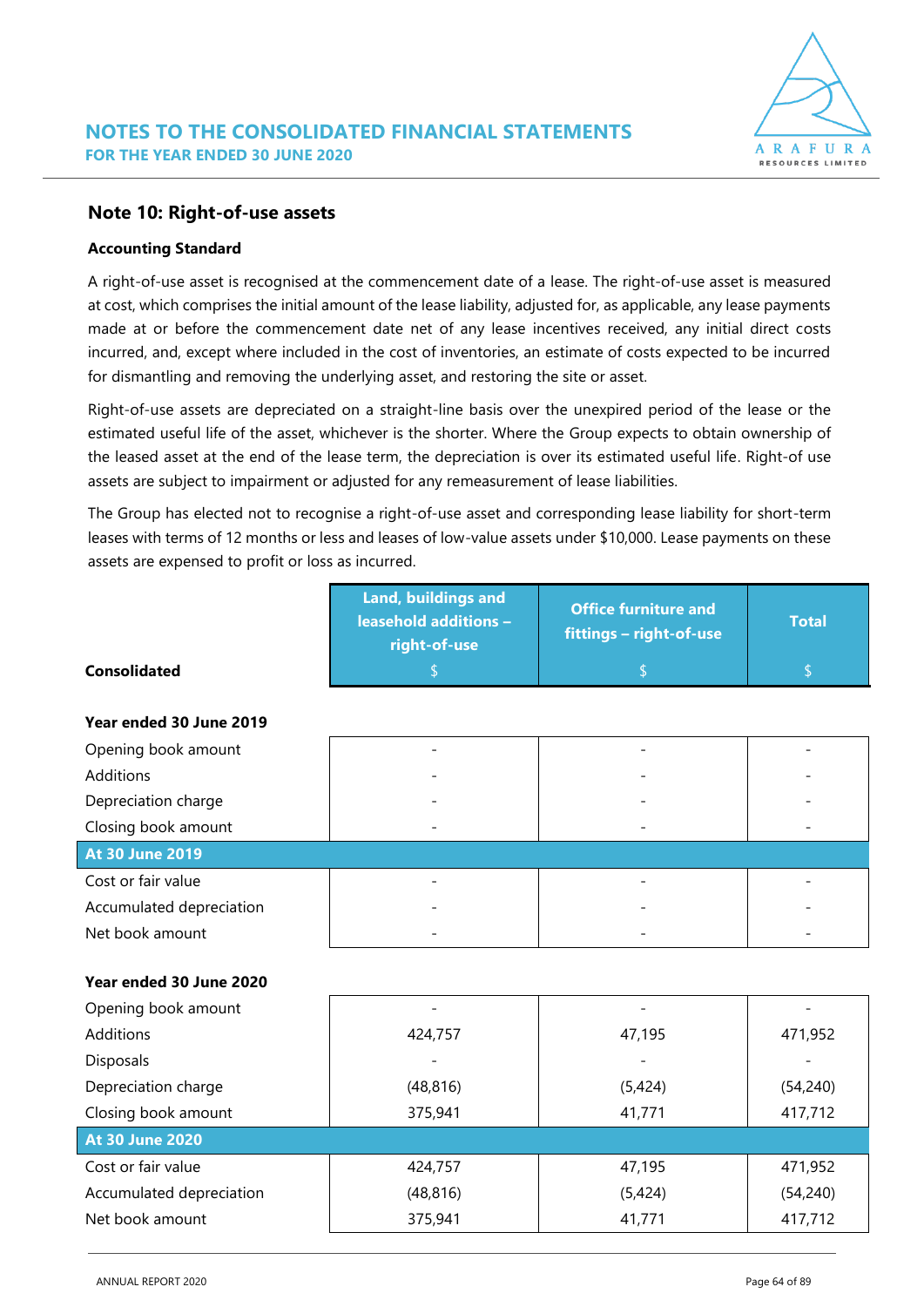

#### **Note 10: Right-of-use assets**

#### **Accounting Standard**

A right-of-use asset is recognised at the commencement date of a lease. The right-of-use asset is measured at cost, which comprises the initial amount of the lease liability, adjusted for, as applicable, any lease payments made at or before the commencement date net of any lease incentives received, any initial direct costs incurred, and, except where included in the cost of inventories, an estimate of costs expected to be incurred for dismantling and removing the underlying asset, and restoring the site or asset.

Right-of-use assets are depreciated on a straight-line basis over the unexpired period of the lease or the estimated useful life of the asset, whichever is the shorter. Where the Group expects to obtain ownership of the leased asset at the end of the lease term, the depreciation is over its estimated useful life. Right-of use assets are subject to impairment or adjusted for any remeasurement of lease liabilities.

The Group has elected not to recognise a right-of-use asset and corresponding lease liability for short-term leases with terms of 12 months or less and leases of low-value assets under \$10,000. Lease payments on these assets are expensed to profit or loss as incurred.

| Land, buildings and<br><b>leasehold additions -</b><br>right-of-use | <b>Office furniture and</b><br>fittings - right-of-use | <b>Total</b> |
|---------------------------------------------------------------------|--------------------------------------------------------|--------------|
| \$                                                                  | \$                                                     | \$           |
|                                                                     |                                                        |              |
|                                                                     |                                                        |              |
|                                                                     |                                                        |              |
|                                                                     |                                                        |              |
|                                                                     |                                                        |              |
|                                                                     |                                                        |              |
|                                                                     |                                                        |              |
|                                                                     |                                                        |              |
|                                                                     |                                                        |              |
|                                                                     |                                                        |              |
| $\overline{a}$                                                      | $\overline{\phantom{a}}$                               |              |
| 424,757                                                             | 47,195                                                 | 471,952      |
|                                                                     |                                                        |              |
| (48, 816)                                                           | (5,424)                                                | (54, 240)    |
| 375,941                                                             | 41,771                                                 | 417,712      |
|                                                                     |                                                        |              |
| 424,757                                                             | 47,195                                                 | 471,952      |
| (48, 816)                                                           | (5,424)                                                | (54, 240)    |
| 375,941                                                             | 41,771                                                 | 417,712      |
|                                                                     |                                                        |              |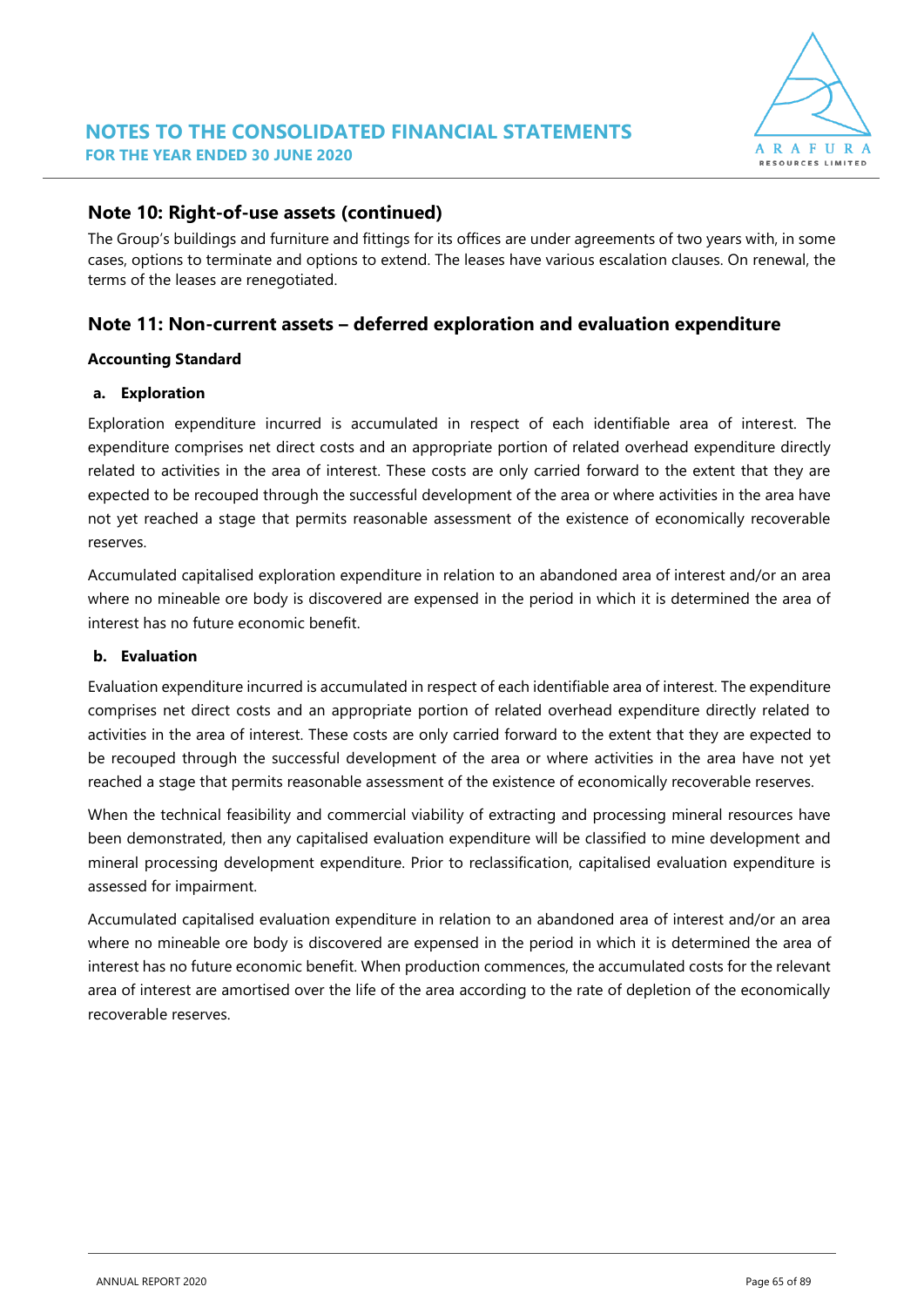

### **Note 10: Right-of-use assets (continued)**

The Group's buildings and furniture and fittings for its offices are under agreements of two years with, in some cases, options to terminate and options to extend. The leases have various escalation clauses. On renewal, the terms of the leases are renegotiated.

### **Note 11: Non-current assets – deferred exploration and evaluation expenditure**

#### **Accounting Standard**

#### **a. Exploration**

Exploration expenditure incurred is accumulated in respect of each identifiable area of interest. The expenditure comprises net direct costs and an appropriate portion of related overhead expenditure directly related to activities in the area of interest. These costs are only carried forward to the extent that they are expected to be recouped through the successful development of the area or where activities in the area have not yet reached a stage that permits reasonable assessment of the existence of economically recoverable reserves.

Accumulated capitalised exploration expenditure in relation to an abandoned area of interest and/or an area where no mineable ore body is discovered are expensed in the period in which it is determined the area of interest has no future economic benefit.

#### **b. Evaluation**

Evaluation expenditure incurred is accumulated in respect of each identifiable area of interest. The expenditure comprises net direct costs and an appropriate portion of related overhead expenditure directly related to activities in the area of interest. These costs are only carried forward to the extent that they are expected to be recouped through the successful development of the area or where activities in the area have not yet reached a stage that permits reasonable assessment of the existence of economically recoverable reserves.

When the technical feasibility and commercial viability of extracting and processing mineral resources have been demonstrated, then any capitalised evaluation expenditure will be classified to mine development and mineral processing development expenditure. Prior to reclassification, capitalised evaluation expenditure is assessed for impairment.

Accumulated capitalised evaluation expenditure in relation to an abandoned area of interest and/or an area where no mineable ore body is discovered are expensed in the period in which it is determined the area of interest has no future economic benefit. When production commences, the accumulated costs for the relevant area of interest are amortised over the life of the area according to the rate of depletion of the economically recoverable reserves.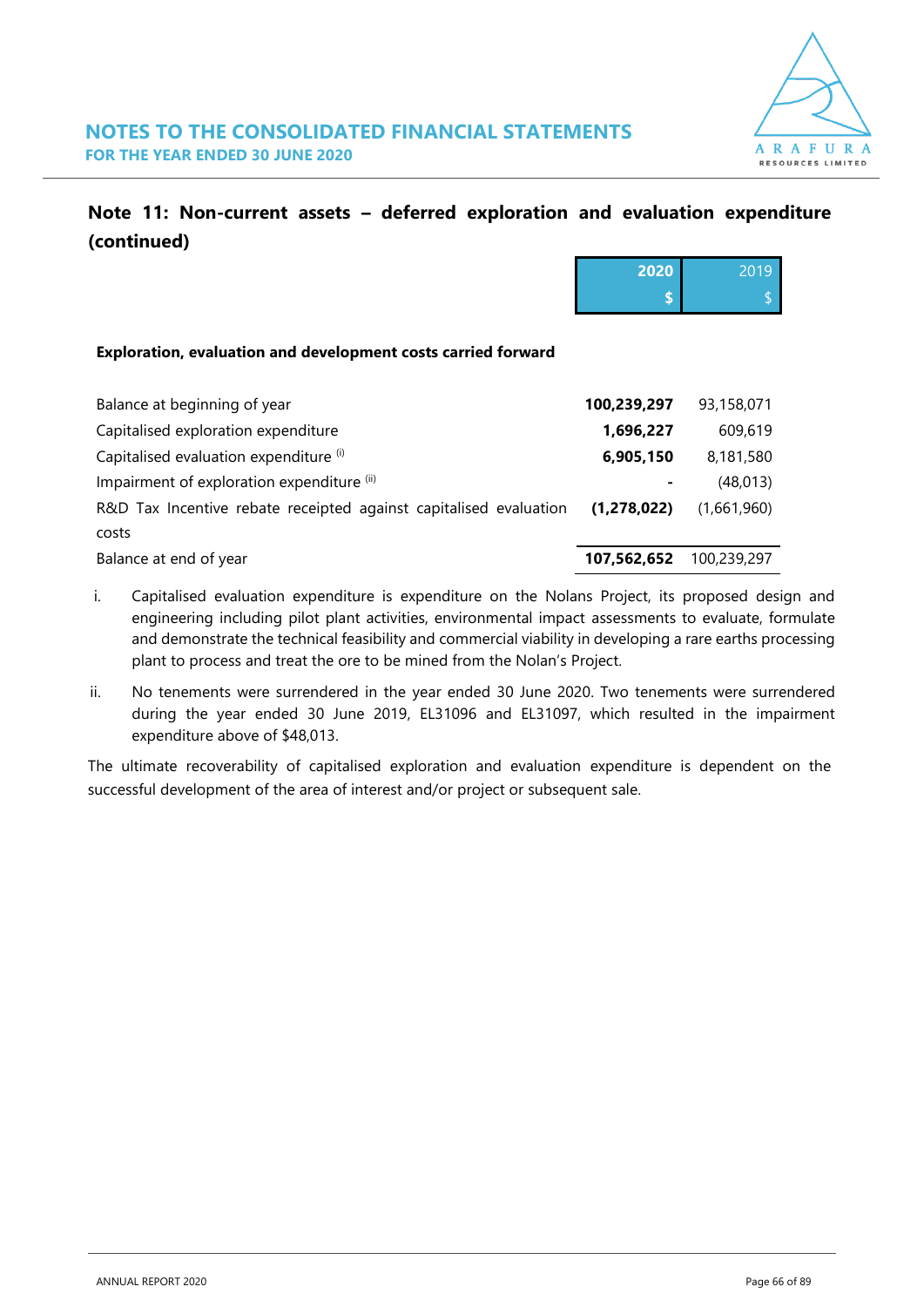

### **Note 11: Non-current assets – deferred exploration and evaluation expenditure (continued)**

|                                                                   | 2020        | 2019        |
|-------------------------------------------------------------------|-------------|-------------|
|                                                                   | \$          |             |
|                                                                   |             |             |
| Exploration, evaluation and development costs carried forward     |             |             |
| Balance at beginning of year                                      | 100,239,297 |             |
|                                                                   |             | 93,158,071  |
| Capitalised exploration expenditure                               | 1,696,227   | 609,619     |
| Capitalised evaluation expenditure (i)                            | 6,905,150   | 8,181,580   |
| Impairment of exploration expenditure (ii)                        |             | (48, 013)   |
| R&D Tax Incentive rebate receipted against capitalised evaluation | (1,278,022) | (1,661,960) |
| costs                                                             |             |             |
| Balance at end of year                                            | 107,562,652 | 100,239,297 |

- i. Capitalised evaluation expenditure is expenditure on the Nolans Project, its proposed design and engineering including pilot plant activities, environmental impact assessments to evaluate, formulate and demonstrate the technical feasibility and commercial viability in developing a rare earths processing plant to process and treat the ore to be mined from the Nolan's Project.
- ii. No tenements were surrendered in the year ended 30 June 2020. Two tenements were surrendered during the year ended 30 June 2019, EL31096 and EL31097, which resulted in the impairment expenditure above of \$48,013.

The ultimate recoverability of capitalised exploration and evaluation expenditure is dependent on the successful development of the area of interest and/or project or subsequent sale.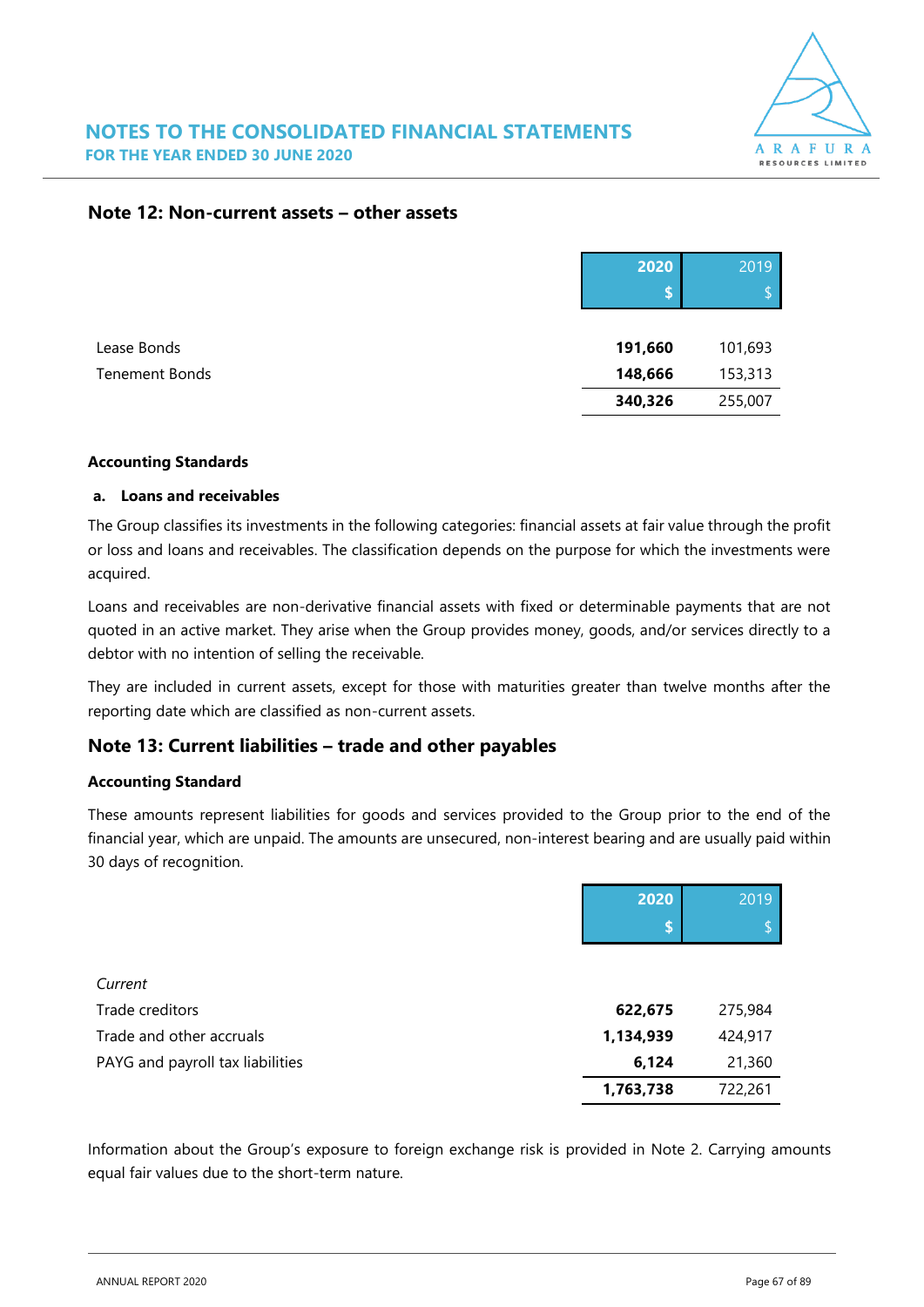

#### **Note 12: Non-current assets – other assets**

|                | 2020    | 2019    |
|----------------|---------|---------|
| Lease Bonds    | 191,660 | 101,693 |
| Tenement Bonds | 148,666 | 153,313 |
|                | 340,326 | 255,007 |

#### **Accounting Standards**

#### **a. Loans and receivables**

The Group classifies its investments in the following categories: financial assets at fair value through the profit or loss and loans and receivables. The classification depends on the purpose for which the investments were acquired.

Loans and receivables are non-derivative financial assets with fixed or determinable payments that are not quoted in an active market. They arise when the Group provides money, goods, and/or services directly to a debtor with no intention of selling the receivable.

They are included in current assets, except for those with maturities greater than twelve months after the reporting date which are classified as non-current assets.

### **Note 13: Current liabilities – trade and other payables**

#### **Accounting Standard**

These amounts represent liabilities for goods and services provided to the Group prior to the end of the financial year, which are unpaid. The amounts are unsecured, non-interest bearing and are usually paid within 30 days of recognition.

|                                  | 2020      | 2019    |
|----------------------------------|-----------|---------|
|                                  | \$        |         |
|                                  |           |         |
| Current                          |           |         |
| Trade creditors                  | 622,675   | 275,984 |
| Trade and other accruals         | 1,134,939 | 424,917 |
| PAYG and payroll tax liabilities | 6,124     | 21,360  |
|                                  | 1,763,738 | 722,261 |

Information about the Group's exposure to foreign exchange risk is provided in Note 2. Carrying amounts equal fair values due to the short-term nature.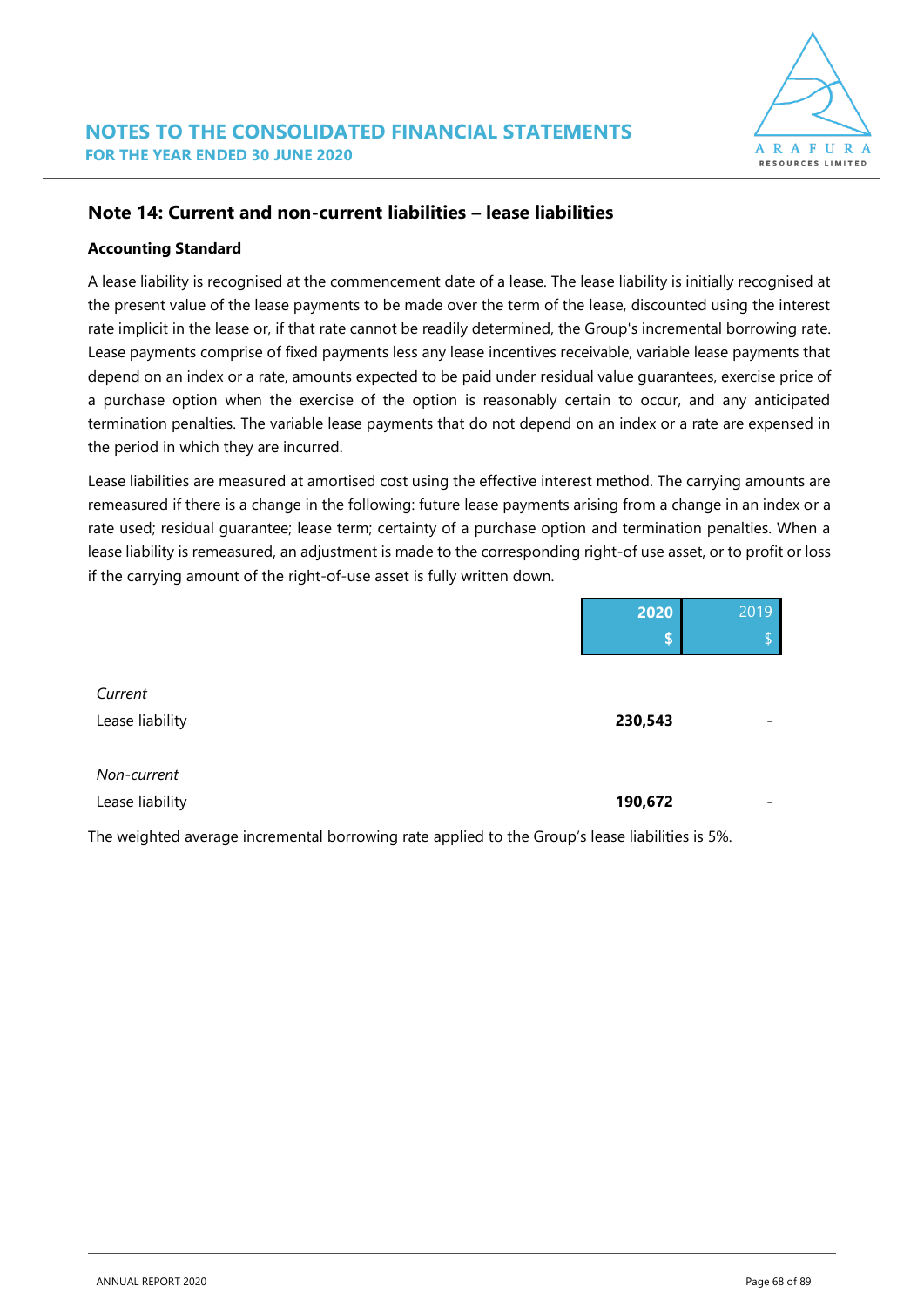

### **Note 14: Current and non-current liabilities – lease liabilities**

#### **Accounting Standard**

A lease liability is recognised at the commencement date of a lease. The lease liability is initially recognised at the present value of the lease payments to be made over the term of the lease, discounted using the interest rate implicit in the lease or, if that rate cannot be readily determined, the Group's incremental borrowing rate. Lease payments comprise of fixed payments less any lease incentives receivable, variable lease payments that depend on an index or a rate, amounts expected to be paid under residual value guarantees, exercise price of a purchase option when the exercise of the option is reasonably certain to occur, and any anticipated termination penalties. The variable lease payments that do not depend on an index or a rate are expensed in the period in which they are incurred.

Lease liabilities are measured at amortised cost using the effective interest method. The carrying amounts are remeasured if there is a change in the following: future lease payments arising from a change in an index or a rate used; residual guarantee; lease term; certainty of a purchase option and termination penalties. When a lease liability is remeasured, an adjustment is made to the corresponding right-of use asset, or to profit or loss if the carrying amount of the right-of-use asset is fully written down.

|                 | 2020    | 2019                     |
|-----------------|---------|--------------------------|
|                 | \$      | ¢<br>ьÞ                  |
|                 |         |                          |
| Current         |         |                          |
| Lease liability | 230,543 | $\overline{\phantom{a}}$ |
|                 |         |                          |
| Non-current     |         |                          |
| Lease liability | 190,672 | $\overline{\phantom{a}}$ |
|                 |         |                          |

The weighted average incremental borrowing rate applied to the Group's lease liabilities is 5%.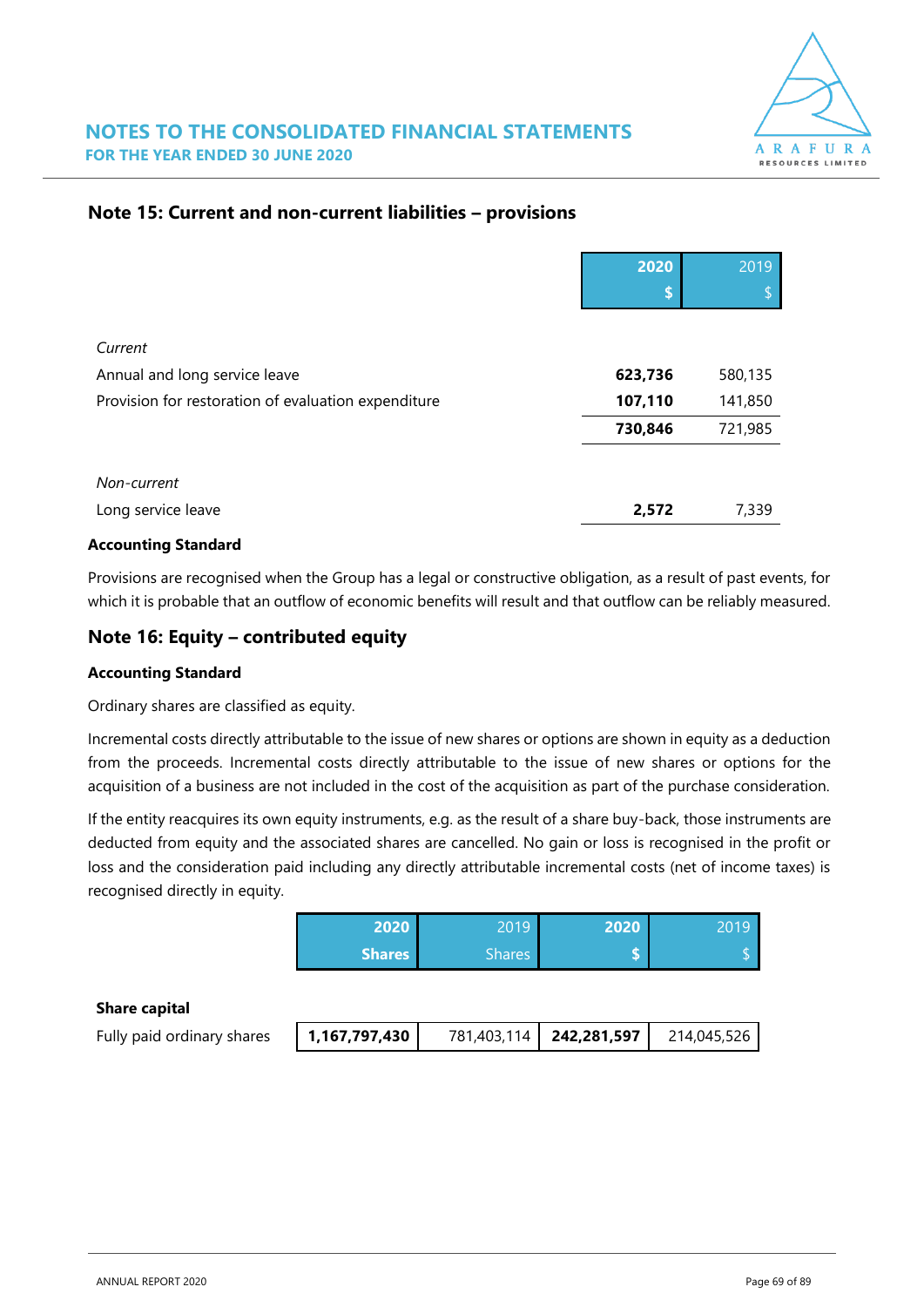

### **Note 15: Current and non-current liabilities – provisions**

|                                                     | 2020    | 2019    |
|-----------------------------------------------------|---------|---------|
|                                                     | \$      |         |
|                                                     |         |         |
| Current                                             |         |         |
| Annual and long service leave                       | 623,736 | 580,135 |
| Provision for restoration of evaluation expenditure | 107,110 | 141,850 |
|                                                     | 730,846 | 721,985 |
|                                                     |         |         |
| Non-current                                         |         |         |
| Long service leave                                  | 2,572   | 7,339   |

#### **Accounting Standard**

Provisions are recognised when the Group has a legal or constructive obligation, as a result of past events, for which it is probable that an outflow of economic benefits will result and that outflow can be reliably measured.

### **Note 16: Equity – contributed equity**

#### **Accounting Standard**

Ordinary shares are classified as equity.

Incremental costs directly attributable to the issue of new shares or options are shown in equity as a deduction from the proceeds. Incremental costs directly attributable to the issue of new shares or options for the acquisition of a business are not included in the cost of the acquisition as part of the purchase consideration.

If the entity reacquires its own equity instruments, e.g. as the result of a share buy-back, those instruments are deducted from equity and the associated shares are cancelled. No gain or loss is recognised in the profit or loss and the consideration paid including any directly attributable incremental costs (net of income taxes) is recognised directly in equity.

| 2020   | 2019   | 2020 |  |
|--------|--------|------|--|
| Shares | Shares |      |  |

#### **Share capital**

| Fully paid ordinary shares | 1,167,797,430 | 781,403,114   242,281,597 | 214,045,526 |
|----------------------------|---------------|---------------------------|-------------|
|                            |               |                           |             |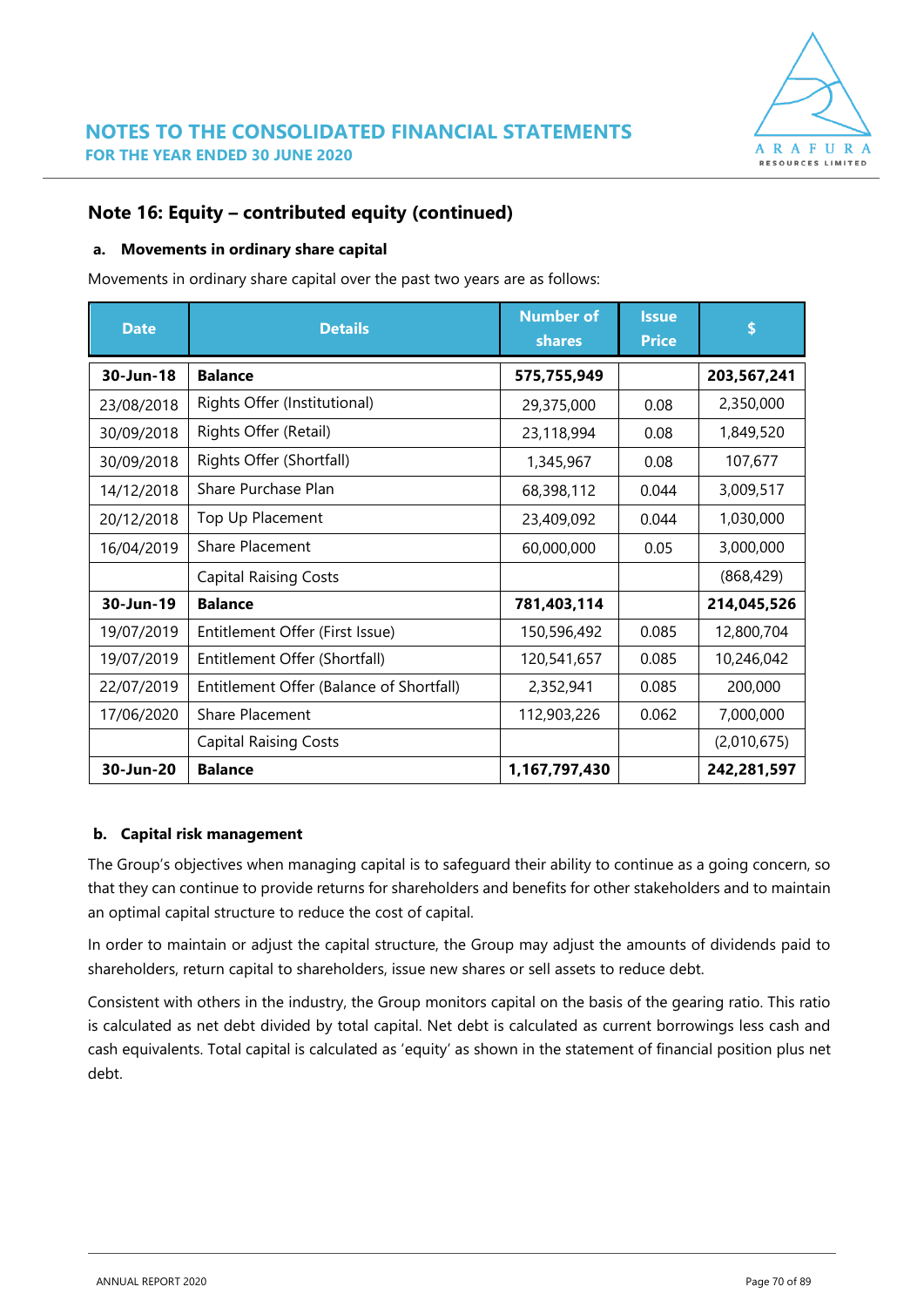

### **Note 16: Equity – contributed equity (continued)**

#### **a. Movements in ordinary share capital**

Movements in ordinary share capital over the past two years are as follows:

| <b>Date</b> | <b>Details</b>                           | <b>Number of</b><br>shares | <b>Issue</b><br><b>Price</b> | S           |
|-------------|------------------------------------------|----------------------------|------------------------------|-------------|
| 30-Jun-18   | <b>Balance</b>                           | 575,755,949                |                              | 203,567,241 |
| 23/08/2018  | Rights Offer (Institutional)             | 29,375,000                 | 0.08                         | 2,350,000   |
| 30/09/2018  | Rights Offer (Retail)                    | 23,118,994                 | 0.08                         | 1,849,520   |
| 30/09/2018  | Rights Offer (Shortfall)                 | 1,345,967                  | 0.08                         | 107,677     |
| 14/12/2018  | Share Purchase Plan                      | 68,398,112                 | 0.044                        | 3,009,517   |
| 20/12/2018  | Top Up Placement                         | 23,409,092                 | 0.044                        | 1,030,000   |
| 16/04/2019  | <b>Share Placement</b>                   | 60,000,000                 | 0.05                         | 3,000,000   |
|             | <b>Capital Raising Costs</b>             |                            |                              | (868, 429)  |
| 30-Jun-19   | <b>Balance</b>                           | 781,403,114                |                              | 214,045,526 |
| 19/07/2019  | Entitlement Offer (First Issue)          | 150,596,492                | 0.085                        | 12,800,704  |
| 19/07/2019  | Entitlement Offer (Shortfall)            | 120,541,657                | 0.085                        | 10,246,042  |
| 22/07/2019  | Entitlement Offer (Balance of Shortfall) | 2,352,941                  | 0.085                        | 200,000     |
| 17/06/2020  | <b>Share Placement</b>                   | 112,903,226                | 0.062                        | 7,000,000   |
|             | <b>Capital Raising Costs</b>             |                            |                              | (2,010,675) |
| 30-Jun-20   | <b>Balance</b>                           | 1,167,797,430              |                              | 242,281,597 |

#### **b. Capital risk management**

The Group's objectives when managing capital is to safeguard their ability to continue as a going concern, so that they can continue to provide returns for shareholders and benefits for other stakeholders and to maintain an optimal capital structure to reduce the cost of capital.

In order to maintain or adjust the capital structure, the Group may adjust the amounts of dividends paid to shareholders, return capital to shareholders, issue new shares or sell assets to reduce debt.

Consistent with others in the industry, the Group monitors capital on the basis of the gearing ratio. This ratio is calculated as net debt divided by total capital. Net debt is calculated as current borrowings less cash and cash equivalents. Total capital is calculated as 'equity' as shown in the statement of financial position plus net debt.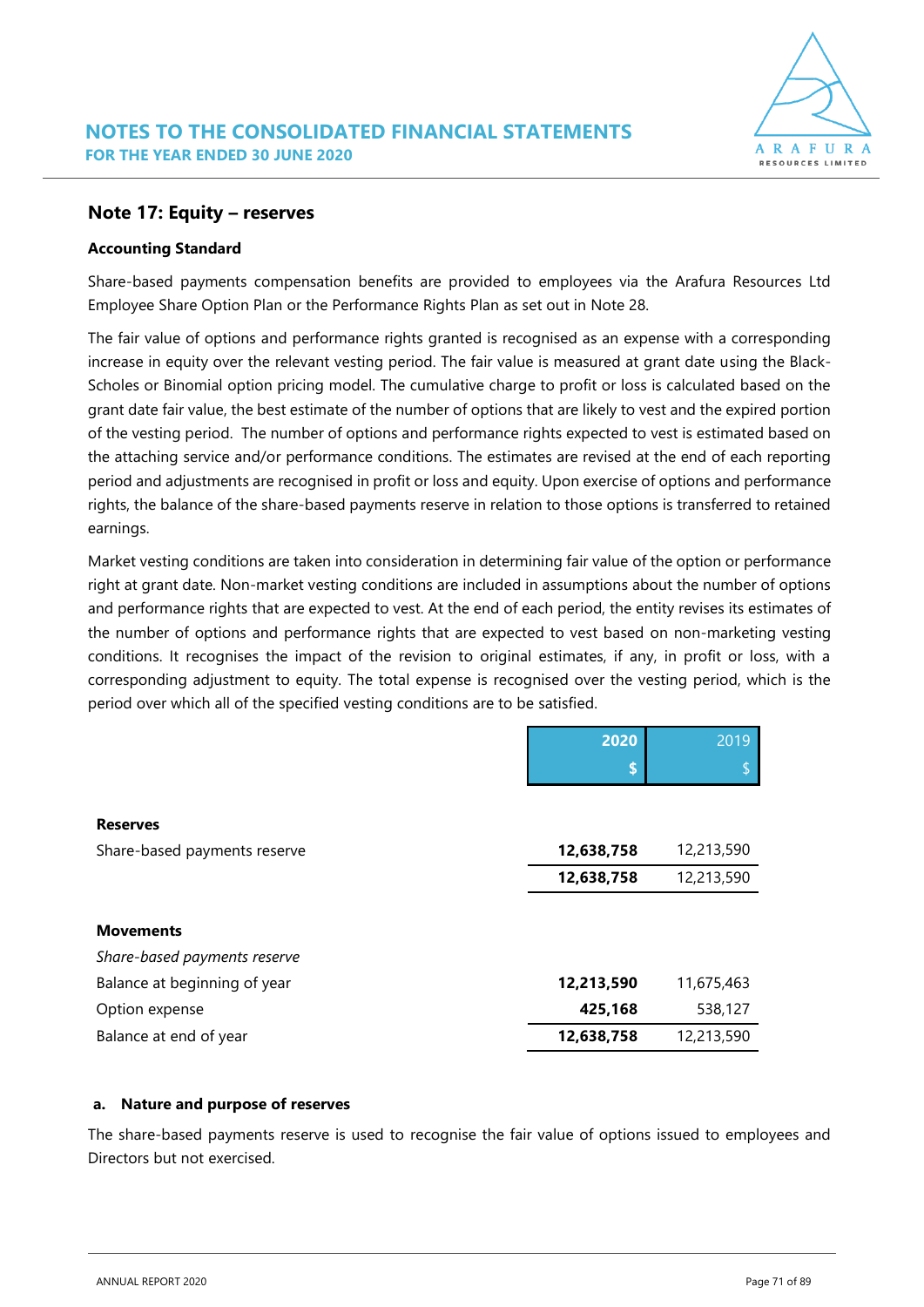#### **Note 17: Equity – reserves**

#### **Accounting Standard**

Share-based payments compensation benefits are provided to employees via the Arafura Resources Ltd Employee Share Option Plan or the Performance Rights Plan as set out in Note 28.

The fair value of options and performance rights granted is recognised as an expense with a corresponding increase in equity over the relevant vesting period. The fair value is measured at grant date using the Black-Scholes or Binomial option pricing model. The cumulative charge to profit or loss is calculated based on the grant date fair value, the best estimate of the number of options that are likely to vest and the expired portion of the vesting period. The number of options and performance rights expected to vest is estimated based on the attaching service and/or performance conditions. The estimates are revised at the end of each reporting period and adjustments are recognised in profit or loss and equity. Upon exercise of options and performance rights, the balance of the share-based payments reserve in relation to those options is transferred to retained earnings.

Market vesting conditions are taken into consideration in determining fair value of the option or performance right at grant date. Non-market vesting conditions are included in assumptions about the number of options and performance rights that are expected to vest. At the end of each period, the entity revises its estimates of the number of options and performance rights that are expected to vest based on non-marketing vesting conditions. It recognises the impact of the revision to original estimates, if any, in profit or loss, with a corresponding adjustment to equity. The total expense is recognised over the vesting period, which is the period over which all of the specified vesting conditions are to be satisfied.

|                              | 2020       | 2019       |
|------------------------------|------------|------------|
|                              | \$         | c          |
|                              |            |            |
| <b>Reserves</b>              |            |            |
| Share-based payments reserve | 12,638,758 | 12,213,590 |
|                              | 12,638,758 | 12,213,590 |
|                              |            |            |
| <b>Movements</b>             |            |            |
| Share-based payments reserve |            |            |
| Balance at beginning of year | 12,213,590 | 11,675,463 |
| Option expense               | 425,168    | 538,127    |
| Balance at end of year       | 12,638,758 | 12,213,590 |

#### **a. Nature and purpose of reserves**

The share-based payments reserve is used to recognise the fair value of options issued to employees and Directors but not exercised.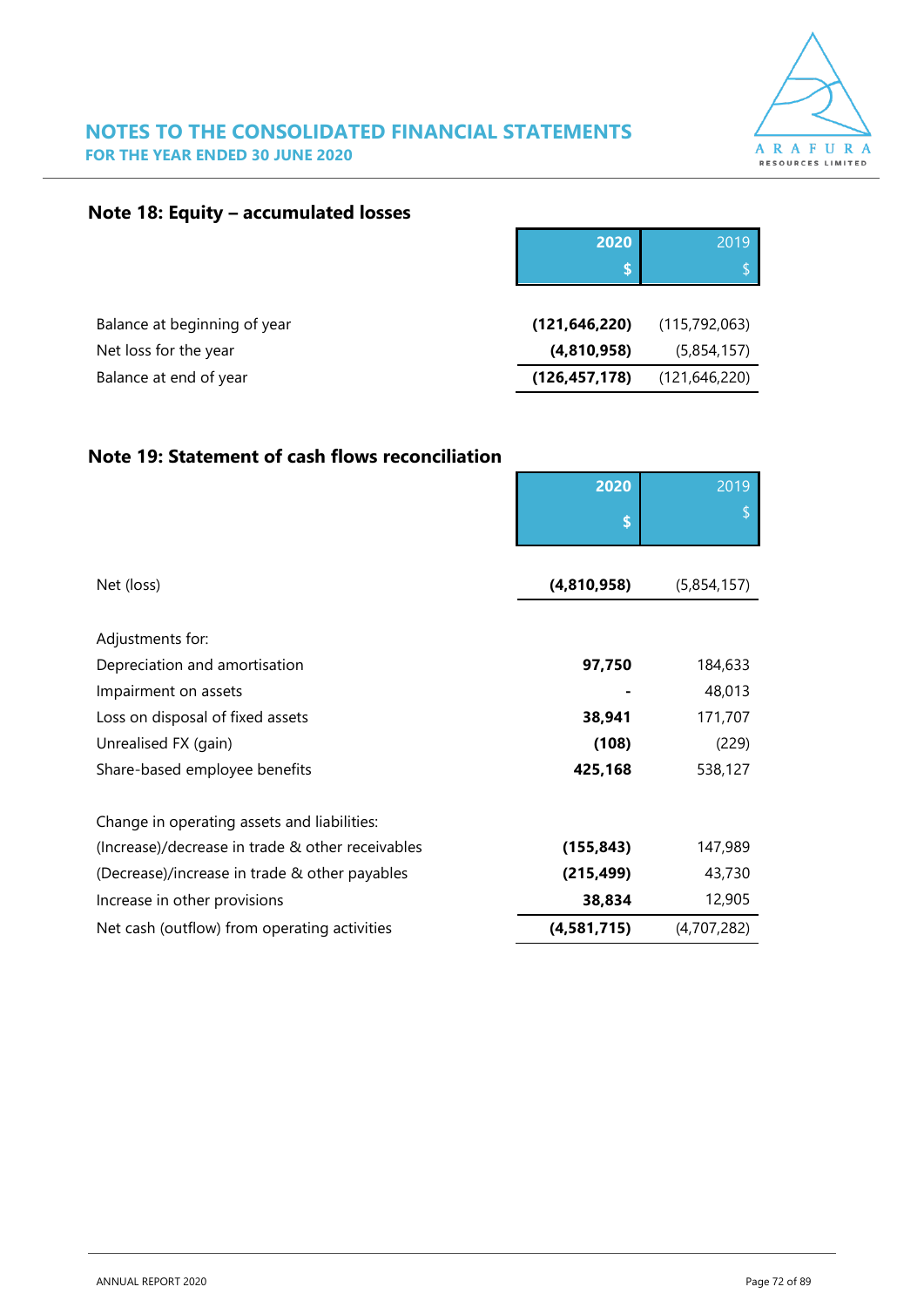

### **NOTES TO THE CONSOLIDATED FINANCIAL STATEMENTS FOR THE YEAR ENDED 30 JUNE 2020**

### **Note 18: Equity – accumulated losses**

|                              | 2020            | 2019            |
|------------------------------|-----------------|-----------------|
|                              |                 | đ               |
|                              |                 |                 |
| Balance at beginning of year | (121, 646, 220) | (115,792,063)   |
| Net loss for the year        | (4,810,958)     | (5,854,157)     |
| Balance at end of year       | (126, 457, 178) | (121, 646, 220) |

### **Note 19: Statement of cash flows reconciliation**

|                                                  | 2020        | 2019        |
|--------------------------------------------------|-------------|-------------|
|                                                  | \$          |             |
|                                                  |             |             |
| Net (loss)                                       | (4,810,958) | (5,854,157) |
|                                                  |             |             |
| Adjustments for:                                 |             |             |
| Depreciation and amortisation                    | 97,750      | 184,633     |
| Impairment on assets                             |             | 48,013      |
| Loss on disposal of fixed assets                 | 38,941      | 171,707     |
| Unrealised FX (gain)                             | (108)       | (229)       |
| Share-based employee benefits                    | 425,168     | 538,127     |
| Change in operating assets and liabilities:      |             |             |
| (Increase)/decrease in trade & other receivables | (155, 843)  | 147,989     |
| (Decrease)/increase in trade & other payables    | (215, 499)  | 43,730      |
| Increase in other provisions                     | 38,834      | 12,905      |
| Net cash (outflow) from operating activities     | (4,581,715) | (4,707,282) |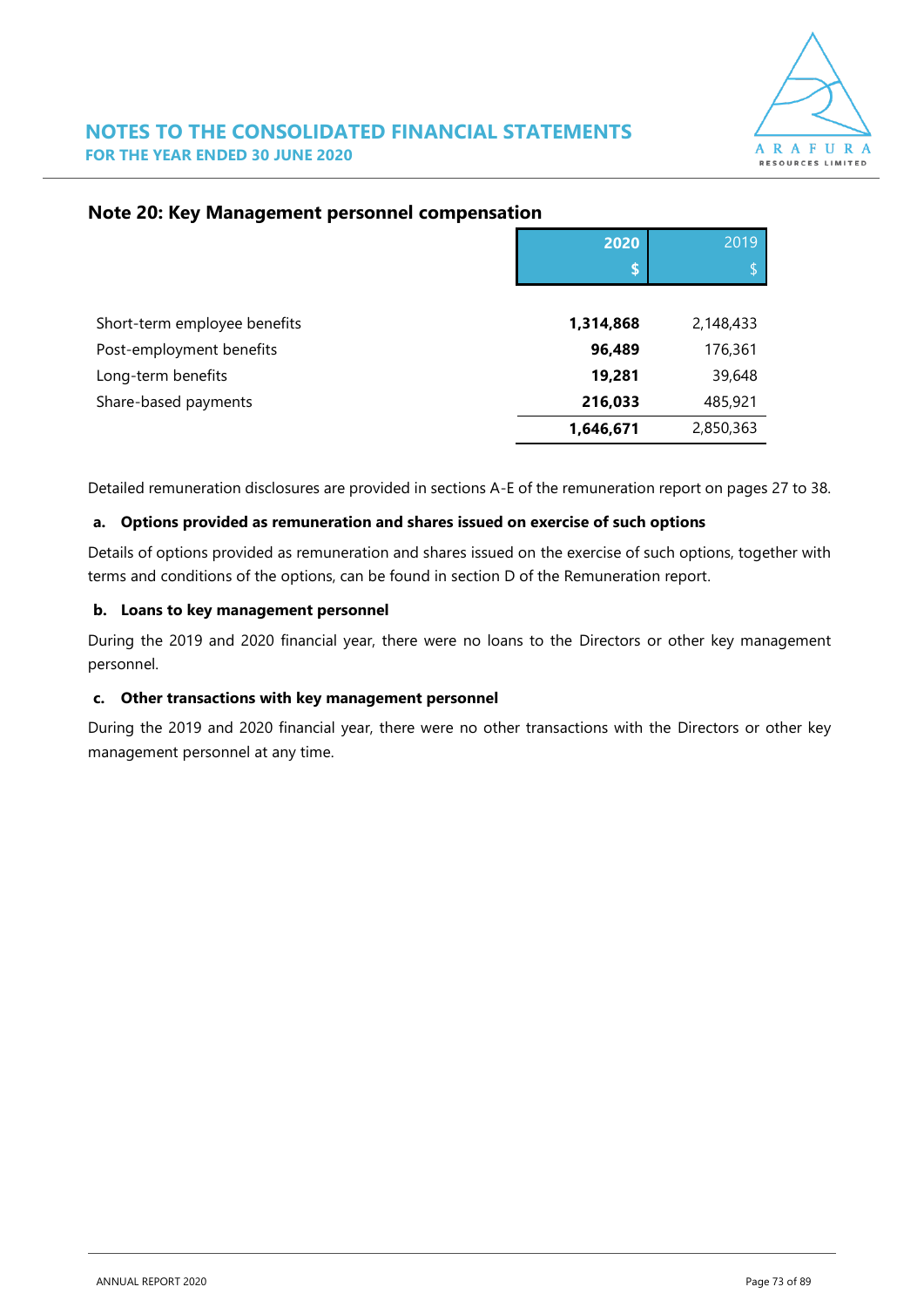

|                              | 2020      | 2019      |
|------------------------------|-----------|-----------|
|                              | S         | Φ         |
|                              |           |           |
| Short-term employee benefits | 1,314,868 | 2,148,433 |
| Post-employment benefits     | 96,489    | 176,361   |
| Long-term benefits           | 19,281    | 39,648    |
| Share-based payments         | 216,033   | 485,921   |
|                              | 1,646,671 | 2,850,363 |

# **Note 20: Key Management personnel compensation**

Detailed remuneration disclosures are provided in sections A-E of the remuneration report on pages 27 to 38.

## **a. Options provided as remuneration and shares issued on exercise of such options**

Details of options provided as remuneration and shares issued on the exercise of such options, together with terms and conditions of the options, can be found in section D of the Remuneration report.

## **b. Loans to key management personnel**

During the 2019 and 2020 financial year, there were no loans to the Directors or other key management personnel.

### **c. Other transactions with key management personnel**

During the 2019 and 2020 financial year, there were no other transactions with the Directors or other key management personnel at any time.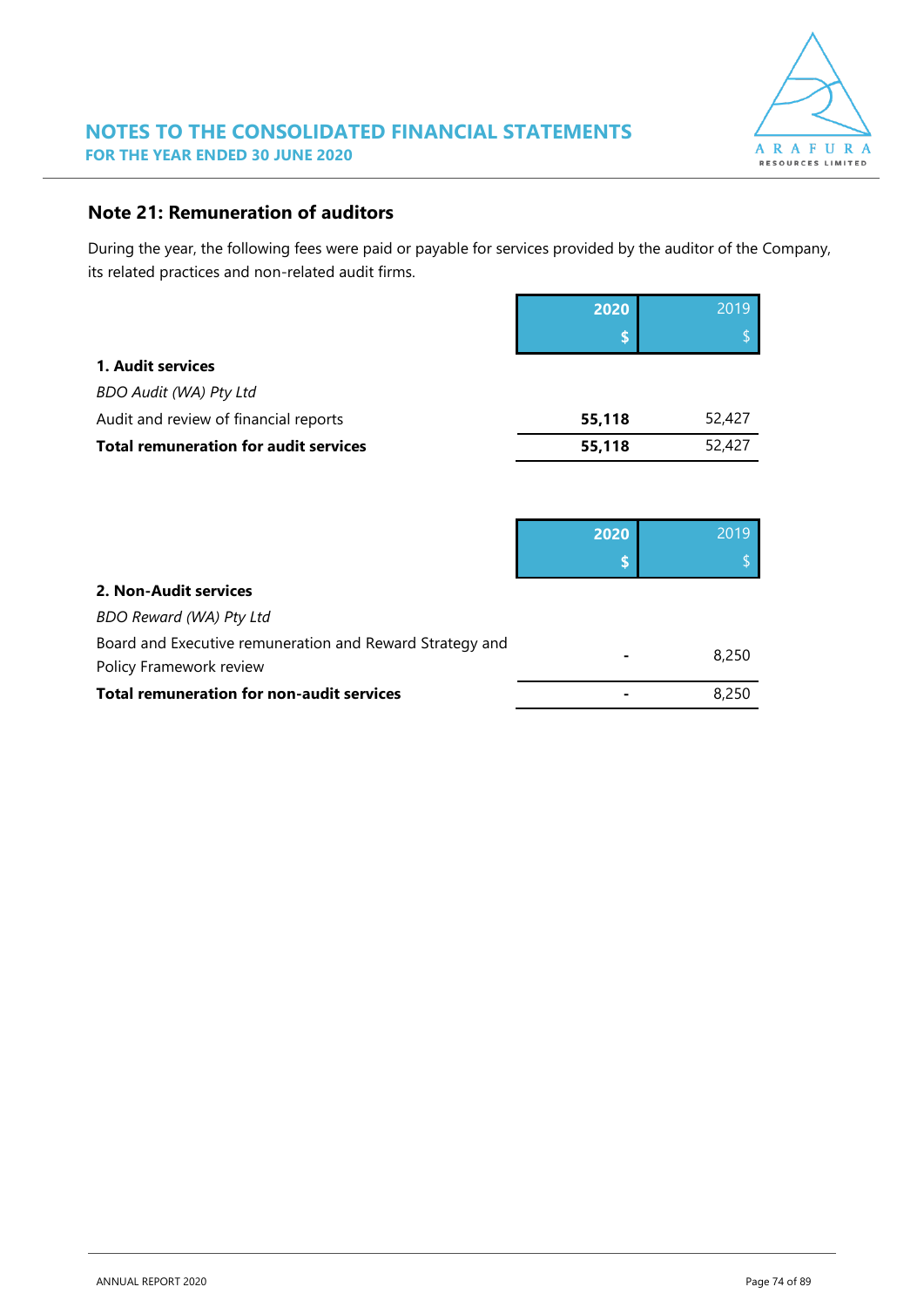

# **Note 21: Remuneration of auditors**

During the year, the following fees were paid or payable for services provided by the auditor of the Company, its related practices and non-related audit firms.

|                                              | 2020   | 2019   |
|----------------------------------------------|--------|--------|
|                                              |        |        |
| 1. Audit services                            |        |        |
| <b>BDO Audit (WA) Pty Ltd</b>                |        |        |
| Audit and review of financial reports        | 55,118 | 52,427 |
| <b>Total remuneration for audit services</b> | 55,118 | 52,427 |
|                                              |        |        |

|                                                                                     | 2020 | 2019  |
|-------------------------------------------------------------------------------------|------|-------|
|                                                                                     |      |       |
| 2. Non-Audit services                                                               |      |       |
| <b>BDO Reward (WA) Pty Ltd</b>                                                      |      |       |
| Board and Executive remuneration and Reward Strategy and<br>Policy Framework review |      | 8,250 |
| <b>Total remuneration for non-audit services</b>                                    |      | 8250  |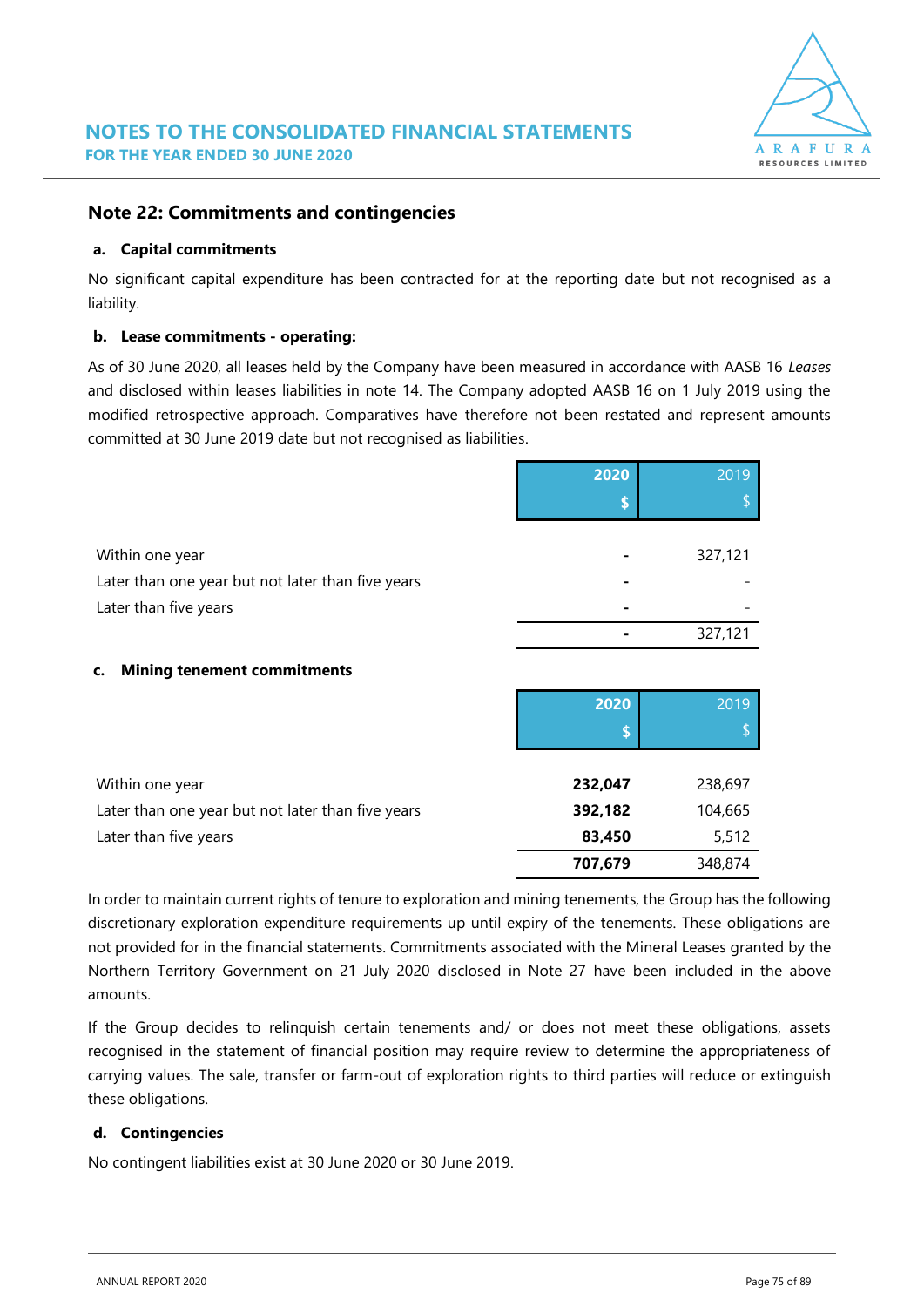

# **Note 22: Commitments and contingencies**

### **a. Capital commitments**

No significant capital expenditure has been contracted for at the reporting date but not recognised as a liability.

## **b. Lease commitments - operating:**

As of 30 June 2020, all leases held by the Company have been measured in accordance with AASB 16 *Leases*  and disclosed within leases liabilities in note 14. The Company adopted AASB 16 on 1 July 2019 using the modified retrospective approach. Comparatives have therefore not been restated and represent amounts committed at 30 June 2019 date but not recognised as liabilities.

|                                                   | 2020 | 2019    |
|---------------------------------------------------|------|---------|
|                                                   |      |         |
|                                                   |      |         |
| Within one year                                   |      | 327,121 |
| Later than one year but not later than five years | ٠    |         |
| Later than five years                             |      |         |
|                                                   |      | 327,121 |
|                                                   |      |         |

### **c. Mining tenement commitments**

|                                                   | 2020    | 2019    |
|---------------------------------------------------|---------|---------|
|                                                   | œ       |         |
|                                                   |         |         |
| Within one year                                   | 232,047 | 238,697 |
| Later than one year but not later than five years | 392,182 | 104,665 |
| Later than five years                             | 83,450  | 5,512   |
|                                                   | 707,679 | 348,874 |

In order to maintain current rights of tenure to exploration and mining tenements, the Group has the following discretionary exploration expenditure requirements up until expiry of the tenements. These obligations are not provided for in the financial statements. Commitments associated with the Mineral Leases granted by the Northern Territory Government on 21 July 2020 disclosed in Note 27 have been included in the above amounts.

If the Group decides to relinquish certain tenements and/ or does not meet these obligations, assets recognised in the statement of financial position may require review to determine the appropriateness of carrying values. The sale, transfer or farm-out of exploration rights to third parties will reduce or extinguish these obligations.

# **d. Contingencies**

No contingent liabilities exist at 30 June 2020 or 30 June 2019.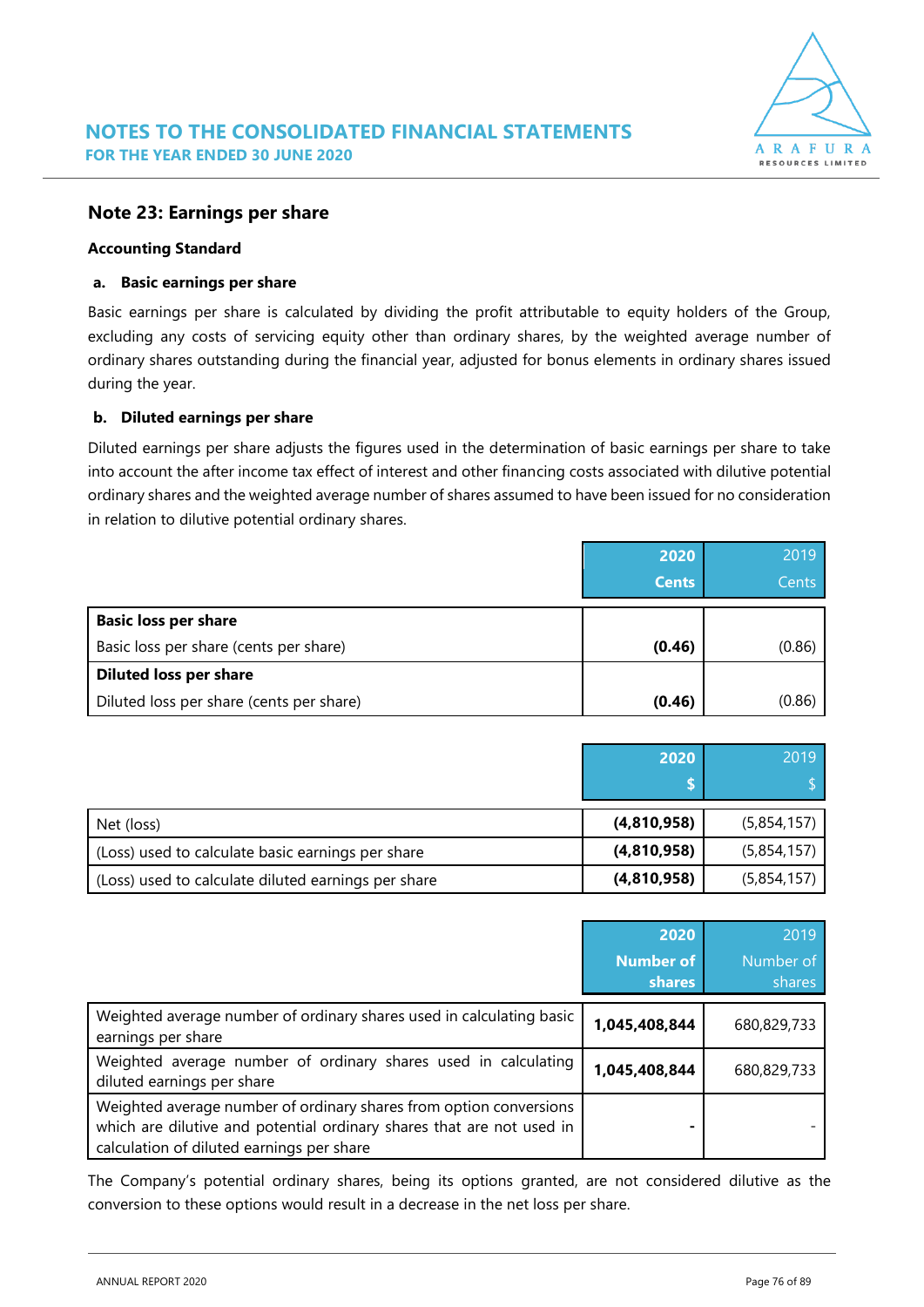

# **Note 23: Earnings per share**

#### **Accounting Standard**

### **a. Basic earnings per share**

Basic earnings per share is calculated by dividing the profit attributable to equity holders of the Group, excluding any costs of servicing equity other than ordinary shares, by the weighted average number of ordinary shares outstanding during the financial year, adjusted for bonus elements in ordinary shares issued during the year.

## **b. Diluted earnings per share**

Diluted earnings per share adjusts the figures used in the determination of basic earnings per share to take into account the after income tax effect of interest and other financing costs associated with dilutive potential ordinary shares and the weighted average number of shares assumed to have been issued for no consideration in relation to dilutive potential ordinary shares.

|                                          | 2020         | 2019   |
|------------------------------------------|--------------|--------|
|                                          | <b>Cents</b> | Cents  |
| <b>Basic loss per share</b>              |              |        |
| Basic loss per share (cents per share)   | (0.46)       | (0.86) |
| <b>Diluted loss per share</b>            |              |        |
| Diluted loss per share (cents per share) | (0.46)       | (0.86) |

|                                                     | 2020        | 2019        |
|-----------------------------------------------------|-------------|-------------|
| Net (loss)                                          | (4,810,958) | (5,854,157) |
| (Loss) used to calculate basic earnings per share   | (4,810,958) | (5,854,157) |
| (Loss) used to calculate diluted earnings per share | (4,810,958) | (5,854,157) |

|                                                                                                                                                                                          | 2020<br><b>Number of</b><br><b>shares</b> | 2019<br>Number of<br>shares |
|------------------------------------------------------------------------------------------------------------------------------------------------------------------------------------------|-------------------------------------------|-----------------------------|
| Weighted average number of ordinary shares used in calculating basic<br>earnings per share                                                                                               | 1,045,408,844                             | 680,829,733                 |
| Weighted average number of ordinary shares used in calculating<br>diluted earnings per share                                                                                             | 1,045,408,844                             | 680,829,733                 |
| Weighted average number of ordinary shares from option conversions<br>which are dilutive and potential ordinary shares that are not used in<br>calculation of diluted earnings per share |                                           |                             |

The Company's potential ordinary shares, being its options granted, are not considered dilutive as the conversion to these options would result in a decrease in the net loss per share.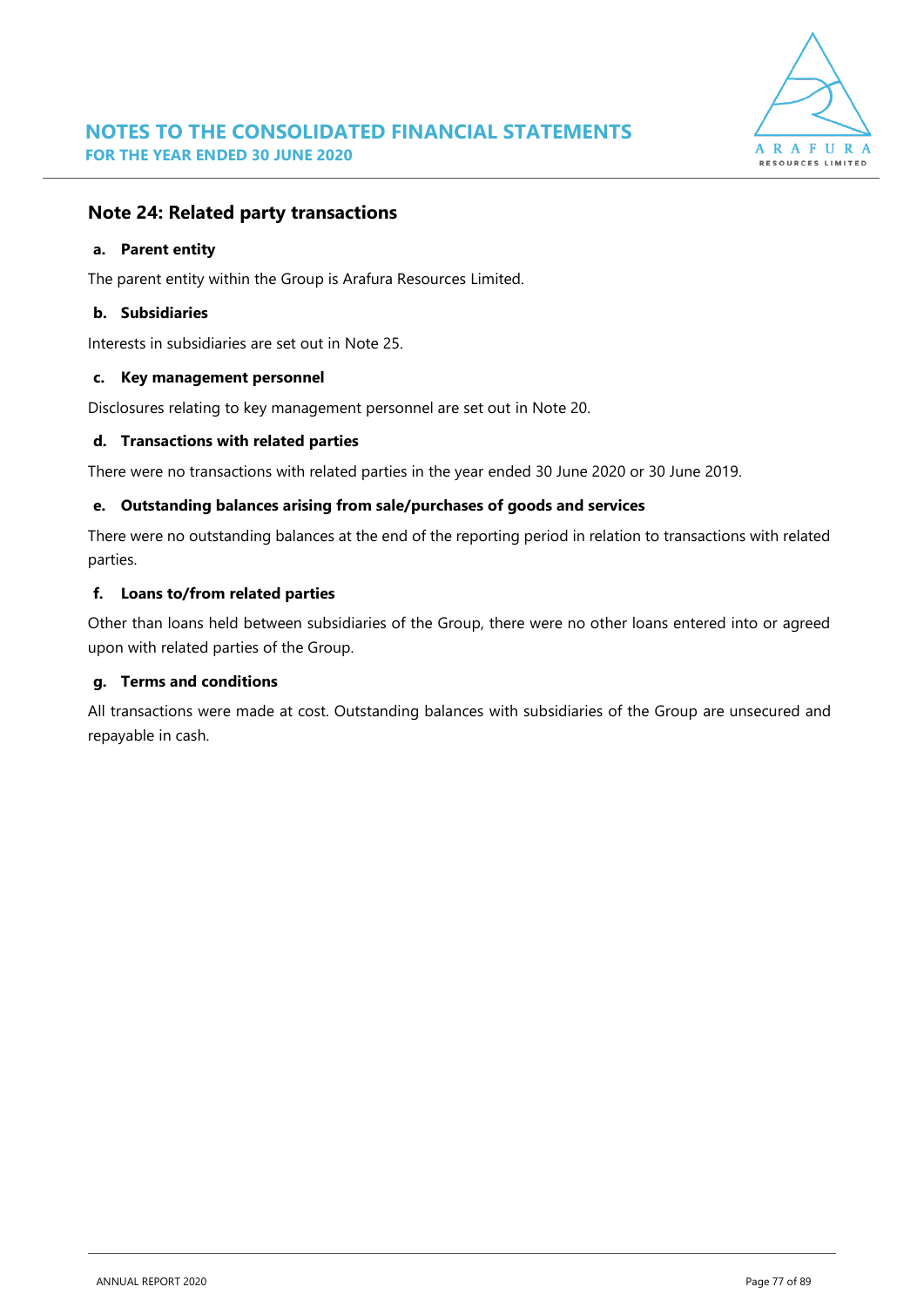

# **Note 24: Related party transactions**

#### **a. Parent entity**

The parent entity within the Group is Arafura Resources Limited.

### **b. Subsidiaries**

Interests in subsidiaries are set out in Note 25.

#### **c. Key management personnel**

Disclosures relating to key management personnel are set out in Note 20.

### **d. Transactions with related parties**

There were no transactions with related parties in the year ended 30 June 2020 or 30 June 2019.

#### **e. Outstanding balances arising from sale/purchases of goods and services**

There were no outstanding balances at the end of the reporting period in relation to transactions with related parties.

### **f. Loans to/from related parties**

Other than loans held between subsidiaries of the Group, there were no other loans entered into or agreed upon with related parties of the Group.

### **g. Terms and conditions**

All transactions were made at cost. Outstanding balances with subsidiaries of the Group are unsecured and repayable in cash.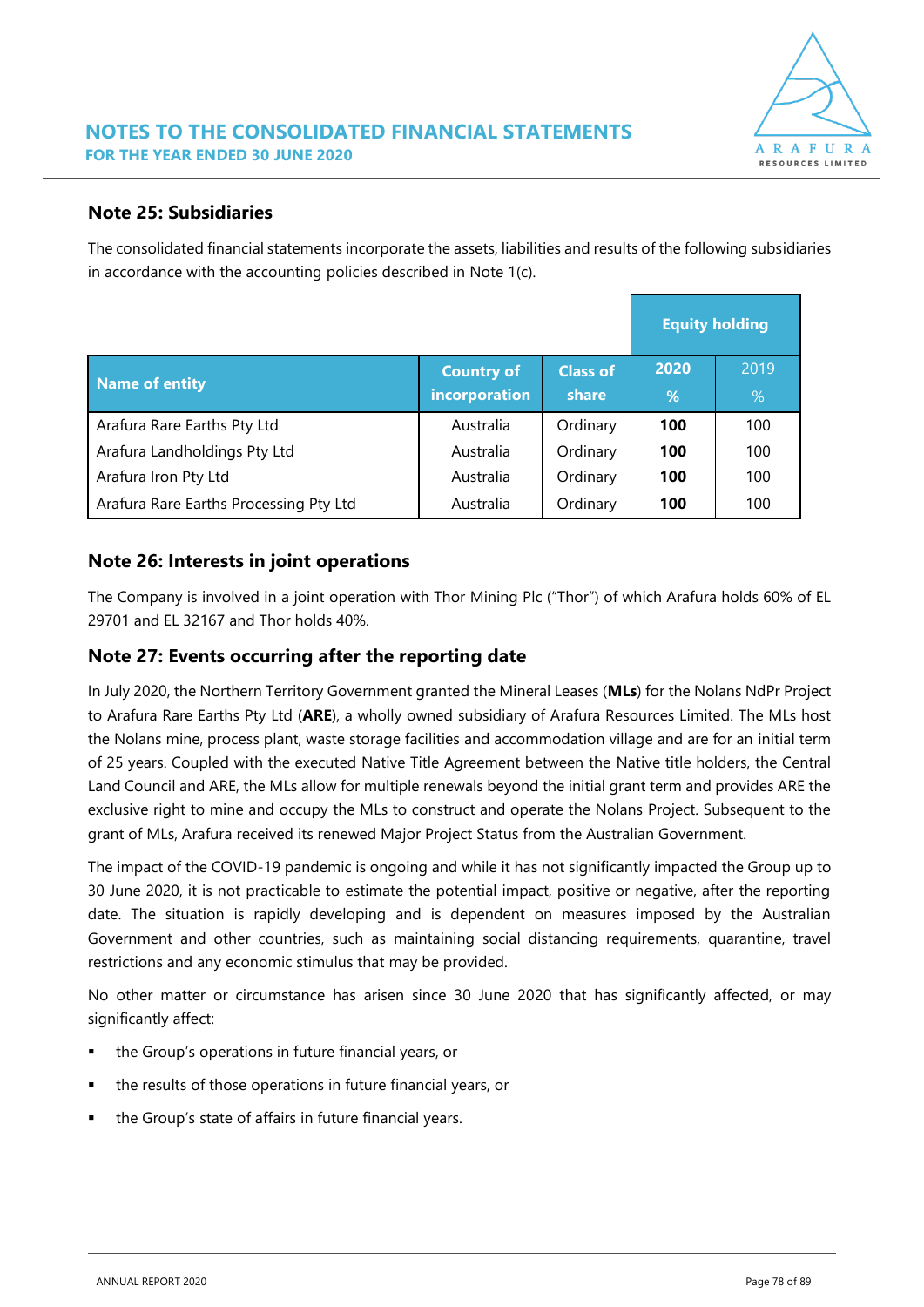

# **Note 25: Subsidiaries**

The consolidated financial statements incorporate the assets, liabilities and results of the following subsidiaries in accordance with the accounting policies described in Note 1(c).

|                                        | <b>Equity holding</b> |                 |      |      |
|----------------------------------------|-----------------------|-----------------|------|------|
| Name of entity                         | <b>Country of</b>     | <b>Class of</b> | 2020 | 2019 |
|                                        | incorporation         | share           | %    | %    |
| Arafura Rare Earths Pty Ltd            | Australia             | Ordinary        | 100  | 100  |
| Arafura Landholdings Pty Ltd           | Australia             | Ordinary        | 100  | 100  |
| Arafura Iron Pty Ltd                   | Australia             | Ordinary        | 100  | 100  |
| Arafura Rare Earths Processing Pty Ltd | Australia             | Ordinary        | 100  | 100  |

# **Note 26: Interests in joint operations**

The Company is involved in a joint operation with Thor Mining Plc ("Thor") of which Arafura holds 60% of EL 29701 and EL 32167 and Thor holds 40%.

# **Note 27: Events occurring after the reporting date**

In July 2020, the Northern Territory Government granted the Mineral Leases (**MLs**) for the Nolans NdPr Project to Arafura Rare Earths Pty Ltd (**ARE**), a wholly owned subsidiary of Arafura Resources Limited. The MLs host the Nolans mine, process plant, waste storage facilities and accommodation village and are for an initial term of 25 years. Coupled with the executed Native Title Agreement between the Native title holders, the Central Land Council and ARE, the MLs allow for multiple renewals beyond the initial grant term and provides ARE the exclusive right to mine and occupy the MLs to construct and operate the Nolans Project. Subsequent to the grant of MLs, Arafura received its renewed Major Project Status from the Australian Government.

The impact of the COVID-19 pandemic is ongoing and while it has not significantly impacted the Group up to 30 June 2020, it is not practicable to estimate the potential impact, positive or negative, after the reporting date. The situation is rapidly developing and is dependent on measures imposed by the Australian Government and other countries, such as maintaining social distancing requirements, quarantine, travel restrictions and any economic stimulus that may be provided.

No other matter or circumstance has arisen since 30 June 2020 that has significantly affected, or may significantly affect:

- the Group's operations in future financial years, or
- the results of those operations in future financial years, or
- the Group's state of affairs in future financial years.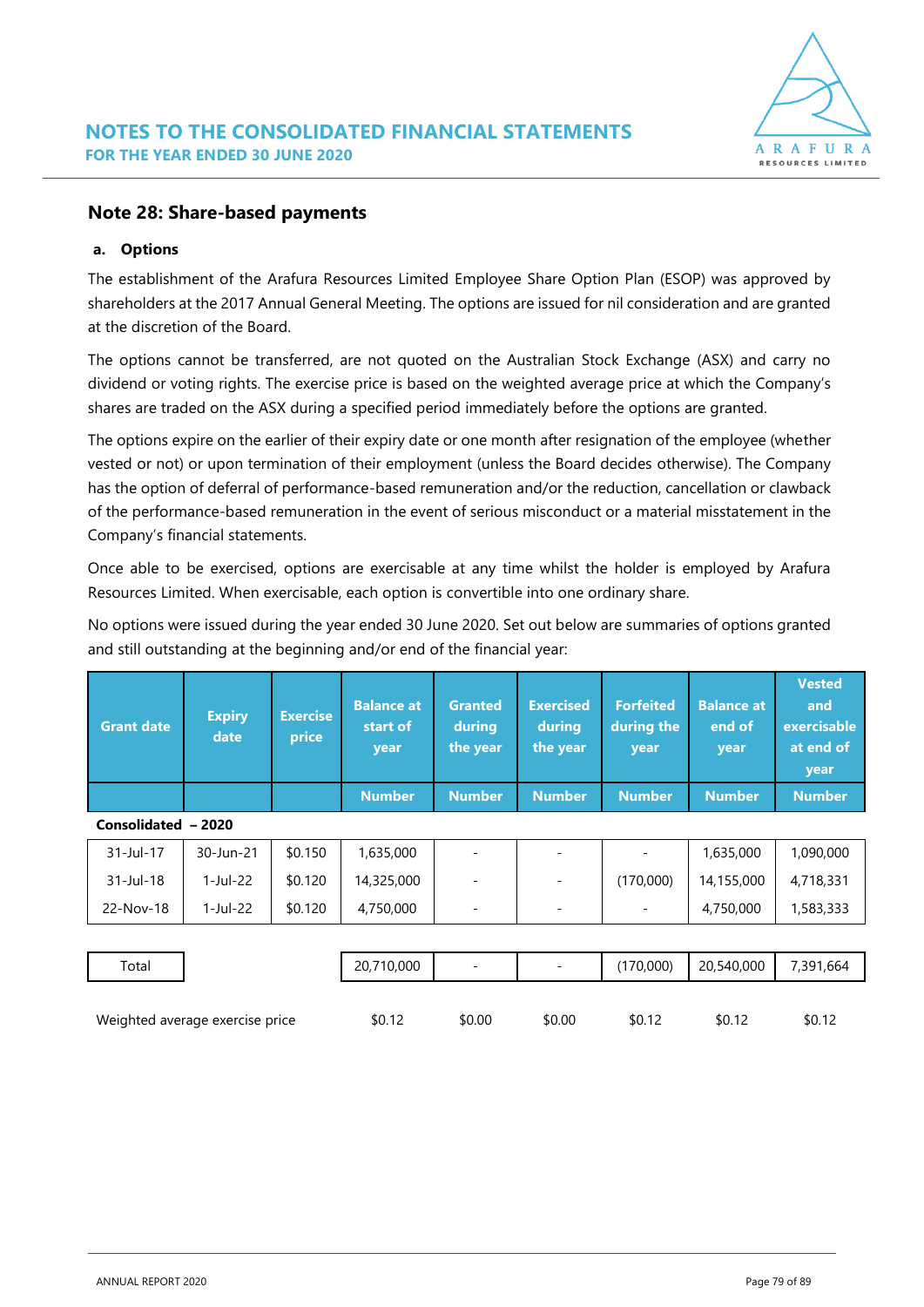# **Note 28: Share-based payments**

### **a. Options**

The establishment of the Arafura Resources Limited Employee Share Option Plan (ESOP) was approved by shareholders at the 2017 Annual General Meeting. The options are issued for nil consideration and are granted at the discretion of the Board.

The options cannot be transferred, are not quoted on the Australian Stock Exchange (ASX) and carry no dividend or voting rights. The exercise price is based on the weighted average price at which the Company's shares are traded on the ASX during a specified period immediately before the options are granted.

The options expire on the earlier of their expiry date or one month after resignation of the employee (whether vested or not) or upon termination of their employment (unless the Board decides otherwise). The Company has the option of deferral of performance-based remuneration and/or the reduction, cancellation or clawback of the performance-based remuneration in the event of serious misconduct or a material misstatement in the Company's financial statements.

Once able to be exercised, options are exercisable at any time whilst the holder is employed by Arafura Resources Limited. When exercisable, each option is convertible into one ordinary share.

No options were issued during the year ended 30 June 2020. Set out below are summaries of options granted and still outstanding at the beginning and/or end of the financial year:

| <b>Grant date</b>   | <b>Expiry</b><br>date | <b>Exercise</b><br>price | <b>Balance at</b><br>start of<br>year<br><b>Number</b> | <b>Granted</b><br>during<br>the year<br><b>Number</b> | <b>Exercised</b><br>during<br>the year<br><b>Number</b> | <b>Forfeited</b><br>during the<br>year<br><b>Number</b> | <b>Balance at</b><br>end of<br>year<br><b>Number</b> | <b>Vested</b><br>and<br>exercisable<br>at end of<br>year<br><b>Number</b> |
|---------------------|-----------------------|--------------------------|--------------------------------------------------------|-------------------------------------------------------|---------------------------------------------------------|---------------------------------------------------------|------------------------------------------------------|---------------------------------------------------------------------------|
| Consolidated - 2020 |                       |                          |                                                        |                                                       |                                                         |                                                         |                                                      |                                                                           |
| 31-Jul-17           | 30-Jun-21             | \$0.150                  | 1,635,000                                              |                                                       |                                                         |                                                         | 1,635,000                                            | 1,090,000                                                                 |
| 31-Jul-18           | $1-Jul-22$            | \$0.120                  | 14,325,000                                             |                                                       |                                                         | (170,000)                                               | 14,155,000                                           | 4,718,331                                                                 |
| 22-Nov-18           | 1-Jul-22              | \$0.120                  | 4,750,000                                              | ۰                                                     |                                                         | $\overline{\phantom{0}}$                                | 4,750,000                                            | 1,583,333                                                                 |
|                     |                       |                          |                                                        |                                                       |                                                         |                                                         |                                                      |                                                                           |

Total 20,710,000 - - (170,000) 20,540,000 7,391,664

| Weighted average exercise price | \$0.12 | \$0.00 | \$0.0C |        | \$0.12 | \$0.12 |
|---------------------------------|--------|--------|--------|--------|--------|--------|
|                                 |        |        |        | 30. IZ |        |        |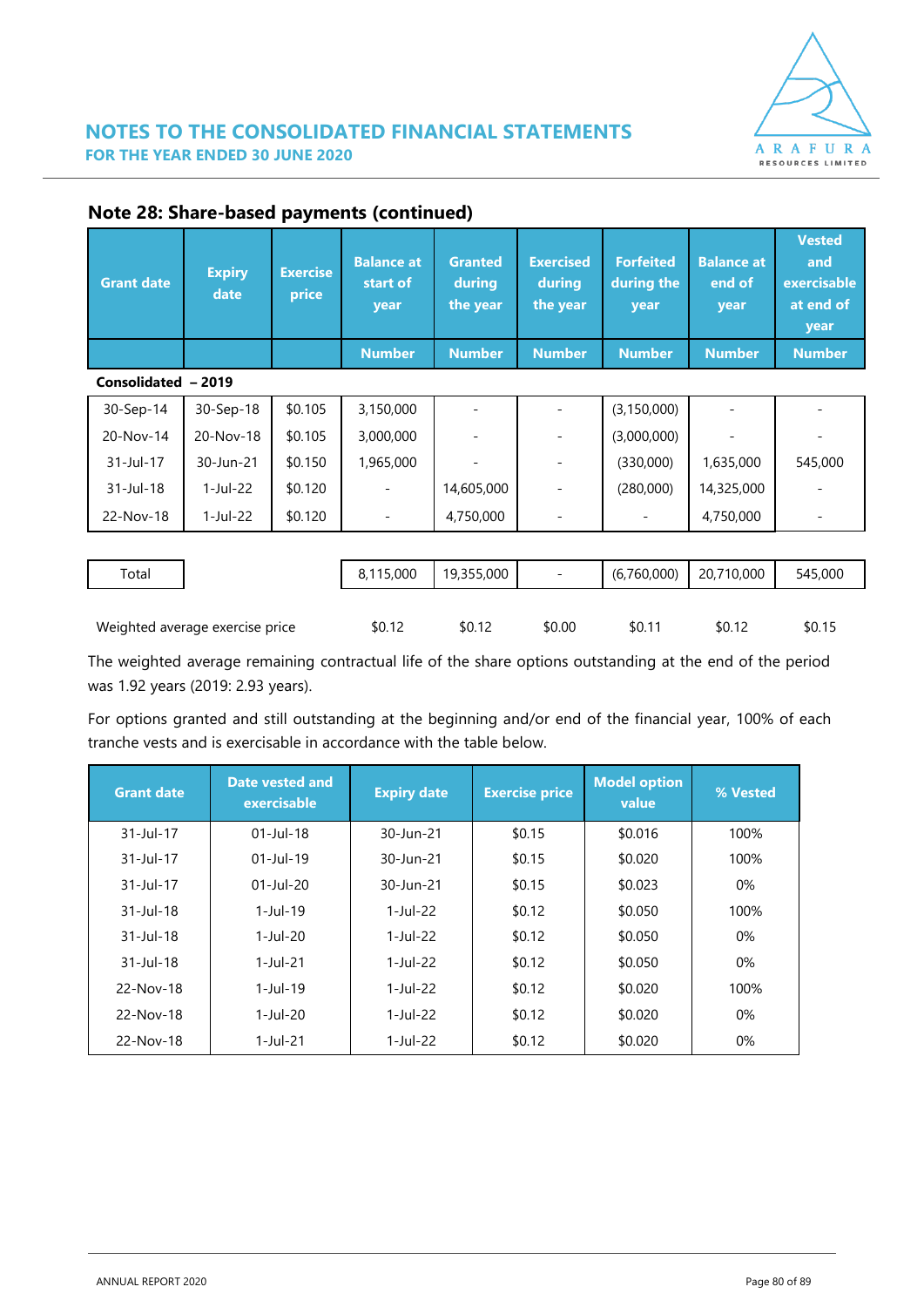

| <b>Grant date</b>   | <b>Expiry</b><br>date | <b>Exercise</b><br>price | <b>Balance at</b><br>start of<br>year<br><b>Number</b> | <b>Granted</b><br>during<br>the year<br><b>Number</b> | <b>Exercised</b><br>during<br>the year<br><b>Number</b> | <b>Forfeited</b><br>during the<br>year<br><b>Number</b> | <b>Balance at</b><br>end of<br>year<br><b>Number</b> | <b>Vested</b><br>and<br>exercisable<br>at end of<br>year<br><b>Number</b> |
|---------------------|-----------------------|--------------------------|--------------------------------------------------------|-------------------------------------------------------|---------------------------------------------------------|---------------------------------------------------------|------------------------------------------------------|---------------------------------------------------------------------------|
| Consolidated - 2019 |                       |                          |                                                        |                                                       |                                                         |                                                         |                                                      |                                                                           |
| 30-Sep-14           | 30-Sep-18             | \$0.105                  | 3,150,000                                              |                                                       |                                                         | (3, 150, 000)                                           |                                                      |                                                                           |
| 20-Nov-14           | 20-Nov-18             | \$0.105                  | 3,000,000                                              |                                                       |                                                         | (3,000,000)                                             |                                                      |                                                                           |
| $31 -$ Jul - 17     | 30-Jun-21             | \$0.150                  | 1,965,000                                              |                                                       |                                                         | (330,000)                                               | 1,635,000                                            | 545,000                                                                   |
| 31-Jul-18           | $1$ -Jul-22           | \$0.120                  |                                                        | 14,605,000                                            |                                                         | (280,000)                                               | 14,325,000                                           |                                                                           |
| 22-Nov-18           | 1-Jul-22              | \$0.120                  |                                                        | 4,750,000                                             |                                                         |                                                         | 4,750,000                                            |                                                                           |

# **Note 28: Share-based payments (continued)**

| Total                           |  | 8,115,000 | 19,355,000 | $\overline{\phantom{0}}$ | (6,760,000) | 20,710,000 | 545,000 |
|---------------------------------|--|-----------|------------|--------------------------|-------------|------------|---------|
|                                 |  |           |            |                          |             |            |         |
| Weighted average exercise price |  | \$0.12    | \$0.12     | \$0.00                   | \$0.11      | \$0.12     | \$0.15  |

The weighted average remaining contractual life of the share options outstanding at the end of the period was 1.92 years (2019: 2.93 years).

For options granted and still outstanding at the beginning and/or end of the financial year, 100% of each tranche vests and is exercisable in accordance with the table below.

| <b>Grant date</b> | <b>Date vested and</b><br>exercisable | <b>Expiry date</b> | <b>Exercise price</b> | <b>Model option</b><br>value | % Vested |
|-------------------|---------------------------------------|--------------------|-----------------------|------------------------------|----------|
| 31-Jul-17         | $01$ -Jul-18                          | 30-Jun-21          | \$0.15                | \$0.016                      | 100%     |
| 31-Jul-17         | $01$ -Jul-19                          | 30-Jun-21          | \$0.15                | \$0.020                      | 100%     |
| $31 -$ Jul-17     | $01$ -Jul-20                          | 30-Jun-21          | \$0.15                | \$0.023                      | $0\%$    |
| $31 -$ Jul-18     | $1 -$ Jul-19                          | $1$ -Jul-22        | \$0.12                | \$0.050                      | 100%     |
| $31 -$ Jul-18     | $1$ -Jul-20                           | $1$ -Jul-22        | \$0.12                | \$0.050                      | $0\%$    |
| $31 -$ Jul-18     | $1 -$ Jul $-21$                       | $1$ -Jul-22        | \$0.12                | \$0.050                      | $0\%$    |
| 22-Nov-18         | $1$ -Jul-19                           | $1$ -Jul-22        | \$0.12                | \$0.020                      | 100%     |
| 22-Nov-18         | $1$ -Jul-20                           | $1$ -Jul-22        | \$0.12                | \$0.020                      | $0\%$    |
| 22-Nov-18         | $1 -$ Jul $-21$                       | 1-Jul-22           | \$0.12                | \$0.020                      | $0\%$    |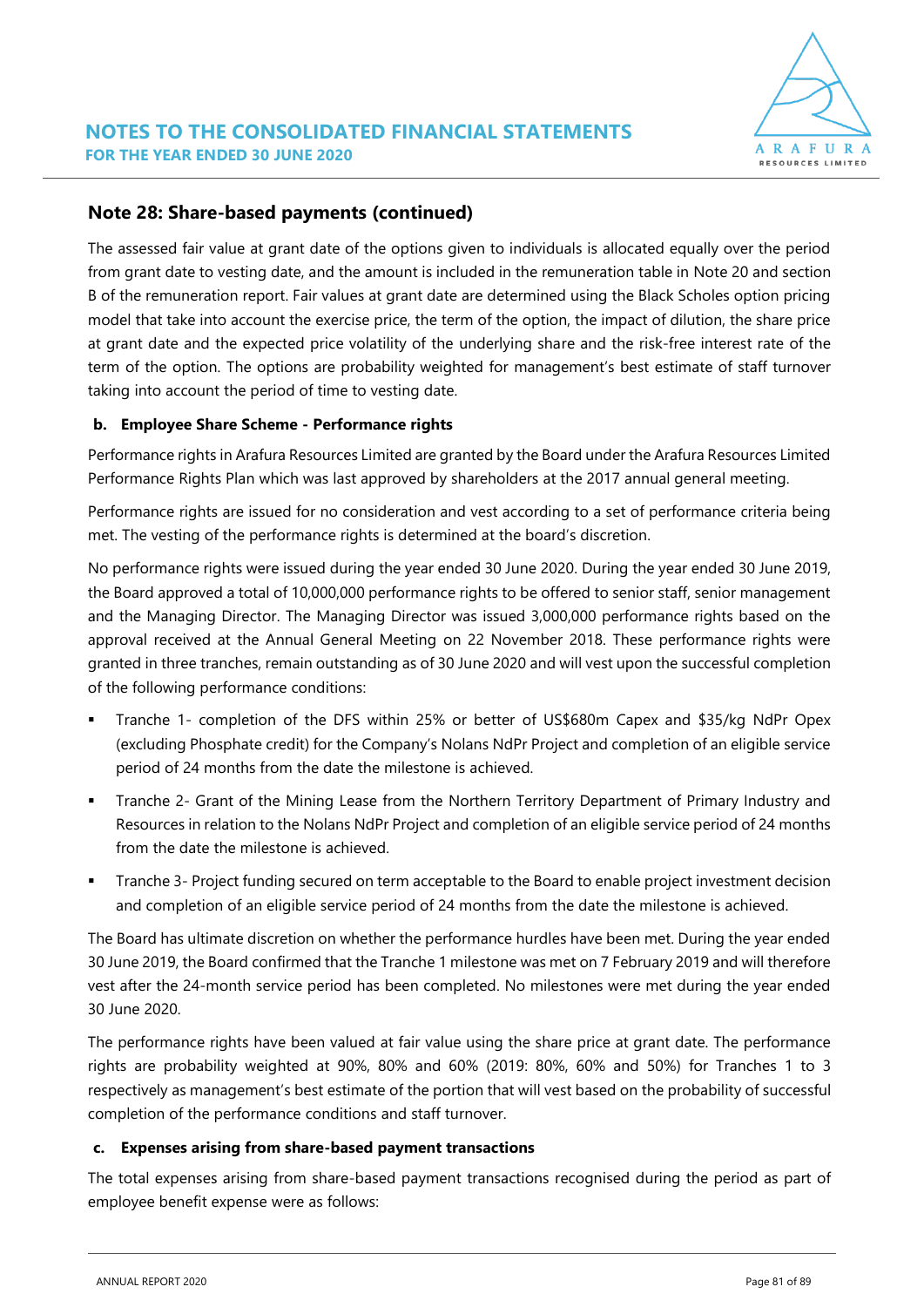

# **Note 28: Share-based payments (continued)**

The assessed fair value at grant date of the options given to individuals is allocated equally over the period from grant date to vesting date, and the amount is included in the remuneration table in Note 20 and section B of the remuneration report. Fair values at grant date are determined using the Black Scholes option pricing model that take into account the exercise price, the term of the option, the impact of dilution, the share price at grant date and the expected price volatility of the underlying share and the risk-free interest rate of the term of the option. The options are probability weighted for management's best estimate of staff turnover taking into account the period of time to vesting date.

## **b. Employee Share Scheme - Performance rights**

Performance rights in Arafura Resources Limited are granted by the Board under the Arafura Resources Limited Performance Rights Plan which was last approved by shareholders at the 2017 annual general meeting.

Performance rights are issued for no consideration and vest according to a set of performance criteria being met. The vesting of the performance rights is determined at the board's discretion.

No performance rights were issued during the year ended 30 June 2020. During the year ended 30 June 2019, the Board approved a total of 10,000,000 performance rights to be offered to senior staff, senior management and the Managing Director. The Managing Director was issued 3,000,000 performance rights based on the approval received at the Annual General Meeting on 22 November 2018. These performance rights were granted in three tranches, remain outstanding as of 30 June 2020 and will vest upon the successful completion of the following performance conditions:

- Tranche 1- completion of the DFS within 25% or better of US\$680m Capex and \$35/kg NdPr Opex (excluding Phosphate credit) for the Company's Nolans NdPr Project and completion of an eligible service period of 24 months from the date the milestone is achieved.
- Tranche 2- Grant of the Mining Lease from the Northern Territory Department of Primary Industry and Resources in relation to the Nolans NdPr Project and completion of an eligible service period of 24 months from the date the milestone is achieved.
- **•** Tranche 3- Project funding secured on term acceptable to the Board to enable project investment decision and completion of an eligible service period of 24 months from the date the milestone is achieved.

The Board has ultimate discretion on whether the performance hurdles have been met. During the year ended 30 June 2019, the Board confirmed that the Tranche 1 milestone was met on 7 February 2019 and will therefore vest after the 24-month service period has been completed. No milestones were met during the year ended 30 June 2020.

The performance rights have been valued at fair value using the share price at grant date. The performance rights are probability weighted at 90%, 80% and 60% (2019: 80%, 60% and 50%) for Tranches 1 to 3 respectively as management's best estimate of the portion that will vest based on the probability of successful completion of the performance conditions and staff turnover.

### **c. Expenses arising from share-based payment transactions**

The total expenses arising from share-based payment transactions recognised during the period as part of employee benefit expense were as follows: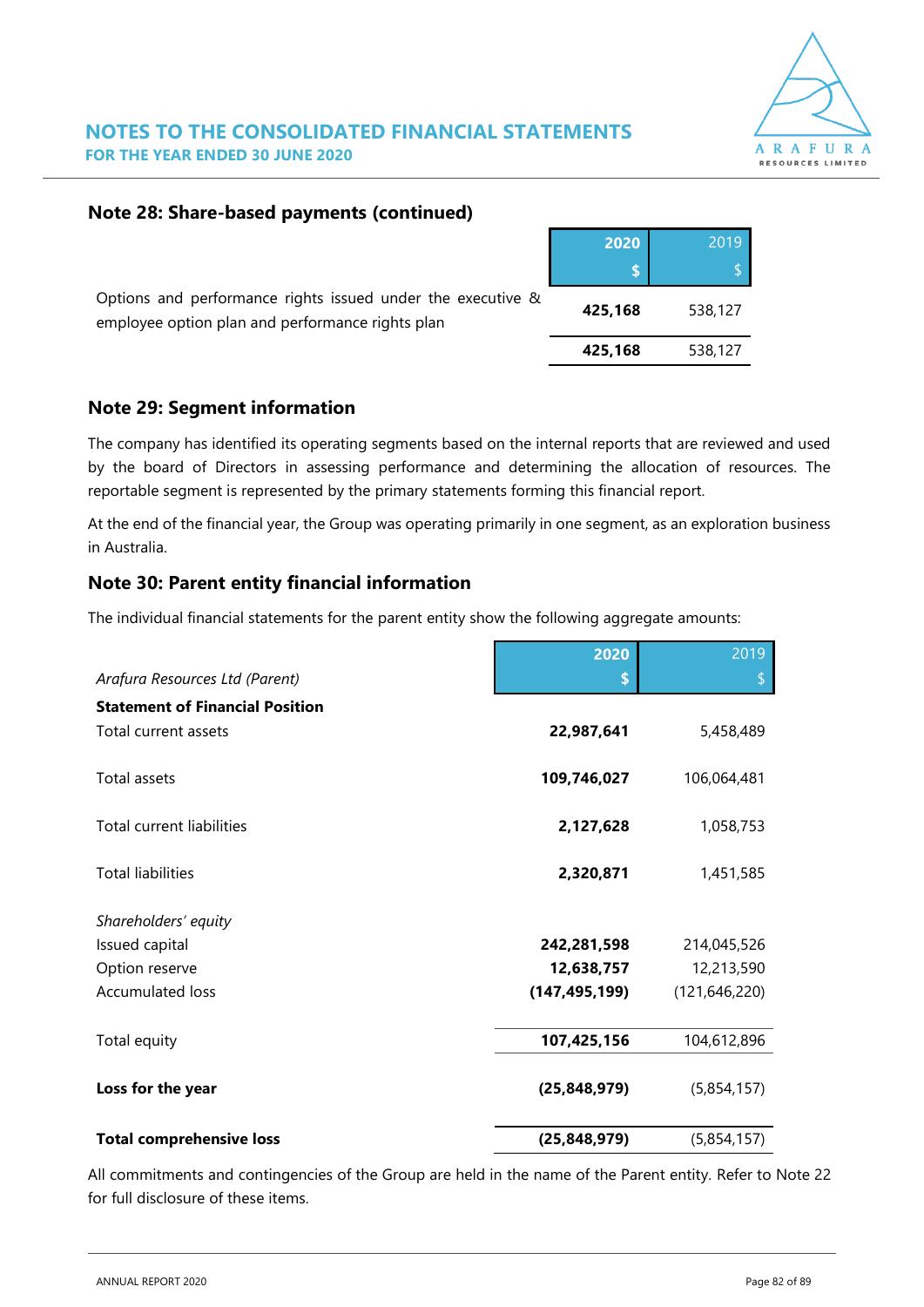

**2020** 2019

**425,168** 538,127

# **Note 28: Share-based payments (continued)**

| Options and performance rights issued under the executive &<br>employee option plan and performance rights plan | 425.168 | 538.127 |
|-----------------------------------------------------------------------------------------------------------------|---------|---------|
|                                                                                                                 |         |         |

# **Note 29: Segment information**

The company has identified its operating segments based on the internal reports that are reviewed and used by the board of Directors in assessing performance and determining the allocation of resources. The reportable segment is represented by the primary statements forming this financial report.

At the end of the financial year, the Group was operating primarily in one segment, as an exploration business in Australia.

# **Note 30: Parent entity financial information**

The individual financial statements for the parent entity show the following aggregate amounts:

|                                        | 2020            | 2019            |
|----------------------------------------|-----------------|-----------------|
| Arafura Resources Ltd (Parent)         | S               |                 |
| <b>Statement of Financial Position</b> |                 |                 |
| Total current assets                   | 22,987,641      | 5,458,489       |
| <b>Total assets</b>                    | 109,746,027     | 106,064,481     |
| Total current liabilities              | 2,127,628       | 1,058,753       |
| <b>Total liabilities</b>               | 2,320,871       | 1,451,585       |
| Shareholders' equity                   |                 |                 |
| Issued capital                         | 242,281,598     | 214,045,526     |
| Option reserve                         | 12,638,757      | 12,213,590      |
| <b>Accumulated loss</b>                | (147, 495, 199) | (121, 646, 220) |
| Total equity                           | 107,425,156     | 104,612,896     |
| Loss for the year                      | (25, 848, 979)  | (5,854,157)     |
| <b>Total comprehensive loss</b>        | (25, 848, 979)  | (5,854,157)     |

All commitments and contingencies of the Group are held in the name of the Parent entity. Refer to Note 22 for full disclosure of these items.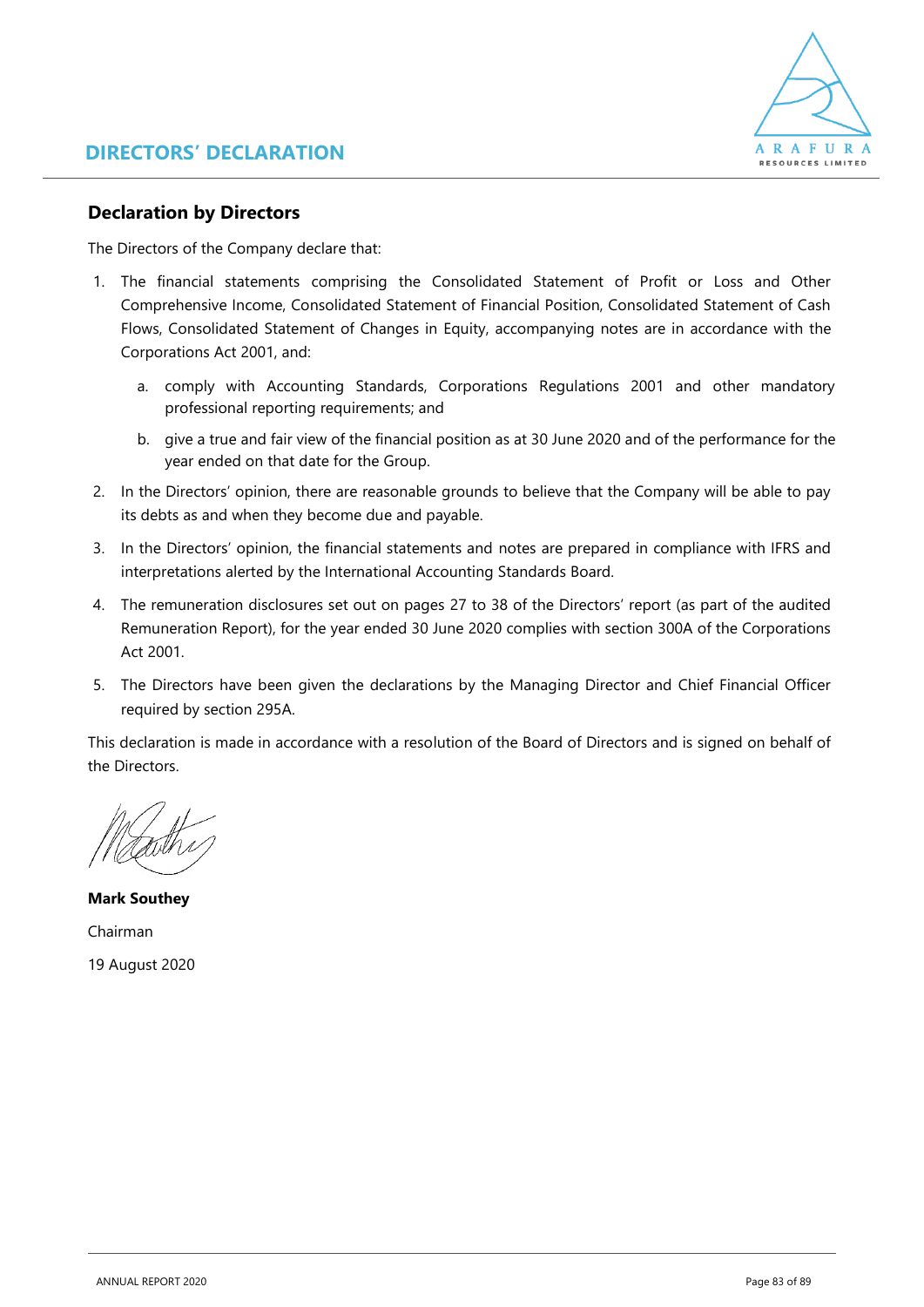

# **Declaration by Directors**

The Directors of the Company declare that:

- 1. The financial statements comprising the Consolidated Statement of Profit or Loss and Other Comprehensive Income, Consolidated Statement of Financial Position, Consolidated Statement of Cash Flows, Consolidated Statement of Changes in Equity, accompanying notes are in accordance with the Corporations Act 2001, and:
	- a. comply with Accounting Standards, Corporations Regulations 2001 and other mandatory professional reporting requirements; and
	- b. give a true and fair view of the financial position as at 30 June 2020 and of the performance for the year ended on that date for the Group.
- 2. In the Directors' opinion, there are reasonable grounds to believe that the Company will be able to pay its debts as and when they become due and payable.
- 3. In the Directors' opinion, the financial statements and notes are prepared in compliance with IFRS and interpretations alerted by the International Accounting Standards Board.
- 4. The remuneration disclosures set out on pages 27 to 38 of the Directors' report (as part of the audited Remuneration Report), for the year ended 30 June 2020 complies with section 300A of the Corporations Act 2001.
- 5. The Directors have been given the declarations by the Managing Director and Chief Financial Officer required by section 295A.

This declaration is made in accordance with a resolution of the Board of Directors and is signed on behalf of the Directors.

**Mark Southey** Chairman 19 August 2020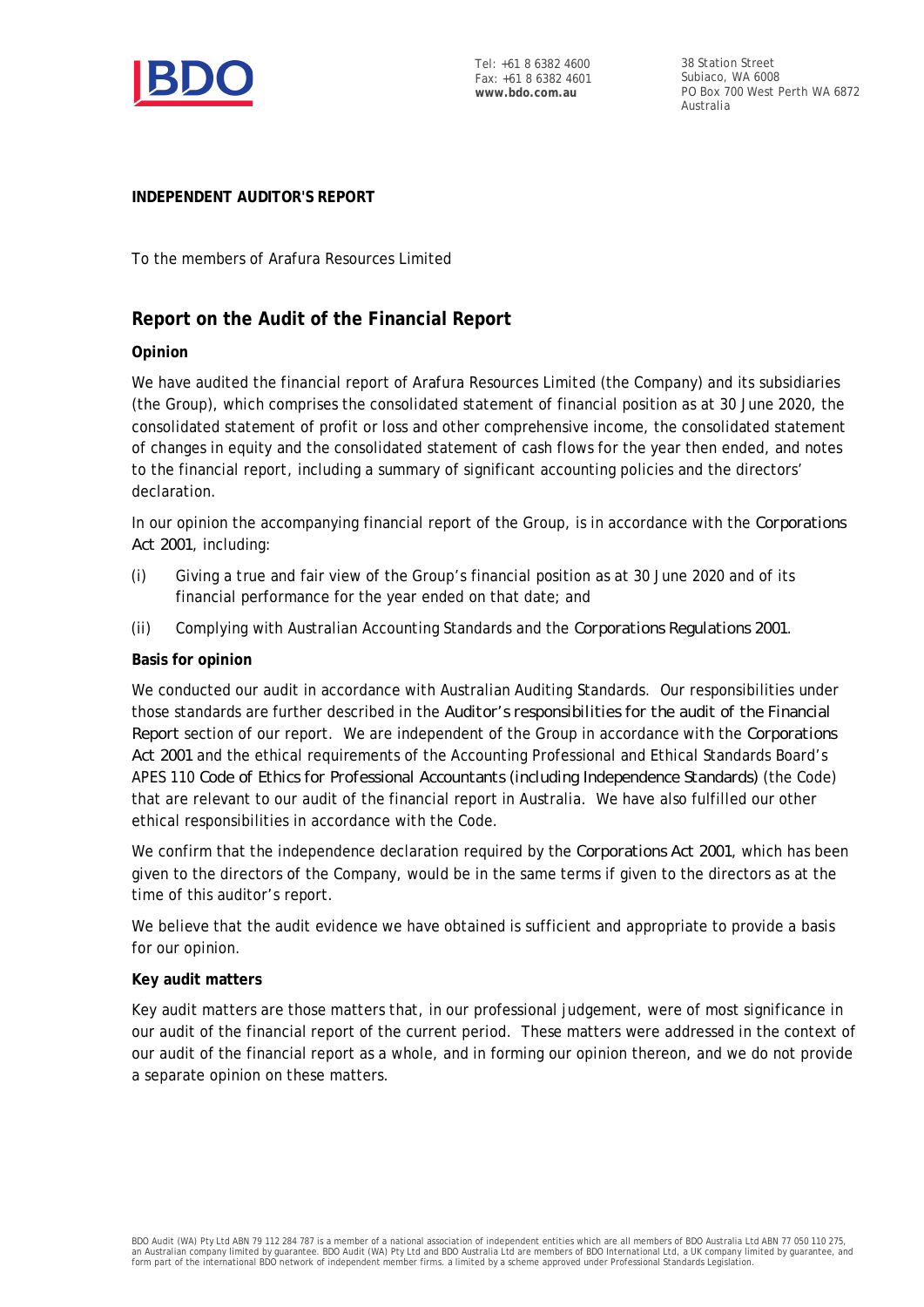

Tel: +61 8 6382 4600 Fax: +61 8 6382 4601 **www.bdo.com.au**

38 Station Street Subiaco, WA 6008 PO Box 700 West Perth WA 6872 Australia

### **INDEPENDENT AUDITOR'S REPORT**

To the members of Arafura Resources Limited

# **Report on the Audit of the Financial Report**

### **Opinion**

We have audited the financial report of Arafura Resources Limited (the Company) and its subsidiaries (the Group), which comprises the consolidated statement of financial position as at 30 June 2020, the consolidated statement of profit or loss and other comprehensive income, the consolidated statement of changes in equity and the consolidated statement of cash flows for the year then ended, and notes to the financial report, including a summary of significant accounting policies and the directors' declaration.

In our opinion the accompanying financial report of the Group, is in accordance with the *Corporations Act 2001*, including:

- (i) Giving a true and fair view of the Group's financial position as at 30 June 2020 and of its financial performance for the year ended on that date; and
- (ii) Complying with Australian Accounting Standards and the *Corporations Regulations 2001*.

#### **Basis for opinion**

We conducted our audit in accordance with Australian Auditing Standards. Our responsibilities under those standards are further described in the *Auditor's responsibilities for the audit of the Financial Report* section of our report. We are independent of the Group in accordance with the *Corporations Act 2001* and the ethical requirements of the Accounting Professional and Ethical Standards Board's APES 110 *Code of Ethics for Professional Accountants (including Independence Standards)* (the Code) that are relevant to our audit of the financial report in Australia. We have also fulfilled our other ethical responsibilities in accordance with the Code.

We confirm that the independence declaration required by the *Corporations Act 2001*, which has been given to the directors of the Company, would be in the same terms if given to the directors as at the time of this auditor's report.

We believe that the audit evidence we have obtained is sufficient and appropriate to provide a basis for our opinion.

#### **Key audit matters**

Key audit matters are those matters that, in our professional judgement, were of most significance in our audit of the financial report of the current period. These matters were addressed in the context of our audit of the financial report as a whole, and in forming our opinion thereon, and we do not provide a separate opinion on these matters.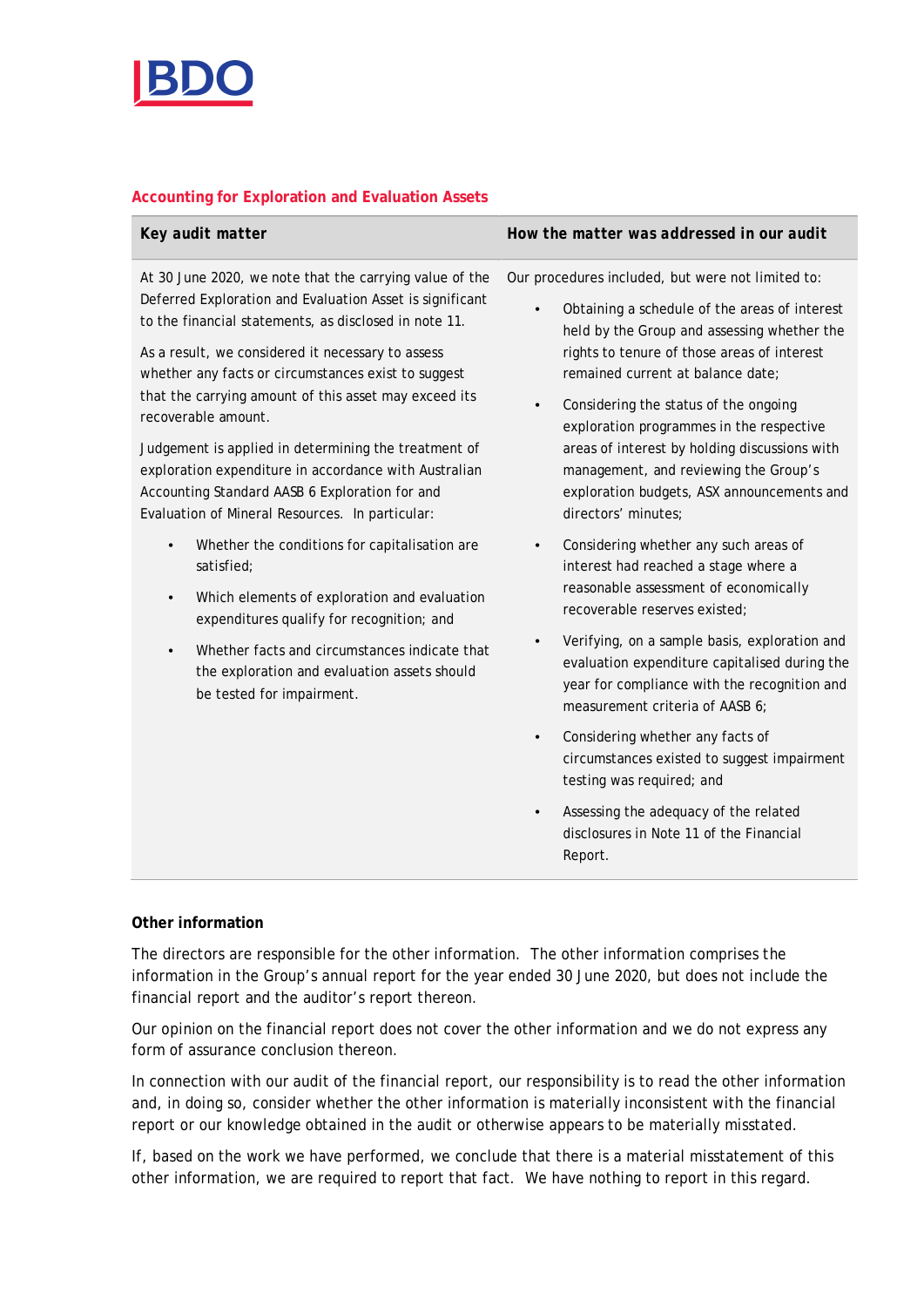

### **Accounting for Exploration and Evaluation Assets**

| Key audit matter                                                                                                                                                                                                                                                                                                                                                                                                                                                                                                                                                                               | How the matter was addressed in our audit                                                                                                                                                                                                                                                                                                                                                                                                                                                                           |  |  |
|------------------------------------------------------------------------------------------------------------------------------------------------------------------------------------------------------------------------------------------------------------------------------------------------------------------------------------------------------------------------------------------------------------------------------------------------------------------------------------------------------------------------------------------------------------------------------------------------|---------------------------------------------------------------------------------------------------------------------------------------------------------------------------------------------------------------------------------------------------------------------------------------------------------------------------------------------------------------------------------------------------------------------------------------------------------------------------------------------------------------------|--|--|
| At 30 June 2020, we note that the carrying value of the<br>Deferred Exploration and Evaluation Asset is significant<br>to the financial statements, as disclosed in note 11.<br>As a result, we considered it necessary to assess<br>whether any facts or circumstances exist to suggest<br>that the carrying amount of this asset may exceed its<br>recoverable amount.<br>Judgement is applied in determining the treatment of<br>exploration expenditure in accordance with Australian<br>Accounting Standard AASB 6 Exploration for and<br>Evaluation of Mineral Resources. In particular: | Our procedures included, but were not limited to:<br>Obtaining a schedule of the areas of interest<br>$\bullet$<br>held by the Group and assessing whether the<br>rights to tenure of those areas of interest<br>remained current at balance date;<br>Considering the status of the ongoing<br>$\bullet$<br>exploration programmes in the respective<br>areas of interest by holding discussions with<br>management, and reviewing the Group's<br>exploration budgets, ASX announcements and<br>directors' minutes; |  |  |
| Whether the conditions for capitalisation are<br>satisfied;<br>Which elements of exploration and evaluation<br>$\bullet$<br>expenditures qualify for recognition; and<br>Whether facts and circumstances indicate that<br>$\bullet$<br>the exploration and evaluation assets should<br>be tested for impairment.                                                                                                                                                                                                                                                                               | Considering whether any such areas of<br>$\bullet$<br>interest had reached a stage where a<br>reasonable assessment of economically<br>recoverable reserves existed;<br>Verifying, on a sample basis, exploration and<br>evaluation expenditure capitalised during the<br>year for compliance with the recognition and<br>measurement criteria of AASB 6;<br>Considering whether any facts of<br>$\bullet$<br>circumstances existed to suggest impairment<br>testing was required; and                              |  |  |
|                                                                                                                                                                                                                                                                                                                                                                                                                                                                                                                                                                                                | Assessing the adequacy of the related<br>$\bullet$<br>disclosures in Note 11 of the Financial<br>Report.                                                                                                                                                                                                                                                                                                                                                                                                            |  |  |

### **Other information**

The directors are responsible for the other information. The other information comprises the information in the Group's annual report for the year ended 30 June 2020, but does not include the financial report and the auditor's report thereon.

Our opinion on the financial report does not cover the other information and we do not express any form of assurance conclusion thereon.

In connection with our audit of the financial report, our responsibility is to read the other information and, in doing so, consider whether the other information is materially inconsistent with the financial report or our knowledge obtained in the audit or otherwise appears to be materially misstated.

If, based on the work we have performed, we conclude that there is a material misstatement of this other information, we are required to report that fact. We have nothing to report in this regard.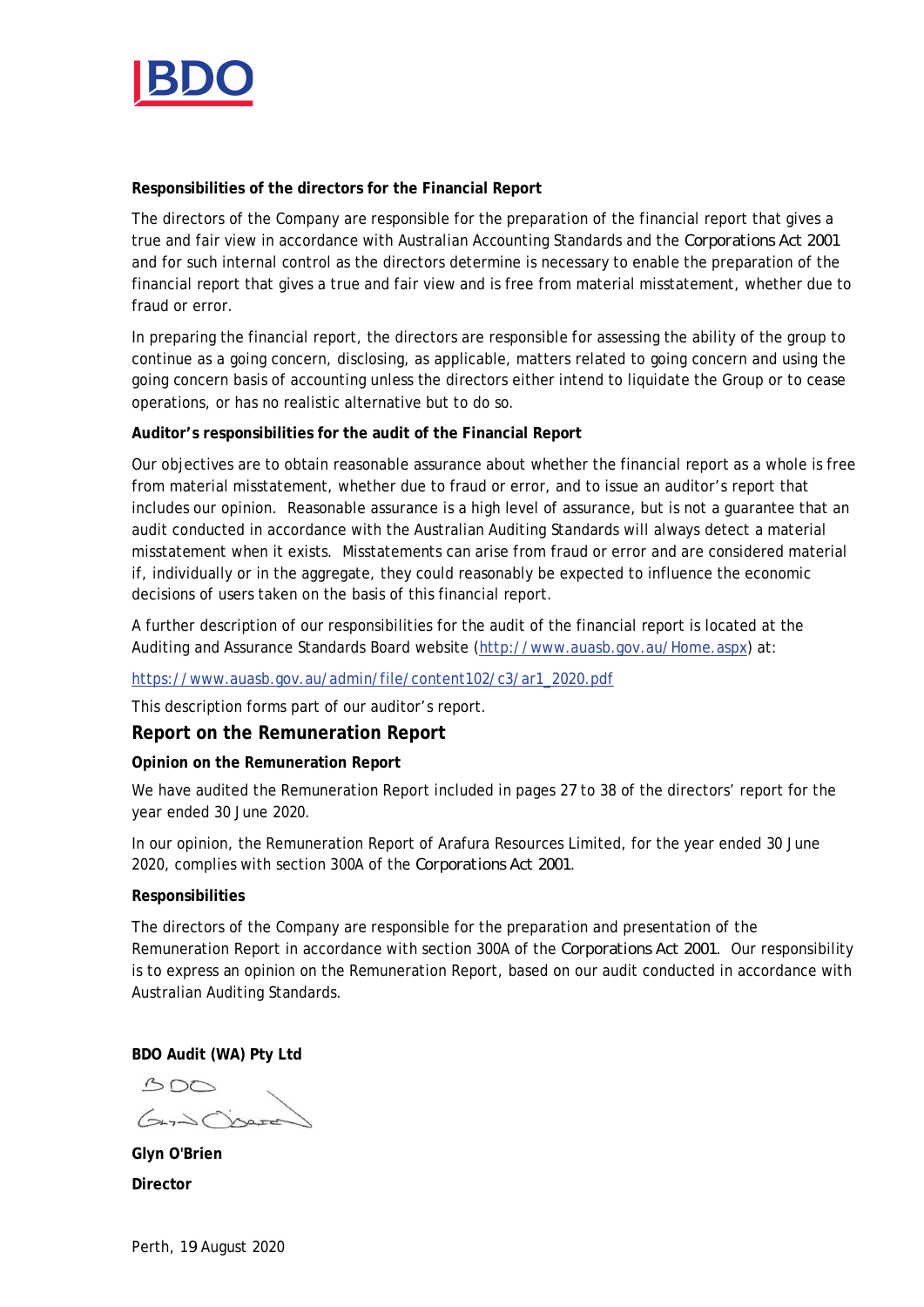

**Responsibilities of the directors for the Financial Report**

The directors of the Company are responsible for the preparation of the financial report that gives a true and fair view in accordance with Australian Accounting Standards and the *Corporations Act 2001* and for such internal control as the directors determine is necessary to enable the preparation of the financial report that gives a true and fair view and is free from material misstatement, whether due to fraud or error.

In preparing the financial report, the directors are responsible for assessing the ability of the group to continue as a going concern, disclosing, as applicable, matters related to going concern and using the going concern basis of accounting unless the directors either intend to liquidate the Group or to cease operations, or has no realistic alternative but to do so.

**Auditor's responsibilities for the audit of the Financial Report**

Our objectives are to obtain reasonable assurance about whether the financial report as a whole is free from material misstatement, whether due to fraud or error, and to issue an auditor's report that includes our opinion. Reasonable assurance is a high level of assurance, but is not a guarantee that an audit conducted in accordance with the Australian Auditing Standards will always detect a material misstatement when it exists. Misstatements can arise from fraud or error and are considered material if, individually or in the aggregate, they could reasonably be expected to influence the economic decisions of users taken on the basis of this financial report.

A further description of our responsibilities for the audit of the financial report is located at the Auditing and Assurance Standards Board website (http://www.auasb.gov.au/Home.aspx) at:

https://www.auasb.gov.au/admin/file/content102/c3/ar1\_2020.pdf

This description forms part of our auditor's report.

**Report on the Remuneration Report**

**Opinion on the Remuneration Report**

We have audited the Remuneration Report included in pages 27 to 38 of the directors' report for the year ended 30 June 2020.

In our opinion, the Remuneration Report of Arafura Resources Limited, for the year ended 30 June 2020, complies with section 300A of the *Corporations Act 2001*.

### **Responsibilities**

The directors of the Company are responsible for the preparation and presentation of the Remuneration Report in accordance with section 300A of the *Corporations Act 2001*. Our responsibility is to express an opinion on the Remuneration Report, based on our audit conducted in accordance with Australian Auditing Standards.

**BDO Audit (WA) Pty Ltd**

 $300$ Gard There

**Glyn O'Brien Director**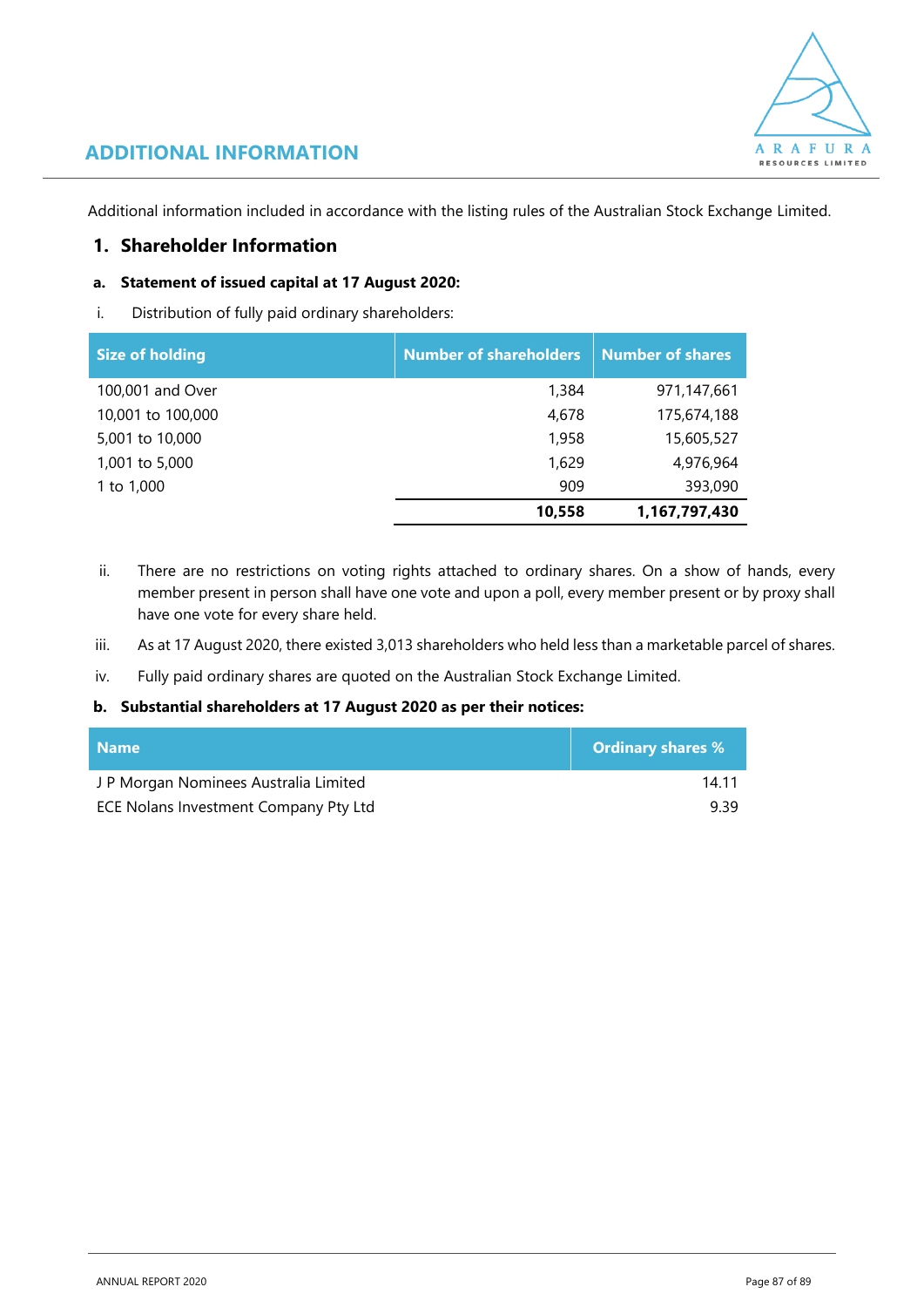

# **ADDITIONAL INFORMATION**

Additional information included in accordance with the listing rules of the Australian Stock Exchange Limited.

# **1. Shareholder Information**

# **a. Statement of issued capital at 17 August 2020:**

i. Distribution of fully paid ordinary shareholders:

| <b>Size of holding</b> | <b>Number of shareholders</b> | <b>Number of shares</b> |
|------------------------|-------------------------------|-------------------------|
| 100,001 and Over       | 1,384                         | 971,147,661             |
| 10,001 to 100,000      | 4,678                         | 175,674,188             |
| 5,001 to 10,000        | 1,958                         | 15,605,527              |
| 1,001 to 5,000         | 1,629                         | 4,976,964               |
| 1 to 1,000             | 909                           | 393,090                 |
|                        | 10,558                        | 1,167,797,430           |

- ii. There are no restrictions on voting rights attached to ordinary shares. On a show of hands, every member present in person shall have one vote and upon a poll, every member present or by proxy shall have one vote for every share held.
- iii. As at 17 August 2020, there existed 3,013 shareholders who held less than a marketable parcel of shares.
- iv. Fully paid ordinary shares are quoted on the Australian Stock Exchange Limited.

### **b. Substantial shareholders at 17 August 2020 as per their notices:**

| <b>Name</b>                           | <b>Ordinary shares %</b> |
|---------------------------------------|--------------------------|
| J P Morgan Nominees Australia Limited | 14 11                    |
| ECE Nolans Investment Company Pty Ltd | 939                      |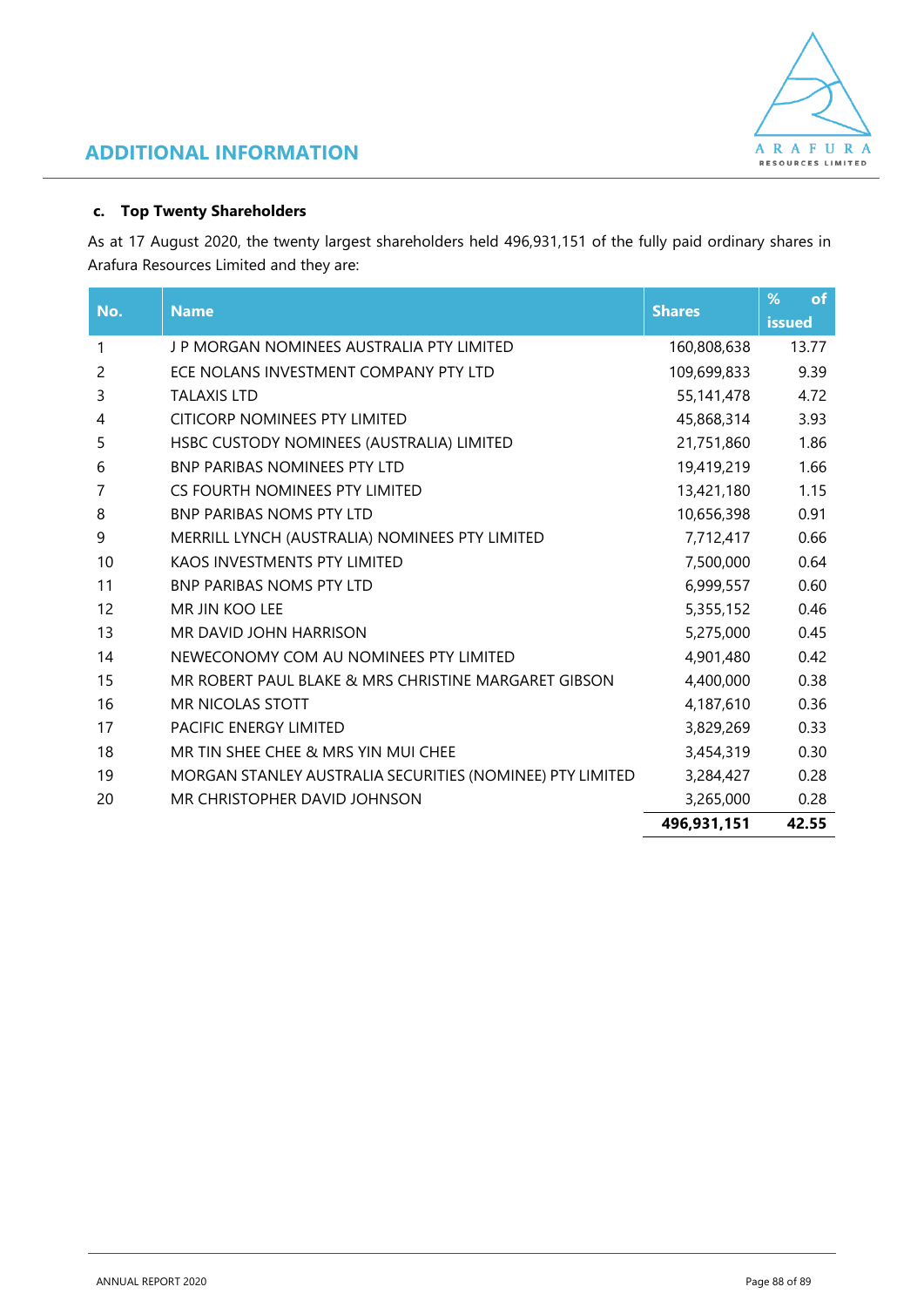

# **ADDITIONAL INFORMATION**

## **c. Top Twenty Shareholders**

As at 17 August 2020, the twenty largest shareholders held 496,931,151 of the fully paid ordinary shares in Arafura Resources Limited and they are:

| No. | <b>Name</b>                                               | <b>Shares</b> | %<br><b>of</b> |
|-----|-----------------------------------------------------------|---------------|----------------|
|     |                                                           |               | issued         |
| 1   | J P MORGAN NOMINEES AUSTRALIA PTY LIMITED                 | 160,808,638   | 13.77          |
| 2   | ECE NOLANS INVESTMENT COMPANY PTY LTD                     | 109,699,833   | 9.39           |
| 3   | <b>TALAXIS LTD</b>                                        | 55,141,478    | 4.72           |
| 4   | <b>CITICORP NOMINEES PTY LIMITED</b>                      | 45,868,314    | 3.93           |
| 5   | HSBC CUSTODY NOMINEES (AUSTRALIA) LIMITED                 | 21,751,860    | 1.86           |
| 6   | <b>BNP PARIBAS NOMINEES PTY LTD</b>                       | 19,419,219    | 1.66           |
| 7   | CS FOURTH NOMINEES PTY LIMITED                            | 13,421,180    | 1.15           |
| 8   | <b>BNP PARIBAS NOMS PTY LTD</b>                           | 10,656,398    | 0.91           |
| 9   | MERRILL LYNCH (AUSTRALIA) NOMINEES PTY LIMITED            | 7,712,417     | 0.66           |
| 10  | <b>KAOS INVESTMENTS PTY LIMITED</b>                       | 7,500,000     | 0.64           |
| 11  | <b>BNP PARIBAS NOMS PTY LTD</b>                           | 6,999,557     | 0.60           |
| 12  | <b>MR JIN KOO LEE</b>                                     | 5,355,152     | 0.46           |
| 13  | MR DAVID JOHN HARRISON                                    | 5,275,000     | 0.45           |
| 14  | NEWECONOMY COM AU NOMINEES PTY LIMITED                    | 4,901,480     | 0.42           |
| 15  | MR ROBERT PAUL BLAKE & MRS CHRISTINE MARGARET GIBSON      | 4,400,000     | 0.38           |
| 16  | <b>MR NICOLAS STOTT</b>                                   | 4,187,610     | 0.36           |
| 17  | <b>PACIFIC ENFRGY LIMITED</b>                             | 3,829,269     | 0.33           |
| 18  | MR TIN SHEE CHEE & MRS YIN MUI CHEE                       | 3,454,319     | 0.30           |
| 19  | MORGAN STANLEY AUSTRALIA SECURITIES (NOMINEE) PTY LIMITED | 3,284,427     | 0.28           |
| 20  | MR CHRISTOPHER DAVID JOHNSON                              | 3,265,000     | 0.28           |
|     |                                                           | 496,931,151   | 42.55          |